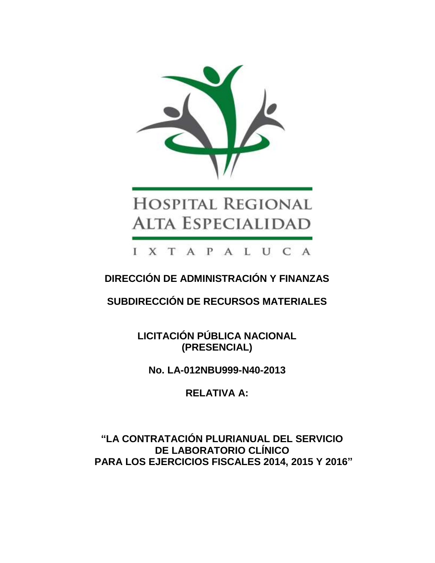

# **HOSPITAL REGIONAL ALTA ESPECIALIDAD**

I X T A P A L U C A

**DIRECCIÓN DE ADMINISTRACIÓN Y FINANZAS**

**SUBDIRECCIÓN DE RECURSOS MATERIALES**

**LICITACIÓN PÚBLICA NACIONAL (PRESENCIAL)**

**No. LA-012NBU999-N40-2013**

**RELATIVA A:**

**"LA CONTRATACIÓN PLURIANUAL DEL SERVICIO DE LABORATORIO CLÍNICO PARA LOS EJERCICIOS FISCALES 2014, 2015 Y 2016"**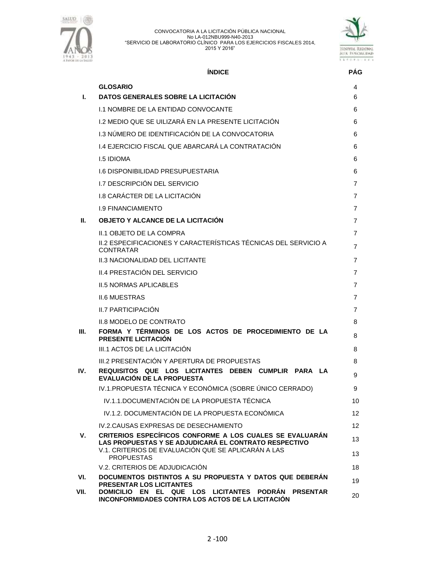



## **ÍNDICE PÁG**

| L.   | <b>GLOSARIO</b><br>DATOS GENERALES SOBRE LA LICITACIÓN                                                                            | 4<br>6   |
|------|-----------------------------------------------------------------------------------------------------------------------------------|----------|
|      | <b>I.1 NOMBRE DE LA ENTIDAD CONVOCANTE</b>                                                                                        | 6        |
|      | <u>I.2 MEDIO QUE SE UILIZARÁ EN LA PRESENTE LICITACIÓN</u>                                                                        | 6        |
|      | I.3 NÚMERO DE IDENTIFICACIÓN DE LA CONVOCATORIA                                                                                   | 6        |
|      | 1.4 EJERCICIO FISCAL QUE ABARCARÁ LA CONTRATACIÓN                                                                                 | 6        |
|      | <b>I.5 IDIOMA</b>                                                                                                                 | 6        |
|      | <b>1.6 DISPONIBILIDAD PRESUPUESTARIA</b>                                                                                          | 6        |
|      | I.7 DESCRIPCIÓN DEL SERVICIO                                                                                                      | 7        |
|      | <b>I.8 CARÁCTER DE LA LICITACIÓN</b>                                                                                              | 7        |
|      | <b>I.9 FINANCIAMIENTO</b>                                                                                                         | 7        |
| Ш.   | OBJETO Y ALCANCE DE LA LICITACIÓN                                                                                                 | 7        |
|      | II.1 OBJETO DE LA COMPRA                                                                                                          | 7        |
|      | II.2 ESPECIFICACIONES Y CARACTERÍSTICAS TÉCNICAS DEL SERVICIO A<br><b>CONTRATAR</b>                                               | 7        |
|      | <b>II.3 NACIONALIDAD DEL LICITANTE</b>                                                                                            | 7        |
|      | II.4 PRESTACIÓN DEL SERVICIO                                                                                                      | 7        |
|      | <b>II.5 NORMAS APLICABLES</b>                                                                                                     | 7        |
|      | <b>II.6 MUESTRAS</b>                                                                                                              | 7        |
|      | <b>II.7 PARTICIPACIÓN</b>                                                                                                         | 7        |
|      | <b>II.8 MODELO DE CONTRATO</b>                                                                                                    | 8        |
| Ш.   | FORMA Y TÉRMINOS DE LOS ACTOS DE PROCEDIMIENTO DE LA<br><b>PRESENTE LICITACIÓN</b>                                                | 8        |
|      | III.1 ACTOS DE LA LICITACIÓN                                                                                                      | 8        |
| IV.  | III.2 PRESENTACIÓN Y APERTURA DE PROPUESTAS<br>REQUISITOS QUE LOS LICITANTES DEBEN CUMPLIR PARA LA                                | 8<br>9   |
|      | EVALUACIÓN DE LA PROPUESTA                                                                                                        |          |
|      | IV.1.PROPUESTA TÉCNICA Y ECONÓMICA (SOBRE ÚNICO CERRADO)<br>IV.1.1.DOCUMENTACIÓN DE LA PROPUESTA TÉCNICA                          | 9        |
|      | IV.1.2. DOCUMENTACIÓN DE LA PROPUESTA ECONÓMICA                                                                                   | 10       |
|      |                                                                                                                                   | 12<br>12 |
| v.   | IV.2. CAUSAS EXPRESAS DE DESECHAMIENTO<br>CRITERIOS ESPECÍFICOS CONFORME A LOS CUALES SE EVALUARÁN                                |          |
|      | LAS PROPUESTAS Y SE ADJUDICARÁ EL CONTRATO RESPECTIVO<br>V.1. CRITERIOS DE EVALUACIÓN QUE SE APLICARÁN A LAS<br><b>PROPUESTAS</b> | 13<br>13 |
|      | V.2. CRITERIOS DE ADJUDICACIÓN                                                                                                    | 18       |
| VI.  | DOCUMENTOS DISTINTOS A SU PROPUESTA Y DATOS QUE DEBERÁN<br>PRESENTAR LOS LICITANTES                                               | 19       |
| VII. | DOMICILIO EN EL QUE LOS LICITANTES<br><b>PODRAN PRSENTAR</b><br>INCONFORMIDADES CONTRA LOS ACTOS DE LA LICITACIÓN                 | 20       |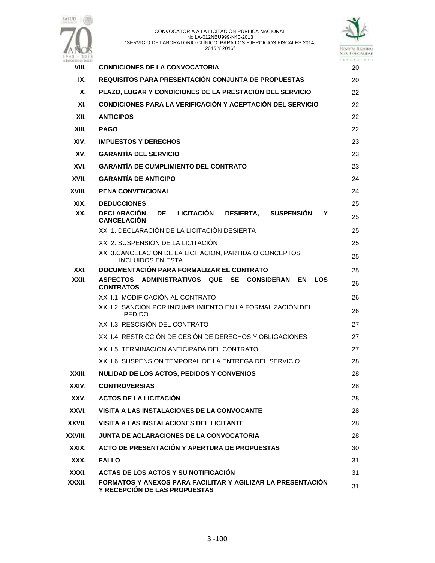



| 943 - 2013<br><b>FAVOR THE LA SALESD</b> |                                                                                                        | 12727. |
|------------------------------------------|--------------------------------------------------------------------------------------------------------|--------|
| VIII.                                    | <b>CONDICIONES DE LA CONVOCATORIA</b>                                                                  | 20     |
| IX.                                      | <b>REQUISITOS PARA PRESENTACIÓN CONJUNTA DE PROPUESTAS</b>                                             |        |
| Х.                                       | PLAZO, LUGAR Y CONDICIONES DE LA PRESTACIÓN DEL SERVICIO                                               | 22     |
| XI.                                      | CONDICIONES PARA LA VERIFICACIÓN Y ACEPTACIÓN DEL SERVICIO                                             | 22     |
| XII.                                     | <b>ANTICIPOS</b>                                                                                       | 22     |
| XIII.                                    | <b>PAGO</b>                                                                                            | 22     |
| XIV.                                     | <b>IMPUESTOS Y DERECHOS</b>                                                                            | 23     |
| XV.                                      | <b>GARANTÍA DEL SERVICIO</b>                                                                           | 23     |
| XVI.                                     | <b>GARANTÍA DE CUMPLIMIENTO DEL CONTRATO</b>                                                           | 23     |
| XVII.                                    | <b>GARANTÍA DE ANTICIPO</b>                                                                            | 24     |
| XVIII.                                   | <b>PENA CONVENCIONAL</b>                                                                               | 24     |
| XIX.                                     | <b>DEDUCCIONES</b>                                                                                     | 25     |
| XX.                                      | <b>LICITACIÓN</b><br><b>DECLARACIÓN</b><br>DE<br>DESIERTA, SUSPENSIÓN<br>Υ<br><b>CANCELACIÓN</b>       | 25     |
|                                          | XXI.1. DECLARACIÓN DE LA LICITACIÓN DESIERTA                                                           | 25     |
|                                          | XXI.2. SUSPENSIÓN DE LA LICITACIÓN                                                                     | 25     |
|                                          | XXI.3. CANCELACIÓN DE LA LICITACIÓN, PARTIDA O CONCEPTOS<br><b>INCLUIDOS EN ÉSTA</b>                   | 25     |
| XXI.                                     | DOCUMENTACIÓN PARA FORMALIZAR EL CONTRATO                                                              | 25     |
| XXII.                                    | ASPECTOS ADMINISTRATIVOS QUE<br><b>SE</b><br><b>CONSIDERAN</b><br>EN<br><b>LOS</b><br><b>CONTRATOS</b> | 26     |
|                                          | XXIII.1. MODIFICACIÓN AL CONTRATO                                                                      | 26     |
|                                          | XXIII.2. SANCIÓN POR INCUMPLIMIENTO EN LA FORMALIZACIÓN DEL<br><b>PEDIDO</b>                           | 26     |
|                                          | XXIII.3. RESCISIÓN DEL CONTRATO                                                                        | 27     |
|                                          | XXIII.4. RESTRICCIÓN DE CESIÓN DE DERECHOS Y OBLIGACIONES                                              | 27     |
|                                          | XXIII.5. TERMINACIÓN ANTICIPADA DEL CONTRATO                                                           | 27     |
|                                          | XXIII.6. SUSPENSIÓN TEMPORAL DE LA ENTREGA DEL SERVICIO                                                | 28     |
| XXIII.                                   | NULIDAD DE LOS ACTOS, PEDIDOS Y CONVENIOS                                                              | 28     |
| XXIV.                                    | <b>CONTROVERSIAS</b>                                                                                   | 28     |
| XXV.                                     | <b>ACTOS DE LA LICITACIÓN</b>                                                                          | 28     |
| XXVI.                                    | VISITA A LAS INSTALACIONES DE LA CONVOCANTE                                                            | 28     |
| XXVII.                                   | VISITA A LAS INSTALACIONES DEL LICITANTE                                                               | 28     |
| XXVIII.                                  | <b>JUNTA DE ACLARACIONES DE LA CONVOCATORIA</b>                                                        | 28     |
| XXIX.                                    | ACTO DE PRESENTACIÓN Y APERTURA DE PROPUESTAS                                                          | 30     |
| XXX.                                     | <b>FALLO</b>                                                                                           | 31     |
| XXXI.                                    | ACTAS DE LOS ACTOS Y SU NOTIFICACIÓN                                                                   | 31     |
| XXXII.                                   | FORMATOS Y ANEXOS PARA FACILITAR Y AGILIZAR LA PRESENTACIÓN<br>Y RECEPCIÓN DE LAS PROPUESTAS           | 31     |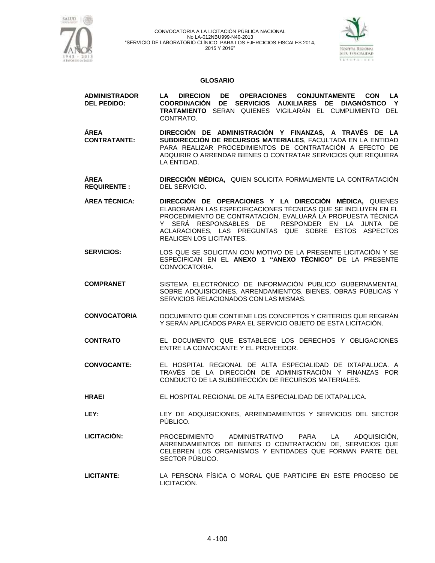

**ADMINISTRADOR** 

#### CONVOCATORIA A LA LICITACIÓN PÚBLICA NACIONAL No LA-012NBU999-N40-2013 "SERVICIO DE LABORATORIO CLÍNICO PARA LOS EJERCICIOS FISCALES 2014, 2015 Y 2016"



#### **GLOSARIO**

**LA DIRECION DE OPERACIONES CONJUNTAMENTE CON LA**

| <b>DEL PEDIDO:</b>             | COORDINACIÓN DE SERVICIOS AUXILIARES DE DIAGNÓSTICO Y<br><b>TRATAMIENTO SERAN QUIENES VIGILARÁN EL CUMPLIMIENTO DEL</b><br>CONTRATO.                                                                                                                                                                                                    |
|--------------------------------|-----------------------------------------------------------------------------------------------------------------------------------------------------------------------------------------------------------------------------------------------------------------------------------------------------------------------------------------|
| ÁREA<br><b>CONTRATANTE:</b>    | DIRECCIÓN DE ADMINISTRACIÓN Y FINANZAS, A TRAVÉS DE LA<br>SUBDIRECCIÓN DE RECURSOS MATERIALES, FACULTADA EN LA ENTIDAD<br>PARA REALIZAR PROCEDIMIENTOS DE CONTRATACIÓN A EFECTO DE<br>ADQUIRIR O ARRENDAR BIENES O CONTRATAR SERVICIOS QUE REQUIERA<br>LA ENTIDAD.                                                                      |
| ÁREA<br><b>REQUIRENTE:</b>     | DIRECCIÓN MÉDICA, QUIEN SOLICITA FORMALMENTE LA CONTRATACIÓN<br>DEL SERVICIO.                                                                                                                                                                                                                                                           |
| ÁREA TÉCNICA:                  | DIRECCIÓN DE OPERACIONES Y LA DIRECCIÓN MÉDICA, QUIENES<br>ELABORARÁN LAS ESPECIFICACIONES TÉCNICAS QUE SE INCLUYEN EN EL<br>PROCEDIMIENTO DE CONTRATACIÓN, EVALUARÁ LA PROPUESTA TÉCNICA<br>Y SERÁ RESPONSABLES DE RESPONDER EN LA JUNTA DE<br>ACLARACIONES, LAS PREGUNTAS QUE SOBRE ESTOS ASPECTOS<br><b>REALICEN LOS LICITANTES.</b> |
| <b>SERVICIOS:</b>              | LOS QUE SE SOLICITAN CON MOTIVO DE LA PRESENTE LICITACIÓN Y SE<br>ESPECIFICAN EN EL ANEXO 1 "ANEXO TÉCNICO" DE LA PRESENTE<br>CONVOCATORIA.                                                                                                                                                                                             |
| <b>COMPRANET</b>               | SISTEMA ELECTRÓNICO DE INFORMACIÓN PUBLICO GUBERNAMENTAL<br>SOBRE ADQUISICIONES, ARRENDAMIENTOS, BIENES, OBRAS PÚBLICAS Y<br>SERVICIOS RELACIONADOS CON LAS MISMAS.                                                                                                                                                                     |
| <b>CONVOCATORIA</b>            | DOCUMENTO QUE CONTIENE LOS CONCEPTOS Y CRITERIOS QUE REGIRÁN<br>Y SERÁN APLICADOS PARA EL SERVICIO OBJETO DE ESTA LICITACIÓN.                                                                                                                                                                                                           |
| <b>CONTRATO</b>                | EL DOCUMENTO QUE ESTABLECE LOS DERECHOS Y OBLIGACIONES<br>ENTRE LA CONVOCANTE Y EL PROVEEDOR.                                                                                                                                                                                                                                           |
| <b>CONVOCANTE:</b>             | EL HOSPITAL REGIONAL DE ALTA ESPECIALIDAD DE IXTAPALUCA. A<br>TRAVÉS DE LA DIRECCIÓN DE ADMINISTRACIÓN Y FINANZAS POR<br>CONDUCTO DE LA SUBDIRECCIÓN DE RECURSOS MATERIALES.                                                                                                                                                            |
| $\mathbf{1}$ in a $\mathbf{F}$ | FUJIOODITAL BEOIONAL BE ALTA FOBEOIALIBAD BE IVTABALUOA                                                                                                                                                                                                                                                                                 |

- **HRAEI** EL HOSPITAL REGIONAL DE ALTA ESPECIALIDAD DE IXTAPALUCA.
- **LEY:** LEY DE ADQUISICIONES, ARRENDAMIENTOS Y SERVICIOS DEL SECTOR PÚBLICO.
- **LICITACIÓN:** PROCEDIMIENTO ADMINISTRATIVO PARA LA ADQUISICIÓN, ARRENDAMIENTOS DE BIENES O CONTRATACIÓN DE, SERVICIOS QUE CELEBREN LOS ORGANISMOS Y ENTIDADES QUE FORMAN PARTE DEL SECTOR PÚBLICO.
- **LICITANTE:** LA PERSONA FÍSICA O MORAL QUE PARTICIPE EN ESTE PROCESO DE LICITACIÓN.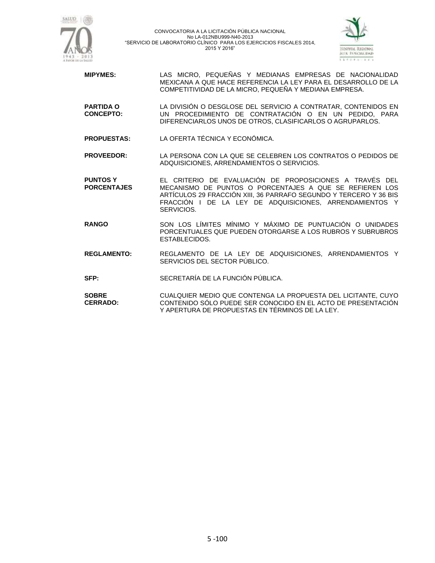



- **MIPYMES:** LAS MICRO, PEQUEÑAS Y MEDIANAS EMPRESAS DE NACIONALIDAD MEXICANA A QUE HACE REFERENCIA LA LEY PARA EL DESARROLLO DE LA COMPETITIVIDAD DE LA MICRO, PEQUEÑA Y MEDIANA EMPRESA.
- **PARTIDA O CONCEPTO:** LA DIVISIÓN O DESGLOSE DEL SERVICIO A CONTRATAR, CONTENIDOS EN UN PROCEDIMIENTO DE CONTRATACIÓN O EN UN PEDIDO, PARA DIFERENCIARLOS UNOS DE OTROS, CLASIFICARLOS O AGRUPARLOS.
- **PROPUESTAS:** LA OFERTA TÉCNICA Y ECONÓMICA.

**PROVEEDOR:** LA PERSONA CON LA QUE SE CELEBREN LOS CONTRATOS O PEDIDOS DE ADQUISICIONES, ARRENDAMIENTOS O SERVICIOS.

- **PUNTOS Y PORCENTAJES** EL CRITERIO DE EVALUACIÓN DE PROPOSICIONES A TRAVÉS DEL MECANISMO DE PUNTOS O PORCENTAJES A QUE SE REFIEREN LOS ARTÍCULOS 29 FRACCIÓN XIII, 36 PARRAFO SEGUNDO Y TERCERO Y 36 BIS FRACCIÓN I DE LA LEY DE ADQUISICIONES, ARRENDAMIENTOS Y SERVICIOS.
- **RANGO** SON LOS LÍMITES MÍNIMO Y MÁXIMO DE PUNTUACIÓN O UNIDADES PORCENTUALES QUE PUEDEN OTORGARSE A LOS RUBROS Y SUBRUBROS ESTABLECIDOS.
- **REGLAMENTO:** REGLAMENTO DE LA LEY DE ADQUISICIONES, ARRENDAMIENTOS Y SERVICIOS DEL SECTOR PÚBLICO.
- **SFP:** SECRETARÍA DE LA FUNCIÓN PÚBLICA.
- **SOBRE CERRADO:** CUALQUIER MEDIO QUE CONTENGA LA PROPUESTA DEL LICITANTE, CUYO CONTENIDO SÓLO PUEDE SER CONOCIDO EN EL ACTO DE PRESENTACIÓN Y APERTURA DE PROPUESTAS EN TÉRMINOS DE LA LEY.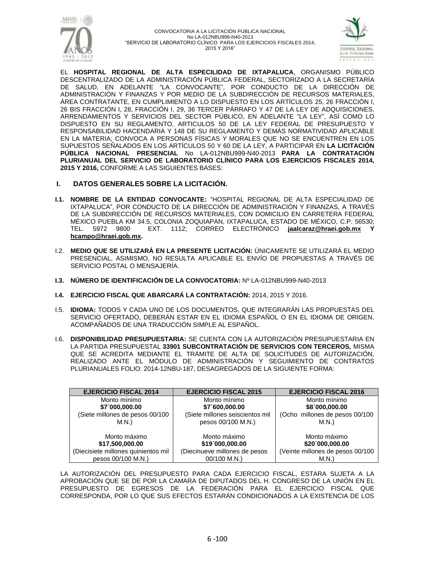



EL **HOSPITAL REGIONAL DE ALTA ESPECILIDAD DE IXTAPALUCA**, ORGANISMO PÚBLICO DESCENTRALIZADO DE LA ADMINISTRACIÓN PÚBLICA FEDERAL, SECTORIZADO A LA SECRETARÍA DE SALUD, EN ADELANTE "LA CONVOCANTE", POR CONDUCTO DE LA DIRECCIÓN DE ADMINISTRACIÓN Y FINANZAS Y POR MEDIO DE LA SUBDIRECCIÓN DE RECURSOS MATERIALES, ÁREA CONTRATANTE, EN CUMPLIMIENTO A LO DISPUESTO EN LOS ARTÍCULOS 25, 26 FRACCIÓN I, 26 BIS FRACCIÓN I, 28, FRACCIÓN I, 29, 36 TERCER PÁRRAFO Y 47 DE LA LEY DE ADQUISICIONES, ARRENDAMIENTOS Y SERVICIOS DEL SECTOR PÚBLICO, EN ADELANTE "LA LEY", ASÍ COMO LO DISPUESTO EN SU REGLAMENTO, ARTICULOS 50 DE LA LEY FEDERAL DE PRESUPUESTO Y RESPONSABILIDAD HACENDARIA Y 148 DE SU REGLAMENTO Y DEMÁS NORMATIVIDAD APLICABLE EN LA MATERIA; CONVOCA A PERSONAS FÍSICAS Y MORALES QUE NO SE ENCUENTREN EN LOS SUPUESTOS SEÑALADOS EN LOS ARTÍCULOS 50 Y 60 DE LA LEY, A PARTICIPAR EN **LA LICITACIÓN PÚBLICA NACIONAL PRESENCIAL** No LA-012NBU999-N40-2013 **PARA LA CONTRATACIÓN PLURIANUAL DEL SERVICIO DE LABORATORIO CLÍNICO PARA LOS EJERCICIOS FISCALES 2014, 2015 Y 2016,** CONFORME A LAS SIGUIENTES BASES:

### **I. DATOS GENERALES SOBRE LA LICITACIÓN.**

- **I.1. NOMBRE DE LA ENTIDAD CONVOCANTE:** "HOSPITAL REGIONAL DE ALTA ESPECIALIDAD DE IXTAPALUCA", POR CONDUCTO DE LA DIRECCIÓN DE ADMINISTRACIÓN Y FINANZAS, A TRAVÉS DE LA SUBDIRECCIÓN DE RECURSOS MATERIALES, CON DOMICILIO EN CARRETERA FEDERAL MÉXICO PUEBLA KM 34.5, COLONIA ZOQUIAPAN, IXTAPALUCA, ESTADO DE MÉXICO, C.P. 56530; TEL. 5972 9800 EXT. 1112; CORREO ELECTRÓNICO **[jaalcaraz@hraei.gob.mx](mailto:jaalcaraz@hraei.gob.mx) Y [hcampo@hraei.gob.mx.](mailto:hcampo@hraei.gob.mx)**
- I.2. **MEDIO QUE SE UTILIZARÁ EN LA PRESENTE LICITACIÓN:** ÚNICAMENTE SE UTILIZARÁ EL MEDIO PRESENCIAL, ASIMISMO, NO RESULTA APLICABLE EL ENVÍO DE PROPUESTAS A TRAVÉS DE SERVICIO POSTAL O MENSAJERÍA.
- **I.3. NÚMERO DE IDENTIFICACIÓN DE LA CONVOCATORIA:** Nº LA-012NBU999-N40-2013
- **I.4. EJERCICIO FISCAL QUE ABARCARÁ LA CONTRATACIÓN:** 2014, 2015 Y 2016.
- I.5. **IDIOMA:** TODOS Y CADA UNO DE LOS DOCUMENTOS, QUE INTEGRARÁN LAS PROPUESTAS DEL SERVICIO OFERTADO, DEBERÁN ESTAR EN EL IDIOMA ESPAÑOL O EN EL IDIOMA DE ORIGEN, ACOMPAÑADOS DE UNA TRADUCCIÓN SIMPLE AL ESPAÑOL.
- I.6. **DISPONIBILIDAD PRESUPUESTARIA:** SE CUENTA CON LA AUTORIZACIÓN PRESUPUESTARIA EN LA PARTIDA PRESUPUESTAL **33901 SUBCONTRATACIÓN DE SERVICIOS CON TERCEROS,** MISMA QUE SE ACREDITA MEDIANTE EL TRÁMITE DE ALTA DE SOLICITUDES DE AUTORIZACIÓN, REALIZADO ANTE EL MÓDULO DE ADMINISTRACIÓN Y SEGUIMIENTO DE CONTRATOS PLURIANUALES FOLIO: 2014-12NBU-187, DESAGREGADOS DE LA SIGUIENTE FORMA:

| <b>EJERCICIO FISCAL 2014</b>        | <b>EJERCICIO FISCAL 2015</b>    | <b>EJERCICIO FISCAL 2016</b>     |
|-------------------------------------|---------------------------------|----------------------------------|
| Monto mínimo                        | Monto mínimo                    | Monto mínimo                     |
| \$7´000,000.00                      | \$7´600,000.00                  | \$8'000,000.00                   |
| (Siete millones de pesos 00/100     | (Siete millones seiscientos mil | (Ocho millones de pesos 00/100   |
| M.N.)                               | pesos 00/100 M.N.)              | M.N.)                            |
|                                     |                                 |                                  |
| Monto máximo                        | Monto máximo                    | Monto máximo                     |
| \$17,500,000.00                     | \$19'000,000.00                 | \$20'000,000.00                  |
| (Diecisiete millones quinientos mil | (Diecinueve millones de pesos   | (Veinte millones de pesos 00/100 |
| pesos 00/100 M.N.)                  | 00/100 M.N.)                    | M.N.)                            |

LA AUTORIZACIÓN DEL PRESUPUESTO PARA CADA EJERCICIO FISCAL, ESTARA SUJETA A LA APROBACIÓN QUE SE DE POR LA CAMARA DE DIPUTADOS DEL H. CONGRESO DE LA UNIÓN EN EL PRESUPUESTO DE EGRESOS DE LA FEDERACIÓN PARA EL EJERCICIO FISCAL QUE CORRESPONDA, POR LO QUE SUS EFECTOS ESTARÁN CONDICIONADOS A LA EXISTENCIA DE LOS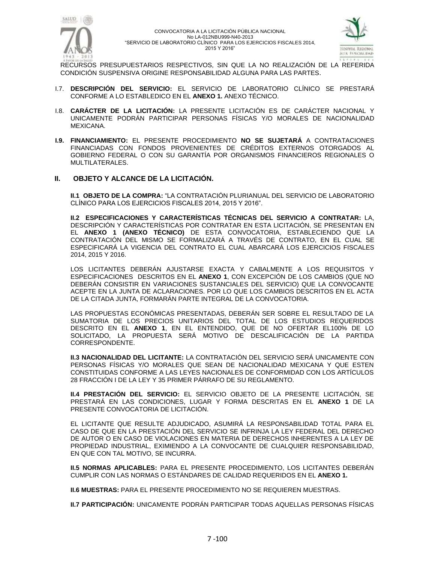



RECURSOS PRESUPUESTARIOS RESPECTIVOS, SIN QUE LA NO REALIZACIÓN DE LA REFERIDA CONDICIÓN SUSPENSIVA ORIGINE RESPONSABILIDAD ALGUNA PARA LAS PARTES.

- I.7. **DESCRIPCIÓN DEL SERVICIO:** EL SERVICIO DE LABORATORIO CLÍNICO SE PRESTARÁ CONFORME A LO ESTABLEDICO EN EL **ANEXO 1.** ANEXO TÉCNICO.
- I.8. **CARÁCTER DE LA LICITACIÓN:** LA PRESENTE LICITACIÓN ES DE CARÁCTER NACIONAL Y UNICAMENTE PODRÁN PARTICIPAR PERSONAS FÍSICAS Y/O MORALES DE NACIONALIDAD MEXICANA.
- **I.9. FINANCIAMIENTO:** EL PRESENTE PROCEDIMIENTO **NO SE SUJETARÁ** A CONTRATACIONES FINANCIADAS CON FONDOS PROVENIENTES DE CRÉDITOS EXTERNOS OTORGADOS AL GOBIERNO FEDERAL O CON SU GARANTÍA POR ORGANISMOS FINANCIEROS REGIONALES O MULTILATERALES.

#### **II. OBJETO Y ALCANCE DE LA LICITACIÓN.**

**II.1 OBJETO DE LA COMPRA:** "LA CONTRATACIÓN PLURIANUAL DEL SERVICIO DE LABORATORIO CLÍNICO PARA LOS EJERCICIOS FISCALES 2014, 2015 Y 2016".

**II.2 ESPECIFICACIONES Y CARACTERÍSTICAS TÉCNICAS DEL SERVICIO A CONTRATAR:** LA, DESCRIPCIÓN Y CARACTERÍSTICAS POR CONTRATAR EN ESTA LICITACIÓN, SE PRESENTAN EN EL **ANEXO 1 (ANEXO TÉCNICO)** DE ESTA CONVOCATORIA, ESTABLECIENDO QUE LA CONTRATACIÓN DEL MISMO SE FORMALIZARÁ A TRAVÉS DE CONTRATO, EN EL CUAL SE ESPECIFICARÁ LA VIGENCIA DEL CONTRATO EL CUAL ABARCARÁ LOS EJERCICIOS FISCALES 2014, 2015 Y 2016.

LOS LICITANTES DEBERÁN AJUSTARSE EXACTA Y CABALMENTE A LOS REQUISITOS Y ESPECIFICACIONES DESCRITOS EN EL **ANEXO 1**, CON EXCEPCIÓN DE LOS CAMBIOS (QUE NO DEBERÁN CONSISTIR EN VARIACIONES SUSTANCIALES DEL SERVICIO) QUE LA CONVOCANTE ACEPTE EN LA JUNTA DE ACLARACIONES. POR LO QUE LOS CAMBIOS DESCRITOS EN EL ACTA DE LA CITADA JUNTA, FORMARÁN PARTE INTEGRAL DE LA CONVOCATORIA.

LAS PROPUESTAS ECONÓMICAS PRESENTADAS, DEBERÁN SER SOBRE EL RESULTADO DE LA SUMATORIA DE LOS PRECIOS UNITARIOS DEL TOTAL DE LOS ESTUDIOS REQUERIDOS DESCRITO EN EL **ANEXO 1**, EN EL ENTENDIDO, QUE DE NO OFERTAR EL100% DE LO SOLICITADO, LA PROPUESTA SERÁ MOTIVO DE DESCALIFICACIÓN DE LA PARTIDA CORRESPONDENTE.

**II.3 NACIONALIDAD DEL LICITANTE:** LA CONTRATACIÓN DEL SERVICIO SERÁ UNICAMENTE CON PERSONAS FÍSICAS Y/O MORALES QUE SEAN DE NACIONALIDAD MEXICANA Y QUE ESTEN CONSTITUIDAS CONFORME A LAS LEYES NACIONALES DE CONFORMIDAD CON LOS ARTÍCULOS 28 FRACCIÓN I DE LA LEY Y 35 PRIMER PÁRRAFO DE SU REGLAMENTO.

**II.4 PRESTACIÓN DEL SERVICIO:** EL SERVICIO OBJETO DE LA PRESENTE LICITACIÓN, SE PRESTARÁ EN LAS CONDICIONES, LUGAR Y FORMA DESCRITAS EN EL **ANEXO 1** DE LA PRESENTE CONVOCATORIA DE LICITACIÓN.

EL LICITANTE QUE RESULTE ADJUDICADO, ASUMIRÁ LA RESPONSABILIDAD TOTAL PARA EL CASO DE QUE EN LA PRESTACIÓN DEL SERVICIO SE INFRINJA LA LEY FEDERAL DEL DERECHO DE AUTOR O EN CASO DE VIOLACIONES EN MATERIA DE DERECHOS INHERENTES A LA LEY DE PROPIEDAD INDUSTRIAL, EXIMIENDO A LA CONVOCANTE DE CUALQUIER RESPONSABILIDAD, EN QUE CON TAL MOTIVO, SE INCURRA.

**II.5 NORMAS APLICABLES:** PARA EL PRESENTE PROCEDIMIENTO, LOS LICITANTES DEBERÁN CUMPLIR CON LAS NORMAS O ESTÁNDARES DE CALIDAD REQUERIDOS EN EL **ANEXO 1.**

**II.6 MUESTRAS:** PARA EL PRESENTE PROCEDIMIENTO NO SE REQUIEREN MUESTRAS.

**II.7 PARTICIPACIÓN:** UNICAMENTE PODRÁN PARTICIPAR TODAS AQUELLAS PERSONAS FÍSICAS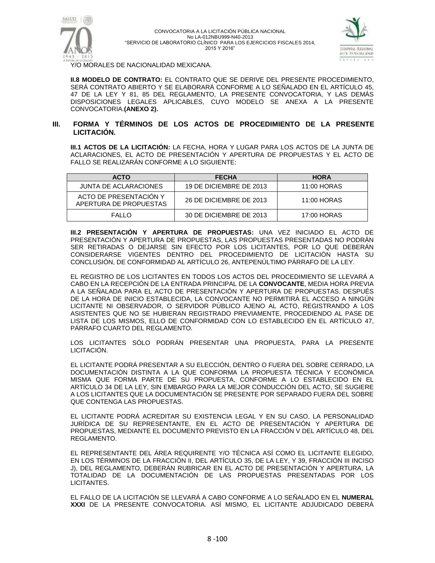



Y/O MORALES DE NACIONALIDAD MEXICANA.

**II.8 MODELO DE CONTRATO:** EL CONTRATO QUE SE DERIVE DEL PRESENTE PROCEDIMIENTO, SERÁ CONTRATO ABIERTO Y SE ELABORARÁ CONFORME A LO SEÑALADO EN EL ARTÍCULO 45, 47 DE LA LEY Y 81, 85 DEL REGLAMENTO, LA PRESENTE CONVOCATORIA, Y LAS DEMÁS DISPOSICIONES LEGALES APLICABLES, CUYO MODELO SE ANEXA A LA PRESENTE CONVOCATORIA.**(ANEXO 2).**

#### **III. FORMA Y TÉRMINOS DE LOS ACTOS DE PROCEDIMIENTO DE LA PRESENTE LICITACIÓN.**

**III.1 ACTOS DE LA LICITACIÓN:** LA FECHA, HORA Y LUGAR PARA LOS ACTOS DE LA JUNTA DE ACLARACIONES, EL ACTO DE PRESENTACIÓN Y APERTURA DE PROPUESTAS Y EL ACTO DE FALLO SE REALIZARÁN CONFORME A LO SIGUIENTE:

| <b>ACTO</b>                                      | <b>FECHA</b>            | <b>HORA</b> |
|--------------------------------------------------|-------------------------|-------------|
| JUNTA DE ACLARACIONES                            | 19 DE DICIEMBRE DE 2013 | 11:00 HORAS |
| ACTO DE PRESENTACIÓN Y<br>APERTURA DE PROPUESTAS | 26 DE DICIEMBRE DE 2013 | 11:00 HORAS |
| FALLO                                            | 30 DE DICIEMBRE DE 2013 | 17:00 HORAS |

**III.2 PRESENTACIÓN Y APERTURA DE PROPUESTAS:** UNA VEZ INICIADO EL ACTO DE PRESENTACIÓN Y APERTURA DE PROPUESTAS, LAS PROPUESTAS PRESENTADAS NO PODRÁN SER RETIRADAS O DEJARSE SIN EFECTO POR LOS LICITANTES, POR LO QUE DEBERÁN CONSIDERARSE VIGENTES DENTRO DEL PROCEDIMIENTO DE LICITACIÓN HASTA SU CONCLUSIÓN, DE CONFORMIDAD AL ARTÍCULO 26, ANTEPENÚLTIMO PÁRRAFO DE LA LEY.

EL REGISTRO DE LOS LICITANTES EN TODOS LOS ACTOS DEL PROCEDIMIENTO SE LLEVARÁ A CABO EN LA RECEPCIÓN DE LA ENTRADA PRINCIPAL DE LA **CONVOCANTE**, MEDIA HORA PREVIA A LA SEÑALADA PARA EL ACTO DE PRESENTACIÓN Y APERTURA DE PROPUESTAS. DESPUÉS DE LA HORA DE INICIO ESTABLECIDA, LA CONVOCANTE NO PERMITIRÁ EL ACCESO A NINGÚN LICITANTE NI OBSERVADOR, O SERVIDOR PÚBLICO AJENO AL ACTO, REGISTRANDO A LOS ASISTENTES QUE NO SE HUBIERAN REGISTRADO PREVIAMENTE, PROCEDIENDO AL PASE DE LISTA DE LOS MISMOS, ELLO DE CONFORMIDAD CON LO ESTABLECIDO EN EL ARTÍCULO 47, PÁRRAFO CUARTO DEL REGLAMENTO.

LOS LICITANTES SÓLO PODRÁN PRESENTAR UNA PROPUESTA, PARA LA PRESENTE LICITACIÓN.

EL LICITANTE PODRÁ PRESENTAR A SU ELECCIÓN, DENTRO O FUERA DEL SOBRE CERRADO, LA DOCUMENTACIÓN DISTINTA A LA QUE CONFORMA LA PROPUESTA TÉCNICA Y ECONÓMICA MISMA QUE FORMA PARTE DE SU PROPUESTA, CONFORME A LO ESTABLECIDO EN EL ARTÍCULO 34 DE LA LEY, SIN EMBARGO PARA LA MEJOR CONDUCCIÓN DEL ACTO, SE SUGIERE A LOS LICITANTES QUE LA DOCUMENTACIÓN SE PRESENTE POR SEPARADO FUERA DEL SOBRE QUE CONTENGA LAS PROPUESTAS.

EL LICITANTE PODRÁ ACREDITAR SU EXISTENCIA LEGAL Y EN SU CASO, LA PERSONALIDAD JURÍDICA DE SU REPRESENTANTE, EN EL ACTO DE PRESENTACIÓN Y APERTURA DE PROPUESTAS, MEDIANTE EL DOCUMENTO PREVISTO EN LA FRACCIÓN V DEL ARTÍCULO 48, DEL REGLAMENTO.

EL REPRESENTANTE DEL ÁREA REQUIRENTE Y/O TÉCNICA ASÍ COMO EL LICITANTE ELEGIDO, EN LOS TÉRMINOS DE LA FRACCIÓN II, DEL ARTÍCULO 35, DE LA LEY, Y 39, FRACCIÓN III INCISO J), DEL REGLAMENTO, DEBERÁN RUBRICAR EN EL ACTO DE PRESENTACIÓN Y APERTURA, LA TOTALIDAD DE LA DOCUMENTACIÓN DE LAS PROPUESTAS PRESENTADAS POR LOS LICITANTES.

EL FALLO DE LA LICITACIÓN SE LLEVARÁ A CABO CONFORME A LO SEÑALADO EN EL **NUMERAL XXXI** DE LA PRESENTE CONVOCATORIA. ASÍ MISMO, EL LICITANTE ADJUDICADO DEBERÁ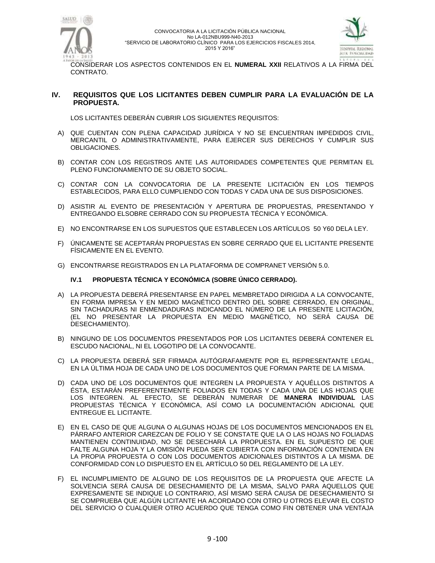



CONSIDERAR LOS ASPECTOS CONTENIDOS EN EL **NUMERAL XXII** RELATIVOS A LA FIRMA DEL CONTRATO.

### **IV. REQUISITOS QUE LOS LICITANTES DEBEN CUMPLIR PARA LA EVALUACIÓN DE LA PROPUESTA.**

LOS LICITANTES DEBERÁN CUBRIR LOS SIGUIENTES REQUISITOS:

- A) QUE CUENTAN CON PLENA CAPACIDAD JURÍDICA Y NO SE ENCUENTRAN IMPEDIDOS CIVIL, MERCANTIL O ADMINISTRATIVAMENTE, PARA EJERCER SUS DERECHOS Y CUMPLIR SUS OBLIGACIONES.
- B) CONTAR CON LOS REGISTROS ANTE LAS AUTORIDADES COMPETENTES QUE PERMITAN EL PLENO FUNCIONAMIENTO DE SU OBJETO SOCIAL.
- C) CONTAR CON LA CONVOCATORIA DE LA PRESENTE LICITACIÓN EN LOS TIEMPOS ESTABLECIDOS, PARA ELLO CUMPLIENDO CON TODAS Y CADA UNA DE SUS DISPOSICIONES.
- D) ASISTIR AL EVENTO DE PRESENTACIÓN Y APERTURA DE PROPUESTAS, PRESENTANDO Y ENTREGANDO ELSOBRE CERRADO CON SU PROPUESTA TÉCNICA Y ECONÓMICA.
- E) NO ENCONTRARSE EN LOS SUPUESTOS QUE ESTABLECEN LOS ARTÍCULOS 50 Y60 DELA LEY.
- F) ÚNICAMENTE SE ACEPTARÁN PROPUESTAS EN SOBRE CERRADO QUE EL LICITANTE PRESENTE FÍSICAMENTE EN EL EVENTO.
- G) ENCONTRARSE REGISTRADOS EN LA PLATAFORMA DE COMPRANET VERSIÓN 5.0.

#### **IV.1 PROPUESTA TÉCNICA Y ECONÓMICA (SOBRE ÚNICO CERRADO).**

- A) LA PROPUESTA DEBERÁ PRESENTARSE EN PAPEL MEMBRETADO DIRIGIDA A LA CONVOCANTE, EN FORMA IMPRESA Y EN MEDIO MAGNÉTICO DENTRO DEL SOBRE CERRADO, EN ORIGINAL, SIN TACHADURAS NI ENMENDADURAS INDICANDO EL NÚMERO DE LA PRESENTE LICITACIÓN, (EL NO PRESENTAR LA PROPUESTA EN MEDIO MAGNÉTICO, NO SERÁ CAUSA DE DESECHAMIENTO).
- B) NINGUNO DE LOS DOCUMENTOS PRESENTADOS POR LOS LICITANTES DEBERÁ CONTENER EL ESCUDO NACIONAL, NI EL LOGOTIPO DE LA CONVOCANTE.
- C) LA PROPUESTA DEBERÁ SER FIRMADA AUTÓGRAFAMENTE POR EL REPRESENTANTE LEGAL, EN LA ÚLTIMA HOJA DE CADA UNO DE LOS DOCUMENTOS QUE FORMAN PARTE DE LA MISMA.
- D) CADA UNO DE LOS DOCUMENTOS QUE INTEGREN LA PROPUESTA Y AQUÉLLOS DISTINTOS A ÉSTA, ESTARÁN PREFERENTEMENTE FOLIADOS EN TODAS Y CADA UNA DE LAS HOJAS QUE LOS INTEGREN. AL EFECTO, SE DEBERÁN NUMERAR DE **MANERA INDIVIDUAL** LAS PROPUESTAS TÉCNICA Y ECONÓMICA, ASÍ COMO LA DOCUMENTACIÓN ADICIONAL QUE ENTREGUE EL LICITANTE.
- E) EN EL CASO DE QUE ALGUNA O ALGUNAS HOJAS DE LOS DOCUMENTOS MENCIONADOS EN EL PÁRRAFO ANTERIOR CAREZCAN DE FOLIO Y SE CONSTATE QUE LA O LAS HOJAS NO FOLIADAS MANTIENEN CONTINUIDAD, NO SE DESECHARÁ LA PROPUESTA. EN EL SUPUESTO DE QUE FALTE ALGUNA HOJA Y LA OMISIÓN PUEDA SER CUBIERTA CON INFORMACIÓN CONTENIDA EN LA PROPIA PROPUESTA O CON LOS DOCUMENTOS ADICIONALES DISTINTOS A LA MISMA. DE CONFORMIDAD CON LO DISPUESTO EN EL ARTÍCULO 50 DEL REGLAMENTO DE LA LEY.
- F) EL INCUMPLIMIENTO DE ALGUNO DE LOS REQUISITOS DE LA PROPUESTA QUE AFECTE LA SOLVENCIA SERÁ CAUSA DE DESECHAMIENTO DE LA MISMA, SALVO PARA AQUELLOS QUE EXPRESAMENTE SE INDIQUE LO CONTRARIO, ASÍ MISMO SERÁ CAUSA DE DESECHAMIENTO SI SE COMPRUEBA QUE ALGÚN LICITANTE HA ACORDADO CON OTRO U OTROS ELEVAR EL COSTO DEL SERVICIO O CUALQUIER OTRO ACUERDO QUE TENGA COMO FIN OBTENER UNA VENTAJA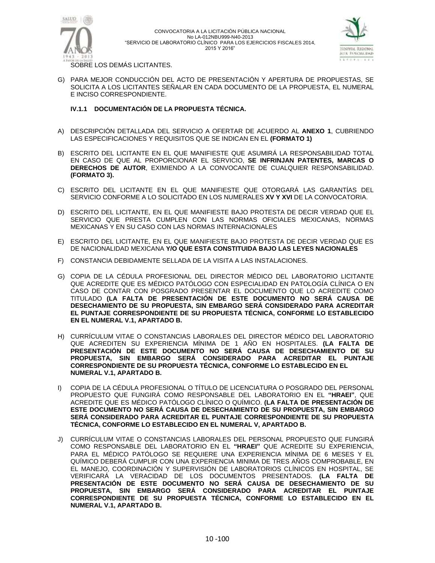



SOBRE LOS DEMÁS LICITANTES.

G) PARA MEJOR CONDUCCIÓN DEL ACTO DE PRESENTACIÓN Y APERTURA DE PROPUESTAS, SE SOLICITA A LOS LICITANTES SEÑALAR EN CADA DOCUMENTO DE LA PROPUESTA, EL NUMERAL E INCISO CORRESPONDIENTE.

#### **IV.1.1 DOCUMENTACIÓN DE LA PROPUESTA TÉCNICA.**

- A) DESCRIPCIÓN DETALLADA DEL SERVICIO A OFERTAR DE ACUERDO AL **ANEXO 1**, CUBRIENDO LAS ESPECIFICACIONES Y REQUISITOS QUE SE INDICAN EN EL **(FORMATO 1)**
- B) ESCRITO DEL LICITANTE EN EL QUE MANIFIESTE QUE ASUMIRÁ LA RESPONSABILIDAD TOTAL EN CASO DE QUE AL PROPORCIONAR EL SERVICIO, **SE INFRINJAN PATENTES, MARCAS O DERECHOS DE AUTOR**, EXIMIENDO A LA CONVOCANTE DE CUALQUIER RESPONSABILIDAD. **(FORMATO 3).**
- C) ESCRITO DEL LICITANTE EN EL QUE MANIFIESTE QUE OTORGARÁ LAS GARANTÍAS DEL SERVICIO CONFORME A LO SOLICITADO EN LOS NUMERALES **XV Y XVI** DE LA CONVOCATORIA.
- D) ESCRITO DEL LICITANTE, EN EL QUE MANIFIESTE BAJO PROTESTA DE DECIR VERDAD QUE EL SERVICIO QUE PRESTA CUMPLEN CON LAS NORMAS OFICIALES MEXICANAS, NORMAS MEXICANAS Y EN SU CASO CON LAS NORMAS INTERNACIONALES
- E) ESCRITO DEL LICITANTE, EN EL QUE MANIFIESTE BAJO PROTESTA DE DECIR VERDAD QUE ES DE NACIONALIDAD MEXICANA **Y/O QUE ESTA CONSTITUIDA BAJO LAS LEYES NACIONALES**
- F) CONSTANCIA DEBIDAMENTE SELLADA DE LA VISITA A LAS INSTALACIONES.
- G) COPIA DE LA CÉDULA PROFESIONAL DEL DIRECTOR MÉDICO DEL LABORATORIO LICITANTE QUE ACREDITE QUE ES MÉDICO PATÓLOGO CON ESPECIALIDAD EN PATOLOGÍA CLÍNICA O EN CASO DE CONTAR CON POSGRADO PRESENTAR EL DOCUMENTO QUE LO ACREDITE COMO TITULADO **(LA FALTA DE PRESENTACIÓN DE ESTE DOCUMENTO NO SERÁ CAUSA DE DESECHAMIENTO DE SU PROPUESTA, SIN EMBARGO SERÁ CONSIDERADO PARA ACREDITAR EL PUNTAJE CORRESPONDIENTE DE SU PROPUESTA TÉCNICA, CONFORME LO ESTABLECIDO EN EL NUMERAL V.1, APARTADO B.**
- H) CURRÍCULUM VITAE O CONSTANCIAS LABORALES DEL DIRECTOR MÉDICO DEL LABORATORIO QUE ACREDITEN SU EXPERIENCIA MÍNIMA DE 1 AÑO EN HOSPITALES. **(LA FALTA DE PRESENTACIÓN DE ESTE DOCUMENTO NO SERÁ CAUSA DE DESECHAMIENTO DE SU PROPUESTA, SIN EMBARGO SERÁ CONSIDERADO PARA ACREDITAR EL PUNTAJE CORRESPONDIENTE DE SU PROPUESTA TÉCNICA, CONFORME LO ESTABLECIDO EN EL NUMERAL V.1, APARTADO B.**
- I) COPIA DE LA CÉDULA PROFESIONAL O TÍTULO DE LICENCIATURA O POSGRADO DEL PERSONAL PROPUESTO QUE FUNGIRÁ COMO RESPONSABLE DEL LABORATORIO EN EL **"HRAEI"**, QUE ACREDITE QUE ES MÉDICO PATÓLOGO CLÍNICO O QUÍMICO. **(LA FALTA DE PRESENTACIÓN DE ESTE DOCUMENTO NO SERÁ CAUSA DE DESECHAMIENTO DE SU PROPUESTA, SIN EMBARGO SERÁ CONSIDERADO PARA ACREDITAR EL PUNTAJE CORRESPONDIENTE DE SU PROPUESTA TÉCNICA, CONFORME LO ESTABLECIDO EN EL NUMERAL V, APARTADO B.**
- J) CURRÍCULUM VITAE O CONSTANCIAS LABORALES DEL PERSONAL PROPUESTO QUE FUNGIRÁ COMO RESPONSABLE DEL LABORATORIO EN EL **"HRAEI"** QUE ACREDITE SU EXPERIENCIA, PARA EL MÉDICO PATÓLOGO SE REQUIERE UNA EXPERIENCIA MÍNIMA DE 6 MESES Y EL QUÍMICO DEBERÁ CUMPLIR CON UNA EXPERIENCIA MINIMA DE TRES AÑOS COMPROBABLE, EN EL MANEJO, COORDINACIÓN Y SUPERVISIÓN DE LABORATORIOS CLÍNICOS EN HOSPITAL, SE VERIFICARÁ LA VERACIDAD DE LOS DOCUMENTOS PRESENTADOS. **(LA FALTA DE PRESENTACIÓN DE ESTE DOCUMENTO NO SERÁ CAUSA DE DESECHAMIENTO DE SU PROPUESTA, SIN EMBARGO SERÁ CONSIDERADO PARA ACREDITAR EL PUNTAJE CORRESPONDIENTE DE SU PROPUESTA TÉCNICA, CONFORME LO ESTABLECIDO EN EL NUMERAL V.1, APARTADO B.**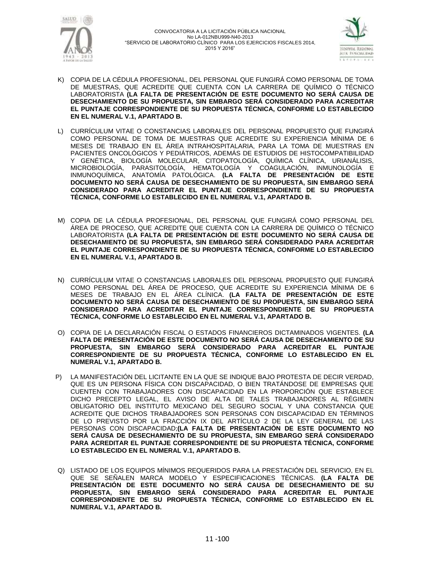



- K) COPIA DE LA CÉDULA PROFESIONAL, DEL PERSONAL QUE FUNGIRÁ COMO PERSONAL DE TOMA DE MUESTRAS, QUE ACREDITE QUE CUENTA CON LA CARRERA DE QUÍMICO O TÉCNICO LABORATORISTA **(LA FALTA DE PRESENTACIÓN DE ESTE DOCUMENTO NO SERÁ CAUSA DE DESECHAMIENTO DE SU PROPUESTA, SIN EMBARGO SERÁ CONSIDERADO PARA ACREDITAR EL PUNTAJE CORRESPONDIENTE DE SU PROPUESTA TÉCNICA, CONFORME LO ESTABLECIDO EN EL NUMERAL V.1, APARTADO B.**
- L) CURRÍCULUM VITAE O CONSTANCIAS LABORALES DEL PERSONAL PROPUESTO QUE FUNGIRÁ COMO PERSONAL DE TOMA DE MUESTRAS QUE ACREDITE SU EXPERIENCIA MÍNIMA DE 6 MESES DE TRABAJO EN EL ÁREA INTRAHOSPITALARIA, PARA LA TOMA DE MUESTRAS EN PACIENTES ONCOLÓGICOS Y PEDIÁTRICOS, ADEMÁS DE ESTUDIOS DE HISTOCOMPATIBILIDAD Y GENÉTICA, BIOLOGÍA MOLECULAR, CITOPATOLOGÍA, QUÍMICA CLÍNICA, URIANÁLISIS, MICROBIOLOGÍA, PARASITOLOGÍA, HEMATOLOGÍA Y COAGULACIÓN, INMUNOLOGÍA E INMUNOQUÍMICA, ANATOMÍA PATOLÓGICA. **(LA FALTA DE PRESENTACIÓN DE ESTE DOCUMENTO NO SERÁ CAUSA DE DESECHAMIENTO DE SU PROPUESTA, SIN EMBARGO SERÁ CONSIDERADO PARA ACREDITAR EL PUNTAJE CORRESPONDIENTE DE SU PROPUESTA TÉCNICA, CONFORME LO ESTABLECIDO EN EL NUMERAL V.1, APARTADO B.**
- M) COPIA DE LA CÉDULA PROFESIONAL, DEL PERSONAL QUE FUNGIRÁ COMO PERSONAL DEL ÁREA DE PROCESO, QUE ACREDITE QUE CUENTA CON LA CARRERA DE QUÍMICO O TÉCNICO LABORATORISTA **(LA FALTA DE PRESENTACIÓN DE ESTE DOCUMENTO NO SERÁ CAUSA DE DESECHAMIENTO DE SU PROPUESTA, SIN EMBARGO SERÁ CONSIDERADO PARA ACREDITAR EL PUNTAJE CORRESPONDIENTE DE SU PROPUESTA TÉCNICA, CONFORME LO ESTABLECIDO EN EL NUMERAL V.1, APARTADO B.**
- N) CURRÍCULUM VITAE O CONSTANCIAS LABORALES DEL PERSONAL PROPUESTO QUE FUNGIRÁ COMO PERSONAL DEL ÁREA DE PROCESO, QUE ACREDITE SU EXPERIENCIA MÍNIMA DE 6 MESES DE TRABAJO EN EL ÁREA CLÍNICA. **(LA FALTA DE PRESENTACIÓN DE ESTE DOCUMENTO NO SERÁ CAUSA DE DESECHAMIENTO DE SU PROPUESTA, SIN EMBARGO SERÁ CONSIDERADO PARA ACREDITAR EL PUNTAJE CORRESPONDIENTE DE SU PROPUESTA TÉCNICA, CONFORME LO ESTABLECIDO EN EL NUMERAL V.1, APARTADO B.**
- O) COPIA DE LA DECLARACIÓN FISCAL O ESTADOS FINANCIEROS DICTAMINADOS VIGENTES. **(LA FALTA DE PRESENTACIÓN DE ESTE DOCUMENTO NO SERÁ CAUSA DE DESECHAMIENTO DE SU PROPUESTA, SIN EMBARGO SERÁ CONSIDERADO PARA ACREDITAR EL PUNTAJE CORRESPONDIENTE DE SU PROPUESTA TÉCNICA, CONFORME LO ESTABLECIDO EN EL NUMERAL V.1, APARTADO B.**
- P) LA MANIFESTACIÓN DEL LICITANTE EN LA QUE SE INDIQUE BAJO PROTESTA DE DECIR VERDAD, QUE ES UN PERSONA FÍSICA CON DISCAPACIDAD, O BIEN TRATÁNDOSE DE EMPRESAS QUE CUENTEN CON TRABAJADORES CON DISCAPACIDAD EN LA PROPORCIÓN QUE ESTABLECE DICHO PRECEPTO LEGAL, EL AVISO DE ALTA DE TALES TRABAJADORES AL RÉGIMEN OBLIGATORIO DEL INSTITUTO MEXICANO DEL SEGURO SOCIAL Y UNA CONSTANCIA QUE ACREDITE QUE DICHOS TRABAJADORES SON PERSONAS CON DISCAPACIDAD EN TÉRMINOS DE LO PREVISTO POR LA FRACCIÓN IX DEL ARTÍCULO 2 DE LA LEY GENERAL DE LAS PERSONAS CON DISCAPACIDAD;**(LA FALTA DE PRESENTACIÓN DE ESTE DOCUMENTO NO SERÁ CAUSA DE DESECHAMIENTO DE SU PROPUESTA, SIN EMBARGO SERÁ CONSIDERADO PARA ACREDITAR EL PUNTAJE CORRESPONDIENTE DE SU PROPUESTA TÉCNICA, CONFORME LO ESTABLECIDO EN EL NUMERAL V.1, APARTADO B.**
- Q) LISTADO DE LOS EQUIPOS MÍNIMOS REQUERIDOS PARA LA PRESTACIÓN DEL SERVICIO, EN EL QUE SE SEÑALEN MARCA MODELO Y ESPECIFICACIONES TÉCNICAS. **(LA FALTA DE PRESENTACIÓN DE ESTE DOCUMENTO NO SERÁ CAUSA DE DESECHAMIENTO DE SU PROPUESTA, SIN EMBARGO SERÁ CONSIDERADO PARA ACREDITAR EL PUNTAJE CORRESPONDIENTE DE SU PROPUESTA TÉCNICA, CONFORME LO ESTABLECIDO EN EL NUMERAL V.1, APARTADO B.**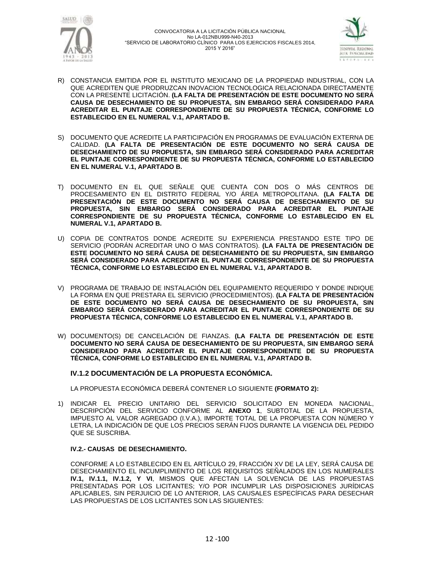



- R) CONSTANCIA EMITIDA POR EL INSTITUTO MEXICANO DE LA PROPIEDAD INDUSTRIAL, CON LA QUE ACREDITEN QUE PRODRUZCAN INOVACION TECNOLOGICA RELACIONADA DIRECTAMENTE CON LA PRESENTE LICITACIÓN. **(LA FALTA DE PRESENTACIÓN DE ESTE DOCUMENTO NO SERÁ CAUSA DE DESECHAMIENTO DE SU PROPUESTA, SIN EMBARGO SERÁ CONSIDERADO PARA ACREDITAR EL PUNTAJE CORRESPONDIENTE DE SU PROPUESTA TÉCNICA, CONFORME LO ESTABLECIDO EN EL NUMERAL V.1, APARTADO B.**
- S) DOCUMENTO QUE ACREDITE LA PARTICIPACIÓN EN PROGRAMAS DE EVALUACIÓN EXTERNA DE CALIDAD. **(LA FALTA DE PRESENTACIÓN DE ESTE DOCUMENTO NO SERÁ CAUSA DE DESECHAMIENTO DE SU PROPUESTA, SIN EMBARGO SERÁ CONSIDERADO PARA ACREDITAR EL PUNTAJE CORRESPONDIENTE DE SU PROPUESTA TÉCNICA, CONFORME LO ESTABLECIDO EN EL NUMERAL V.1, APARTADO B.**
- T) DOCUMENTO EN EL QUE SEÑALE QUE CUENTA CON DOS O MÁS CENTROS DE PROCESAMIENTO EN EL DISTRITO FEDERAL Y/O ÁREA METROPOLITANA. **(LA FALTA DE PRESENTACIÓN DE ESTE DOCUMENTO NO SERÁ CAUSA DE DESECHAMIENTO DE SU PROPUESTA, SIN EMBARGO SERÁ CONSIDERADO PARA ACREDITAR EL PUNTAJE CORRESPONDIENTE DE SU PROPUESTA TÉCNICA, CONFORME LO ESTABLECIDO EN EL NUMERAL V.1, APARTADO B.**
- U) COPIA DE CONTRATOS DONDE ACREDITE SU EXPERIENCIA PRESTANDO ESTE TIPO DE SERVICIO (PODRÁN ACREDITAR UNO O MAS CONTRATOS). **(LA FALTA DE PRESENTACIÓN DE ESTE DOCUMENTO NO SERÁ CAUSA DE DESECHAMIENTO DE SU PROPUESTA, SIN EMBARGO SERÁ CONSIDERADO PARA ACREDITAR EL PUNTAJE CORRESPONDIENTE DE SU PROPUESTA TÉCNICA, CONFORME LO ESTABLECIDO EN EL NUMERAL V.1, APARTADO B.**
- V) PROGRAMA DE TRABAJO DE INSTALACIÓN DEL EQUIPAMIENTO REQUERIDO Y DONDE INDIQUE LA FORMA EN QUE PRESTARA EL SERVICIO (PROCEDIMIENTOS). **(LA FALTA DE PRESENTACIÓN DE ESTE DOCUMENTO NO SERÁ CAUSA DE DESECHAMIENTO DE SU PROPUESTA, SIN EMBARGO SERÁ CONSIDERADO PARA ACREDITAR EL PUNTAJE CORRESPONDIENTE DE SU PROPUESTA TÉCNICA, CONFORME LO ESTABLECIDO EN EL NUMERAL V.1, APARTADO B.**
- W) DOCUMENTO(S) DE CANCELACIÓN DE FIANZAS. **(LA FALTA DE PRESENTACIÓN DE ESTE DOCUMENTO NO SERÁ CAUSA DE DESECHAMIENTO DE SU PROPUESTA, SIN EMBARGO SERÁ CONSIDERADO PARA ACREDITAR EL PUNTAJE CORRESPONDIENTE DE SU PROPUESTA TÉCNICA, CONFORME LO ESTABLECIDO EN EL NUMERAL V.1, APARTADO B.**

#### **IV.1.2 DOCUMENTACIÓN DE LA PROPUESTA ECONÓMICA.**

LA PROPUESTA ECONÓMICA DEBERÁ CONTENER LO SIGUIENTE **(FORMATO 2):**

1) INDICAR EL PRECIO UNITARIO DEL SERVICIO SOLICITADO EN MONEDA NACIONAL, DESCRIPCIÓN DEL SERVICIO CONFORME AL **ANEXO 1**, SUBTOTAL DE LA PROPUESTA, IMPUESTO AL VALOR AGREGADO (I.V.A.), IMPORTE TOTAL DE LA PROPUESTA CON NÚMERO Y LETRA, LA INDICACIÓN DE QUE LOS PRECIOS SERÁN FIJOS DURANTE LA VIGENCIA DEL PEDIDO QUE SE SUSCRIBA.

#### **IV.2.- CAUSAS DE DESECHAMIENTO.**

CONFORME A LO ESTABLECIDO EN EL ARTÍCULO 29, FRACCIÓN XV DE LA LEY, SERÁ CAUSA DE DESECHAMIENTO EL INCUMPLIMIENTO DE LOS REQUISITOS SEÑALADOS EN LOS NUMERALES **IV.1, IV.1.1, IV.1.2, Y VI**, MISMOS QUE AFECTAN LA SOLVENCIA DE LAS PROPUESTAS PRESENTADAS POR LOS LICITANTES; Y/O POR INCUMPLIR LAS DISPOSICIONES JURÍDICAS APLICABLES, SIN PERJUICIO DE LO ANTERIOR, LAS CAUSALES ESPECÍFICAS PARA DESECHAR LAS PROPUESTAS DE LOS LICITANTES SON LAS SIGUIENTES: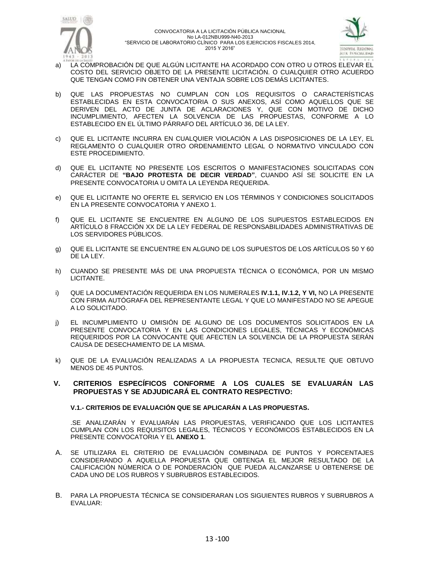



- a) LA COMPROBACIÓN DE QUE ALGÚN LICITANTE HA ACORDADO CON OTRO U OTROS ELEVAR EL COSTO DEL SERVICIO OBJETO DE LA PRESENTE LICITACIÓN. O CUALQUIER OTRO ACUERDO QUE TENGAN COMO FIN OBTENER UNA VENTAJA SOBRE LOS DEMÁS LICITANTES.
- b) QUE LAS PROPUESTAS NO CUMPLAN CON LOS REQUISITOS O CARACTERÍSTICAS ESTABLECIDAS EN ESTA CONVOCATORIA O SUS ANEXOS, ASÍ COMO AQUELLOS QUE SE DERIVEN DEL ACTO DE JUNTA DE ACLARACIONES Y, QUE CON MOTIVO DE DICHO INCUMPLIMIENTO, AFECTEN LA SOLVENCIA DE LAS PROPUESTAS, CONFORME A LO ESTABLECIDO EN EL ÚLTIMO PÁRRAFO DEL ARTÍCULO 36, DE LA LEY.
- c) QUE EL LICITANTE INCURRA EN CUALQUIER VIOLACIÓN A LAS DISPOSICIONES DE LA LEY, EL REGLAMENTO O CUALQUIER OTRO ORDENAMIENTO LEGAL O NORMATIVO VINCULADO CON ESTE PROCEDIMIENTO.
- d) QUE EL LICITANTE NO PRESENTE LOS ESCRITOS O MANIFESTACIONES SOLICITADAS CON CARÁCTER DE **"BAJO PROTESTA DE DECIR VERDAD"**, CUANDO ASÍ SE SOLICITE EN LA PRESENTE CONVOCATORIA U OMITA LA LEYENDA REQUERIDA.
- e) QUE EL LICITANTE NO OFERTE EL SERVICIO EN LOS TÉRMINOS Y CONDICIONES SOLICITADOS EN LA PRESENTE CONVOCATORIA Y ANEXO 1.
- f) QUE EL LICITANTE SE ENCUENTRE EN ALGUNO DE LOS SUPUESTOS ESTABLECIDOS EN ARTÍCULO 8 FRACCIÓN XX DE LA LEY FEDERAL DE RESPONSABILIDADES ADMINISTRATIVAS DE LOS SERVIDORES PÚBLICOS.
- g) QUE EL LICITANTE SE ENCUENTRE EN ALGUNO DE LOS SUPUESTOS DE LOS ARTÍCULOS 50 Y 60 DE LA LEY.
- h) CUANDO SE PRESENTE MÁS DE UNA PROPUESTA TÉCNICA O ECONÓMICA, POR UN MISMO LICITANTE.
- i) QUE LA DOCUMENTACIÓN REQUERIDA EN LOS NUMERALES **IV.1.1, IV.1.2, Y VI,** NO LA PRESENTE CON FIRMA AUTÓGRAFA DEL REPRESENTANTE LEGAL Y QUE LO MANIFESTADO NO SE APEGUE A LO SOLICITADO.
- j) EL INCUMPLIMIENTO U OMISIÓN DE ALGUNO DE LOS DOCUMENTOS SOLICITADOS EN LA PRESENTE CONVOCATORIA Y EN LAS CONDICIONES LEGALES, TÉCNICAS Y ECONÓMICAS REQUERIDOS POR LA CONVOCANTE QUE AFECTEN LA SOLVENCIA DE LA PROPUESTA SERÁN CAUSA DE DESECHAMIENTO DE LA MISMA.
- k) QUE DE LA EVALUACIÓN REALIZADAS A LA PROPUESTA TECNICA, RESULTE QUE OBTUVO MENOS DE 45 PUNTOS.

### **V. CRITERIOS ESPECÍFICOS CONFORME A LOS CUALES SE EVALUARÁN LAS PROPUESTAS Y SE ADJUDICARÁ EL CONTRATO RESPECTIVO:**

#### **V.1.- CRITERIOS DE EVALUACIÓN QUE SE APLICARÁN A LAS PROPUESTAS.**

.SE ANALIZARÁN Y EVALUARÁN LAS PROPUESTAS, VERIFICANDO QUE LOS LICITANTES CUMPLAN CON LOS REQUISITOS LEGALES, TÉCNICOS Y ECONÓMICOS ESTABLECIDOS EN LA PRESENTE CONVOCATORIA Y EL **ANEXO 1**.

- A. SE UTILIZARA EL CRITERIO DE EVALUACIÓN COMBINADA DE PUNTOS Y PORCENTAJES CONSIDERANDO A AQUELLA PROPUESTA QUE OBTENGA EL MEJOR RESULTADO DE LA CALIFICACIÓN NÚMERICA O DE PONDERACIÓN QUE PUEDA ALCANZARSE U OBTENERSE DE CADA UNO DE LOS RUBROS Y SUBRUBROS ESTABLECIDOS.
- B. PARA LA PROPUESTA TÉCNICA SE CONSIDERARAN LOS SIGUIENTES RUBROS Y SUBRUBROS A EVALUAR: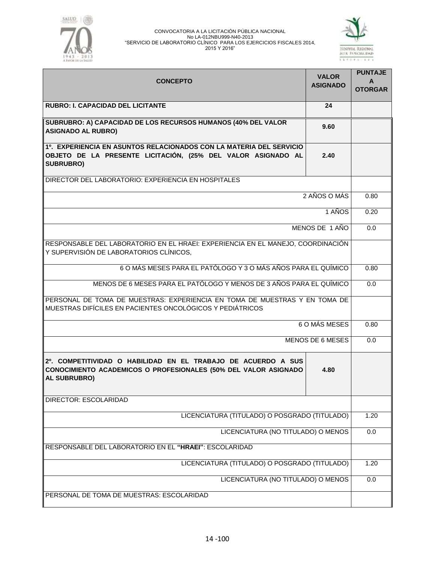



| <b>CONCEPTO</b>                                                                                                                                         | <b>VALOR</b><br><b>ASIGNADO</b> | <b>PUNTAJE</b><br>A<br><b>OTORGAR</b> |
|---------------------------------------------------------------------------------------------------------------------------------------------------------|---------------------------------|---------------------------------------|
| <b>RUBRO: I. CAPACIDAD DEL LICITANTE</b>                                                                                                                | 24                              |                                       |
| SUBRUBRO: A) CAPACIDAD DE LOS RECURSOS HUMANOS (40% DEL VALOR<br><b>ASIGNADO AL RUBRO)</b>                                                              | 9.60                            |                                       |
| 1º. EXPERIENCIA EN ASUNTOS RELACIONADOS CON LA MATERIA DEL SERVICIO<br>OBJETO DE LA PRESENTE LICITACIÓN, (25% DEL VALOR ASIGNADO AL<br><b>SUBRUBRO)</b> | 2.40                            |                                       |
| DIRECTOR DEL LABORATORIO: EXPERIENCIA EN HOSPITALES                                                                                                     |                                 |                                       |
|                                                                                                                                                         | 2 AÑOS O MÁS                    | 0.80                                  |
|                                                                                                                                                         | 1 AÑOS                          | 0.20                                  |
|                                                                                                                                                         | MENOS DE 1 AÑO                  | 0.0                                   |
| RESPONSABLE DEL LABORATORIO EN EL HRAEI: EXPERIENCIA EN EL MANEJO, COORDINACIÓN<br>Y SUPERVISIÓN DE LABORATORIOS CLÍNICOS,                              |                                 |                                       |
| 6 O MÁS MESES PARA EL PATÓLOGO Y 3 O MÁS AÑOS PARA EL QUÍMICO                                                                                           |                                 | 0.80                                  |
| MENOS DE 6 MESES PARA EL PATÓLOGO Y MENOS DE 3 AÑOS PARA EL QUÍMICO                                                                                     |                                 | 0.0                                   |
| PERSONAL DE TOMA DE MUESTRAS: EXPERIENCIA EN TOMA DE MUESTRAS Y EN TOMA DE<br>MUESTRAS DIFÍCILES EN PACIENTES ONCOLÓGICOS Y PEDIÁTRICOS                 |                                 |                                       |
|                                                                                                                                                         | 6 O MÁS MESES                   | 0.80                                  |
|                                                                                                                                                         | MENOS DE 6 MESES                | 0.0                                   |
| 2º, COMPETITIVIDAD O HABILIDAD EN EL TRABAJO DE ACUERDO A SUS<br>CONOCIMIENTO ACADEMICOS O PROFESIONALES (50% DEL VALOR ASIGNADO<br>AL SUBRUBRO)        | 4.80                            |                                       |
| <b>DIRECTOR: ESCOLARIDAD</b>                                                                                                                            |                                 |                                       |
| LICENCIATURA (TITULADO) O POSGRADO (TITULADO)                                                                                                           |                                 |                                       |
| LICENCIATURA (NO TITULADO) O MENOS                                                                                                                      |                                 |                                       |
| RESPONSABLE DEL LABORATORIO EN EL "HRAEI": ESCOLARIDAD                                                                                                  |                                 |                                       |
| LICENCIATURA (TITULADO) O POSGRADO (TITULADO)                                                                                                           |                                 | 1.20                                  |
| LICENCIATURA (NO TITULADO) O MENOS                                                                                                                      |                                 |                                       |
| PERSONAL DE TOMA DE MUESTRAS: ESCOLARIDAD                                                                                                               |                                 |                                       |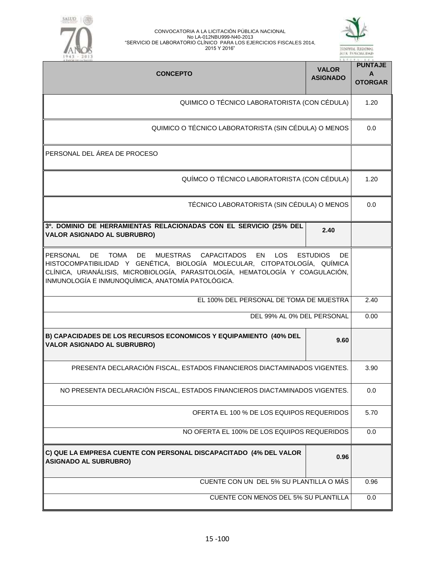

| ٠ |        |    |   |  |
|---|--------|----|---|--|
|   | ۳<br>ï | ., | ۰ |  |
|   | ÷      |    |   |  |
| ٠ |        |    |   |  |
|   |        |    |   |  |

| <b>CONCEPTO</b>                                                                                                                                                                                                                                                                                        | <b>VALOR</b><br><b>ASIGNADO</b> | <b>PUNTAJE</b><br>A<br><b>OTORGAR</b> |
|--------------------------------------------------------------------------------------------------------------------------------------------------------------------------------------------------------------------------------------------------------------------------------------------------------|---------------------------------|---------------------------------------|
| QUIMICO O TÉCNICO LABORATORISTA (CON CÉDULA)                                                                                                                                                                                                                                                           |                                 | 1.20                                  |
| QUIMICO O TÉCNICO LABORATORISTA (SIN CÉDULA) O MENOS                                                                                                                                                                                                                                                   |                                 | 0.0                                   |
| PERSONAL DEL ÁREA DE PROCESO                                                                                                                                                                                                                                                                           |                                 |                                       |
| QUÍMCO O TÉCNICO LABORATORISTA (CON CÉDULA)                                                                                                                                                                                                                                                            |                                 | 1.20                                  |
| TÉCNICO LABORATORISTA (SIN CÉDULA) O MENOS                                                                                                                                                                                                                                                             |                                 | 0.0                                   |
| 3º. DOMINIO DE HERRAMIENTAS RELACIONADAS CON EL SERVICIO (25% DEL<br><b>VALOR ASIGNADO AL SUBRUBRO)</b>                                                                                                                                                                                                | 2.40                            |                                       |
| PERSONAL<br>TOMA<br>DE.<br>MUESTRAS CAPACITADOS<br><b>EN</b><br><b>LOS</b><br>DE.<br>HISTOCOMPATIBILIDAD Y GENÉTICA, BIOLOGÍA MOLECULAR, CITOPATOLOGÍA, QUÍMICA<br>CLÍNICA, URIANÁLISIS, MICROBIOLOGÍA, PARASITOLOGÍA, HEMATOLOGÍA Y COAGULACIÓN,<br>INMUNOLOGÍA E INMUNOQUÍMICA, ANATOMÍA PATOLÓGICA. | <b>ESTUDIOS</b><br>DE.          |                                       |
| EL 100% DEL PERSONAL DE TOMA DE MUESTRA                                                                                                                                                                                                                                                                |                                 | 2.40                                  |
| DEL 99% AL 0% DEL PERSONAL                                                                                                                                                                                                                                                                             |                                 | 0.00                                  |
| B) CAPACIDADES DE LOS RECURSOS ECONOMICOS Y EQUIPAMIENTO (40% DEL<br><b>VALOR ASIGNADO AL SUBRUBRO)</b>                                                                                                                                                                                                | 9.60                            |                                       |
| PRESENTA DECLARACIÓN FISCAL, ESTADOS FINANCIEROS DIACTAMINADOS VIGENTES.                                                                                                                                                                                                                               |                                 | 3.90                                  |
| NO PRESENTA DECLARACIÓN FISCAL, ESTADOS FINANCIEROS DIACTAMINADOS VIGENTES.                                                                                                                                                                                                                            |                                 | 0.0                                   |
| OFERTA EL 100 % DE LOS EQUIPOS REQUERIDOS                                                                                                                                                                                                                                                              |                                 | 5.70                                  |
| NO OFERTA EL 100% DE LOS EQUIPOS REQUERIDOS                                                                                                                                                                                                                                                            |                                 | 0.0                                   |
| C) QUE LA EMPRESA CUENTE CON PERSONAL DISCAPACITADO (4% DEL VALOR<br><b>ASIGNADO AL SUBRUBRO)</b>                                                                                                                                                                                                      | 0.96                            |                                       |
| CUENTE CON UN DEL 5% SU PLANTILLA O MÁS                                                                                                                                                                                                                                                                |                                 | 0.96                                  |
| CUENTE CON MENOS DEL 5% SU PLANTILLA                                                                                                                                                                                                                                                                   |                                 | 0.0                                   |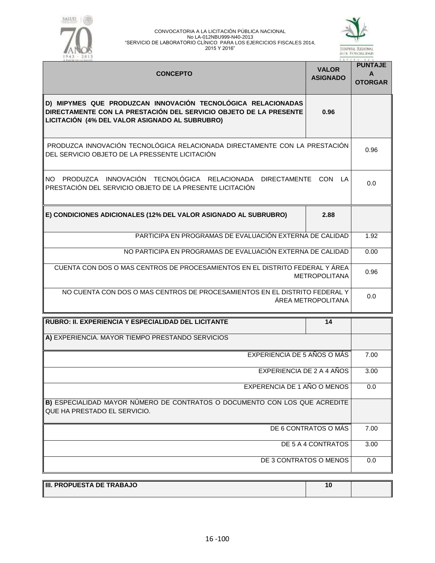



| <b>CONCEPTO</b>                                                                                                                                                                     | <b>VALOR</b><br><b>ASIGNADO</b> | <b>PUNTAJE</b><br>A<br><b>OTORGAR</b> |
|-------------------------------------------------------------------------------------------------------------------------------------------------------------------------------------|---------------------------------|---------------------------------------|
| D) MIPYMES QUE PRODUZCAN INNOVACIÓN TECNOLÓGICA RELACIONADAS<br>DIRECTAMENTE CON LA PRESTACIÓN DEL SERVICIO OBJETO DE LA PRESENTE<br>LICITACIÓN (4% DEL VALOR ASIGNADO AL SUBRUBRO) | 0.96                            |                                       |
| PRODUZCA INNOVACIÓN TECNOLÓGICA RELACIONADA DIRECTAMENTE CON LA PRESTACIÓN<br>DEL SERVICIO OBJETO DE LA PRESSENTE LICITACIÓN                                                        |                                 | 0.96                                  |
| PRODUZCA INNOVACIÓN TECNOLÓGICA RELACIONADA<br>NO.<br>DIRECTAMENTE CON LA<br>PRESTACIÓN DEL SERVICIO OBJETO DE LA PRESENTE LICITACIÓN                                               |                                 | 0.0                                   |
| E) CONDICIONES ADICIONALES (12% DEL VALOR ASIGNADO AL SUBRUBRO)                                                                                                                     | 2.88                            |                                       |
| PARTICIPA EN PROGRAMAS DE EVALUACIÓN EXTERNA DE CALIDAD                                                                                                                             |                                 | 1.92                                  |
| NO PARTICIPA EN PROGRAMAS DE EVALUACIÓN EXTERNA DE CALIDAD                                                                                                                          |                                 |                                       |
| CUENTA CON DOS O MAS CENTROS DE PROCESAMIENTOS EN EL DISTRITO FEDERAL Y ÁREA<br><b>METROPOLITANA</b>                                                                                |                                 |                                       |
| NO CUENTA CON DOS O MAS CENTROS DE PROCESAMIENTOS EN EL DISTRITO FEDERAL Y                                                                                                          | ÁREA METROPOLITANA              | 0.0                                   |
| RUBRO: II. EXPERIENCIA Y ESPECIALIDAD DEL LICITANTE                                                                                                                                 | 14                              |                                       |
| A) EXPERIENCIA. MAYOR TIEMPO PRESTANDO SERVICIOS                                                                                                                                    |                                 |                                       |
| EXPERIENCIA DE 5 AÑOS O MÁS                                                                                                                                                         |                                 | 7.00                                  |
| EXPERIENCIA DE 2 A 4 AÑOS                                                                                                                                                           |                                 |                                       |
| EXPERENCIA DE 1 AÑO O MENOS                                                                                                                                                         |                                 |                                       |
| B) ESPECIALIDAD MAYOR NÚMERO DE CONTRATOS O DOCUMENTO CON LOS QUE ACREDITE<br>QUE HA PRESTADO EL SERVICIO.                                                                          |                                 |                                       |
| DE 6 CONTRATOS O MÁS                                                                                                                                                                |                                 |                                       |
| DE 5 A 4 CONTRATOS                                                                                                                                                                  |                                 |                                       |
| DE 3 CONTRATOS O MENOS                                                                                                                                                              |                                 | 0.0                                   |

| III. PROPUESTA DE TRABAJO |  |
|---------------------------|--|
|                           |  |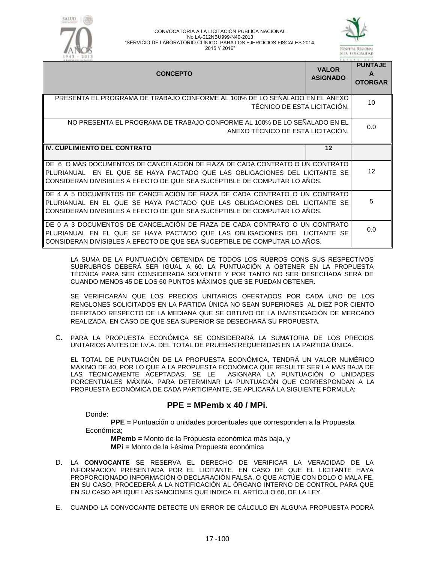



| <b>CONCEPTO</b>                                                                                                                                                                                                                            | <b>VALOR</b><br><b>ASIGNADO</b> | <b>PUNTAJE</b><br>A<br><b>OTORGAR</b> |
|--------------------------------------------------------------------------------------------------------------------------------------------------------------------------------------------------------------------------------------------|---------------------------------|---------------------------------------|
| PRESENTA EL PROGRAMA DE TRABAJO CONFORME AL 100% DE LO SEÑALADO EN EL ANEXO<br>TÉCNICO DE ESTA LICITACIÓN.                                                                                                                                 |                                 | 10                                    |
| NO PRESENTA EL PROGRAMA DE TRABAJO CONFORME AL 100% DE LO SENALADO EN EL<br>ANEXO TÉCNICO DE ESTA LICITACIÓN.                                                                                                                              |                                 | 0.0                                   |
| <b>IV. CUPLIMIENTO DEL CONTRATO</b>                                                                                                                                                                                                        | 12                              |                                       |
| DE 6 O MÁS DOCUMENTOS DE CANCELACIÓN DE FIAZA DE CADA CONTRATO O UN CONTRATO<br>EN EL QUE SE HAYA PACTADO QUE LAS OBLIGACIONES DEL LICITANTE SE<br>PLURIANUAL<br>CONSIDERAN DIVISIBLES A EFECTO DE QUE SEA SUCEPTIBLE DE COMPUTAR LO AÑOS. |                                 | $12 \overline{ }$                     |
| DE 4 A 5 DOCUMENTOS DE CANCELACIÓN DE FIAZA DE CADA CONTRATO O UN CONTRATO<br>PLURIANUAL EN EL QUE SE HAYA PACTADO QUE LAS OBLIGACIONES DEL LICITANTE SE<br>CONSIDERAN DIVISIBLES A EFECTO DE QUE SEA SUCEPTIBLE DE COMPUTAR LO AÑOS.      |                                 | 5                                     |
| DE 0 A 3 DOCUMENTOS DE CANCELACIÓN DE FIAZA DE CADA CONTRATO O UN CONTRATO<br>PLURIANUAL EN EL QUE SE HAYA PACTADO QUE LAS OBLIGACIONES DEL LICITANTE SE<br>CONSIDERAN DIVISIBLES A EFECTO DE QUE SEA SUCEPTIBLE DE COMPUTAR LO AÑOS.      |                                 | 0.0                                   |

LA SUMA DE LA PUNTUACIÓN OBTENIDA DE TODOS LOS RUBROS CONS SUS RESPECTIVOS SUBRUBROS DEBERÁ SER IGUAL A 60. LA PUNTUACIÓN A OBTENER EN LA PROPUESTA TÉCNICA PARA SER CONSIDERADA SOLVENTE Y POR TANTO NO SER DESECHADA SERÁ DE CUANDO MENOS 45 DE LOS 60 PUNTOS MÁXIMOS QUE SE PUEDAN OBTENER.

SE VERIFICARÁN QUE LOS PRECIOS UNITARIOS OFERTADOS POR CADA UNO DE LOS RENGLONES SOLICITADOS EN LA PARTIDA ÚNICA NO SEAN SUPERIORES AL DIEZ POR CIENTO OFERTADO RESPECTO DE LA MEDIANA QUE SE OBTUVO DE LA INVESTIGACIÓN DE MERCADO REALIZADA, EN CASO DE QUE SEA SUPERIOR SE DESECHARÁ SU PROPUESTA.

C. PARA LA PROPUESTA ECONÓMICA SE CONSIDERARÁ LA SUMATORIA DE LOS PRECIOS UNITARIOS ANTES DE I.V.A. DEL TOTAL DE PRUEBAS REQUERIDAS EN LA PARTIDA ÚNICA.

EL TOTAL DE PUNTUACIÓN DE LA PROPUESTA ECONÓMICA, TENDRÁ UN VALOR NUMÉRICO MÁXIMO DE 40, POR LO QUE A LA PROPUESTA ECONÓMICA QUE RESULTE SER LA MÁS BAJA DE<br>LAS TÉCNICAMENTE ACEPTADAS, SE LE ASIGNARA LA PUNTUACIÓN O UNIDADES ASIGNARA LA PUNTUACIÓN O UNIDADES PORCENTUALES MÁXIMA. PARA DETERMINAR LA PUNTUACIÓN QUE CORRESPONDAN A LA PROPUESTA ECONÓMICA DE CADA PARTICIPANTE, SE APLICARÁ LA SIGUIENTE FÓRMULA:

## **PPE = MPemb x 40 / MPi.**

Donde:

**PPE =** Puntuación o unidades porcentuales que corresponden a la Propuesta Económica;

**MPemb =** Monto de la Propuesta económica más baja, y **MPi =** Monto de la i-ésima Propuesta económica

- D. LA **CONVOCANTE** SE RESERVA EL DERECHO DE VERIFICAR LA VERACIDAD DE LA INFORMACIÓN PRESENTADA POR EL LICITANTE, EN CASO DE QUE EL LICITANTE HAYA PROPORCIONADO INFORMACIÓN O DECLARACIÓN FALSA, O QUE ACTÚE CON DOLO O MALA FE, EN SU CASO, PROCEDERÁ A LA NOTIFICACIÓN AL ÓRGANO INTERNO DE CONTROL PARA QUE EN SU CASO APLIQUE LAS SANCIONES QUE INDICA EL ARTÍCULO 60, DE LA LEY.
- E. CUANDO LA CONVOCANTE DETECTE UN ERROR DE CÁLCULO EN ALGUNA PROPUESTA PODRÁ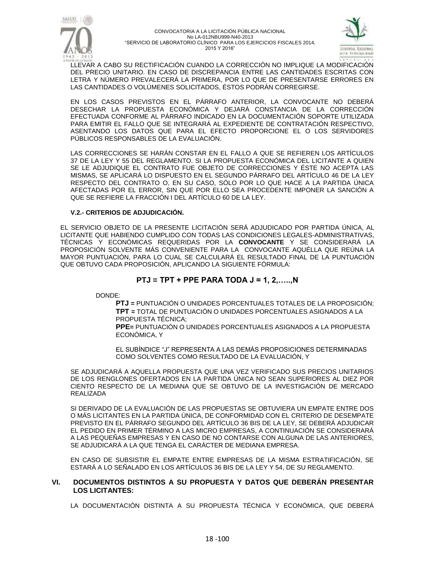



LLEVAR A CABO SU RECTIFICACIÓN CUANDO LA CORRECCIÓN NO IMPLIQUE LA MODIFICACIÓN DEL PRECIO UNITARIO. EN CASO DE DISCREPANCIA ENTRE LAS CANTIDADES ESCRITAS CON LETRA Y NÚMERO PREVALECERÁ LA PRIMERA, POR LO QUE DE PRESENTARSE ERRORES EN LAS CANTIDADES O VOLÚMENES SOLICITADOS, ÉSTOS PODRÁN CORREGIRSE.

EN LOS CASOS PREVISTOS EN EL PÁRRAFO ANTERIOR, LA CONVOCANTE NO DEBERÁ DESECHAR LA PROPUESTA ECONÓMICA Y DEJARÁ CONSTANCIA DE LA CORRECCIÓN EFECTUADA CONFORME AL PÁRRAFO INDICADO EN LA DOCUMENTACIÓN SOPORTE UTILIZADA PARA EMITIR EL FALLO QUE SE INTEGRARÁ AL EXPEDIENTE DE CONTRATACIÓN RESPECTIVO, ASENTANDO LOS DATOS QUE PARA EL EFECTO PROPORCIONE EL O LOS SERVIDORES PÚBLICOS RESPONSABLES DE LA EVALUACIÓN.

LAS CORRECCIONES SE HARÁN CONSTAR EN EL FALLO A QUE SE REFIEREN LOS ARTÍCULOS 37 DE LA LEY Y 55 DEL REGLAMENTO. SI LA PROPUESTA ECONÓMICA DEL LICITANTE A QUIEN SE LE ADJUDIQUE EL CONTRATO FUE OBJETO DE CORRECCIONES Y ÉSTE NO ACEPTA LAS MISMAS, SE APLICARÁ LO DISPUESTO EN EL SEGUNDO PÁRRAFO DEL ARTÍCULO 46 DE LA LEY RESPECTO DEL CONTRATO O, EN SU CASO, SÓLO POR LO QUE HACE A LA PARTIDA ÚNICA AFECTADAS POR EL ERROR, SIN QUE POR ELLO SEA PROCEDENTE IMPONER LA SANCIÓN A QUE SE REFIERE LA FRACCIÓN I DEL ARTÍCULO 60 DE LA LEY.

#### **V.2.- CRITERIOS DE ADJUDICACIÓN.**

EL SERVICIO OBJETO DE LA PRESENTE LICITACIÓN SERÁ ADJUDICADO POR PARTIDA ÚNICA, AL LICITANTE QUE HABIENDO CUMPLIDO CON TODAS LAS CONDICIONES LEGALES-ADMINISTRATIVAS, TÉCNICAS Y ECONÓMICAS REQUERIDAS POR LA **CONVOCANTE** Y SE CONSIDERARÁ LA PROPOSICIÓN SOLVENTE MÁS CONVENIENTE PARA LA CONVOCANTE AQUÉLLA QUE REÚNA LA MAYOR PUNTUACIÓN, PARA LO CUAL SE CALCULARÁ EL RESULTADO FINAL DE LA PUNTUACIÓN QUE OBTUVO CADA PROPOSICIÓN, APLICANDO LA SIGUIENTE FÓRMULA:

## **PTJ = TPT + PPE PARA TODA J = 1, 2,…..,N**

DONDE:

**PTJ =** PUNTUACIÓN O UNIDADES PORCENTUALES TOTALES DE LA PROPOSICIÓN; **TPT =** TOTAL DE PUNTUACIÓN O UNIDADES PORCENTUALES ASIGNADOS A LA PROPUESTA TÉCNICA;

**PPE=** PUNTUACIÓN O UNIDADES PORCENTUALES ASIGNADOS A LA PROPUESTA ECONÓMICA, Y

EL SUBÍNDICE "J" REPRESENTA A LAS DEMÁS PROPOSICIONES DETERMINADAS COMO SOLVENTES COMO RESULTADO DE LA EVALUACIÓN, Y

SE ADJUDICARÁ A AQUELLA PROPUESTA QUE UNA VEZ VERIFICADO SUS PRECIOS UNITARIOS DE LOS RENGLONES OFERTADOS EN LA PARTIDA ÚNICA NO SEAN SUPERIORES AL DIEZ POR CIENTO RESPECTO DE LA MEDIANA QUE SE OBTUVO DE LA INVESTIGACIÓN DE MERCADO REALIZADA

SI DERIVADO DE LA EVALUACIÓN DE LAS PROPUESTAS SE OBTUVIERA UN EMPATE ENTRE DOS O MÁS LICITANTES EN LA PARTIDA ÚNICA, DE CONFORMIDAD CON EL CRITERIO DE DESEMPATE PREVISTO EN EL PÁRRAFO SEGUNDO DEL ARTÍCULO 36 BIS DE LA LEY, SE DEBERÁ ADJUDICAR EL PEDIDO EN PRIMER TÉRMINO A LAS MICRO EMPRESAS, A CONTINUACIÓN SE CONSIDERARÁ A LAS PEQUEÑAS EMPRESAS Y EN CASO DE NO CONTARSE CON ALGUNA DE LAS ANTERIORES, SE ADJUDICARÁ A LA QUE TENGA EL CARÁCTER DE MEDIANA EMPRESA.

EN CASO DE SUBSISTIR EL EMPATE ENTRE EMPRESAS DE LA MISMA ESTRATIFICACIÓN, SE ESTARÁ A LO SEÑALADO EN LOS ARTÍCULOS 36 BIS DE LA LEY Y 54, DE SU REGLAMENTO.

#### **VI. DOCUMENTOS DISTINTOS A SU PROPUESTA Y DATOS QUE DEBERÁN PRESENTAR LOS LICITANTES:**

LA DOCUMENTACIÓN DISTINTA A SU PROPUESTA TÉCNICA Y ECONÓMICA, QUE DEBERÁ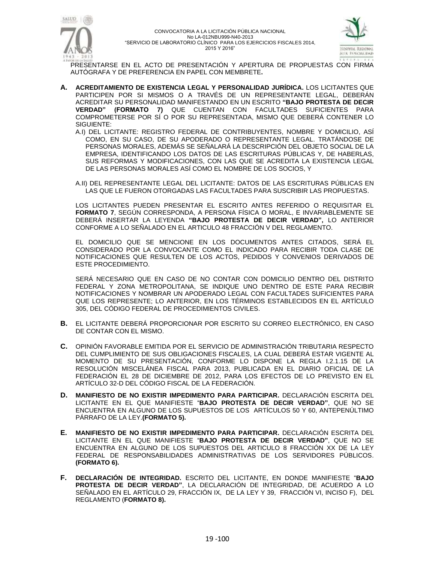



PRESENTARSE EN EL ACTO DE PRESENTACIÓN Y APERTURA DE PROPUESTAS CON FIRMA AUTÓGRAFA Y DE PREFERENCIA EN PAPEL CON MEMBRETE**.**

- **A. ACREDITAMIENTO DE EXISTENCIA LEGAL Y PERSONALIDAD JURÍDICA.** LOS LICITANTES QUE PARTICIPEN POR SI MISMOS O A TRAVÉS DE UN REPRESENTANTE LEGAL, DEBERÁN ACREDITAR SU PERSONALIDAD MANIFESTANDO EN UN ESCRITO **"BAJO PROTESTA DE DECIR VERDAD" (FORMATO 7)** QUE CUENTAN CON FACULTADES SUFICIENTES PARA COMPROMETERSE POR SÍ O POR SU REPRESENTADA, MISMO QUE DEBERÁ CONTENER LO SIGUIENTE:
	- A.I) DEL LICITANTE: REGISTRO FEDERAL DE CONTRIBUYENTES, NOMBRE Y DOMICILIO, ASÍ COMO, EN SU CASO, DE SU APODERADO O REPRESENTANTE LEGAL. TRATÁNDOSE DE PERSONAS MORALES, ADEMÁS SE SEÑALARÁ LA DESCRIPCIÓN DEL OBJETO SOCIAL DE LA EMPRESA, IDENTIFICANDO LOS DATOS DE LAS ESCRITURAS PÚBLICAS Y, DE HABERLAS, SUS REFORMAS Y MODIFICACIONES, CON LAS QUE SE ACREDITA LA EXISTENCIA LEGAL DE LAS PERSONAS MORALES ASÍ COMO EL NOMBRE DE LOS SOCIOS, Y

A.II) DEL REPRESENTANTE LEGAL DEL LICITANTE: DATOS DE LAS ESCRITURAS PÚBLICAS EN LAS QUE LE FUERON OTORGADAS LAS FACULTADES PARA SUSCRIBIR LAS PROPUESTAS.

LOS LICITANTES PUEDEN PRESENTAR EL ESCRITO ANTES REFERIDO O REQUISITAR EL **FORMATO 7**, SEGÚN CORRESPONDA, A PERSONA FÍSICA O MORAL, E INVARIABLEMENTE SE DEBERÁ INSERTAR LA LEYENDA **"BAJO PROTESTA DE DECIR VERDAD",** LO ANTERIOR CONFORME A LO SEÑALADO EN EL ARTICULO 48 FRACCIÓN V DEL REGLAMENTO.

EL DOMICILIO QUE SE MENCIONE EN LOS DOCUMENTOS ANTES CITADOS, SERÁ EL CONSIDERADO POR LA CONVOCANTE COMO EL INDICADO PARA RECIBIR TODA CLASE DE NOTIFICACIONES QUE RESULTEN DE LOS ACTOS, PEDIDOS Y CONVENIOS DERIVADOS DE ESTE PROCEDIMIENTO.

SERÁ NECESARIO QUE EN CASO DE NO CONTAR CON DOMICILIO DENTRO DEL DISTRITO FEDERAL Y ZONA METROPOLITANA, SE INDIQUE UNO DENTRO DE ESTE PARA RECIBIR NOTIFICACIONES Y NOMBRAR UN APODERADO LEGAL CON FACULTADES SUFICIENTES PARA QUE LOS REPRESENTE; LO ANTERIOR, EN LOS TÉRMINOS ESTABLECIDOS EN EL ARTÍCULO 305, DEL CÓDIGO FEDERAL DE PROCEDIMIENTOS CIVILES.

- **B.** EL LICITANTE DEBERÁ PROPORCIONAR POR ESCRITO SU CORREO ELECTRÓNICO, EN CASO DE CONTAR CON EL MISMO.
- **C.** OPINIÓN FAVORABLE EMITIDA POR EL SERVICIO DE ADMINISTRACIÓN TRIBUTARIA RESPECTO DEL CUMPLIMIENTO DE SUS OBLIGACIONES FISCALES, LA CUAL DEBERÁ ESTAR VIGENTE AL MOMENTO DE SU PRESENTACIÓN, CONFORME LO DISPONE LA REGLA I.2.1.15 DE LA RESOLUCIÓN MISCELÁNEA FISCAL PARA 2013, PUBLICADA EN EL DIARIO OFICIAL DE LA FEDERACIÓN EL 28 DE DICIEMBRE DE 2012, PARA LOS EFECTOS DE LO PREVISTO EN EL ARTÍCULO 32-D DEL CÓDIGO FISCAL DE LA FEDERACIÓN.
- **D. MANIFIESTO DE NO EXISTIR IMPEDIMENTO PARA PARTICIPAR.** DECLARACIÓN ESCRITA DEL LICITANTE EN EL QUE MANIFIESTE "**BAJO PROTESTA DE DECIR VERDAD"**, QUE NO SE ENCUENTRA EN ALGUNO DE LOS SUPUESTOS DE LOS ARTÍCULOS 50 Y 60, ANTEPENÚLTIMO PÁRRAFO DE LA LEY.**(FORMATO 5).**
- **E. MANIFIESTO DE NO EXISTIR IMPEDIMENTO PARA PARTICIPAR.** DECLARACIÓN ESCRITA DEL LICITANTE EN EL QUE MANIFIESTE "**BAJO PROTESTA DE DECIR VERDAD"**, QUE NO SE ENCUENTRA EN ALGUNO DE LOS SUPUESTOS DEL ARTICULO 8 FRACCIÓN XX DE LA LEY FEDERAL DE RESPONSABILIDADES ADMINISTRATIVAS DE LOS SERVIDORES PÚBLICOS. **(FORMATO 6).**
- **F. DECLARACIÓN DE INTEGRIDAD.** ESCRITO DEL LICITANTE, EN DONDE MANIFIESTE "**BAJO PROTESTA DE DECIR VERDAD"**, LA DECLARACIÓN DE INTEGRIDAD, DE ACUERDO A LO SEÑALADO EN EL ARTÍCULO 29, FRACCIÓN IX, DE LA LEY Y 39, FRACCIÓN VI, INCISO F), DEL REGLAMENTO (**FORMATO 8).**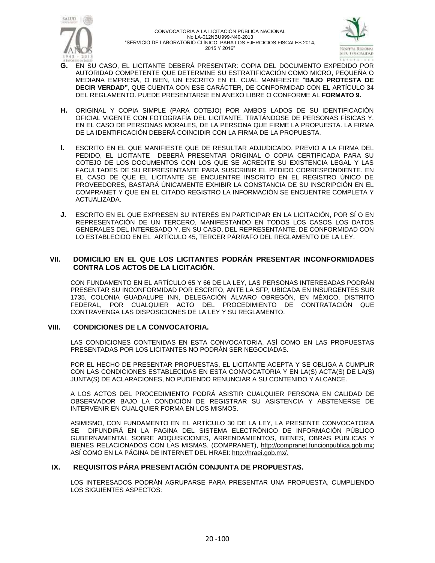



- **G.** EN SU CASO, EL LICITANTE DEBERÁ PRESENTAR: COPIA DEL DOCUMENTO EXPEDIDO POR AUTORIDAD COMPETENTE QUE DETERMINE SU ESTRATIFICACIÓN COMO MICRO, PEQUEÑA O MEDIANA EMPRESA, O BIEN, UN ESCRITO EN EL CUAL MANIFIESTE "**BAJO PROTESTA DE DECIR VERDAD"**, QUE CUENTA CON ESE CARÁCTER, DE CONFORMIDAD CON EL ARTÍCULO 34 DEL REGLAMENTO. PUEDE PRESENTARSE EN ANEXO LIBRE O CONFORME AL **FORMATO 9.**
- **H.** ORIGINAL Y COPIA SIMPLE (PARA COTEJO) POR AMBOS LADOS DE SU IDENTIFICACIÓN OFICIAL VIGENTE CON FOTOGRAFÍA DEL LICITANTE, TRATÁNDOSE DE PERSONAS FÍSICAS Y, EN EL CASO DE PERSONAS MORALES, DE LA PERSONA QUE FIRME LA PROPUESTA. LA FIRMA DE LA IDENTIFICACIÓN DEBERÁ COINCIDIR CON LA FIRMA DE LA PROPUESTA.
- **I.** ESCRITO EN EL QUE MANIFIESTE QUE DE RESULTAR ADJUDICADO, PREVIO A LA FIRMA DEL PEDIDO, EL LICITANTE DEBERÁ PRESENTAR ORIGINAL O COPIA CERTIFICADA PARA SU COTEJO DE LOS DOCUMENTOS CON LOS QUE SE ACREDITE SU EXISTENCIA LEGAL Y LAS FACULTADES DE SU REPRESENTANTE PARA SUSCRIBIR EL PEDIDO CORRESPONDIENTE. EN EL CASO DE QUE EL LICITANTE SE ENCUENTRE INSCRITO EN EL REGISTRO ÚNICO DE PROVEEDORES, BASTARÁ ÚNICAMENTE EXHIBIR LA CONSTANCIA DE SU INSCRIPCIÓN EN EL COMPRANET Y QUE EN EL CITADO REGISTRO LA INFORMACIÓN SE ENCUENTRE COMPLETA Y ACTUALIZADA.
- **J.** ESCRITO EN EL QUE EXPRESEN SU INTERÉS EN PARTICIPAR EN LA LICITACIÓN, POR SÍ O EN REPRESENTACIÓN DE UN TERCERO, MANIFESTANDO EN TODOS LOS CASOS LOS DATOS GENERALES DEL INTERESADO Y, EN SU CASO, DEL REPRESENTANTE, DE CONFORMIDAD CON LO ESTABLECIDO EN EL ARTÍCULO 45, TERCER PÁRRAFO DEL REGLAMENTO DE LA LEY.

#### **VII. DOMICILIO EN EL QUE LOS LICITANTES PODRÁN PRESENTAR INCONFORMIDADES CONTRA LOS ACTOS DE LA LICITACIÓN.**

CON FUNDAMENTO EN EL ARTÍCULO 65 Y 66 DE LA LEY, LAS PERSONAS INTERESADAS PODRÁN PRESENTAR SU INCONFORMIDAD POR ESCRITO, ANTE LA SFP, UBICADA EN INSURGENTES SUR 1735, COLONIA GUADALUPE INN, DELEGACIÓN ÁLVARO OBREGÓN, EN MÉXICO, DISTRITO FEDERAL, POR CUALQUIER ACTO DEL PROCEDIMIENTO DE CONTRATACIÓN QUE CONTRAVENGA LAS DISPOSICIONES DE LA LEY Y SU REGLAMENTO.

#### **VIII. CONDICIONES DE LA CONVOCATORIA.**

LAS CONDICIONES CONTENIDAS EN ESTA CONVOCATORIA, ASÍ COMO EN LAS PROPUESTAS PRESENTADAS POR LOS LICITANTES NO PODRÁN SER NEGOCIADAS.

POR EL HECHO DE PRESENTAR PROPUESTAS, EL LICITANTE ACEPTA Y SE OBLIGA A CUMPLIR CON LAS CONDICIONES ESTABLECIDAS EN ESTA CONVOCATORIA Y EN LA(S) ACTA(S) DE LA(S) JUNTA(S) DE ACLARACIONES, NO PUDIENDO RENUNCIAR A SU CONTENIDO Y ALCANCE.

A LOS ACTOS DEL PROCEDIMIENTO PODRÁ ASISTIR CUALQUIER PERSONA EN CALIDAD DE OBSERVADOR BAJO LA CONDICIÓN DE REGISTRAR SU ASISTENCIA Y ABSTENERSE DE INTERVENIR EN CUALQUIER FORMA EN LOS MISMOS.

ASIMISMO, CON FUNDAMENTO EN EL ARTÍCULO 30 DE LA LEY, LA PRESENTE CONVOCATORIA SE DIFUNDIRÁ EN LA PAGINA DEL SISTEMA ELECTRÓNICO DE INFORMACIÓN PÚBLICO GUBERNAMENTAL SOBRE ADQUISICIONES, ARRENDAMIENTOS, BIENES, OBRAS PÚBLICAS Y BIENES RELACIONADOS CON LAS MISMAS. (COMPRANET), [http://compranet.funcionpublica.gob.mx;](http://compranet.funcionpublica.gob.mx/) ASÍ COMO EN LA PÁGINA DE INTERNET DEL HRAEI: [http://hraei.gob.mx/.](http://hraei.gob.mx/)

#### **IX. REQUISITOS PÁRA PRESENTACIÓN CONJUNTA DE PROPUESTAS.**

LOS INTERESADOS PODRÁN AGRUPARSE PARA PRESENTAR UNA PROPUESTA, CUMPLIENDO LOS SIGUIENTES ASPECTOS: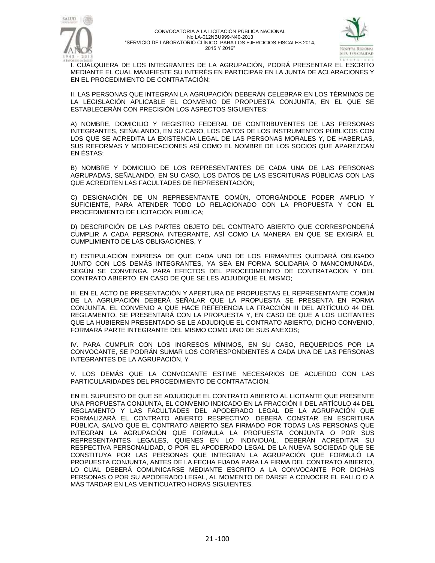



I. CUALQUIERA DE LOS INTEGRANTES DE LA AGRUPACIÓN, PODRÁ PRESENTAR EL ESCRITO MEDIANTE EL CUAL MANIFIESTE SU INTERÉS EN PARTICIPAR EN LA JUNTA DE ACLARACIONES Y EN EL PROCEDIMIENTO DE CONTRATACIÓN;

II. LAS PERSONAS QUE INTEGRAN LA AGRUPACIÓN DEBERÁN CELEBRAR EN LOS TÉRMINOS DE LA LEGISLACIÓN APLICABLE EL CONVENIO DE PROPUESTA CONJUNTA, EN EL QUE SE ESTABLECERÁN CON PRECISIÓN LOS ASPECTOS SIGUIENTES:

A) NOMBRE, DOMICILIO Y REGISTRO FEDERAL DE CONTRIBUYENTES DE LAS PERSONAS INTEGRANTES, SEÑALANDO, EN SU CASO, LOS DATOS DE LOS INSTRUMENTOS PÚBLICOS CON LOS QUE SE ACREDITA LA EXISTENCIA LEGAL DE LAS PERSONAS MORALES Y, DE HABERLAS, SUS REFORMAS Y MODIFICACIONES ASÍ COMO EL NOMBRE DE LOS SOCIOS QUE APAREZCAN EN ÉSTAS;

B) NOMBRE Y DOMICILIO DE LOS REPRESENTANTES DE CADA UNA DE LAS PERSONAS AGRUPADAS, SEÑALANDO, EN SU CASO, LOS DATOS DE LAS ESCRITURAS PÚBLICAS CON LAS QUE ACREDITEN LAS FACULTADES DE REPRESENTACIÓN;

C) DESIGNACIÓN DE UN REPRESENTANTE COMÚN, OTORGÁNDOLE PODER AMPLIO Y SUFICIENTE, PARA ATENDER TODO LO RELACIONADO CON LA PROPUESTA Y CON EL PROCEDIMIENTO DE LICITACIÓN PÚBLICA;

D) DESCRIPCIÓN DE LAS PARTES OBJETO DEL CONTRATO ABIERTO QUE CORRESPONDERÁ CUMPLIR A CADA PERSONA INTEGRANTE, ASÍ COMO LA MANERA EN QUE SE EXIGIRÁ EL CUMPLIMIENTO DE LAS OBLIGACIONES, Y

E) ESTIPULACIÓN EXPRESA DE QUE CADA UNO DE LOS FIRMANTES QUEDARÁ OBLIGADO JUNTO CON LOS DEMÁS INTEGRANTES, YA SEA EN FORMA SOLIDARIA O MANCOMUNADA, SEGÚN SE CONVENGA, PARA EFECTOS DEL PROCEDIMIENTO DE CONTRATACIÓN Y DEL CONTRATO ABIERTO, EN CASO DE QUE SE LES ADJUDIQUE EL MISMO;

III. EN EL ACTO DE PRESENTACIÓN Y APERTURA DE PROPUESTAS EL REPRESENTANTE COMÚN DE LA AGRUPACIÓN DEBERÁ SEÑALAR QUE LA PROPUESTA SE PRESENTA EN FORMA CONJUNTA. EL CONVENIO A QUE HACE REFERENCIA LA FRACCIÓN III DEL ARTÍCULO 44 DEL REGLAMENTO, SE PRESENTARÁ CON LA PROPUESTA Y, EN CASO DE QUE A LOS LICITANTES QUE LA HUBIEREN PRESENTADO SE LE ADJUDIQUE EL CONTRATO ABIERTO, DICHO CONVENIO, FORMARÁ PARTE INTEGRANTE DEL MISMO COMO UNO DE SUS ANEXOS;

IV. PARA CUMPLIR CON LOS INGRESOS MÍNIMOS, EN SU CASO, REQUERIDOS POR LA CONVOCANTE, SE PODRÁN SUMAR LOS CORRESPONDIENTES A CADA UNA DE LAS PERSONAS INTEGRANTES DE LA AGRUPACIÓN, Y

V. LOS DEMÁS QUE LA CONVOCANTE ESTIME NECESARIOS DE ACUERDO CON LAS PARTICULARIDADES DEL PROCEDIMIENTO DE CONTRATACIÓN.

EN EL SUPUESTO DE QUE SE ADJUDIQUE EL CONTRATO ABIERTO AL LICITANTE QUE PRESENTE UNA PROPUESTA CONJUNTA, EL CONVENIO INDICADO EN LA FRACCIÓN II DEL ARTÍCULO 44 DEL REGLAMENTO Y LAS FACULTADES DEL APODERADO LEGAL DE LA AGRUPACIÓN QUE FORMALIZARÁ EL CONTRATO ABIERTO RESPECTIVO, DEBERÁ CONSTAR EN ESCRITURA PÚBLICA, SALVO QUE EL CONTRATO ABIERTO SEA FIRMADO POR TODAS LAS PERSONAS QUE INTEGRAN LA AGRUPACIÓN QUE FORMULA LA PROPUESTA CONJUNTA O POR SUS REPRESENTANTES LEGALES, QUIENES EN LO INDIVIDUAL, DEBERÁN ACREDITAR SU RESPECTIVA PERSONALIDAD, O POR EL APODERADO LEGAL DE LA NUEVA SOCIEDAD QUE SE CONSTITUYA POR LAS PERSONAS QUE INTEGRAN LA AGRUPACIÓN QUE FORMULÓ LA PROPUESTA CONJUNTA, ANTES DE LA FECHA FIJADA PARA LA FIRMA DEL CONTRATO ABIERTO, LO CUAL DEBERÁ COMUNICARSE MEDIANTE ESCRITO A LA CONVOCANTE POR DICHAS PERSONAS O POR SU APODERADO LEGAL, AL MOMENTO DE DARSE A CONOCER EL FALLO O A MÁS TARDAR EN LAS VEINTICUATRO HORAS SIGUIENTES.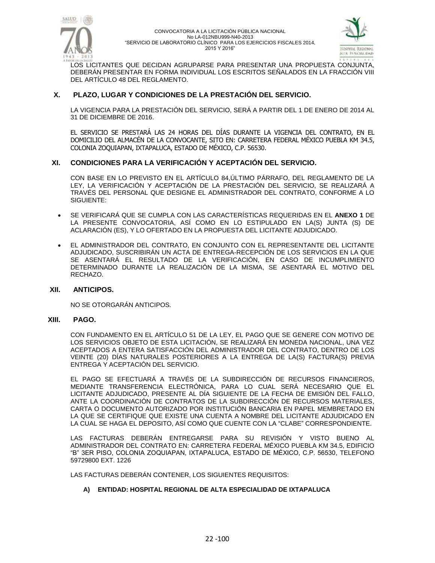



LOS LICITANTES QUE DECIDAN AGRUPARSE PARA PRESENTAR UNA PROPUESTA CONJUNTA, DEBERÁN PRESENTAR EN FORMA INDIVIDUAL LOS ESCRITOS SEÑALADOS EN LA FRACCIÓN VIII DEL ARTÍCULO 48 DEL REGLAMENTO.

## **X. PLAZO, LUGAR Y CONDICIONES DE LA PRESTACIÓN DEL SERVICIO.**

LA VIGENCIA PARA LA PRESTACIÓN DEL SERVICIO, SERÁ A PARTIR DEL 1 DE ENERO DE 2014 AL 31 DE DICIEMBRE DE 2016.

EL SERVICIO SE PRESTARÁ LAS 24 HORAS DEL DÍAS DURANTE LA VIGENCIA DEL CONTRATO, EN EL DOMICILIO DEL ALMACÉN DE LA CONVOCANTE, SITO EN: CARRETERA FEDERAL MÉXICO PUEBLA KM 34.5, COLONIA ZOQUIAPAN, IXTAPALUCA, ESTADO DE MÉXICO, C.P. 56530.

### **XI. CONDICIONES PARA LA VERIFICACIÓN Y ACEPTACIÓN DEL SERVICIO.**

CON BASE EN LO PREVISTO EN EL ARTÍCULO 84,ÚLTIMO PÁRRAFO, DEL REGLAMENTO DE LA LEY, LA VERIFICACIÓN Y ACEPTACIÓN DE LA PRESTACIÓN DEL SERVICIO, SE REALIZARÁ A TRAVÉS DEL PERSONAL QUE DESIGNE EL ADMINISTRADOR DEL CONTRATO, CONFORME A LO SIGUIENTE:

- SE VERIFICARÁ QUE SE CUMPLA CON LAS CARACTERÍSTICAS REQUERIDAS EN EL **ANEXO 1** DE LA PRESENTE CONVOCATORIA, ASÍ COMO EN LO ESTIPULADO EN LA(S) JUNTA (S) DE ACLARACIÓN (ES), Y LO OFERTADO EN LA PROPUESTA DEL LICITANTE ADJUDICADO.
- EL ADMINISTRADOR DEL CONTRATO, EN CONJUNTO CON EL REPRESENTANTE DEL LICITANTE ADJUDICADO, SUSCRIBIRÁN UN ACTA DE ENTREGA-RECEPCIÓN DE LOS SERVICIOS EN LA QUE SE ASENTARÁ EL RESULTADO DE LA VERIFICACIÓN, EN CASO DE INCUMPLIMIENTO DETERMINADO DURANTE LA REALIZACIÓN DE LA MISMA, SE ASENTARÁ EL MOTIVO DEL RECHAZO.

#### **XII. ANTICIPOS.**

NO SE OTORGARÁN ANTICIPOS*.*

#### **XIII. PAGO.**

CON FUNDAMENTO EN EL ARTÍCULO 51 DE LA LEY, EL PAGO QUE SE GENERE CON MOTIVO DE LOS SERVICIOS OBJETO DE ESTA LICITACIÓN, SE REALIZARÁ EN MONEDA NACIONAL, UNA VEZ ACEPTADOS A ENTERA SATISFACCIÓN DEL ADMINISTRADOR DEL CONTRATO, DENTRO DE LOS VEINTE (20) DÍAS NATURALES POSTERIORES A LA ENTREGA DE LA(S) FACTURA(S) PREVIA ENTREGA Y ACEPTACIÓN DEL SERVICIO.

EL PAGO SE EFECTUARÁ A TRAVÉS DE LA SUBDIRECCIÓN DE RECURSOS FINANCIEROS, MEDIANTE TRANSFERENCIA ELECTRÓNICA, PARA LO CUAL SERÁ NECESARIO QUE EL LICITANTE ADJUDICADO, PRESENTE AL DÍA SIGUIENTE DE LA FECHA DE EMISIÓN DEL FALLO, ANTE LA COORDINACIÓN DE CONTRATOS DE LA SUBDIRECCIÓN DE RECURSOS MATERIALES, CARTA O DOCUMENTO AUTORIZADO POR INSTITUCIÓN BANCARIA EN PAPEL MEMBRETADO EN LA QUE SE CERTIFIQUE QUE EXISTE UNA CUENTA A NOMBRE DEL LICITANTE ADJUDICADO EN LA CUAL SE HAGA EL DEPOSITO, ASÍ COMO QUE CUENTE CON LA "CLABE" CORRESPONDIENTE.

LAS FACTURAS DEBERÁN ENTREGARSE PARA SU REVISIÓN Y VISTO BUENO AL ADMINISTRADOR DEL CONTRATO EN: CARRETERA FEDERAL MÉXICO PUEBLA KM 34.5, EDIFICIO "B" 3ER PISO, COLONIA ZOQUIAPAN, IXTAPALUCA, ESTADO DE MÉXICO, C.P. 56530, TELEFONO 59729800 EXT. 1226

LAS FACTURAS DEBERÁN CONTENER, LOS SIGUIENTES REQUISITOS:

#### **A) ENTIDAD: HOSPITAL REGIONAL DE ALTA ESPECIALIDAD DE IXTAPALUCA**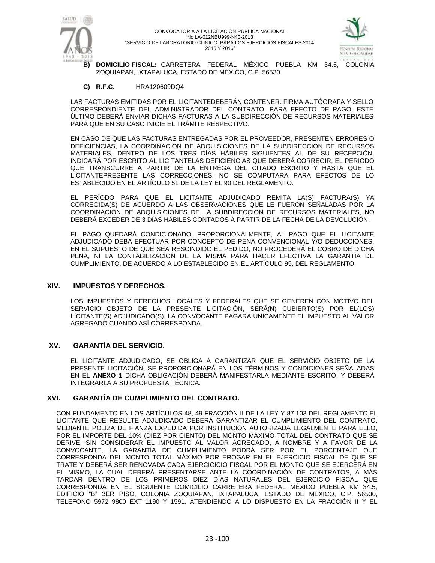



**B) DOMICILIO FISCAL:** CARRETERA FEDERAL MÉXICO PUEBLA KM 34.5, COLONIA ZOQUIAPAN, IXTAPALUCA, ESTADO DE MÉXICO, C.P. 56530

#### **C) R.F.C.** HRA120609DQ4

LAS FACTURAS EMITIDAS POR EL LICITANTEDEBERÁN CONTENER: FIRMA AUTÓGRAFA Y SELLO CORRESPONDIENTE DEL ADMINISTRADOR DEL CONTRATO, PARA EFECTO DE PAGO, ESTE ÚLTIMO DEBERÁ ENVIAR DICHAS FACTURAS A LA SUBDIRECCIÓN DE RECURSOS MATERIALES PARA QUE EN SU CASO INICIE EL TRÁMITE RESPECTIVO.

EN CASO DE QUE LAS FACTURAS ENTREGADAS POR EL PROVEEDOR, PRESENTEN ERRORES O DEFICIENCIAS, LA COORDINACIÓN DE ADQUISICIONES DE LA SUBDIRECCIÓN DE RECURSOS MATERIALES, DENTRO DE LOS TRES DÍAS HÁBILES SIGUIENTES AL DE SU RECEPCIÓN, INDICARÁ POR ESCRITO AL LICITANTELAS DEFICIENCIAS QUE DEBERÁ CORREGIR, EL PERIODO QUE TRANSCURRE A PARTIR DE LA ENTREGA DEL CITADO ESCRITO Y HASTA QUE EL LICITANTEPRESENTE LAS CORRECCIONES, NO SE COMPUTARA PARA EFECTOS DE LO ESTABLECIDO EN EL ARTÍCULO 51 DE LA LEY EL 90 DEL REGLAMENTO.

EL PERÍODO PARA QUE EL LICITANTE ADJUDICADO REMITA LA(S) FACTURA(S) YA CORREGIDA(S) DE ACUERDO A LAS OBSERVACIONES QUE LE FUERON SEÑALADAS POR LA COORDINACIÓN DE ADQUISICIONES DE LA SUBDIRECCIÓN DE RECURSOS MATERIALES, NO DEBERÁ EXCEDER DE 3 DÍAS HÁBILES CONTADOS A PARTIR DE LA FECHA DE LA DEVOLUCIÓN.

EL PAGO QUEDARÁ CONDICIONADO, PROPORCIONALMENTE, AL PAGO QUE EL LICITANTE ADJUDICADO DEBA EFECTUAR POR CONCEPTO DE PENA CONVENCIONAL Y/O DEDUCCIONES. EN EL SUPUESTO DE QUE SEA RESCINDIDO EL PEDIDO, NO PROCEDERÁ EL COBRO DE DICHA PENA, NI LA CONTABILIZACIÓN DE LA MISMA PARA HACER EFECTIVA LA GARANTÍA DE CUMPLIMIENTO, DE ACUERDO A LO ESTABLECIDO EN EL ARTÍCULO 95, DEL REGLAMENTO.

#### **XIV. IMPUESTOS Y DERECHOS.**

LOS IMPUESTOS Y DERECHOS LOCALES Y FEDERALES QUE SE GENEREN CON MOTIVO DEL SERVICIO OBJETO DE LA PRESENTE LICITACIÓN, SERÁ(N) CUBIERTO(S) POR EL(LOS) LICITANTE(S) ADJUDICADO(S). LA CONVOCANTE PAGARÁ ÚNICAMENTE EL IMPUESTO AL VALOR AGREGADO CUANDO ASÍ CORRESPONDA.

## **XV. GARANTÍA DEL SERVICIO.**

EL LICITANTE ADJUDICADO, SE OBLIGA A GARANTIZAR QUE EL SERVICIO OBJETO DE LA PRESENTE LICITACIÓN, SE PROPORCIONARÁ EN LOS TÉRMINOS Y CONDICIONES SEÑALADAS EN EL **ANEXO 1** DICHA OBLIGACIÓN DEBERÁ MANIFESTARLA MEDIANTE ESCRITO, Y DEBERÁ INTEGRARLA A SU PROPUESTA TÉCNICA.

#### **XVI. GARANTÍA DE CUMPLIMIENTO DEL CONTRATO.**

CON FUNDAMENTO EN LOS ARTÍCULOS 48, 49 FRACCIÓN II DE LA LEY Y 87,103 DEL REGLAMENTO,EL LICITANTE QUE RESULTE ADJUDICADO DEBERÁ GARANTIZAR EL CUMPLIMIENTO DEL CONTRATO, MEDIANTE PÓLIZA DE FIANZA EXPEDIDA POR INSTITUCIÓN AUTORIZADA LEGALMENTE PARA ELLO, POR EL IMPORTE DEL 10% (DIEZ POR CIENTO) DEL MONTO MÁXIMO TOTAL DEL CONTRATO QUE SE DERIVE, SIN CONSIDERAR EL IMPUESTO AL VALOR AGREGADO, A NOMBRE Y A FAVOR DE LA CONVOCANTE, LA GARANTÍA DE CUMPLIMIENTO PODRÁ SER POR EL PORCENTAJE QUE CORRESPONDA DEL MONTO TOTAL MÁXIMO POR EROGAR EN EL EJERCICIO FISCAL DE QUE SE TRATE Y DEBERÁ SER RENOVADA CADA EJERCICICIO FISCAL POR EL MONTO QUE SE EJERCERÁ EN EL MISMO, LA CUAL DEBERÁ PRESENTARSE ANTE LA COORDINACIÓN DE CONTRATOS, A MÁS TARDAR DENTRO DE LOS PRIMEROS DIEZ DÍAS NATURALES DEL EJERCICIO FISCAL QUE CORRESPONDA EN EL SIGUIENTE DOMICILIO CARRETERA FEDERAL MÉXICO PUEBLA KM 34.5, EDIFICIO "B" 3ER PISO, COLONIA ZOQUIAPAN, IXTAPALUCA, ESTADO DE MÉXICO, C.P. 56530, TELEFONO 5972 9800 EXT 1190 Y 1591, ATENDIENDO A LO DISPUESTO EN LA FRACCIÓN II Y EL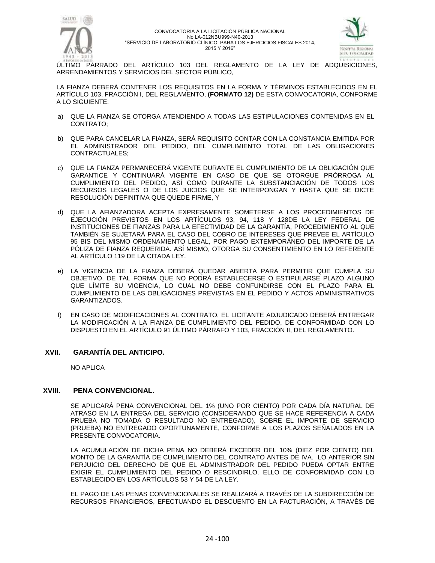



ÚLTIMO PÁRRADO DEL ARTÍCULO 103 DEL REGLAMENTO DE LA LEY DE ADQUISICIONES, ARRENDAMIENTOS Y SERVICIOS DEL SECTOR PÚBLICO,

LA FIANZA DEBERÁ CONTENER LOS REQUISITOS EN LA FORMA Y TÉRMINOS ESTABLECIDOS EN EL ARTÍCULO 103, FRACCIÓN I, DEL REGLAMENTO, **(FORMATO 12)** DE ESTA CONVOCATORIA, CONFORME A LO SIGUIENTE:

- a) QUE LA FIANZA SE OTORGA ATENDIENDO A TODAS LAS ESTIPULACIONES CONTENIDAS EN EL CONTRATO;
- b) QUE PARA CANCELAR LA FIANZA, SERÁ REQUISITO CONTAR CON LA CONSTANCIA EMITIDA POR EL ADMINISTRADOR DEL PEDIDO, DEL CUMPLIMIENTO TOTAL DE LAS OBLIGACIONES CONTRACTUALES;
- c) QUE LA FIANZA PERMANECERÁ VIGENTE DURANTE EL CUMPLIMIENTO DE LA OBLIGACIÓN QUE GARANTICE Y CONTINUARÁ VIGENTE EN CASO DE QUE SE OTORGUE PRÓRROGA AL CUMPLIMIENTO DEL PEDIDO, ASÍ COMO DURANTE LA SUBSTANCIACIÓN DE TODOS LOS RECURSOS LEGALES O DE LOS JUICIOS QUE SE INTERPONGAN Y HASTA QUE SE DICTE RESOLUCIÓN DEFINITIVA QUE QUEDE FIRME, Y
- d) QUE LA AFIANZADORA ACEPTA EXPRESAMENTE SOMETERSE A LOS PROCEDIMIENTOS DE EJECUCIÓN PREVISTOS EN LOS ARTÍCULOS 93, 94, 118 Y 128DE LA LEY FEDERAL DE INSTITUCIONES DE FIANZAS PARA LA EFECTIVIDAD DE LA GARANTÍA, PROCEDIMIENTO AL QUE TAMBIÉN SE SUJETARÁ PARA EL CASO DEL COBRO DE INTERESES QUE PREVEE EL ARTÍCULO 95 BIS DEL MISMO ORDENAMIENTO LEGAL, POR PAGO EXTEMPORÁNEO DEL IMPORTE DE LA PÓLIZA DE FIANZA REQUERIDA. ASÍ MISMO, OTORGA SU CONSENTIMIENTO EN LO REFERENTE AL ARTÍCULO 119 DE LA CITADA LEY.
- e) LA VIGENCIA DE LA FIANZA DEBERÁ QUEDAR ABIERTA PARA PERMITIR QUE CUMPLA SU OBJETIVO, DE TAL FORMA QUE NO PODRÁ ESTABLECERSE O ESTIPULARSE PLAZO ALGUNO QUE LÍMITE SU VIGENCIA, LO CUAL NO DEBE CONFUNDIRSE CON EL PLAZO PARA EL CUMPLIMIENTO DE LAS OBLIGACIONES PREVISTAS EN EL PEDIDO Y ACTOS ADMINISTRATIVOS GARANTIZADOS.
- f) EN CASO DE MODIFICACIONES AL CONTRATO, EL LICITANTE ADJUDICADO DEBERÁ ENTREGAR LA MODIFICACIÓN A LA FIANZA DE CUMPLIMIENTO DEL PEDIDO, DE CONFORMIDAD CON LO DISPUESTO EN EL ARTÍCULO 91 ÚLTIMO PÁRRAFO Y 103, FRACCIÓN II, DEL REGLAMENTO.

## **XVII. GARANTÍA DEL ANTICIPO.**

NO APLICA

## **XVIII. PENA CONVENCIONAL.**

SE APLICARÁ PENA CONVENCIONAL DEL 1% (UNO POR CIENTO) POR CADA DÍA NATURAL DE ATRASO EN LA ENTREGA DEL SERVICIO (CONSIDERANDO QUE SE HACE REFERENCIA A CADA PRUEBA NO TOMADA O RESULTADO NO ENTREGADO), SOBRE EL IMPORTE DE SERVICIO (PRUEBA) NO ENTREGADO OPORTUNAMENTE, CONFORME A LOS PLAZOS SEÑALADOS EN LA PRESENTE CONVOCATORIA.

LA ACUMULACIÓN DE DICHA PENA NO DEBERÁ EXCEDER DEL 10% (DIEZ POR CIENTO) DEL MONTO DE LA GARANTÍA DE CUMPLIMIENTO DEL CONTRATO ANTES DE IVA. LO ANTERIOR SIN PERJUICIO DEL DERECHO DE QUE EL ADMINISTRADOR DEL PEDIDO PUEDA OPTAR ENTRE EXIGIR EL CUMPLIMIENTO DEL PEDIDO O RESCINDIRLO. ELLO DE CONFORMIDAD CON LO ESTABLECIDO EN LOS ARTÍCULOS 53 Y 54 DE LA LEY.

EL PAGO DE LAS PENAS CONVENCIONALES SE REALIZARÁ A TRAVÉS DE LA SUBDIRECCIÓN DE RECURSOS FINANCIEROS, EFECTUANDO EL DESCUENTO EN LA FACTURACIÓN, A TRAVÉS DE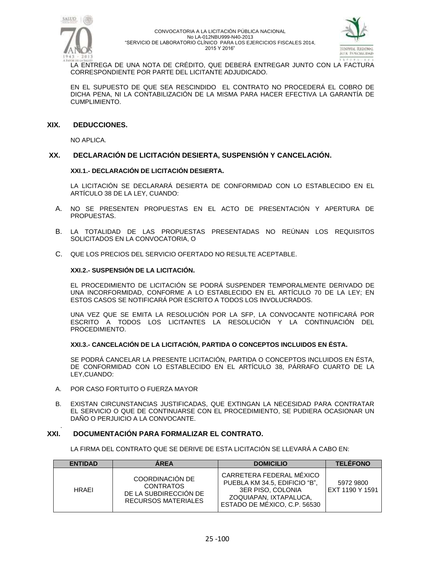



LA ENTREGA DE UNA NOTA DE CRÉDITO, QUE DEBERÁ ENTREGAR JUNTO CON LA FACTURA CORRESPONDIENTE POR PARTE DEL LICITANTE ADJUDICADO.

EN EL SUPUESTO DE QUE SEA RESCINDIDO EL CONTRATO NO PROCEDERÁ EL COBRO DE DICHA PENA, NI LA CONTABILIZACIÓN DE LA MISMA PARA HACER EFECTIVA LA GARANTÍA DE CUMPLIMIENTO.

#### **XIX. DEDUCCIONES.**

NO APLICA.

### **XX. DECLARACIÓN DE LICITACIÓN DESIERTA, SUSPENSIÓN Y CANCELACIÓN.**

#### **XXI.1.- DECLARACIÓN DE LICITACIÓN DESIERTA.**

LA LICITACIÓN SE DECLARARÁ DESIERTA DE CONFORMIDAD CON LO ESTABLECIDO EN EL ARTÍCULO 38 DE LA LEY, CUANDO:

- A. NO SE PRESENTEN PROPUESTAS EN EL ACTO DE PRESENTACIÓN Y APERTURA DE PROPUESTAS.
- B. LA TOTALIDAD DE LAS PROPUESTAS PRESENTADAS NO REÚNAN LOS REQUISITOS SOLICITADOS EN LA CONVOCATORIA, O
- C. QUE LOS PRECIOS DEL SERVICIO OFERTADO NO RESULTE ACEPTABLE.

#### **XXI.2.- SUSPENSIÓN DE LA LICITACIÓN.**

EL PROCEDIMIENTO DE LICITACIÓN SE PODRÁ SUSPENDER TEMPORALMENTE DERIVADO DE UNA INCORFORMIDAD, CONFORME A LO ESTABLECIDO EN EL ARTÍCULO 70 DE LA LEY; EN ESTOS CASOS SE NOTIFICARÁ POR ESCRITO A TODOS LOS INVOLUCRADOS.

UNA VEZ QUE SE EMITA LA RESOLUCIÓN POR LA SFP, LA CONVOCANTE NOTIFICARÁ POR ESCRITO A TODOS LOS LICITANTES LA RESOLUCIÓN Y LA CONTINUACIÓN DEL PROCEDIMIENTO.

#### **XXI.3.- CANCELACIÓN DE LA LICITACIÓN, PARTIDA O CONCEPTOS INCLUIDOS EN ÉSTA.**

SE PODRÁ CANCELAR LA PRESENTE LICITACIÓN, PARTIDA O CONCEPTOS INCLUIDOS EN ÉSTA, DE CONFORMIDAD CON LO ESTABLECIDO EN EL ARTÍCULO 38, PÁRRAFO CUARTO DE LA LEY,CUANDO:

A. POR CASO FORTUITO O FUERZA MAYOR

.

B. EXISTAN CIRCUNSTANCIAS JUSTIFICADAS, QUE EXTINGAN LA NECESIDAD PARA CONTRATAR EL SERVICIO O QUE DE CONTINUARSE CON EL PROCEDIMIENTO, SE PUDIERA OCASIONAR UN DAÑO O PERJUICIO A LA CONVOCANTE.

#### **XXI. DOCUMENTACIÓN PARA FORMALIZAR EL CONTRATO.**

LA FIRMA DEL CONTRATO QUE SE DERIVE DE ESTA LICITACIÓN SE LLEVARÁ A CABO EN:

| <b>ENTIDAD</b> | <b>AREA</b>                                                                                | <b>DOMICILIO</b>                                                                                                                         | <b>TELEFONO</b>              |
|----------------|--------------------------------------------------------------------------------------------|------------------------------------------------------------------------------------------------------------------------------------------|------------------------------|
| <b>HRAFI</b>   | COORDINACIÓN DE<br><b>CONTRATOS</b><br>DE LA SUBDIRECCIÓN DE<br><b>RECURSOS MATERIALES</b> | CARRETERA FEDERAL MÉXICO<br>PUEBLA KM 34.5, EDIFICIO "B",<br>3ER PISO, COLONIA<br>ZOQUIAPAN. IXTAPALUCA.<br>ESTADO DE MÉXICO, C.P. 56530 | 5972 9800<br>EXT 1190 Y 1591 |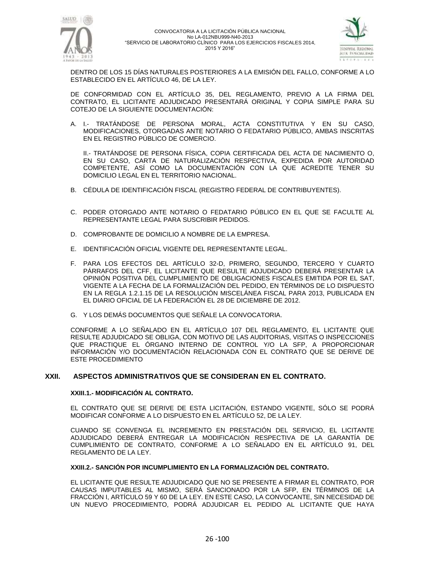



DENTRO DE LOS 15 DÍAS NATURALES POSTERIORES A LA EMISIÓN DEL FALLO, CONFORME A LO ESTABLECIDO EN EL ARTÍCULO 46, DE LA LEY.

DE CONFORMIDAD CON EL ARTÍCULO 35, DEL REGLAMENTO, PREVIO A LA FIRMA DEL CONTRATO, EL LICITANTE ADJUDICADO PRESENTARÁ ORIGINAL Y COPIA SIMPLE PARA SU COTEJO DE LA SIGUIENTE DOCUMENTACIÓN:

A. I.- TRATÁNDOSE DE PERSONA MORAL, ACTA CONSTITUTIVA Y EN SU CASO, MODIFICACIONES, OTORGADAS ANTE NOTARIO O FEDATARIO PÚBLICO, AMBAS INSCRITAS EN EL REGISTRO PÚBLICO DE COMERCIO.

II.- TRATÁNDOSE DE PERSONA FÍSICA, COPIA CERTIFICADA DEL ACTA DE NACIMIENTO O, EN SU CASO, CARTA DE NATURALIZACIÓN RESPECTIVA, EXPEDIDA POR AUTORIDAD COMPETENTE, ASÍ COMO LA DOCUMENTACIÓN CON LA QUE ACREDITE TENER SU DOMICILIO LEGAL EN EL TERRITORIO NACIONAL.

- B. CÉDULA DE IDENTIFICACIÓN FISCAL (REGISTRO FEDERAL DE CONTRIBUYENTES).
- C. PODER OTORGADO ANTE NOTARIO O FEDATARIO PÚBLICO EN EL QUE SE FACULTE AL REPRESENTANTE LEGAL PARA SUSCRIBIR PEDIDOS.
- D. COMPROBANTE DE DOMICILIO A NOMBRE DE LA EMPRESA.
- E. IDENTIFICACIÓN OFICIAL VIGENTE DEL REPRESENTANTE LEGAL.
- F. PARA LOS EFECTOS DEL ARTÍCULO 32-D, PRIMERO, SEGUNDO, TERCERO Y CUARTO PÁRRAFOS DEL CFF, EL LICITANTE QUE RESULTE ADJUDICADO DEBERÁ PRESENTAR LA OPINIÓN POSITIVA DEL CUMPLIMIENTO DE OBLIGACIONES FISCALES EMITIDA POR EL SAT, VIGENTE A LA FECHA DE LA FORMALIZACIÓN DEL PEDIDO, EN TÉRMINOS DE LO DISPUESTO EN LA REGLA 1.2.1.15 DE LA RESOLUCIÓN MISCELÁNEA FISCAL PARA 2013, PUBLICADA EN EL DIARIO OFICIAL DE LA FEDERACIÓN EL 28 DE DICIEMBRE DE 2012.
- G. Y LOS DEMÁS DOCUMENTOS QUE SEÑALE LA CONVOCATORIA.

CONFORME A LO SEÑALADO EN EL ARTÍCULO 107 DEL REGLAMENTO, EL LICITANTE QUE RESULTE ADJUDICADO SE OBLIGA, CON MOTIVO DE LAS AUDITORIAS, VISITAS O INSPECCIONES QUE PRACTIQUE EL ÓRGANO INTERNO DE CONTROL Y/O LA SFP, A PROPORCIONAR INFORMACIÓN Y/O DOCUMENTACIÓN RELACIONADA CON EL CONTRATO QUE SE DERIVE DE ESTE PROCEDIMIENTO

#### **XXII. ASPECTOS ADMINISTRATIVOS QUE SE CONSIDERAN EN EL CONTRATO.**

#### **XXIII.1.- MODIFICACIÓN AL CONTRATO.**

EL CONTRATO QUE SE DERIVE DE ESTA LICITACIÓN, ESTANDO VIGENTE, SÓLO SE PODRÁ MODIFICAR CONFORME A LO DISPUESTO EN EL ARTÍCULO 52, DE LA LEY.

CUANDO SE CONVENGA EL INCREMENTO EN PRESTACIÓN DEL SERVICIO, EL LICITANTE ADJUDICADO DEBERÁ ENTREGAR LA MODIFICACIÓN RESPECTIVA DE LA GARANTÍA DE CUMPLIMIENTO DE CONTRATO, CONFORME A LO SEÑALADO EN EL ARTÍCULO 91, DEL REGLAMENTO DE LA LEY.

#### **XXIII.2.- SANCIÓN POR INCUMPLIMIENTO EN LA FORMALIZACIÓN DEL CONTRATO.**

EL LICITANTE QUE RESULTE ADJUDICADO QUE NO SE PRESENTE A FIRMAR EL CONTRATO, POR CAUSAS IMPUTABLES AL MISMO, SERÁ SANCIONADO POR LA SFP, EN TÉRMINOS DE LA FRACCIÓN I, ARTÍCULO 59 Y 60 DE LA LEY. EN ESTE CASO, LA CONVOCANTE, SIN NECESIDAD DE UN NUEVO PROCEDIMIENTO, PODRÁ ADJUDICAR EL PEDIDO AL LICITANTE QUE HAYA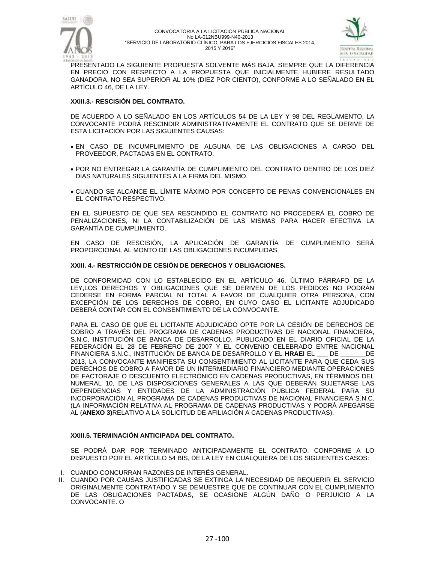



PRESENTADO LA SIGUIENTE PROPUESTA SOLVENTE MÁS BAJA, SIEMPRE QUE LA DIFERENCIA EN PRECIO CON RESPECTO A LA PROPUESTA QUE INICIALMENTE HUBIERE RESULTADO GANADORA, NO SEA SUPERIOR AL 10% (DIEZ POR CIENTO), CONFORME A LO SEÑALADO EN EL ARTÍCULO 46, DE LA LEY.

#### **XXIII.3.- RESCISIÓN DEL CONTRATO.**

DE ACUERDO A LO SEÑALADO EN LOS ARTÍCULOS 54 DE LA LEY Y 98 DEL REGLAMENTO, LA CONVOCANTE PODRÁ RESCINDIR ADMINISTRATIVAMENTE EL CONTRATO QUE SE DERIVE DE ESTA LICITACIÓN POR LAS SIGUIENTES CAUSAS:

- EN CASO DE INCUMPLIMIENTO DE ALGUNA DE LAS OBLIGACIONES A CARGO DEL PROVEEDOR, PACTADAS EN EL CONTRATO.
- POR NO ENTREGAR LA GARANTÍA DE CUMPLIMIENTO DEL CONTRATO DENTRO DE LOS DIEZ DÍAS NATURALES SIGUIENTES A LA FIRMA DEL MISMO.
- CUANDO SE ALCANCE EL LÍMITE MÁXIMO POR CONCEPTO DE PENAS CONVENCIONALES EN EL CONTRATO RESPECTIVO.

EN EL SUPUESTO DE QUE SEA RESCINDIDO EL CONTRATO NO PROCEDERÁ EL COBRO DE PENALIZACIONES, NI LA CONTABILIZACIÓN DE LAS MISMAS PARA HACER EFECTIVA LA GARANTÍA DE CUMPLIMIENTO.

EN CASO DE RESCISIÓN, LA APLICACIÓN DE GARANTÍA DE CUMPLIMIENTO SERÁ PROPORCIONAL AL MONTO DE LAS OBLIGACIONES INCUMPLIDAS.

#### **XXIII. 4.- RESTRICCIÓN DE CESIÓN DE DERECHOS Y OBLIGACIONES.**

DE CONFORMIDAD CON LO ESTABLECIDO EN EL ARTÍCULO 46, ÚLTIMO PÁRRAFO DE LA LEY,LOS DERECHOS Y OBLIGACIONES QUE SE DERIVEN DE LOS PEDIDOS NO PODRÁN CEDERSE EN FORMA PARCIAL NI TOTAL A FAVOR DE CUALQUIER OTRA PERSONA, CON EXCEPCIÓN DE LOS DERECHOS DE COBRO, EN CUYO CASO EL LICITANTE ADJUDICADO DEBERÁ CONTAR CON EL CONSENTIMIENTO DE LA CONVOCANTE.

PARA EL CASO DE QUE EL LICITANTE ADJUDICADO OPTE POR LA CESIÓN DE DERECHOS DE COBRO A TRAVÉS DEL PROGRAMA DE CADENAS PRODUCTIVAS DE NACIONAL FINANCIERA, S.N.C, INSTITUCIÓN DE BANCA DE DESARROLLO, PUBLICADO EN EL DIARIO OFICIAL DE LA FEDERACIÓN EL 28 DE FEBRERO DE 2007 Y EL CONVENIO CELEBRADO ENTRE NACIONAL FINANCIERA S.N.C., INSTITUCIÓN DE BANCA DE DESARROLLO Y EL **HRAEI** EL \_\_\_ DE \_\_\_\_\_\_\_DE 2013, LA CONVOCANTE MANIFIESTA SU CONSENTIMIENTO AL LICITANTE PARA QUE CEDA SUS DERECHOS DE COBRO A FAVOR DE UN INTERMEDIARIO FINANCIERO MEDIANTE OPERACIONES DE FACTORAJE O DESCUENTO ELECTRÓNICO EN CADENAS PRODUCTIVAS, EN TÉRMINOS DEL NUMERAL 10, DE LAS DISPOSICIONES GENERALES A LAS QUE DEBERÁN SUJETARSE LAS DEPENDENCIAS Y ENTIDADES DE LA ADMINISTRACIÓN PÚBLICA FEDERAL PARA SU INCORPORACIÓN AL PROGRAMA DE CADENAS PRODUCTIVAS DE NACIONAL FINANCIERA S.N.C. (LA INFORMACIÓN RELATIVA AL PROGRAMA DE CADENAS PRODUCTIVAS Y PODRÁ APEGARSE AL (**ANEXO 3)**RELATIVO A LA SOLICITUD DE AFILIACIÓN A CADENAS PRODUCTIVAS).

#### **XXIII.5. TERMINACIÓN ANTICIPADA DEL CONTRATO.**

SE PODRÁ DAR POR TERMINADO ANTICIPADAMENTE EL CONTRATO, CONFORME A LO DISPUESTO POR EL ARTÍCULO 54 BIS, DE LA LEY EN CUALQUIERA DE LOS SIGUIENTES CASOS:

- I. CUANDO CONCURRAN RAZONES DE INTERÉS GENERAL.
- II. CUANDO POR CAUSAS JUSTIFICADAS SE EXTINGA LA NECESIDAD DE REQUERIR EL SERVICIO ORIGINALMENTE CONTRATADO Y SE DEMUESTRE QUE DE CONTINUAR CON EL CUMPLIMIENTO DE LAS OBLIGACIONES PACTADAS, SE OCASIONE ALGÚN DAÑO O PERJUICIO A LA CONVOCANTE. O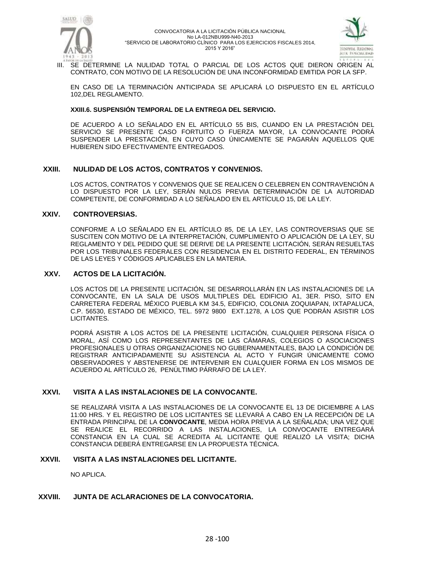



III. SE DETERMINE LA NULIDAD TOTAL O PARCIAL DE LOS ACTOS QUE DIERON ORIGEN AL CONTRATO, CON MOTIVO DE LA RESOLUCIÓN DE UNA INCONFORMIDAD EMITIDA POR LA SFP.

EN CASO DE LA TERMINACIÓN ANTICIPADA SE APLICARÁ LO DISPUESTO EN EL ARTÍCULO 102,DEL REGLAMENTO.

#### **XXIII.6. SUSPENSIÓN TEMPORAL DE LA ENTREGA DEL SERVICIO.**

DE ACUERDO A LO SEÑALADO EN EL ARTÍCULO 55 BIS, CUANDO EN LA PRESTACIÓN DEL SERVICIO SE PRESENTE CASO FORTUITO O FUERZA MAYOR, LA CONVOCANTE PODRÁ SUSPENDER LA PRESTACIÓN, EN CUYO CASO ÚNICAMENTE SE PAGARÁN AQUELLOS QUE HUBIEREN SIDO EFECTIVAMENTE ENTREGADOS.

#### **XXIII. NULIDAD DE LOS ACTOS, CONTRATOS Y CONVENIOS.**

LOS ACTOS, CONTRATOS Y CONVENIOS QUE SE REALICEN O CELEBREN EN CONTRAVENCIÓN A LO DISPUESTO POR LA LEY, SERÁN NULOS PREVIA DETERMINACIÓN DE LA AUTORIDAD COMPETENTE, DE CONFORMIDAD A LO SEÑALADO EN EL ARTÍCULO 15, DE LA LEY.

#### **XXIV. CONTROVERSIAS.**

CONFORME A LO SEÑALADO EN EL ARTÍCULO 85, DE LA LEY, LAS CONTROVERSIAS QUE SE SUSCITEN CON MOTIVO DE LA INTERPRETACIÓN, CUMPLIMIENTO O APLICACIÓN DE LA LEY, SU REGLAMENTO Y DEL PEDIDO QUE SE DERIVE DE LA PRESENTE LICITACIÓN, SERÁN RESUELTAS POR LOS TRIBUNALES FEDERALES CON RESIDENCIA EN EL DISTRITO FEDERAL, EN TÉRMINOS DE LAS LEYES Y CÓDIGOS APLICABLES EN LA MATERIA.

#### **XXV. ACTOS DE LA LICITACIÓN.**

LOS ACTOS DE LA PRESENTE LICITACIÓN, SE DESARROLLARÁN EN LAS INSTALACIONES DE LA CONVOCANTE, EN LA SALA DE USOS MULTIPLES DEL EDIFICIO A1, 3ER. PISO, SITO EN CARRETERA FEDERAL MÉXICO PUEBLA KM 34.5, EDIFICIO, COLONIA ZOQUIAPAN, IXTAPALUCA, C.P. 56530, ESTADO DE MÉXICO, TEL. 5972 9800 EXT.1278, A LOS QUE PODRÁN ASISTIR LOS LICITANTES.

PODRÁ ASISTIR A LOS ACTOS DE LA PRESENTE LICITACIÓN, CUALQUIER PERSONA FÍSICA O MORAL, ASÍ COMO LOS REPRESENTANTES DE LAS CÁMARAS, COLEGIOS O ASOCIACIONES PROFESIONALES U OTRAS ORGANIZACIONES NO GUBERNAMENTALES, BAJO LA CONDICIÓN DE REGISTRAR ANTICIPADAMENTE SU ASISTENCIA AL ACTO Y FUNGIR ÚNICAMENTE COMO OBSERVADORES Y ABSTENERSE DE INTERVENIR EN CUALQUIER FORMA EN LOS MISMOS DE ACUERDO AL ARTÍCULO 26, PENÚLTIMO PÁRRAFO DE LA LEY.

#### **XXVI. VISITA A LAS INSTALACIONES DE LA CONVOCANTE.**

SE REALIZARÁ VISITA A LAS INSTALACIONES DE LA CONVOCANTE EL 13 DE DICIEMBRE A LAS 11:00 HRS. Y EL REGISTRO DE LOS LICITANTES SE LLEVARÁ A CABO EN LA RECEPCIÓN DE LA ENTRADA PRINCIPAL DE LA **CONVOCANTE**, MEDIA HORA PREVIA A LA SEÑALADA; UNA VEZ QUE SE REALICE EL RECORRIDO A LAS INSTALACIONES, LA CONVOCANTE ENTREGARÁ CONSTANCIA EN LA CUAL SE ACREDITA AL LICITANTE QUE REALIZÓ LA VISITA; DICHA CONSTANCIA DEBERÁ ENTREGARSE EN LA PROPUESTA TÉCNICA.

#### **XXVII. VISITA A LAS INSTALACIONES DEL LICITANTE.**

NO APLICA.

### **XXVIII. JUNTA DE ACLARACIONES DE LA CONVOCATORIA.**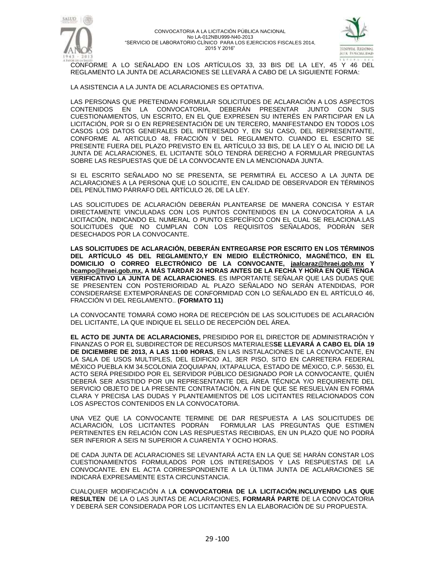



CONFORME A LO SEÑALADO EN LOS ARTÍCULOS 33, 33 BIS DE LA LEY, 45 Y 46 DEL REGLAMENTO LA JUNTA DE ACLARACIONES SE LLEVARÁ A CABO DE LA SIGUIENTE FORMA:

LA ASISTENCIA A LA JUNTA DE ACLARACIONES ES OPTATIVA.

LAS PERSONAS QUE PRETENDAN FORMULAR SOLICITUDES DE ACLARACIÓN A LOS ASPECTOS CONTENIDOS EN LA CONVOCATORIA, DEBERÁN PRESENTAR JUNTO CON SUS CUESTIONAMIENTOS, UN ESCRITO, EN EL QUE EXPRESEN SU INTERÉS EN PARTICIPAR EN LA LICITACIÓN, POR SI O EN REPRESENTACIÓN DE UN TERCERO, MANIFESTANDO EN TODOS LOS CASOS LOS DATOS GENERALES DEL INTERESADO Y, EN SU CASO, DEL REPRESENTANTE, CONFORME AL ARTICULO 48, FRACCIÓN V DEL REGLAMENTO. CUANDO EL ESCRITO SE PRESENTE FUERA DEL PLAZO PREVISTO EN EL ARTÍCULO 33 BIS, DE LA LEY O AL INICIO DE LA JUNTA DE ACLARACIONES, EL LICITANTE SÓLO TENDRÁ DERECHO A FORMULAR PREGUNTAS SOBRE LAS RESPUESTAS QUE DÉ LA CONVOCANTE EN LA MENCIONADA JUNTA.

SI EL ESCRITO SEÑALADO NO SE PRESENTA, SE PERMITIRÁ EL ACCESO A LA JUNTA DE ACLARACIONES A LA PERSONA QUE LO SOLICITE, EN CALIDAD DE OBSERVADOR EN TÉRMINOS DEL PENÚLTIMO PÁRRAFO DEL ARTÍCULO 26, DE LA LEY.

LAS SOLICITUDES DE ACLARACIÓN DEBERÁN PLANTEARSE DE MANERA CONCISA Y ESTAR DIRECTAMENTE VINCULADAS CON LOS PUNTOS CONTENIDOS EN LA CONVOCATORIA A LA LICITACIÓN, INDICANDO EL NUMERAL O PUNTO ESPECÍFICO CON EL CUAL SE RELACIONA.LAS SOLICITUDES QUE NO CUMPLAN CON LOS REQUISITOS SEÑALADOS, PODRÁN SER DESECHADOS POR LA CONVOCANTE.

**LAS SOLICITUDES DE ACLARACIÓN, DEBERÁN ENTREGARSE POR ESCRITO EN LOS TÉRMINOS DEL ARTÍCULO 45 DEL REGLAMENTO,Y EN MEDIO ELÉCTRÓNICO, MAGNÉTICO, EN EL DOMICILIO O CORREO ELECTRÓNICO DE LA CONVOCANTE, [jaalcaraz@hraei.gob.mx](mailto:jaalcaraz@hraei.gob.mx) Y [hcampo@hraei.gob.mx,](mailto:hcampo@hraei.gob.mx) A MÁS TARDAR 24 HORAS ANTES DE LA FECHA Y HORA EN QUE TENGA VERIFICATIVO LA JUNTA DE ACLARACIONES**. ES IMPORTANTE SEÑALAR QUE LAS DUDAS QUE SE PRESENTEN CON POSTERIORIDAD AL PLAZO SEÑALADO NO SERÁN ATENDIDAS, POR CONSIDERARSE EXTEMPORÁNEAS DE CONFORMIDAD CON LO SEÑALADO EN EL ARTÍCULO 46, FRACCIÓN VI DEL REGLAMENTO.. **(FORMATO 11)**

LA CONVOCANTE TOMARÁ COMO HORA DE RECEPCIÓN DE LAS SOLICITUDES DE ACLARACIÓN DEL LICITANTE, LA QUE INDIQUE EL SELLO DE RECEPCIÓN DEL ÁREA.

**EL ACTO DE JUNTA DE ACLARACIONES,** PRESIDIDO POR EL DIRECTOR DE ADMINISTRACIÓN Y FINANZAS O POR EL SUBDIRECTOR DE RECURSOS MATERIALES**SE LLEVARÁ A CABO EL DÍA 19 DE DICIEMBRE DE 2013, A LAS 11:00 HORAS**, EN LAS INSTALACIONES DE LA CONVOCANTE, EN LA SALA DE USOS MULTIPLES, DEL EDIFICIO A1, 3ER PISO, SITO EN CARRETERA FEDERAL MÉXICO PUEBLA KM 34.5COLONIA ZOQUIAPAN, IXTAPALUCA, ESTADO DE MÉXICO, C.P. 56530, EL ACTO SERÁ PRESIDIDO POR EL SERVIDOR PÚBLICO DESIGNADO POR LA CONVOCANTE, QUIÉN DEBERÁ SER ASISTIDO POR UN REPRESENTANTE DEL ÁREA TÉCNICA Y/O REQUIRENTE DEL SERVICIO OBJETO DE LA PRESENTE CONTRATACIÓN, A FIN DE QUE SE RESUELVAN EN FORMA CLARA Y PRECISA LAS DUDAS Y PLANTEAMIENTOS DE LOS LICITANTES RELACIONADOS CON LOS ASPECTOS CONTENIDOS EN LA CONVOCATORIA.

UNA VEZ QUE LA CONVOCANTE TERMINE DE DAR RESPUESTA A LAS SOLICITUDES DE ACLARACIÓN, LOS LICITANTES PODRÁN FORMULAR LAS PREGUNTAS QUE ESTIMEN PERTINENTES EN RELACIÓN CON LAS RESPUESTAS RECIBIDAS, EN UN PLAZO QUE NO PODRÁ SER INFERIOR A SEIS NI SUPERIOR A CUARENTA Y OCHO HORAS.

DE CADA JUNTA DE ACLARACIONES SE LEVANTARÁ ACTA EN LA QUE SE HARÁN CONSTAR LOS CUESTIONAMIENTOS FORMULADOS POR LOS INTERESADOS Y LAS RESPUESTAS DE LA CONVOCANTE. EN EL ACTA CORRESPONDIENTE A LA ÚLTIMA JUNTA DE ACLARACIONES SE INDICARÁ EXPRESAMENTE ESTA CIRCUNSTANCIA.

CUALQUIER MODIFICACIÓN A L**A CONVOCATORIA DE LA LICITACIÓN**,**INCLUYENDO LAS QUE RESULTEN** DE LA O LAS JUNTAS DE ACLARACIONES, **FORMARÁ PARTE** DE LA CONVOCATORIA Y DEBERÁ SER CONSIDERADA POR LOS LICITANTES EN LA ELABORACIÓN DE SU PROPUESTA.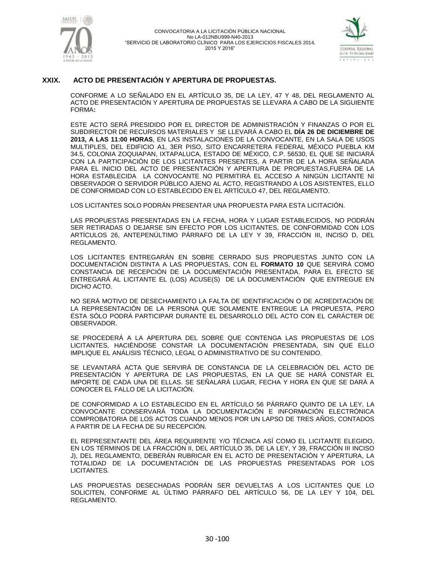



## **XXIX. ACTO DE PRESENTACIÓN Y APERTURA DE PROPUESTAS.**

CONFORME A LO SEÑALADO EN EL ARTÍCULO 35, DE LA LEY, 47 Y 48, DEL REGLAMENTO AL ACTO DE PRESENTACIÓN Y APERTURA DE PROPUESTAS SE LLEVARA A CABO DE LA SIGUIENTE FORMA**:**

ESTE ACTO SERÁ PRESIDIDO POR EL DIRECTOR DE ADMINISTRACIÓN Y FINANZAS O POR EL SUBDIRECTOR DE RECURSOS MATERIALES Y SE LLEVARÁ A CABO EL **DÍA 26 DE DICIEMBRE DE 2013, A LAS 11:00 HORAS**, EN LAS INSTALACIONES DE LA CONVOCANTE, EN LA SALA DE USOS MULTIPLES, DEL EDIFICIO A1, 3ER PISO, SITO ENCARRETERA FEDERAL MÉXICO PUEBLA KM 34.5, COLONIA ZOQUIAPAN, IXTAPALUCA, ESTADO DE MÉXICO, C.P. 56530, EL QUE SE INICIARÁ CON LA PARTICIPACIÓN DE LOS LICITANTES PRESENTES, A PARTIR DE LA HORA SEÑALADA PARA EL INICIO DEL ACTO DE PRESENTACIÓN Y APERTURA DE PROPUESTAS,FUERA DE LA HORA ESTABLECIDA LA CONVOCANTE NO PERMITIRÁ EL ACCESO A NINGÚN LICITANTE NI OBSERVADOR O SERVIDOR PÚBLICO AJENO AL ACTO, REGISTRANDO A LOS ASISTENTES, ELLO DE CONFORMIDAD CON LO ESTABLECIDO EN EL ARTÍCULO 47, DEL REGLAMENTO.

LOS LICITANTES SOLO PODRÁN PRESENTAR UNA PROPUESTA PARA ESTA LICITACIÓN.

LAS PROPUESTAS PRESENTADAS EN LA FECHA, HORA Y LUGAR ESTABLECIDOS, NO PODRÁN SER RETIRADAS O DEJARSE SIN EFECTO POR LOS LICITANTES, DE CONFORMIDAD CON LOS ARTÍCULOS 26, ANTEPENÚLTIMO PÁRRAFO DE LA LEY Y 39, FRACCIÓN III, INCISO D, DEL REGLAMENTO.

LOS LICITANTES ENTREGARÁN EN SOBRE CERRADO SUS PROPUESTAS JUNTO CON LA DOCUMENTACIÓN DISTINTA A LAS PROPUESTAS, CON EL **FORMATO 10** QUE SERVIRÁ COMO CONSTANCIA DE RECEPCIÓN DE LA DOCUMENTACIÓN PRESENTADA. PARA EL EFECTO SE ENTREGARÁ AL LICITANTE EL (LOS) ACUSE(S) DE LA DOCUMENTACIÓN QUE ENTREGUE EN DICHO ACTO.

NO SERÁ MOTIVO DE DESECHAMIENTO LA FALTA DE IDENTIFICACIÓN O DE ACREDITACIÓN DE LA REPRESENTACIÓN DE LA PERSONA QUE SOLAMENTE ENTREGUE LA PROPUESTA, PERO ÉSTA SÓLO PODRÁ PARTICIPAR DURANTE EL DESARROLLO DEL ACTO CON EL CARÁCTER DE OBSERVADOR.

SE PROCEDERÁ A LA APERTURA DEL SOBRE QUE CONTENGA LAS PROPUESTAS DE LOS LICITANTES, HACIÉNDOSE CONSTAR LA DOCUMENTACIÓN PRESENTADA, SIN QUE ELLO IMPLIQUE EL ANÁLISIS TÉCNICO, LEGAL O ADMINISTRATIVO DE SU CONTENIDO.

SE LEVANTARÁ ACTA QUE SERVIRÁ DE CONSTANCIA DE LA CELEBRACIÓN DEL ACTO DE PRESENTACIÓN Y APERTURA DE LAS PROPUESTAS, EN LA QUE SE HARÁ CONSTAR EL IMPORTE DE CADA UNA DE ELLAS. SE SEÑALARÁ LUGAR, FECHA Y HORA EN QUE SE DARÁ A CONOCER EL FALLO DE LA LICITACIÓN.

DE CONFORMIDAD A LO ESTABLECIDO EN EL ARTÍCULO 56 PÁRRAFO QUINTO DE LA LEY, LA CONVOCANTE CONSERVARÁ TODA LA DOCUMENTACIÓN E INFORMACIÓN ELECTRÓNICA COMPROBATORIA DE LOS ACTOS CUANDO MENOS POR UN LAPSO DE TRES AÑOS, CONTADOS A PARTIR DE LA FECHA DE SU RECEPCIÓN.

EL REPRESENTANTE DEL ÁREA REQUIRENTE Y/O TÉCNICA ASÍ COMO EL LICITANTE ELEGIDO, EN LOS TÉRMINOS DE LA FRACCIÓN II, DEL ARTÍCULO 35, DE LA LEY, Y 39, FRACCIÓN III INCISO J), DEL REGLAMENTO, DEBERÁN RUBRICAR EN EL ACTO DE PRESENTACIÓN Y APERTURA, LA TOTALIDAD DE LA DOCUMENTACIÓN DE LAS PROPUESTAS PRESENTADAS POR LOS LICITANTES.

LAS PROPUESTAS DESECHADAS PODRÁN SER DEVUELTAS A LOS LICITANTES QUE LO SOLICITEN, CONFORME AL ÚLTIMO PÁRRAFO DEL ARTÍCULO 56, DE LA LEY Y 104, DEL REGLAMENTO.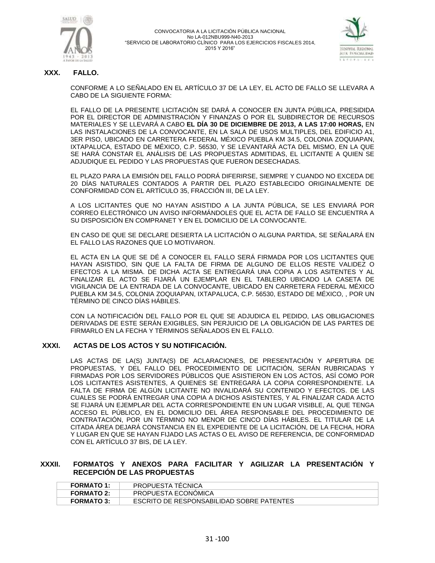



## **XXX. FALLO.**

CONFORME A LO SEÑALADO EN EL ARTÍCULO 37 DE LA LEY, EL ACTO DE FALLO SE LLEVARA A CABO DE LA SIGUIENTE FORMA:

EL FALLO DE LA PRESENTE LICITACIÓN SE DARÁ A CONOCER EN JUNTA PÚBLICA, PRESIDIDA POR EL DIRECTOR DE ADMINISTRACIÓN Y FINANZAS O POR EL SUBDIRECTOR DE RECURSOS MATERIALES Y SE LLEVARÁ A CABO **EL DÍA 30 DE DICIEMBRE DE 2013, A LAS 17:00 HORAS,** EN LAS INSTALACIONES DE LA CONVOCANTE, EN LA SALA DE USOS MULTIPLES, DEL EDIFICIO A1, 3ER PISO, UBICADO EN CARRETERA FEDERAL MÉXICO PUEBLA KM 34.5, COLONIA ZOQUIAPAN, IXTAPALUCA, ESTADO DE MÉXICO, C.P. 56530, Y SE LEVANTARÁ ACTA DEL MISMO, EN LA QUE SE HARÁ CONSTAR EL ANÁLISIS DE LAS PROPUESTAS ADMITIDAS, EL LICITANTE A QUIEN SE ADJUDIQUE EL PEDIDO Y LAS PROPUESTAS QUE FUERON DESECHADAS.

EL PLAZO PARA LA EMISIÓN DEL FALLO PODRÁ DIFERIRSE, SIEMPRE Y CUANDO NO EXCEDA DE 20 DÍAS NATURALES CONTADOS A PARTIR DEL PLAZO ESTABLECIDO ORIGINALMENTE DE CONFORMIDAD CON EL ARTÍCULO 35, FRACCIÓN III, DE LA LEY.

A LOS LICITANTES QUE NO HAYAN ASISTIDO A LA JUNTA PÚBLICA, SE LES ENVIARÁ POR CORREO ELECTRÓNICO UN AVISO INFORMÁNDOLES QUE EL ACTA DE FALLO SE ENCUENTRA A SU DISPOSICIÓN EN COMPRANET Y EN EL DOMICILIO DE LA CONVOCANTE.

EN CASO DE QUE SE DECLARE DESIERTA LA LICITACIÓN O ALGUNA PARTIDA, SE SEÑALARÁ EN EL FALLO LAS RAZONES QUE LO MOTIVARON.

EL ACTA EN LA QUE SE DÉ A CONOCER EL FALLO SERÁ FIRMADA POR LOS LICITANTES QUE HAYAN ASISTIDO, SIN QUE LA FALTA DE FIRMA DE ALGUNO DE ELLOS RESTE VALIDEZ O EFECTOS A LA MISMA. DE DICHA ACTA SE ENTREGARÁ UNA COPIA A LOS ASITENTES Y AL FINALIZAR EL ACTO SE FIJARÁ UN EJEMPLAR EN EL TABLERO UBICADO LA CASETA DE VIGILANCIA DE LA ENTRADA DE LA CONVOCANTE, UBICADO EN CARRETERA FEDERAL MÉXICO PUEBLA KM 34.5, COLONIA ZOQUIAPAN, IXTAPALUCA, C.P. 56530, ESTADO DE MÉXICO, , POR UN TÉRMINO DE CINCO DÍAS HÁBILES.

CON LA NOTIFICACIÓN DEL FALLO POR EL QUE SE ADJUDICA EL PEDIDO, LAS OBLIGACIONES DERIVADAS DE ESTE SERÁN EXIGIBLES, SIN PERJUICIO DE LA OBLIGACIÓN DE LAS PARTES DE FIRMARLO EN LA FECHA Y TÉRMINOS SEÑALADOS EN EL FALLO.

## **XXXI. ACTAS DE LOS ACTOS Y SU NOTIFICACIÓN.**

LAS ACTAS DE LA(S) JUNTA(S) DE ACLARACIONES, DE PRESENTACIÓN Y APERTURA DE PROPUESTAS, Y DEL FALLO DEL PROCEDIMIENTO DE LICITACIÓN, SERÁN RUBRICADAS Y FIRMADAS POR LOS SERVIDORES PÚBLICOS QUE ASISTIERON EN LOS ACTOS, ASÍ COMO POR LOS LICITANTES ASISTENTES, A QUIENES SE ENTREGARÁ LA COPIA CORRESPONDIENTE. LA FALTA DE FIRMA DE ALGÚN LICITANTE NO INVALIDARÁ SU CONTENIDO Y EFECTOS. DE LAS CUALES SE PODRÁ ENTREGAR UNA COPIA A DICHOS ASISTENTES, Y AL FINALIZAR CADA ACTO SE FIJARÁ UN EJEMPLAR DEL ACTA CORRESPONDIENTE EN UN LUGAR VISIBLE, AL QUE TENGA ACCESO EL PÚBLICO, EN EL DOMICILIO DEL ÁREA RESPONSABLE DEL PROCEDIMIENTO DE CONTRATACIÓN, POR UN TÉRMINO NO MENOR DE CINCO DÍAS HÁBILES. EL TITULAR DE LA CITADA ÁREA DEJARÁ CONSTANCIA EN EL EXPEDIENTE DE LA LICITACIÓN, DE LA FECHA, HORA Y LUGAR EN QUE SE HAYAN FIJADO LAS ACTAS O EL AVISO DE REFERENCIA, DE CONFORMIDAD CON EL ARTÍCULO 37 BIS, DE LA LEY.

#### **XXXII. FORMATOS Y ANEXOS PARA FACILITAR Y AGILIZAR LA PRESENTACIÓN Y RECEPCIÓN DE LAS PROPUESTAS**

| <b>FORMATO 1:</b> | <b>PROPUESTA TECNICA</b>                  |
|-------------------|-------------------------------------------|
| <b>FORMATO 2:</b> | PROPUESTA ECONOMICA                       |
| <b>FORMATO 3:</b> | ESCRITO DE RESPONSABILIDAD SOBRE PATENTES |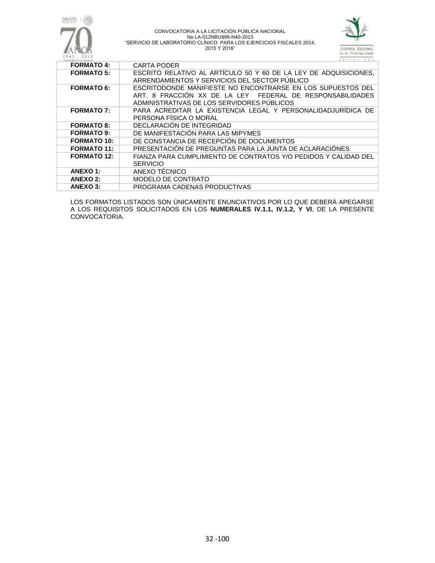



| 4. BASICAN THE CA TULLERS | .                                                                |
|---------------------------|------------------------------------------------------------------|
| <b>FORMATO 4:</b>         | <b>CARTA PODER</b>                                               |
| <b>FORMATO 5:</b>         | ESCRITO RELATIVO AL ARTÍCULO 50 Y 60 DE LA LEY DE ADQUISICIONES, |
|                           | ARRENDAMIENTOS Y SERVICIOS DEL SECTOR PUBLICO                    |
| <b>FORMATO 6:</b>         | ESCRITODONDE MANIFIESTE NO ENCONTRARSE EN LOS SUPUESTOS DEL      |
|                           | ART. 8 FRACCIÓN XX DE LA LEY FEDERAL DE RESPONSABILIDADES        |
|                           | ADMINISTRATIVAS DE LOS SERVIDORES PUBLICOS                       |
| <b>FORMATO 7:</b>         | PARA ACREDITAR LA EXISTENCIA LEGAL Y PERSONALIDADJURÍDICA DE     |
|                           | PERSONA FÍSICA O MORAL                                           |
| <b>FORMATO 8:</b>         | DECLARACION DE INTEGRIDAD                                        |
| <b>FORMATO 9:</b>         | DE MANIFESTACIÓN PARA LAS MIPYMES                                |
| <b>FORMATO 10:</b>        | DE CONSTANCIA DE RECEPCIÓN DE DOCUMENTOS                         |
| <b>FORMATO 11:</b>        | PRESENTACION DE PREGUNTAS PARA LA JUNTA DE ACLARACIONES          |
| <b>FORMATO 12:</b>        | FIANZA PARA CUMPLIMIENTO DE CONTRATOS Y/O PEDIDOS Y CALIDAD DEL  |
|                           | <b>SERVICIO</b>                                                  |
| ANEXO 1:                  | ANEXO TÉCNICO                                                    |
| <b>ANEXO 2:</b>           | MODELO DE CONTRATO                                               |
| <b>ANEXO 3:</b>           | PROGRAMA CADENAS PRODUCTIVAS                                     |

LOS FORMATOS LISTADOS SON ÚNICAMENTE ENUNCIATIVOS POR LO QUE DEBERÁ APEGARSE A LOS REQUISITOS SOLICITADOS EN LOS **NUMERALES IV.1.1, IV.1.2, Y VI**, DE LA PRESENTE CONVOCATORIA.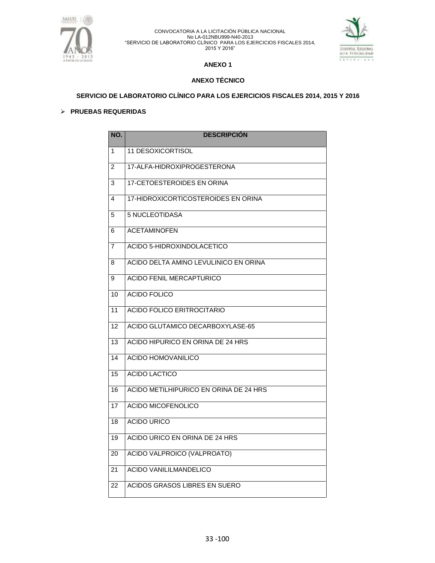



## **ANEXO 1**

## **ANEXO TÉCNICO**

**SERVICIO DE LABORATORIO CLÍNICO PARA LOS EJERCICIOS FISCALES 2014, 2015 Y 2016**

## **PRUEBAS REQUERIDAS**

| NO.                     | <b>DESCRIPCIÓN</b>                     |
|-------------------------|----------------------------------------|
| $\mathbf{1}$            | 11 DESOXICORTISOL                      |
| $\overline{2}$          | 17-ALFA-HIDROXIPROGESTERONA            |
| 3                       | <b>17-CETOESTEROIDES EN ORINA</b>      |
| $\overline{\mathbf{A}}$ | 17-HIDROXICORTICOSTEROIDES EN ORINA    |
| 5                       | 5 NUCLEOTIDASA                         |
| 6                       | <b>ACETAMINOFEN</b>                    |
| $\overline{7}$          | ACIDO 5-HIDROXINDOLACETICO             |
| 8                       | ACIDO DELTA AMINO LEVULINICO EN ORINA  |
| 9                       | <b>ACIDO FENIL MERCAPTURICO</b>        |
| 10                      | ACIDO FOLICO                           |
| 11                      | <b>ACIDO FOLICO ERITROCITARIO</b>      |
| 12                      | ACIDO GLUTAMICO DECARBOXYLASE-65       |
| 13                      | ACIDO HIPURICO EN ORINA DE 24 HRS      |
| 14                      | ACIDO HOMOVANILICO                     |
| $\overline{15}$         | <b>ACIDO LACTICO</b>                   |
| 16                      | ACIDO METILHIPURICO EN ORINA DE 24 HRS |
| 17                      | <b>ACIDO MICOFENOLICO</b>              |
| 18                      | <b>ACIDO URICO</b>                     |
| 19                      | ACIDO URICO EN ORINA DE 24 HRS         |
| 20                      | ACIDO VALPROICO (VALPROATO)            |
| $\overline{21}$         | <b>ACIDO VANILILMANDELICO</b>          |
| 22                      | ACIDOS GRASOS LIBRES EN SUERO          |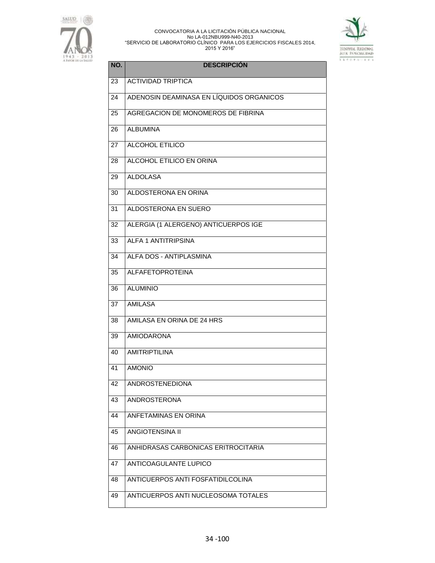



| NO. | <b>DESCRIPCIÓN</b>                       |
|-----|------------------------------------------|
| 23  | <b>ACTIVIDAD TRIPTICA</b>                |
| 24  | ADENOSIN DEAMINASA EN LÍQUIDOS ORGANICOS |
| 25  | AGREGACION DE MONOMEROS DE FIBRINA       |
| 26  | <b>ALBUMINA</b>                          |
| 27  | <b>ALCOHOL ETILICO</b>                   |
| 28  | ALCOHOL ETILICO EN ORINA                 |
| 29  | <b>ALDOLASA</b>                          |
| 30  | ALDOSTERONA EN ORINA                     |
| 31  | ALDOSTERONA EN SUERO                     |
| 32  | ALERGIA (1 ALERGENO) ANTICUERPOS IGE     |
| 33  | <b>ALFA 1 ANTITRIPSINA</b>               |
| 34  | ALFA DOS - ANTIPLASMINA                  |
| 35  | <b>ALFAFETOPROTEINA</b>                  |
| 36  | <b>ALUMINIO</b>                          |
| 37  | <b>AMILASA</b>                           |
| 38  | AMILASA EN ORINA DE 24 HRS               |
| 39  | <b>AMIODARONA</b>                        |
| 40  | <b>AMITRIPTILINA</b>                     |
| 41  | <b>AMONIO</b>                            |
| 42  | <b>ANDROSTENEDIONA</b>                   |
| 43  | <b>ANDROSTERONA</b>                      |
| 44  | <b>ANFETAMINAS EN ORINA</b>              |
| 45  | <b>ANGIOTENSINA II</b>                   |
| 46  | ANHIDRASAS CARBONICAS ERITROCITARIA      |
| 47  | ANTICOAGULANTE LUPICO                    |
| 48  | ANTICUERPOS ANTI FOSFATIDILCOLINA        |
| 49  | ANTICUERPOS ANTI NUCLEOSOMA TOTALES      |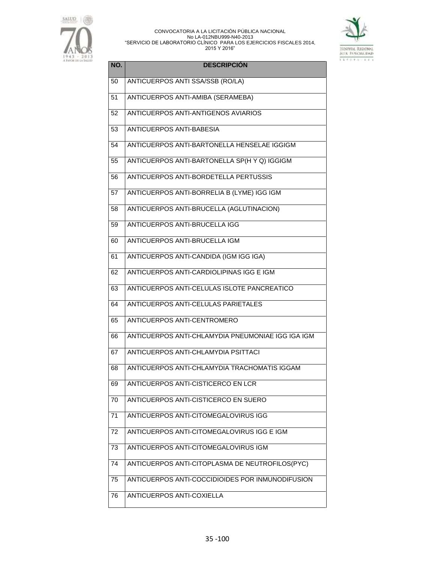



| NO. | <b>DESCRIPCIÓN</b>                                |
|-----|---------------------------------------------------|
| 50  | ANTICUERPOS ANTI SSA/SSB (RO/LA)                  |
| 51  | ANTICUERPOS ANTI-AMIBA (SERAMEBA)                 |
| 52  | ANTICUERPOS ANTI-ANTIGENOS AVIARIOS               |
| 53  | ANTICUERPOS ANTI-BABESIA                          |
| 54  | ANTICUERPOS ANTI-BARTONELLA HENSELAE IGGIGM       |
| 55  | ANTICUERPOS ANTI-BARTONELLA SP(H Y Q) IGGIGM      |
| 56  | ANTICUERPOS ANTI-BORDETELLA PERTUSSIS             |
| 57  | ANTICUERPOS ANTI-BORRELIA B (LYME) IGG IGM        |
| 58  | ANTICUERPOS ANTI-BRUCELLA (AGLUTINACION)          |
| 59  | <b>ANTICUERPOS ANTI-BRUCELLA IGG</b>              |
| 60  | <b>ANTICUERPOS ANTI-BRUCELLA IGM</b>              |
| 61  | ANTICUERPOS ANTI-CANDIDA (IGM IGG IGA)            |
| 62  | ANTICUERPOS ANTI-CARDIOLIPINAS IGG E IGM          |
| 63  | ANTICUERPOS ANTI-CELULAS ISLOTE PANCREATICO       |
| 64  | ANTICUERPOS ANTI-CELULAS PARIETALES               |
| 65  | ANTICUERPOS ANTI-CENTROMERO                       |
| 66  | ANTICUERPOS ANTI-CHLAMYDIA PNEUMONIAE IGG IGA IGM |
| 67  | ANTICUERPOS ANTI-CHLAMYDIA PSITTACI               |
| 68  | ANTICUERPOS ANTI-CHLAMYDIA TRACHOMATIS IGGAM      |
| 69  | ANTICUERPOS ANTI-CISTICERCO EN LCR                |
| 70  | ANTICUERPOS ANTI-CISTICERCO EN SUERO              |
| 71  | ANTICUERPOS ANTI-CITOMEGALOVIRUS IGG              |
| 72  | ANTICUERPOS ANTI-CITOMEGALOVIRUS IGG E IGM        |
| 73  | ANTICUERPOS ANTI-CITOMEGALOVIRUS IGM              |
| 74  | ANTICUERPOS ANTI-CITOPLASMA DE NEUTROFILOS(PYC)   |
| 75  | ANTICUERPOS ANTI-COCCIDIOIDES POR INMUNODIFUSION  |
| 76  | ANTICUERPOS ANTI-COXIELLA                         |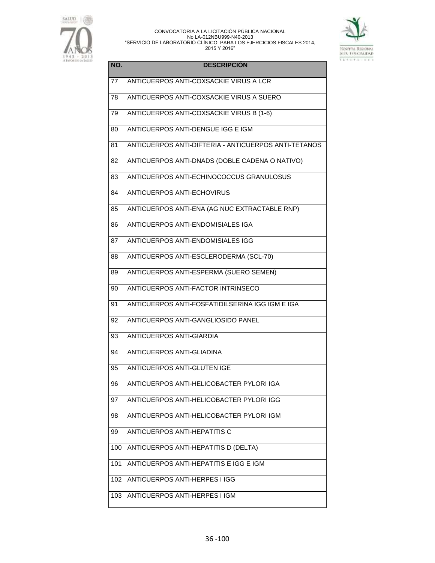



| NO. | <b>DESCRIPCIÓN</b>                                   |
|-----|------------------------------------------------------|
| 77  | ANTICUERPOS ANTI-COXSACKIE VIRUS A LCR               |
| 78  | ANTICUERPOS ANTI-COXSACKIE VIRUS A SUERO             |
| 79  | ANTICUERPOS ANTI-COXSACKIE VIRUS B (1-6)             |
| 80  | ANTICUERPOS ANTI-DENGUE IGG E IGM                    |
| 81  | ANTICUERPOS ANTI-DIFTERIA - ANTICUERPOS ANTI-TETANOS |
| 82  | ANTICUERPOS ANTI-DNADS (DOBLE CADENA O NATIVO)       |
| 83  | ANTICUERPOS ANTI-ECHINOCOCCUS GRANULOSUS             |
| 84  | <b>ANTICUERPOS ANTI-ECHOVIRUS</b>                    |
| 85  | ANTICUERPOS ANTI-ENA (AG NUC EXTRACTABLE RNP)        |
| 86  | ANTICUERPOS ANTI-ENDOMISIALES IGA                    |
| 87  | ANTICUERPOS ANTI-ENDOMISIALES IGG                    |
| 88  | ANTICUERPOS ANTI-ESCLERODERMA (SCL-70)               |
| 89  | ANTICUERPOS ANTI-ESPERMA (SUERO SEMEN)               |
| 90  | ANTICUERPOS ANTI-FACTOR INTRINSECO                   |
| 91  | ANTICUERPOS ANTI-FOSFATIDILSERINA IGG IGM E IGA      |
| 92  | ANTICUERPOS ANTI-GANGLIOSIDO PANEL                   |
| 93  | ANTICUERPOS ANTI-GIARDIA                             |
| 94  | ANTICUERPOS ANTI-GLIADINA                            |
| 95  | ANTICUERPOS ANTI-GLUTEN IGE                          |
| 96  | ANTICUERPOS ANTI-HELICOBACTER PYLORI IGA             |
| 97  | ANTICUERPOS ANTI-HELICOBACTER PYLORI IGG             |
| 98  | ANTICUERPOS ANTI-HELICOBACTER PYLORI IGM             |
| 99  | <b>ANTICUERPOS ANTI-HEPATITIS C</b>                  |
| 100 | ANTICUERPOS ANTI-HEPATITIS D (DELTA)                 |
| 101 | ANTICUERPOS ANTI-HEPATITIS E IGG E IGM               |
| 102 | <b>ANTICUERPOS ANTI-HERPES I IGG</b>                 |
| 103 | ANTICUERPOS ANTI-HERPES I IGM                        |
|     |                                                      |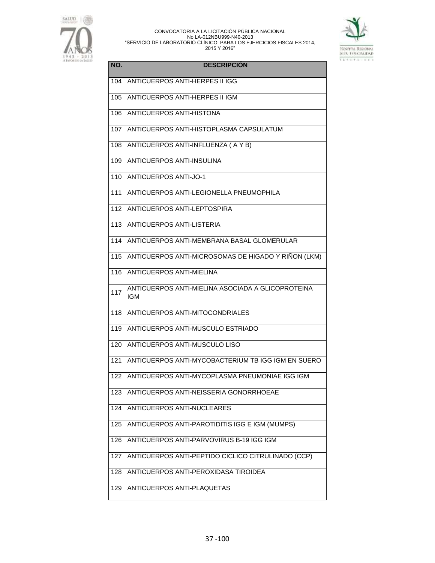



| NO. | <b>DESCRIPCIÓN</b>                                              |
|-----|-----------------------------------------------------------------|
| 104 | ANTICUERPOS ANTI-HERPES II IGG                                  |
| 105 | ANTICUERPOS ANTI-HERPES II IGM                                  |
| 106 | ANTICUERPOS ANTI-HISTONA                                        |
| 107 | ANTICUERPOS ANTI-HISTOPLASMA CAPSULATUM                         |
| 108 | ANTICUERPOS ANTI-INFLUENZA (AYB)                                |
| 109 | ANTICUERPOS ANTI-INSULINA                                       |
| 110 | <b>ANTICUERPOS ANTI-JO-1</b>                                    |
| 111 | ANTICUERPOS ANTI-LEGIONELLA PNEUMOPHILA                         |
| 112 | ANTICUERPOS ANTI-LEPTOSPIRA                                     |
| 113 | ANTICUERPOS ANTI-LISTERIA                                       |
| 114 | ANTICUERPOS ANTI-MEMBRANA BASAL GLOMERULAR                      |
| 115 | ANTICUERPOS ANTI-MICROSOMAS DE HIGADO Y RIÑON (LKM)             |
| 116 | ANTICUERPOS ANTI-MIELINA                                        |
| 117 | ANTICUERPOS ANTI-MIELINA ASOCIADA A GLICOPROTEINA<br><b>IGM</b> |
| 118 | ANTICUERPOS ANTI-MITOCONDRIALES                                 |
| 119 | ANTICUERPOS ANTI-MUSCULO ESTRIADO                               |
| 120 | ANTICUERPOS ANTI-MUSCULO LISO                                   |
| 121 | ANTICUERPOS ANTI-MYCOBACTERIUM TB IGG IGM EN SUERO              |
| 122 | ANTICUERPOS ANTI-MYCOPLASMA PNEUMONIAE IGG IGM                  |
| 123 | ANTICUERPOS ANTI-NEISSERIA GONORRHOEAE                          |
| 124 | ANTICUERPOS ANTI-NUCLEARES                                      |
| 125 | ANTICUERPOS ANTI-PAROTIDITIS IGG E IGM (MUMPS)                  |
| 126 | ANTICUERPOS ANTI-PARVOVIRUS B-19 IGG IGM                        |
| 127 | ANTICUERPOS ANTI-PEPTIDO CICLICO CITRULINADO (CCP)              |
| 128 | ANTICUERPOS ANTI-PEROXIDASA TIROIDEA                            |
| 129 | ANTICUERPOS ANTI-PLAQUETAS                                      |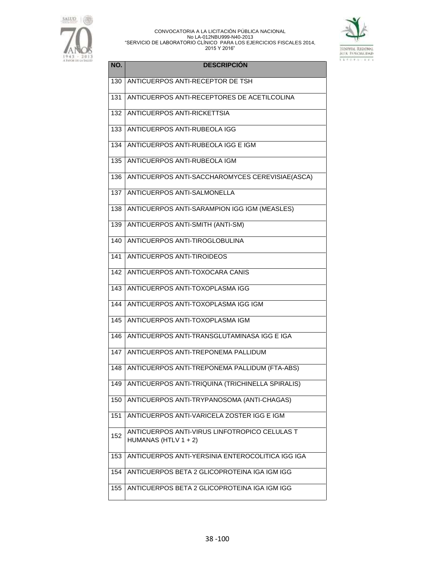



| NO. | <b>DESCRIPCIÓN</b>                                                       |
|-----|--------------------------------------------------------------------------|
| 130 | ANTICUERPOS ANTI-RECEPTOR DE TSH                                         |
| 131 | ANTICUERPOS ANTI-RECEPTORES DE ACETILCOLINA                              |
| 132 | ANTICUERPOS ANTI-RICKETTSIA                                              |
| 133 | ANTICUERPOS ANTI-RUBEOLA IGG                                             |
| 134 | ANTICUERPOS ANTI-RUBEOLA IGG E IGM                                       |
| 135 | ANTICUERPOS ANTI-RUBEOLA IGM                                             |
| 136 | ANTICUERPOS ANTI-SACCHAROMYCES CEREVISIAE(ASCA)                          |
| 137 | ANTICUERPOS ANTI-SALMONELLA                                              |
| 138 | ANTICUERPOS ANTI-SARAMPION IGG IGM (MEASLES)                             |
| 139 | ANTICUERPOS ANTI-SMITH (ANTI-SM)                                         |
| 140 | ANTICUERPOS ANTI-TIROGLOBULINA                                           |
| 141 | ANTICUERPOS ANTI-TIROIDEOS                                               |
| 142 | ANTICUERPOS ANTI-TOXOCARA CANIS                                          |
| 143 | ANTICUERPOS ANTI-TOXOPLASMA IGG                                          |
| 144 | ANTICUERPOS ANTI-TOXOPLASMA IGG IGM                                      |
| 145 | ANTICUERPOS ANTI-TOXOPLASMA IGM                                          |
| 146 | ANTICUERPOS ANTI-TRANSGLUTAMINASA IGG E IGA                              |
| 147 | ANTICUERPOS ANTI-TREPONEMA PALLIDUM                                      |
| 148 | ANTICUERPOS ANTI-TREPONEMA PALLIDUM (FTA-ABS)                            |
| 149 | ANTICUERPOS ANTI-TRIQUINA (TRICHINELLA SPIRALIS)                         |
| 150 | ANTICUERPOS ANTI-TRYPANOSOMA (ANTI-CHAGAS)                               |
| 151 | ANTICUERPOS ANTI-VARICELA ZOSTER IGG E IGM                               |
| 152 | ANTICUERPOS ANTI-VIRUS LINFOTROPICO CELULAS T<br>HUMANAS (HTLV $1 + 2$ ) |
| 153 | ANTICUERPOS ANTI-YERSINIA ENTEROCOLITICA IGG IGA                         |
| 154 | ANTICUERPOS BETA 2 GLICOPROTEINA IGA IGM IGG                             |
| 155 | ANTICUERPOS BETA 2 GLICOPROTEINA IGA IGM IGG                             |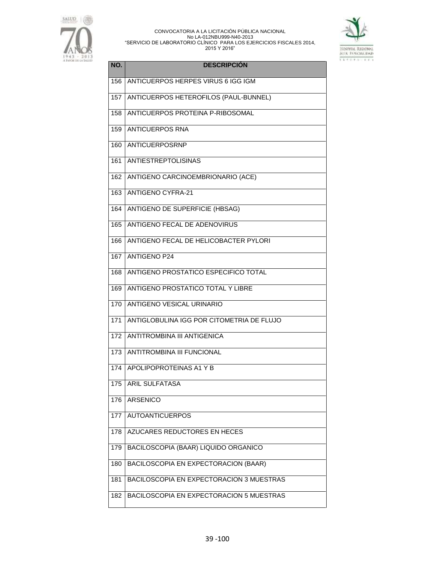



| NO. | <b>DESCRIPCIÓN</b>                        |
|-----|-------------------------------------------|
| 156 | ANTICUERPOS HERPES VIRUS 6 IGG IGM        |
| 157 | ANTICUERPOS HETEROFILOS (PAUL-BUNNEL)     |
| 158 | ANTICUERPOS PROTEINA P-RIBOSOMAL          |
| 159 | <b>ANTICUERPOS RNA</b>                    |
| 160 | <b>ANTICUERPOSRNP</b>                     |
| 161 | <b>ANTIESTREPTOLISINAS</b>                |
| 162 | ANTIGENO CARCINOEMBRIONARIO (ACE)         |
| 163 | <b>ANTIGENO CYFRA-21</b>                  |
| 164 | <b>ANTIGENO DE SUPERFICIE (HBSAG)</b>     |
| 165 | ANTIGENO FECAL DE ADENOVIRUS              |
| 166 | ANTIGENO FECAL DE HELICOBACTER PYLORI     |
| 167 | <b>ANTIGENO P24</b>                       |
| 168 | ANTIGENO PROSTATICO ESPECIFICO TOTAL      |
| 169 | ANTIGENO PROSTATICO TOTAL Y LIBRE         |
| 170 | <b>ANTIGENO VESICAL URINARIO</b>          |
| 171 | ANTIGLOBULINA IGG POR CITOMETRIA DE FLUJO |
| 172 | <b>ANTITROMBINA III ANTIGENICA</b>        |
| 173 | ANTITROMBINA III FUNCIONAL                |
| 174 | APOLIPOPROTEINAS A1 Y B                   |
| 175 | <b>ARIL SULFATASA</b>                     |
| 176 | ARSENICO                                  |
| 177 | <b>AUTOANTICUERPOS</b>                    |
| 178 | AZUCARES REDUCTORES EN HECES              |
| 179 | BACILOSCOPIA (BAAR) LIQUIDO ORGANICO      |
| 180 | BACILOSCOPIA EN EXPECTORACION (BAAR)      |
| 181 | BACILOSCOPIA EN EXPECTORACION 3 MUESTRAS  |
| 182 | BACILOSCOPIA EN EXPECTORACION 5 MUESTRAS  |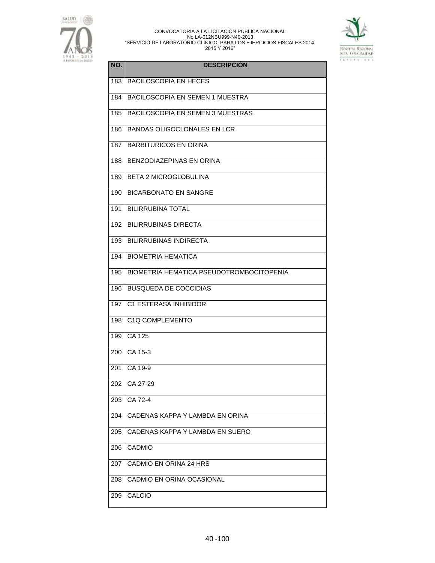



| NO. | <b>DESCRIPCIÓN</b>                       |
|-----|------------------------------------------|
| 183 | <b>BACILOSCOPIA EN HECES</b>             |
| 184 | <b>BACILOSCOPIA EN SEMEN 1 MUESTRA</b>   |
| 185 | <b>BACILOSCOPIA EN SEMEN 3 MUESTRAS</b>  |
| 186 | <b>BANDAS OLIGOCLONALES EN LCR</b>       |
| 187 | <b>BARBITURICOS EN ORINA</b>             |
| 188 | <b>BENZODIAZEPINAS EN ORINA</b>          |
| 189 | <b>BETA 2 MICROGLOBULINA</b>             |
| 190 | <b>BICARBONATO EN SANGRE</b>             |
| 191 | <b>BILIRRUBINA TOTAL</b>                 |
| 192 | <b>BILIRRUBINAS DIRECTA</b>              |
| 193 | <b>BILIRRUBINAS INDIRECTA</b>            |
| 194 | <b>BIOMETRIA HEMATICA</b>                |
| 195 | BIOMETRIA HEMATICA PSEUDOTROMBOCITOPENIA |
| 196 | <b>BUSQUEDA DE COCCIDIAS</b>             |
| 197 | C1 ESTERASA INHIBIDOR                    |
| 198 | C1Q COMPLEMENTO                          |
| 199 | CA 125                                   |
| 200 | CA 15-3                                  |
| 201 | CA 19-9                                  |
| 202 | CA 27-29                                 |
| 203 | CA 72-4                                  |
| 204 | CADENAS KAPPA Y LAMBDA EN ORINA          |
| 205 | CADENAS KAPPA Y LAMBDA EN SUERO          |
| 206 | CADMIO                                   |
| 207 | CADMIO EN ORINA 24 HRS                   |
| 208 | CADMIO EN ORINA OCASIONAL                |
| 209 | CALCIO                                   |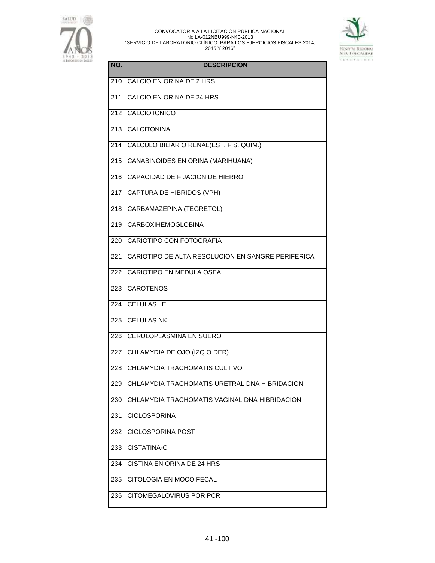



| NO.              | <b>DESCRIPCIÓN</b>                                |
|------------------|---------------------------------------------------|
| 210              | CALCIO EN ORINA DE 2 HRS                          |
| 211              | CALCIO EN ORINA DE 24 HRS.                        |
| $\overline{2}12$ | CALCIO IONICO                                     |
| 213              | <b>CALCITONINA</b>                                |
| 214              | CALCULO BILIAR O RENAL(EST. FIS. QUIM.)           |
| 215              | CANABINOIDES EN ORINA (MARIHUANA)                 |
| 216              | CAPACIDAD DE FIJACION DE HIERRO                   |
| 217              | CAPTURA DE HIBRIDOS (VPH)                         |
| 218              | CARBAMAZEPINA (TEGRETOL)                          |
| 219              | <b>CARBOXIHEMOGLOBINA</b>                         |
| 220              | <b>CARIOTIPO CON FOTOGRAFIA</b>                   |
| 221              | CARIOTIPO DE ALTA RESOLUCION EN SANGRE PERIFERICA |
| 222              | CARIOTIPO EN MEDULA OSEA                          |
| 223              | <b>CAROTENOS</b>                                  |
| 224              | <b>CELULAS LE</b>                                 |
| 225              | <b>CELULAS NK</b>                                 |
| 226              | CERULOPLASMINA EN SUERO                           |
| 227              | CHLAMYDIA DE OJO (IZQ O DER)                      |
| 228              | CHLAMYDIA TRACHOMATIS CULTIVO                     |
| 229              | CHLAMYDIA TRACHOMATIS URETRAL DNA HIBRIDACION     |
| 230              | CHLAMYDIA TRACHOMATIS VAGINAL DNA HIBRIDACION     |
| 231              | <b>CICLOSPORINA</b>                               |
| 232              | <b>CICLOSPORINA POST</b>                          |
| 233              | CISTATINA-C                                       |
| 234              | CISTINA EN ORINA DE 24 HRS                        |
| 235              | CITOLOGIA EN MOCO FECAL                           |
| 236              | CITOMEGALOVIRUS POR PCR                           |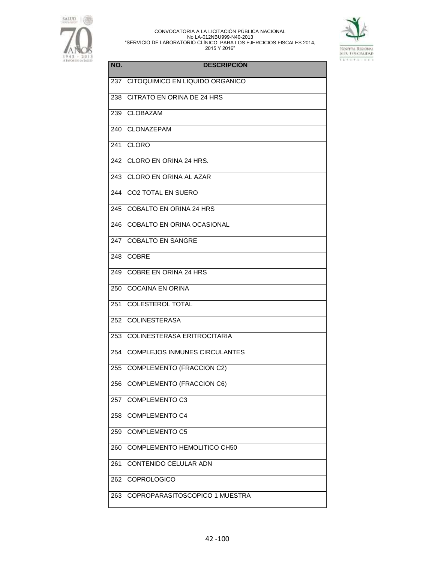



| NO. | <b>DESCRIPCIÓN</b>                   |
|-----|--------------------------------------|
| 237 | CITOQUIMICO EN LIQUIDO ORGANICO      |
| 238 | CITRATO EN ORINA DE 24 HRS           |
| 239 | <b>CLOBAZAM</b>                      |
| 240 | CLONAZEPAM                           |
| 241 | <b>CLORO</b>                         |
| 242 | CLORO EN ORINA 24 HRS.               |
| 243 | CLORO EN ORINA AL AZAR               |
| 244 | <b>CO2 TOTAL EN SUERO</b>            |
| 245 | <b>COBALTO EN ORINA 24 HRS</b>       |
| 246 | <b>COBALTO EN ORINA OCASIONAL</b>    |
| 247 | <b>COBALTO EN SANGRE</b>             |
| 248 | <b>COBRE</b>                         |
| 249 | <b>COBRE EN ORINA 24 HRS</b>         |
| 250 | <b>COCAINA EN ORINA</b>              |
| 251 | <b>COLESTEROL TOTAL</b>              |
| 252 | <b>COLINESTERASA</b>                 |
| 253 | COLINESTERASA ERITROCITARIA          |
| 254 | <b>COMPLEJOS INMUNES CIRCULANTES</b> |
| 255 | <b>COMPLEMENTO (FRACCION C2)</b>     |
| 256 | <b>COMPLEMENTO (FRACCION C6)</b>     |
| 257 | COMPLEMENTO C3                       |
| 258 | <b>COMPLEMENTO C4</b>                |
| 259 | <b>COMPLEMENTO C5</b>                |
| 260 | COMPLEMENTO HEMOLITICO CH50          |
| 261 | CONTENIDO CELULAR ADN                |
| 262 | COPROLOGICO                          |
| 263 | COPROPARASITOSCOPICO 1 MUESTRA       |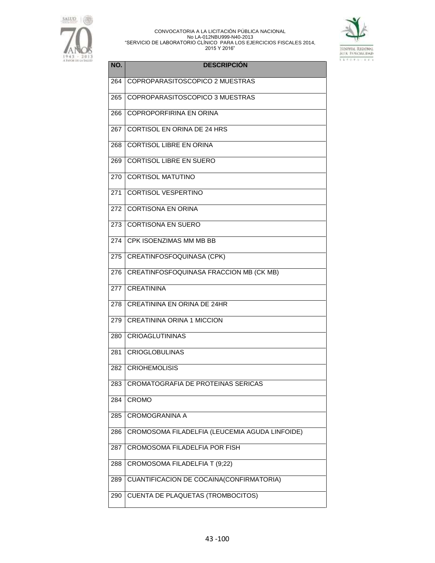



| NO. | <b>DESCRIPCIÓN</b>                             |
|-----|------------------------------------------------|
| 264 | COPROPARASITOSCOPICO 2 MUESTRAS                |
| 265 | COPROPARASITOSCOPICO 3 MUESTRAS                |
| 266 | COPROPORFIRINA EN ORINA                        |
| 267 | CORTISOL EN ORINA DE 24 HRS                    |
| 268 | <b>CORTISOL LIBRE EN ORINA</b>                 |
| 269 | <b>CORTISOL LIBRE EN SUERO</b>                 |
| 270 | <b>CORTISOL MATUTINO</b>                       |
| 271 | <b>CORTISOL VESPERTINO</b>                     |
| 272 | <b>CORTISONA EN ORINA</b>                      |
| 273 | <b>CORTISONA EN SUERO</b>                      |
| 274 | CPK ISOENZIMAS MM MB BB                        |
| 275 | <b>CREATINFOSFOQUINASA (CPK)</b>               |
| 276 | CREATINFOSFOQUINASA FRACCION MB (CK MB)        |
| 277 | <b>CREATININA</b>                              |
| 278 | <b>CREATININA EN ORINA DE 24HR</b>             |
| 279 | <b>CREATININA ORINA 1 MICCION</b>              |
| 280 | <b>CRIOAGLUTININAS</b>                         |
| 281 | <b>CRIOGLOBULINAS</b>                          |
| 282 | <b>CRIOHEMOLISIS</b>                           |
| 283 | CROMATOGRAFIA DE PROTEINAS SERICAS             |
| 284 | <b>CROMO</b>                                   |
| 285 | <b>CROMOGRANINA A</b>                          |
| 286 | CROMOSOMA FILADELFIA (LEUCEMIA AGUDA LINFOIDE) |
| 287 | CROMOSOMA FILADELFIA POR FISH                  |
| 288 | CROMOSOMA FILADELFIA T (9;22)                  |
| 289 | CUANTIFICACION DE COCAINA(CONFIRMATORIA)       |
| 290 | <b>CUENTA DE PLAQUETAS (TROMBOCITOS)</b>       |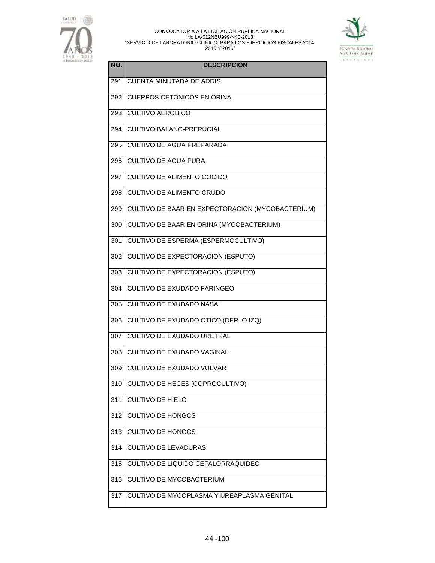



| NO. | <b>DESCRIPCIÓN</b>                               |
|-----|--------------------------------------------------|
| 291 | <b>CUENTA MINUTADA DE ADDIS</b>                  |
| 292 | <b>CUERPOS CETONICOS EN ORINA</b>                |
| 293 | <b>CULTIVO AEROBICO</b>                          |
| 294 | CULTIVO BALANO-PREPUCIAL                         |
| 295 | <b>CULTIVO DE AGUA PREPARADA</b>                 |
| 296 | <b>CULTIVO DE AGUA PURA</b>                      |
| 297 | <b>CULTIVO DE ALIMENTO COCIDO</b>                |
| 298 | <b>CULTIVO DE ALIMENTO CRUDO</b>                 |
| 299 | CULTIVO DE BAAR EN EXPECTORACION (MYCOBACTERIUM) |
| 300 | <b>CULTIVO DE BAAR EN ORINA (MYCOBACTERIUM)</b>  |
| 301 | <b>CULTIVO DE ESPERMA (ESPERMOCULTIVO)</b>       |
| 302 | <b>CULTIVO DE EXPECTORACION (ESPUTO)</b>         |
| 303 | CULTIVO DE EXPECTORACION (ESPUTO)                |
| 304 | <b>CULTIVO DE EXUDADO FARINGEO</b>               |
| 305 | <b>CULTIVO DE EXUDADO NASAL</b>                  |
| 306 | CULTIVO DE EXUDADO OTICO (DER. O IZQ)            |
| 307 | <b>CULTIVO DE EXUDADO URETRAL</b>                |
| 308 | CULTIVO DE EXUDADO VAGINAL                       |
| 309 | CULTIVO DE EXUDADO VULVAR                        |
| 310 | <b>CULTIVO DE HECES (COPROCULTIVO)</b>           |
| 311 | <b>CULTIVO DE HIELO</b>                          |
| 312 | <b>CULTIVO DE HONGOS</b>                         |
| 313 | <b>CULTIVO DE HONGOS</b>                         |
| 314 | <b>CULTIVO DE LEVADURAS</b>                      |
| 315 | CULTIVO DE LIQUIDO CEFALORRAQUIDEO               |
| 316 | CULTIVO DE MYCOBACTERIUM                         |
| 317 | CULTIVO DE MYCOPLASMA Y UREAPLASMA GENITAL       |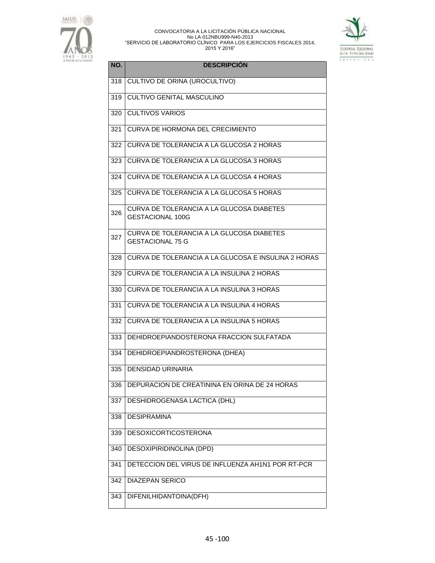



| NO. | <b>DESCRIPCIÓN</b>                                                   |
|-----|----------------------------------------------------------------------|
| 318 | CULTIVO DE ORINA (UROCULTIVO)                                        |
| 319 | <b>CULTIVO GENITAL MASCULINO</b>                                     |
| 320 | <b>CULTIVOS VARIOS</b>                                               |
| 321 | CURVA DE HORMONA DEL CRECIMIENTO                                     |
| 322 | CURVA DE TOLERANCIA A LA GLUCOSA 2 HORAS                             |
| 323 | CURVA DE TOLERANCIA A LA GLUCOSA 3 HORAS                             |
| 324 | CURVA DE TOLERANCIA A LA GLUCOSA 4 HORAS                             |
| 325 | CURVA DE TOLERANCIA A LA GLUCOSA 5 HORAS                             |
| 326 | CURVA DE TOLERANCIA A LA GLUCOSA DIABETES<br><b>GESTACIONAL 100G</b> |
| 327 | CURVA DE TOLERANCIA A LA GLUCOSA DIABETES<br><b>GESTACIONAL 75 G</b> |
| 328 | CURVA DE TOLERANCIA A LA GLUCOSA E INSULINA 2 HORAS                  |
| 329 | CURVA DE TOLERANCIA A LA INSULINA 2 HORAS                            |
| 330 | CURVA DE TOLERANCIA A LA INSULINA 3 HORAS                            |
| 331 | CURVA DE TOLERANCIA A LA INSULINA 4 HORAS                            |
| 332 | CURVA DE TOLERANCIA A LA INSULINA 5 HORAS                            |
| 333 | DEHIDROEPIANDOSTERONA FRACCION SULFATADA                             |
| 334 | DEHIDROEPIANDROSTERONA (DHEA)                                        |
| 335 | <b>DENSIDAD URINARIA</b>                                             |
| 336 | DEPURACION DE CREATININA EN ORINA DE 24 HORAS                        |
| 337 | DESHIDROGENASA LACTICA (DHL)                                         |
| 338 | <b>DESIPRAMINA</b>                                                   |
| 339 | <b>DESOXICORTICOSTERONA</b>                                          |
| 340 | DESOXIPIRIDINOLINA (DPD)                                             |
| 341 | DETECCION DEL VIRUS DE INFLUENZA AH1N1 POR RT-PCR                    |
| 342 | <b>DIAZEPAN SERICO</b>                                               |
| 343 | DIFENILHIDANTOINA(DFH)                                               |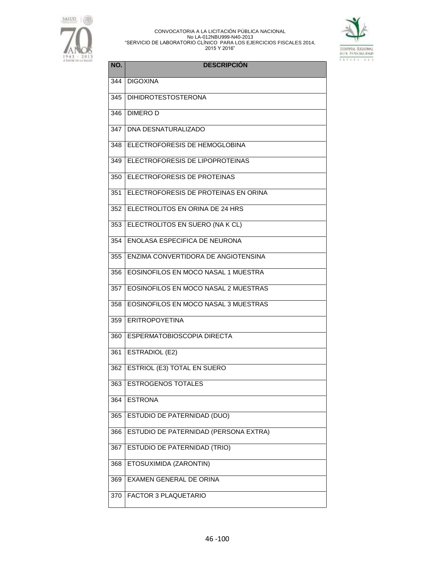



| NO. | <b>DESCRIPCIÓN</b>                    |
|-----|---------------------------------------|
| 344 | <b>DIGOXINA</b>                       |
| 345 | <b>DIHIDROTESTOSTERONA</b>            |
| 346 | <b>DIMEROD</b>                        |
| 347 | <b>DNA DESNATURALIZADO</b>            |
| 348 | ELECTROFORESIS DE HEMOGLOBINA         |
| 349 | ELECTROFORESIS DE LIPOPROTEINAS       |
| 350 | ELECTROFORESIS DE PROTEINAS           |
| 351 | ELECTROFORESIS DE PROTEINAS EN ORINA  |
| 352 | ELECTROLITOS EN ORINA DE 24 HRS       |
| 353 | ELECTROLITOS EN SUERO (NA K CL)       |
| 354 | ENOLASA ESPECIFICA DE NEURONA         |
| 355 | ENZIMA CONVERTIDORA DE ANGIOTENSINA   |
| 356 | EOSINOFILOS EN MOCO NASAL 1 MUESTRA   |
| 357 | EOSINOFILOS EN MOCO NASAL 2 MUESTRAS  |
| 358 | EOSINOFILOS EN MOCO NASAL 3 MUESTRAS  |
| 359 | <b>LERITROPOYETINA</b>                |
| 360 | <b>ESPERMATOBIOSCOPIA DIRECTA</b>     |
| 361 | ESTRADIOL (E2)                        |
| 362 | <b>ESTRIOL (E3) TOTAL EN SUERO</b>    |
| 363 | <b>ESTROGENOS TOTALES</b>             |
| 364 | <b>ESTRONA</b>                        |
| 365 | ESTUDIO DE PATERNIDAD (DUO)           |
| 366 | ESTUDIO DE PATERNIDAD (PERSONA EXTRA) |
| 367 | ESTUDIO DE PATERNIDAD (TRIO)          |
| 368 | ETOSUXIMIDA (ZARONTIN)                |
| 369 | <b>EXAMEN GENERAL DE ORINA</b>        |
| 370 | <b>FACTOR 3 PLAQUETARIO</b>           |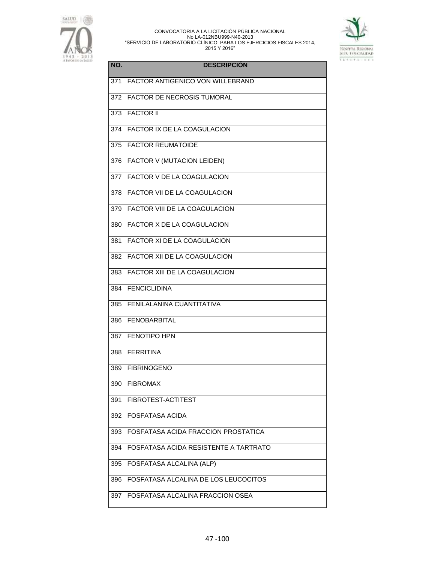



| NO. | <b>DESCRIPCIÓN</b>                    |
|-----|---------------------------------------|
| 371 | FACTOR ANTIGENICO VON WILLEBRAND      |
| 372 | FACTOR DE NECROSIS TUMORAL            |
| 373 | <b>FACTOR II</b>                      |
| 374 | FACTOR IX DE LA COAGULACION           |
| 375 | <b>FACTOR REUMATOIDE</b>              |
| 376 | <b>FACTOR V (MUTACION LEIDEN)</b>     |
| 377 | <b>FACTOR V DE LA COAGULACION</b>     |
| 378 | FACTOR VII DE LA COAGULACION          |
| 379 | <b>FACTOR VIII DE LA COAGULACION</b>  |
| 380 | FACTOR X DE LA COAGULACION            |
| 381 | FACTOR XI DE LA COAGULACION           |
| 382 | FACTOR XII DE LA COAGULACION          |
| 383 | <b>FACTOR XIII DE LA COAGULACION</b>  |
| 384 | <b>FENCICLIDINA</b>                   |
| 385 | FENILALANINA CUANTITATIVA             |
| 386 | <b>FENOBARBITAL</b>                   |
| 387 | <b>FENOTIPO HPN</b>                   |
| 388 | <b>FERRITINA</b>                      |
| 389 | <b>FIBRINOGENO</b>                    |
| 390 | <b>FIBROMAX</b>                       |
| 391 | FIBROTEST-ACTITEST                    |
| 392 | <b>FOSFATASA ACIDA</b>                |
| 393 | FOSFATASA ACIDA FRACCION PROSTATICA   |
| 394 | FOSFATASA ACIDA RESISTENTE A TARTRATO |
| 395 | <b>FOSFATASA ALCALINA (ALP)</b>       |
| 396 | FOSFATASA ALCALINA DE LOS LEUCOCITOS  |
| 397 | FOSFATASA ALCALINA FRACCION OSEA      |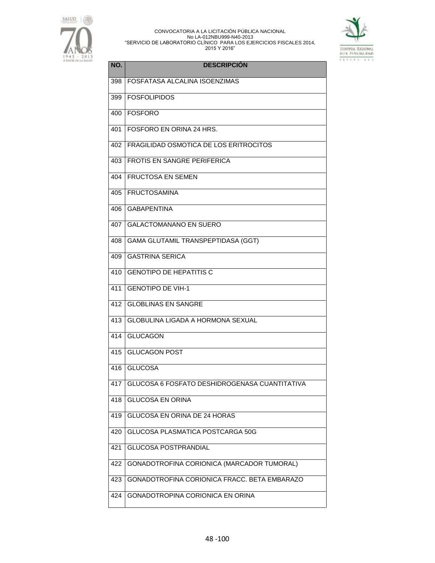



| NO. | <b>DESCRIPCIÓN</b>                            |
|-----|-----------------------------------------------|
| 398 | FOSFATASA ALCALINA ISOENZIMAS                 |
| 399 | <b>FOSFOLIPIDOS</b>                           |
| 400 | FOSFORO                                       |
| 401 | FOSFORO EN ORINA 24 HRS.                      |
| 402 | FRAGILIDAD OSMOTICA DE LOS ERITROCITOS        |
| 403 | FROTIS EN SANGRE PERIFERICA                   |
| 404 | <b>FRUCTOSA EN SEMEN</b>                      |
| 405 | <b>FRUCTOSAMINA</b>                           |
| 406 | <b>GABAPENTINA</b>                            |
| 407 | <b>GALACTOMANANO EN SUERO</b>                 |
| 408 | GAMA GLUTAMIL TRANSPEPTIDASA (GGT)            |
| 409 | <b>GASTRINA SERICA</b>                        |
| 410 | <b>GENOTIPO DE HEPATITIS C</b>                |
| 411 | <b>GENOTIPO DE VIH-1</b>                      |
| 412 | <b>GLOBLINAS EN SANGRE</b>                    |
| 413 | GLOBULINA LIGADA A HORMONA SEXUAL             |
| 414 | <b>GLUCAGON</b>                               |
| 415 | <b>GLUCAGON POST</b>                          |
| 416 | <b>GLUCOSA</b>                                |
| 417 | GLUCOSA 6 FOSFATO DESHIDROGENASA CUANTITATIVA |
| 418 | <b>GLUCOSA EN ORINA</b>                       |
| 419 | GLUCOSA EN ORINA DE 24 HORAS                  |
| 420 | GLUCOSA PLASMATICA POSTCARGA 50G              |
| 421 | <b>GLUCOSA POSTPRANDIAL</b>                   |
| 422 | GONADOTROFINA CORIONICA (MARCADOR TUMORAL)    |
| 423 | GONADOTROFINA CORIONICA FRACC. BETA EMBARAZO  |
| 424 | GONADOTROPINA CORIONICA EN ORINA              |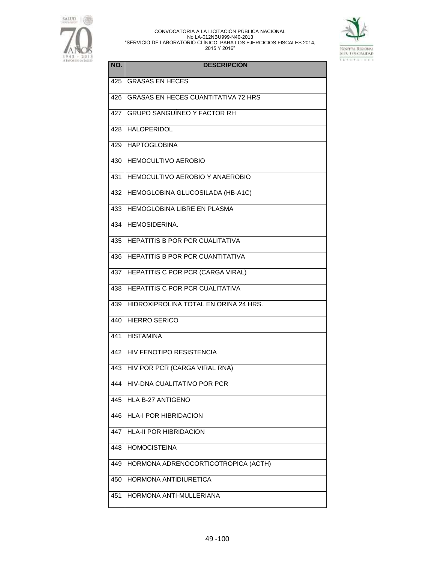



| NO. | <b>DESCRIPCIÓN</b>                         |
|-----|--------------------------------------------|
| 425 | <b>GRASAS EN HECES</b>                     |
| 426 | <b>GRASAS EN HECES CUANTITATIVA 72 HRS</b> |
| 427 | <b>GRUPO SANGUÍNEO Y FACTOR RH</b>         |
| 428 | <b>HALOPERIDOL</b>                         |
| 429 | <b>HAPTOGLOBINA</b>                        |
| 430 | <b>HEMOCULTIVO AEROBIO</b>                 |
| 431 | HEMOCULTIVO AEROBIO Y ANAEROBIO            |
| 432 | HEMOGLOBINA GLUCOSILADA (HB-A1C)           |
| 433 | <b>HEMOGLOBINA LIBRE EN PLASMA</b>         |
| 434 | HEMOSIDERINA.                              |
| 435 | <b>HEPATITIS B POR PCR CUALITATIVA</b>     |
| 436 | HEPATITIS B POR PCR CUANTITATIVA           |
| 437 | HEPATITIS C POR PCR (CARGA VIRAL)          |
| 438 | HEPATITIS C POR PCR CUALITATIVA            |
| 439 | HIDROXIPROLINA TOTAL EN ORINA 24 HRS.      |
| 440 | <b>HIERRO SERICO</b>                       |
| 441 | <b>HISTAMINA</b>                           |
| 442 | HIV FENOTIPO RESISTENCIA                   |
| 443 | HIV POR PCR (CARGA VIRAL RNA)              |
| 444 | HIV-DNA CUALITATIVO POR PCR                |
| 445 | HLA B-27 ANTIGENO                          |
| 446 | <b>HLA-I POR HIBRIDACION</b>               |
| 447 | <b>HLA-II POR HIBRIDACION</b>              |
| 448 | <b>HOMOCISTEINA</b>                        |
| 449 | HORMONA ADRENOCORTICOTROPICA (ACTH)        |
| 450 | HORMONA ANTIDIURETICA                      |
| 451 | HORMONA ANTI-MULLERIANA                    |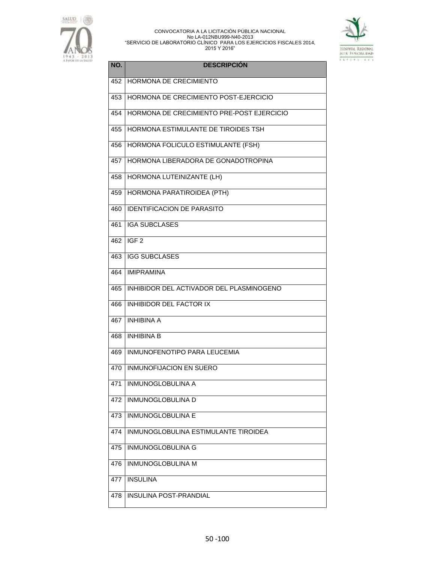



| NO. | <b>DESCRIPCIÓN</b>                        |
|-----|-------------------------------------------|
| 452 | HORMONA DE CRECIMIENTO                    |
| 453 | HORMONA DE CRECIMIENTO POST-EJERCICIO     |
| 454 | HORMONA DE CRECIMIENTO PRE-POST EJERCICIO |
| 455 | HORMONA ESTIMULANTE DE TIROIDES TSH       |
| 456 | HORMONA FOLICULO ESTIMULANTE (FSH)        |
| 457 | HORMONA LIBERADORA DE GONADOTROPINA       |
| 458 | HORMONA LUTEINIZANTE (LH)                 |
| 459 | HORMONA PARATIROIDEA (PTH)                |
| 460 | <b>IDENTIFICACION DE PARASITO</b>         |
| 461 | <b>IGA SUBCLASES</b>                      |
| 462 | IGF <sub>2</sub>                          |
| 463 | <b>IGG SUBCLASES</b>                      |
| 464 | <b>IMIPRAMINA</b>                         |
| 465 | INHIBIDOR DEL ACTIVADOR DEL PLASMINOGENO  |
| 466 | <b>INHIBIDOR DEL FACTOR IX</b>            |
| 467 | <b>INHIBINA A</b>                         |
| 468 | <b>INHIBINA B</b>                         |
| 469 | INMUNOFENOTIPO PARA LEUCEMIA              |
| 470 | INMUNOFIJACION EN SUERO                   |
| 471 | INMUNOGLOBULINA A                         |
| 472 | INMUNOGLOBULINA D                         |
| 473 | <b>INMUNOGLOBULINA E</b>                  |
| 474 | INMUNOGLOBULINA ESTIMULANTE TIROIDEA      |
| 475 | INMUNOGLOBULINA G                         |
| 476 | INMUNOGLOBULINA M                         |
| 477 | <b>INSULINA</b>                           |
| 478 | <b>INSULINA POST-PRANDIAL</b>             |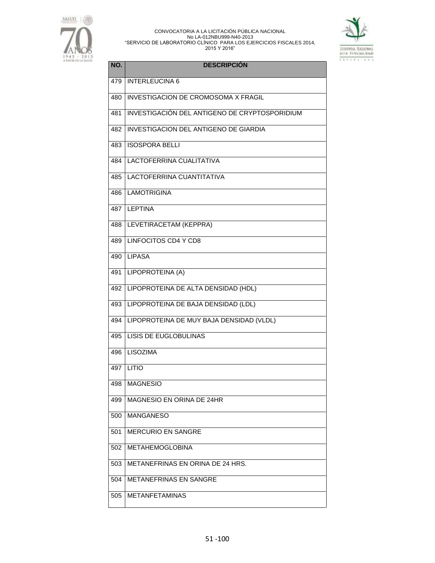



| NO. | <b>DESCRIPCIÓN</b>                            |
|-----|-----------------------------------------------|
| 479 | <b>INTERLEUCINA 6</b>                         |
| 480 | <b>INVESTIGACION DE CROMOSOMA X FRAGIL</b>    |
| 481 | INVESTIGACIÓN DEL ANTIGENO DE CRYPTOSPORIDIUM |
| 482 | INVESTIGACION DEL ANTIGENO DE GIARDIA         |
| 483 | <b>ISOSPORA BELLI</b>                         |
| 484 | LACTOFERRINA CUALITATIVA                      |
| 485 | LACTOFERRINA CUANTITATIVA                     |
| 486 | <b>LAMOTRIGINA</b>                            |
| 487 | <b>LEPTINA</b>                                |
| 488 | LEVETIRACETAM (KEPPRA)                        |
| 489 | <b>LINFOCITOS CD4 Y CD8</b>                   |
| 490 | <b>LIPASA</b>                                 |
| 491 | LIPOPROTEINA (A)                              |
| 492 | LIPOPROTEINA DE ALTA DENSIDAD (HDL)           |
| 493 | LIPOPROTEINA DE BAJA DENSIDAD (LDL)           |
| 494 | LIPOPROTEINA DE MUY BAJA DENSIDAD (VLDL)      |
| 495 | <b>LISIS DE EUGLOBULINAS</b>                  |
| 496 | <b>LISOZIMA</b>                               |
| 497 | <b>LITIO</b>                                  |
| 498 | <b>MAGNESIO</b>                               |
| 499 | MAGNESIO EN ORINA DE 24HR                     |
| 500 | <b>MANGANESO</b>                              |
| 501 | <b>MERCURIO EN SANGRE</b>                     |
| 502 | <b>METAHEMOGLOBINA</b>                        |
| 503 | METANEFRINAS EN ORINA DE 24 HRS.              |
| 504 | <b>METANEFRINAS EN SANGRE</b>                 |
| 505 | <b>METANFETAMINAS</b>                         |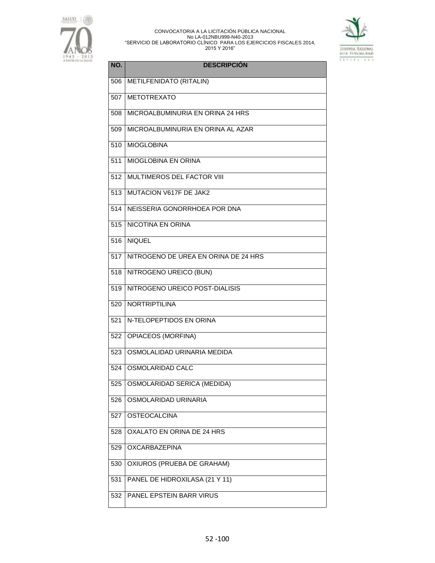



| NO. | <b>DESCRIPCIÓN</b>                   |
|-----|--------------------------------------|
| 506 | <b>METILFENIDATO (RITALIN)</b>       |
| 507 | <b>METOTREXATO</b>                   |
| 508 | MICROALBUMINURIA EN ORINA 24 HRS     |
| 509 | MICROALBUMINURIA EN ORINA AL AZAR    |
| 510 | <b>MIOGLOBINA</b>                    |
| 511 | <b>MIOGLOBINA EN ORINA</b>           |
| 512 | MULTIMEROS DEL FACTOR VIII           |
| 513 | MUTACION V617F DE JAK2               |
| 514 | NEISSERIA GONORRHOEA POR DNA         |
| 515 | NICOTINA EN ORINA                    |
| 516 | <b>NIQUEL</b>                        |
| 517 | NITROGENO DE UREA EN ORINA DE 24 HRS |
| 518 | NITROGENO UREICO (BUN)               |
| 519 | NITROGENO UREICO POST-DIALISIS       |
| 520 | <b>NORTRIPTILINA</b>                 |
| 521 | N-TELOPEPTIDOS EN ORINA              |
| 522 | <b>OPIACEOS (MORFINA)</b>            |
| 523 | OSMOLALIDAD URINARIA MEDIDA          |
| 524 | OSMOLARIDAD CALC                     |
| 525 | OSMOLARIDAD SERICA (MEDIDA)          |
| 526 | OSMOLARIDAD URINARIA                 |
| 527 | <b>OSTEOCALCINA</b>                  |
| 528 | OXALATO EN ORINA DE 24 HRS           |
| 529 | <b>OXCARBAZEPINA</b>                 |
| 530 | OXIUROS (PRUEBA DE GRAHAM)           |
| 531 | PANEL DE HIDROXILASA (21 Y 11)       |
| 532 | PANEL EPSTEIN BARR VIRUS             |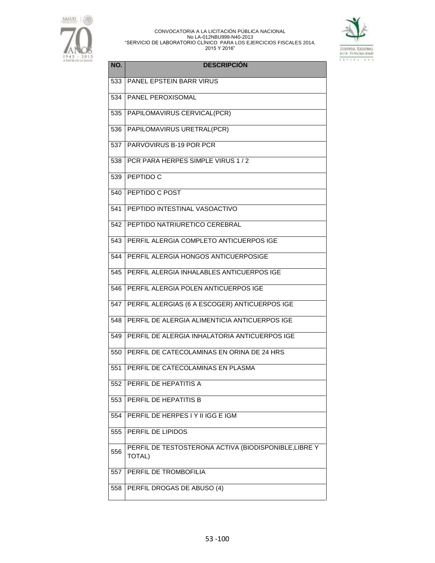



| NO. | <b>DESCRIPCIÓN</b>                                                     |
|-----|------------------------------------------------------------------------|
| 533 | <b>PANEL EPSTEIN BARR VIRUS</b>                                        |
| 534 | PANEL PEROXISOMAL                                                      |
| 535 | PAPILOMAVIRUS CERVICAL(PCR)                                            |
| 536 | PAPILOMAVIRUS URETRAL(PCR)                                             |
| 537 | PARVOVIRUS B-19 POR PCR                                                |
| 538 | PCR PARA HERPES SIMPLE VIRUS 1 / 2                                     |
| 539 | PEPTIDO C                                                              |
| 540 | <b>PEPTIDO C POST</b>                                                  |
| 541 | PEPTIDO INTESTINAL VASOACTIVO                                          |
| 542 | PEPTIDO NATRIURETICO CEREBRAL                                          |
| 543 | PERFIL ALERGIA COMPLETO ANTICUERPOS IGE                                |
| 544 | <b>PERFIL ALERGIA HONGOS ANTICUERPOSIGE</b>                            |
| 545 | PERFIL ALERGIA INHALABLES ANTICUERPOS IGE                              |
| 546 | PERFIL ALERGIA POLEN ANTICUERPOS IGE                                   |
| 547 | PERFIL ALERGIAS (6 A ESCOGER) ANTICUERPOS IGE                          |
| 548 | PERFIL DE ALERGIA ALIMENTICIA ANTICUERPOS IGE                          |
| 549 | PERFIL DE ALERGIA INHALATORIA ANTICUERPOS IGE                          |
| 550 | PERFIL DE CATECOLAMINAS EN ORINA DE 24 HRS                             |
| 551 | PERFIL DE CATECOLAMINAS EN PLASMA                                      |
| 552 | PERFIL DE HEPATITIS A                                                  |
| 553 | PERFIL DE HEPATITIS B                                                  |
| 554 | PERFIL DE HERPES I Y II IGG E IGM                                      |
| 555 | PERFIL DE LIPIDOS                                                      |
| 556 | PERFIL DE TESTOSTERONA ACTIVA (BIODISPONIBLE, LIBRE Y<br><b>TOTAL)</b> |
| 557 | PERFIL DE TROMBOFILIA                                                  |
| 558 | PERFIL DROGAS DE ABUSO (4)                                             |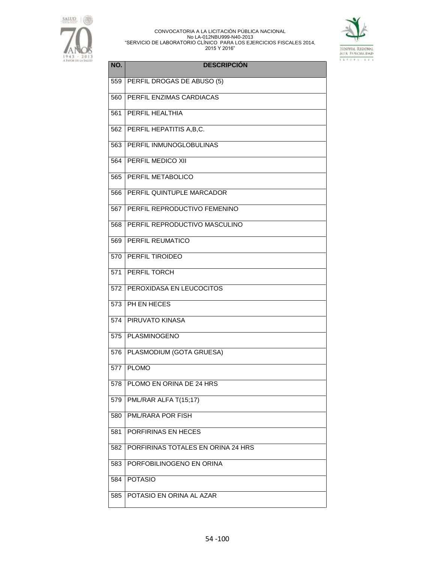



| NO. | <b>DESCRIPCIÓN</b>                 |
|-----|------------------------------------|
| 559 | PERFIL DROGAS DE ABUSO (5)         |
| 560 | PERFIL ENZIMAS CARDIACAS           |
| 561 | PERFIL HEALTHIA                    |
| 562 | PERFIL HEPATITIS A, B, C.          |
| 563 | PERFIL INMUNOGLOBULINAS            |
| 564 | PERFIL MEDICO XII                  |
| 565 | PERFIL METABOLICO                  |
| 566 | PERFIL QUINTUPLE MARCADOR          |
| 567 | PERFIL REPRODUCTIVO FEMENINO       |
| 568 | PERFIL REPRODUCTIVO MASCULINO      |
| 569 | PERFIL REUMATICO                   |
| 570 | PERFIL TIROIDEO                    |
| 571 | PERFIL TORCH                       |
| 572 | PEROXIDASA EN LEUCOCITOS           |
| 573 | PH EN HECES                        |
| 574 | <b>PIRUVATO KINASA</b>             |
| 575 | PLASMINOGENO                       |
| 576 | PLASMODIUM (GOTA GRUESA)           |
| 577 | <b>PLOMO</b>                       |
| 578 | PLOMO EN ORINA DE 24 HRS           |
| 579 | PML/RAR ALFA T(15;17)              |
| 580 | PML/RARA POR FISH                  |
| 581 | PORFIRINAS EN HECES                |
| 582 | PORFIRINAS TOTALES EN ORINA 24 HRS |
| 583 | PORFOBILINOGENO EN ORINA           |
| 584 | <b>POTASIO</b>                     |
| 585 | POTASIO EN ORINA AL AZAR           |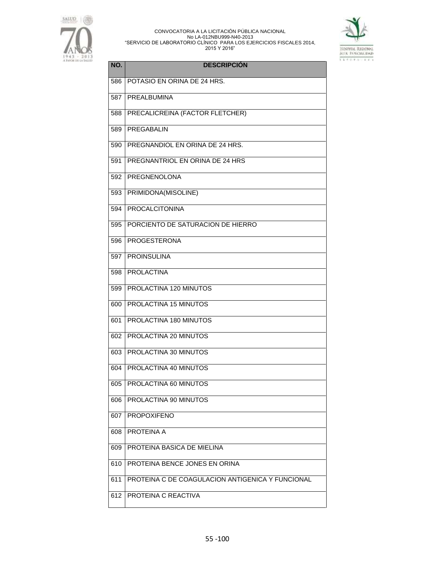



| NO. | <b>DESCRIPCIÓN</b>                               |
|-----|--------------------------------------------------|
| 586 | POTASIO EN ORINA DE 24 HRS.                      |
| 587 | <b>PREALBUMINA</b>                               |
| 588 | PRECALICREINA (FACTOR FLETCHER)                  |
| 589 | PREGABALIN                                       |
| 590 | PREGNANDIOL EN ORINA DE 24 HRS.                  |
| 591 | PREGNANTRIOL EN ORINA DE 24 HRS                  |
| 592 | PREGNENOLONA                                     |
| 593 | PRIMIDONA(MISOLINE)                              |
| 594 | <b>PROCALCITONINA</b>                            |
| 595 | PORCIENTO DE SATURACION DE HIERRO                |
| 596 | <b>PROGESTERONA</b>                              |
| 597 | <b>PROINSULINA</b>                               |
| 598 | <b>PROLACTINA</b>                                |
| 599 | PROLACTINA 120 MINUTOS                           |
| 600 | PROLACTINA 15 MINUTOS                            |
| 601 | PROLACTINA 180 MINUTOS                           |
| 602 | PROLACTINA 20 MINUTOS                            |
| 603 | PROLACTINA 30 MINUTOS                            |
| 604 | PROLACTINA 40 MINUTOS                            |
| 605 | PROLACTINA 60 MINUTOS                            |
| 606 | PROLACTINA 90 MINUTOS                            |
| 607 | <b>PROPOXIFENO</b>                               |
| 608 | PROTEINA A                                       |
| 609 | PROTEINA BASICA DE MIELINA                       |
| 610 | PROTEINA BENCE JONES EN ORINA                    |
| 611 | PROTEINA C DE COAGULACION ANTIGENICA Y FUNCIONAL |
| 612 | PROTEINA C REACTIVA                              |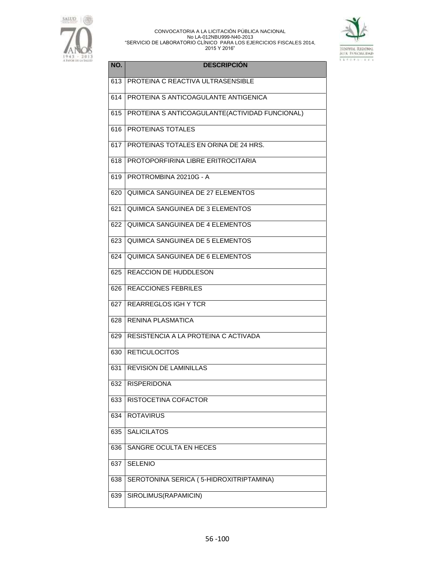



| NO. | <b>DESCRIPCIÓN</b>                              |
|-----|-------------------------------------------------|
| 613 | PROTEINA C REACTIVA ULTRASENSIBLE               |
| 614 | PROTEINA S ANTICOAGULANTE ANTIGENICA            |
| 615 | PROTEINA S ANTICOAGULANTE (ACTIVIDAD FUNCIONAL) |
| 616 | PROTEINAS TOTALES                               |
| 617 | PROTEINAS TOTALES EN ORINA DE 24 HRS.           |
| 618 | PROTOPORFIRINA LIBRE ERITROCITARIA              |
| 619 | PROTROMBINA 20210G - A                          |
| 620 | QUIMICA SANGUINEA DE 27 ELEMENTOS               |
| 621 | <b>QUIMICA SANGUINEA DE 3 ELEMENTOS</b>         |
| 622 | QUIMICA SANGUINEA DE 4 ELEMENTOS                |
| 623 | QUIMICA SANGUINEA DE 5 ELEMENTOS                |
| 624 | QUIMICA SANGUINEA DE 6 ELEMENTOS                |
| 625 | REACCION DE HUDDLESON                           |
| 626 | <b>REACCIONES FEBRILES</b>                      |
| 627 | <b>REARREGLOS IGH Y TCR</b>                     |
| 628 | <b>RENINA PLASMATICA</b>                        |
| 629 | RESISTENCIA A LA PROTEINA C ACTIVADA            |
| 630 | <b>RETICULOCITOS</b>                            |
| 631 | REVISION DE LAMINILLAS                          |
| 632 | <b>RISPERIDONA</b>                              |
| 633 | RISTOCETINA COFACTOR                            |
| 634 | <b>ROTAVIRUS</b>                                |
| 635 | <b>SALICILATOS</b>                              |
| 636 | SANGRE OCULTA EN HECES                          |
| 637 | <b>SELENIO</b>                                  |
| 638 | SEROTONINA SERICA (5-HIDROXITRIPTAMINA)         |
| 639 | SIROLIMUS(RAPAMICIN)                            |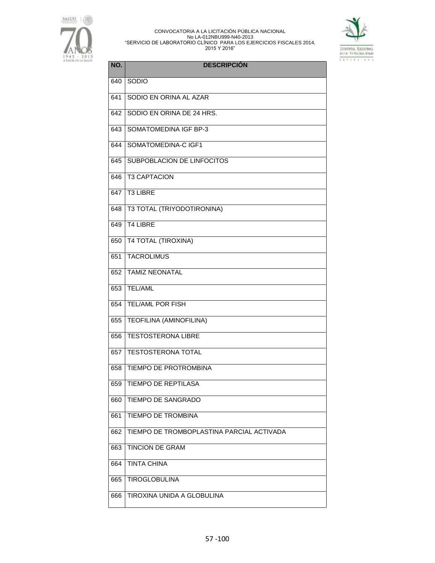



| NO. | <b>DESCRIPCIÓN</b>                        |
|-----|-------------------------------------------|
| 640 | SODIO                                     |
| 641 | SODIO EN ORINA AL AZAR                    |
| 642 | SODIO EN ORINA DE 24 HRS.                 |
| 643 | SOMATOMEDINA IGF BP-3                     |
| 644 | SOMATOMEDINA-C IGF1                       |
| 645 | SUBPOBLACION DE LINFOCITOS                |
| 646 | <b>T3 CAPTACION</b>                       |
| 647 | <b>T3 LIBRE</b>                           |
| 648 | <b>T3 TOTAL (TRIYODOTIRONINA)</b>         |
| 649 | <b>T4 LIBRE</b>                           |
| 650 | <b>T4 TOTAL (TIROXINA)</b>                |
| 651 | <b>TACROLIMUS</b>                         |
| 652 | <b>TAMIZ NEONATAL</b>                     |
| 653 | <b>TEL/AML</b>                            |
| 654 | <b>TEL/AML POR FISH</b>                   |
| 655 | <b>TEOFILINA (AMINOFILINA)</b>            |
| 656 | <b>TESTOSTERONA LIBRE</b>                 |
| 657 | <b>TESTOSTERONA TOTAL</b>                 |
| 658 | <b>TIEMPO DE PROTROMBINA</b>              |
| 659 | TIEMPO DE REPTILASA                       |
| 660 | <b>TIEMPO DE SANGRADO</b>                 |
| 661 | <b>TIEMPO DE TROMBINA</b>                 |
| 662 | TIEMPO DE TROMBOPLASTINA PARCIAL ACTIVADA |
| 663 | <b>TINCION DE GRAM</b>                    |
| 664 | <b>TINTA CHINA</b>                        |
| 665 | <b>TIROGLOBULINA</b>                      |
| 666 | TIROXINA UNIDA A GLOBULINA                |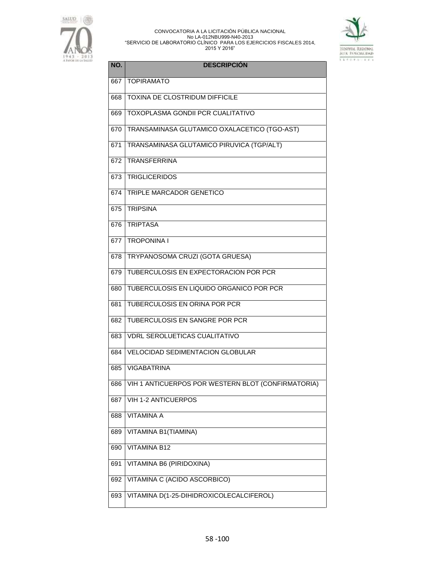



| NO. | <b>DESCRIPCIÓN</b>                                 |
|-----|----------------------------------------------------|
| 667 | <b>TOPIRAMATO</b>                                  |
| 668 | <b>TOXINA DE CLOSTRIDUM DIFFICILE</b>              |
| 669 | TOXOPLASMA GONDII PCR CUALITATIVO                  |
| 670 | TRANSAMINASA GLUTAMICO OXALACETICO (TGO-AST)       |
| 671 | TRANSAMINASA GLUTAMICO PIRUVICA (TGP/ALT)          |
| 672 | <b>TRANSFERRINA</b>                                |
| 673 | <b>TRIGLICERIDOS</b>                               |
| 674 | TRIPLE MARCADOR GENETICO                           |
| 675 | <b>TRIPSINA</b>                                    |
| 676 | <b>TRIPTASA</b>                                    |
| 677 | <b>TROPONINA I</b>                                 |
| 678 | TRYPANOSOMA CRUZI (GOTA GRUESA)                    |
| 679 | TUBERCULOSIS EN EXPECTORACION POR PCR              |
| 680 | TUBERCULOSIS EN LIQUIDO ORGANICO POR PCR           |
| 681 | TUBERCULOSIS EN ORINA POR PCR                      |
| 682 | TUBERCULOSIS EN SANGRE POR PCR                     |
| 683 | <b>VDRL SEROLUETICAS CUALITATIVO</b>               |
| 684 | <b>VELOCIDAD SEDIMENTACION GLOBULAR</b>            |
| 685 | <b>VIGABATRINA</b>                                 |
| 686 | VIH 1 ANTICUERPOS POR WESTERN BLOT (CONFIRMATORIA) |
| 687 | <b>VIH 1-2 ANTICUERPOS</b>                         |
| 688 | <b>VITAMINA A</b>                                  |
| 689 | VITAMINA B1(TIAMINA)                               |
| 690 | <b>VITAMINA B12</b>                                |
| 691 | VITAMINA B6 (PIRIDOXINA)                           |
| 692 | VITAMINA C (ACIDO ASCORBICO)                       |
| 693 | VITAMINA D(1-25-DIHIDROXICOLECALCIFEROL)           |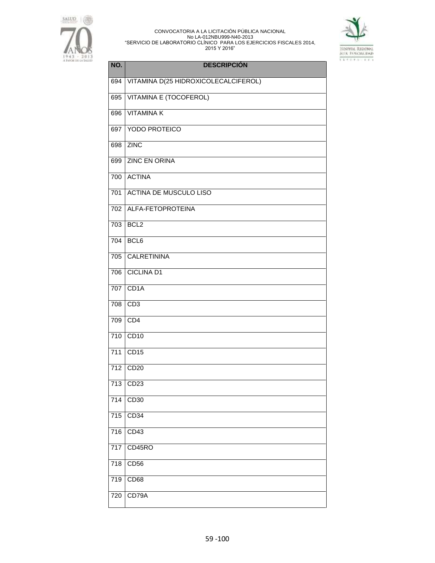



| NO.              | <b>DESCRIPCIÓN</b>                   |
|------------------|--------------------------------------|
| 694              | VITAMINA D(25 HIDROXICOLECALCIFEROL) |
| 695              | <b>VITAMINA E (TOCOFEROL)</b>        |
| 696              | <b>VITAMINAK</b>                     |
| 697              | YODO PROTEICO                        |
| 698              | <b>ZINC</b>                          |
| 699              | <b>ZINC EN ORINA</b>                 |
| 700              | <b>ACTINA</b>                        |
| 701              | <b>ACTINA DE MUSCULO LISO</b>        |
| 702              | ALFA-FETOPROTEINA                    |
| 703              | BCL <sub>2</sub>                     |
| 704              | BCL <sub>6</sub>                     |
| 705              | <b>CALRETININA</b>                   |
| 706              | <b>CICLINA D1</b>                    |
| 707              | CD1A                                 |
| 708              | CD3                                  |
| 709              | CD4                                  |
| 710              | CD10                                 |
| $\overline{711}$ | CD15                                 |
| 712              | CD <sub>20</sub>                     |
| $\overline{713}$ | CD <sub>23</sub>                     |
| $\frac{1}{714}$  | CD30                                 |
| $\frac{1}{715}$  | CD34                                 |
| $\overline{716}$ | CD43                                 |
| 717              | CD45RO                               |
| 718              | CD <sub>56</sub>                     |
| 719              | CD68                                 |
| 720              | CD79A                                |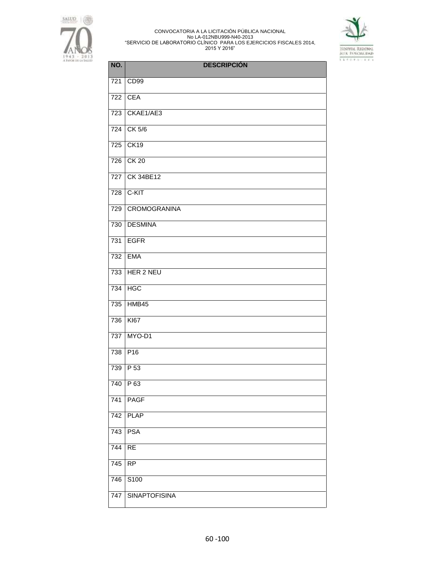



| NO.              | <b>DESCRIPCIÓN</b>   |
|------------------|----------------------|
| 721              | CD <sub>99</sub>     |
| 722              | <b>CEA</b>           |
| 723              | CKAE1/AE3            |
| 724              | CK 5/6               |
| 725              | CK19                 |
| $\overline{726}$ | <b>CK 20</b>         |
| 727              | <b>CK 34BE12</b>     |
| 728              | C-KIT                |
| 729              | <b>CROMOGRANINA</b>  |
| 730              | <b>DESMINA</b>       |
| 731              | <b>EGFR</b>          |
| 732              | <b>EMA</b>           |
| 733              | HER 2 NEU            |
| 734              | <b>HGC</b>           |
| 735              | $H\overline{MB45}$   |
| 736              | <b>KI67</b>          |
| 737              | MYO-D1               |
| $\overline{738}$ | P <sub>16</sub>      |
| $\overline{739}$ | P 53                 |
| 740              | P 63                 |
| 741              | <b>PAGF</b>          |
| 742              | <b>PLAP</b>          |
| 743              | <b>PSA</b>           |
| 744              | <b>RE</b>            |
| 745              | <b>RP</b>            |
| 746              | S100                 |
| 747              | <b>SINAPTOFISINA</b> |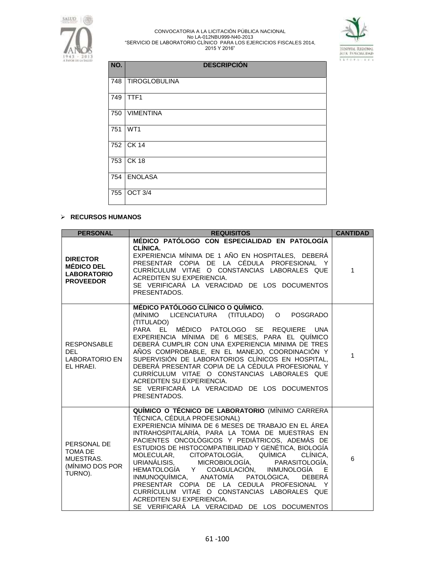



| NO. | <b>DESCRIPCIÓN</b>   |
|-----|----------------------|
| 748 | <b>TIROGLOBULINA</b> |
| 749 | TTF1                 |
| 750 | <b>VIMENTINA</b>     |
| 751 | WT1                  |
| 752 | <b>CK 14</b>         |
| 753 | $CK$ 18              |
| 754 | <b>ENOLASA</b>       |
| 755 | OCT 3/4              |

# **RECURSOS HUMANOS**

| <b>PERSONAL</b>                                                                | <b>REQUISITOS</b>                                                                                                                                                                                                                                                                                                                                                                                                                                                                                                                                                                                                                                                                 | <b>CANTIDAD</b> |
|--------------------------------------------------------------------------------|-----------------------------------------------------------------------------------------------------------------------------------------------------------------------------------------------------------------------------------------------------------------------------------------------------------------------------------------------------------------------------------------------------------------------------------------------------------------------------------------------------------------------------------------------------------------------------------------------------------------------------------------------------------------------------------|-----------------|
| <b>DIRECTOR</b><br><b>MÉDICO DEL</b><br><b>LABORATORIO</b><br><b>PROVEEDOR</b> | MÉDICO PATÓLOGO CON ESPECIALIDAD EN PATOLOGÍA<br>CLÍNICA.<br>EXPERIENCIA MÍNIMA DE 1 AÑO EN HOSPITALES, DEBERÁ<br>PRESENTAR COPIA DE LA CÉDULA PROFESIONAL Y<br>CURRÍCULUM VITAE O CONSTANCIAS LABORALES QUE<br>ACREDITEN SU EXPERIENCIA.<br>SE VERIFICARÁ LA VERACIDAD DE LOS DOCUMENTOS<br>PRESENTADOS.                                                                                                                                                                                                                                                                                                                                                                         | $\mathbf{1}$    |
| <b>RESPONSABLE</b><br>DEL.<br><b>LABORATORIO EN</b><br>EL HRAEI.               | MÉDICO PATÓLOGO CLÍNICO O QUÍMICO.<br>(MÍNIMO LICENCIATURA (TITULADO) O<br><b>POSGRADO</b><br>(TITULADO)<br>MÉDICO PATOLOGO SE REQUIERE<br>PARA EL<br>UNA<br>EXPERIENCIA MÍNIMA DE 6 MESES, PARA EL QUÍMICO<br>DEBERÁ CUMPLIR CON UNA EXPERIENCIA MINIMA DE TRES<br>AÑOS COMPROBABLE, EN EL MANEJO, COORDINACIÓN Y<br>SUPERVISIÓN DE LABORATORIOS CLÍNICOS EN HOSPITAL,<br>DEBERÁ PRESENTAR COPIA DE LA CÉDULA PROFESIONAL Y<br>CURRÍCULUM VITAE O CONSTANCIAS LABORALES QUE<br>ACREDITEN SU EXPERIENCIA.<br>SE VERIFICARÁ LA VERACIDAD DE LOS DOCUMENTOS<br>PRESENTADOS.                                                                                                         | $\mathbf{1}$    |
| PERSONAL DE<br>TOMA DE<br>MUESTRAS.<br>(MÍNIMO DOS POR<br>TURNO).              | QUÍMICO O TÉCNICO DE LABORATORIO (MÍNIMO CARRERA<br>TÉCNICA, CÉDULA PROFESIONAL)<br>EXPERIENCIA MÍNIMA DE 6 MESES DE TRABAJO EN EL ÁREA<br>INTRAHOSPITALARÍA, PARA LA TOMA DE MUESTRAS EN<br>PACIENTES ONCOLÓGICOS Y PEDIÁTRICOS, ADEMÁS DE<br>ESTUDIOS DE HISTOCOMPATIBILIDAD Y GENÉTICA, BIOLOGÍA<br>MOLECULAR, CITOPATOLOGÍA, QUÍMICA<br>CLINICA.<br>URIANÁLISIS, MICROBIOLOGÍA, PARASITOLOGÍA,<br>HEMATOLOGÍA Y COAGULACIÓN, INMUNOLOGÍA E<br>INMUNOQUÍMICA, ANATOMÍA PATOLÓGICA,<br><b>DEBERA</b><br>PRESENTAR COPIA DE LA CEDULA PROFESIONAL Y<br>CURRÍCULUM VITAE O CONSTANCIAS LABORALES QUE<br>ACREDITEN SU EXPERIENCIA.<br>SE VERIFICARÁ LA VERACIDAD DE LOS DOCUMENTOS | $6\phantom{a}$  |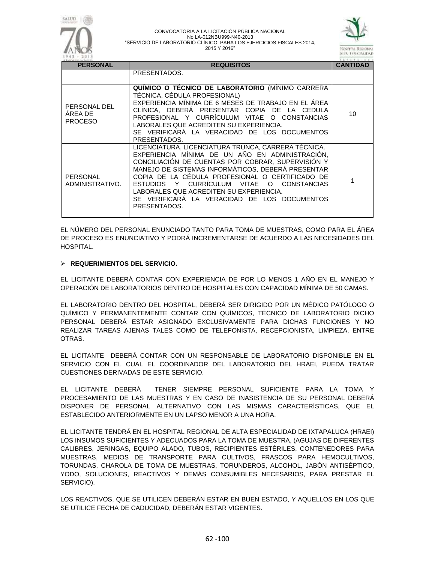

|                             | PRESENTADOS.                                                                                                                                                                                                                                                                                                                                                                                                                |  |
|-----------------------------|-----------------------------------------------------------------------------------------------------------------------------------------------------------------------------------------------------------------------------------------------------------------------------------------------------------------------------------------------------------------------------------------------------------------------------|--|
| PERSONAL<br>ADMINISTRATIVO. | LICENCIATURA, LICENCIATURA TRUNCA, CARRERA TÉCNICA.<br>EXPERIENCIA MÍNIMA DE UN AÑO EN ADMINISTRACIÓN.<br>CONCILIACIÓN DE CUENTAS POR COBRAR, SUPERVISIÓN Y<br>MANEJO DE SISTEMAS INFORMÁTICOS. DEBERÁ PRESENTAR<br>COPIA DE LA CÉDULA PROFESIONAL O CERTIFICADO DE<br>ESTUDIOS Y CURRICULUM VITAE O CONSTANCIAS<br>LABORALES QUE ACREDITEN SU EXPERIENCIA.<br>SE VERIFICARA LA VERACIDAD DE LOS DOCUMENTOS<br>PRESENTADOS. |  |

EL NÚMERO DEL PERSONAL ENUNCIADO TANTO PARA TOMA DE MUESTRAS, COMO PARA EL ÁREA DE PROCESO ES ENUNCIATIVO Y PODRÁ INCREMENTARSE DE ACUERDO A LAS NECESIDADES DEL HOSPITAL.

## **REQUERIMIENTOS DEL SERVICIO.**

EL LICITANTE DEBERÁ CONTAR CON EXPERIENCIA DE POR LO MENOS 1 AÑO EN EL MANEJO Y OPERACIÓN DE LABORATORIOS DENTRO DE HOSPITALES CON CAPACIDAD MÍNIMA DE 50 CAMAS.

EL LABORATORIO DENTRO DEL HOSPITAL, DEBERÁ SER DIRIGIDO POR UN MÉDICO PATÓLOGO O QUÍMICO Y PERMANENTEMENTE CONTAR CON QUÍMICOS, TÉCNICO DE LABORATORIO DICHO PERSONAL DEBERÁ ESTAR ASIGNADO EXCLUSIVAMENTE PARA DICHAS FUNCIONES Y NO REALIZAR TAREAS AJENAS TALES COMO DE TELEFONISTA, RECEPCIONISTA, LIMPIEZA, ENTRE OTRAS.

EL LICITANTE DEBERÁ CONTAR CON UN RESPONSABLE DE LABORATORIO DISPONIBLE EN EL SERVICIO CON EL CUAL EL COORDINADOR DEL LABORATORIO DEL HRAEI, PUEDA TRATAR CUESTIONES DERIVADAS DE ESTE SERVICIO.

EL LICITANTE DEBERÁ TENER SIEMPRE PERSONAL SUFICIENTE PARA LA TOMA Y PROCESAMIENTO DE LAS MUESTRAS Y EN CASO DE INASISTENCIA DE SU PERSONAL DEBERÁ DISPONER DE PERSONAL ALTERNATIVO CON LAS MISMAS CARACTERÍSTICAS, QUE EL ESTABLECIDO ANTERIORMENTE EN UN LAPSO MENOR A UNA HORA.

EL LICITANTE TENDRÁ EN EL HOSPITAL REGIONAL DE ALTA ESPECIALIDAD DE IXTAPALUCA (HRAEI) LOS INSUMOS SUFICIENTES Y ADECUADOS PARA LA TOMA DE MUESTRA, (AGUJAS DE DIFERENTES CALIBRES, JERINGAS, EQUIPO ALADO, TUBOS, RECIPIENTES ESTÉRILES, CONTENEDORES PARA MUESTRAS, MEDIOS DE TRANSPORTE PARA CULTIVOS, FRASCOS PARA HEMOCULTIVOS, TORUNDAS, CHAROLA DE TOMA DE MUESTRAS, TORUNDEROS, ALCOHOL, JABÓN ANTISÉPTICO, YODO, SOLUCIONES, REACTIVOS Y DEMÁS CONSUMIBLES NECESARIOS, PARA PRESTAR EL SERVICIO).

LOS REACTIVOS, QUE SE UTILICEN DEBERÁN ESTAR EN BUEN ESTADO, Y AQUELLOS EN LOS QUE SE UTILICE FECHA DE CADUCIDAD, DEBERÁN ESTAR VIGENTES.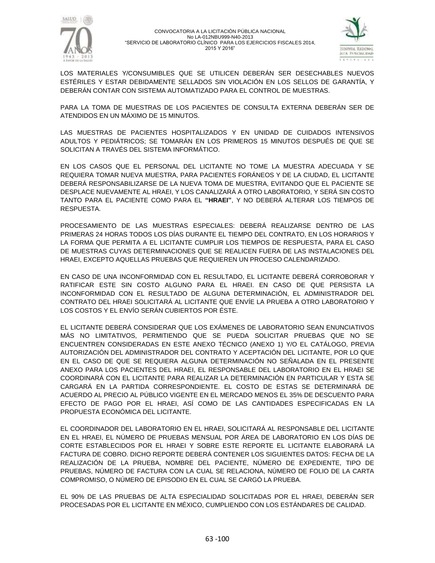



LOS MATERIALES Y/CONSUMIBLES QUE SE UTILICEN DEBERÁN SER DESECHABLES NUEVOS ESTÉRILES Y ESTAR DEBIDAMENTE SELLADOS SIN VIOLACIÓN EN LOS SELLOS DE GARANTÍA, Y DEBERÁN CONTAR CON SISTEMA AUTOMATIZADO PARA EL CONTROL DE MUESTRAS.

PARA LA TOMA DE MUESTRAS DE LOS PACIENTES DE CONSULTA EXTERNA DEBERÁN SER DE ATENDIDOS EN UN MÁXIMO DE 15 MINUTOS.

LAS MUESTRAS DE PACIENTES HOSPITALIZADOS Y EN UNIDAD DE CUIDADOS INTENSIVOS ADULTOS Y PEDIÁTRICOS; SE TOMARÁN EN LOS PRIMEROS 15 MINUTOS DESPUÉS DE QUE SE SOLICITAN A TRAVÉS DEL SISTEMA INFORMÁTICO.

EN LOS CASOS QUE EL PERSONAL DEL LICITANTE NO TOME LA MUESTRA ADECUADA Y SE REQUIERA TOMAR NUEVA MUESTRA, PARA PACIENTES FORÁNEOS Y DE LA CIUDAD, EL LICITANTE DEBERÁ RESPONSABILIZARSE DE LA NUEVA TOMA DE MUESTRA, EVITANDO QUE EL PACIENTE SE DESPLACE NUEVAMENTE AL HRAEI, Y LOS CANALIZARÁ A OTRO LABORATORIO, Y SERÁ SIN COSTO TANTO PARA EL PACIENTE COMO PARA EL **"HRAEI"**, Y NO DEBERÁ ALTERAR LOS TIEMPOS DE RESPUESTA.

PROCESAMIENTO DE LAS MUESTRAS ESPECIALES: DEBERÁ REALIZARSE DENTRO DE LAS PRIMERAS 24 HORAS TODOS LOS DÍAS DURANTE EL TIEMPO DEL CONTRATO, EN LOS HORARIOS Y LA FORMA QUE PERMITA A EL LICITANTE CUMPLIR LOS TIEMPOS DE RESPUESTA, PARA EL CASO DE MUESTRAS CUYAS DETERMINACIONES QUE SE REALICEN FUERA DE LAS INSTALACIONES DEL HRAEI, EXCEPTO AQUELLAS PRUEBAS QUE REQUIEREN UN PROCESO CALENDARIZADO.

EN CASO DE UNA INCONFORMIDAD CON EL RESULTADO, EL LICITANTE DEBERÁ CORROBORAR Y RATIFICAR ESTE SIN COSTO ALGUNO PARA EL HRAEI. EN CASO DE QUE PERSISTA LA INCONFORMIDAD CON EL RESULTADO DE ALGUNA DETERMINACIÓN, EL ADMINISTRADOR DEL CONTRATO DEL HRAEI SOLICITARÁ AL LICITANTE QUE ENVÍE LA PRUEBA A OTRO LABORATORIO Y LOS COSTOS Y EL ENVÍO SERÁN CUBIERTOS POR ÉSTE.

EL LICITANTE DEBERÁ CONSIDERAR QUE LOS EXÁMENES DE LABORATORIO SEAN ENUNCIATIVOS MÁS NO LIMITATIVOS, PERMITIENDO QUE SE PUEDA SOLICITAR PRUEBAS QUE NO SE ENCUENTREN CONSIDERADAS EN ESTE ANEXO TÉCNICO (ANEXO 1) Y/O EL CATÁLOGO, PREVIA AUTORIZACIÓN DEL ADMINISTRADOR DEL CONTRATO Y ACEPTACIÓN DEL LICITANTE, POR LO QUE EN EL CASO DE QUE SE REQUIERA ALGUNA DETERMINACIÓN NO SEÑALADA EN EL PRESENTE ANEXO PARA LOS PACIENTES DEL HRAEI, EL RESPONSABLE DEL LABORATORIO EN EL HRAEI SE COORDINARÁ CON EL LICITANTE PARA REALIZAR LA DETERMINACIÓN EN PARTICULAR Y ESTA SE CARGARÁ EN LA PARTIDA CORRESPONDIENTE. EL COSTO DE ESTAS SE DETERMINARÁ DE ACUERDO AL PRECIO AL PÚBLICO VIGENTE EN EL MERCADO MENOS EL 35% DE DESCUENTO PARA EFECTO DE PAGO POR EL HRAEI, ASÍ COMO DE LAS CANTIDADES ESPECIFICADAS EN LA PROPUESTA ECONÓMICA DEL LICITANTE.

EL COORDINADOR DEL LABORATORIO EN EL HRAEI, SOLICITARÁ AL RESPONSABLE DEL LICITANTE EN EL HRAEI, EL NÚMERO DE PRUEBAS MENSUAL POR ÁREA DE LABORATORIO EN LOS DÍAS DE CORTE ESTABLECIDOS POR EL HRAEI Y SOBRE ESTE REPORTE EL LICITANTE ELABORARÁ LA FACTURA DE COBRO. DICHO REPORTE DEBERÁ CONTENER LOS SIGUIENTES DATOS: FECHA DE LA REALIZACIÓN DE LA PRUEBA, NOMBRE DEL PACIENTE, NÚMERO DE EXPEDIENTE, TIPO DE PRUEBAS, NÚMERO DE FACTURA CON LA CUAL SE RELACIONA, NÚMERO DE FOLIO DE LA CARTA COMPROMISO, O NÚMERO DE EPISODIO EN EL CUAL SE CARGÓ LA PRUEBA.

EL 90% DE LAS PRUEBAS DE ALTA ESPECIALIDAD SOLICITADAS POR EL HRAEI, DEBERÁN SER PROCESADAS POR EL LICITANTE EN MÉXICO, CUMPLIENDO CON LOS ESTÁNDARES DE CALIDAD.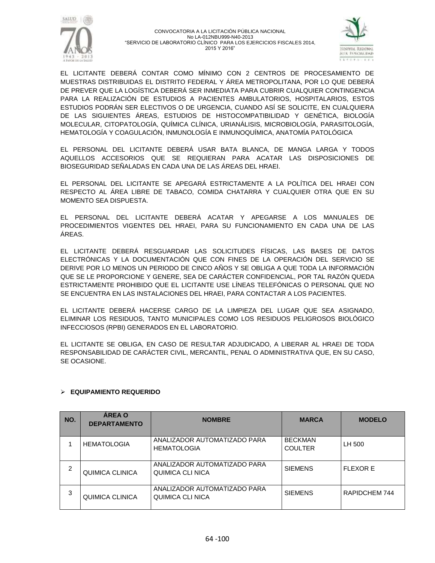



EL LICITANTE DEBERÁ CONTAR COMO MÍNIMO CON 2 CENTROS DE PROCESAMIENTO DE MUESTRAS DISTRIBUIDAS EL DISTRITO FEDERAL Y ÁREA METROPOLITANA, POR LO QUE DEBERÁ DE PREVER QUE LA LOGÍSTICA DEBERÁ SER INMEDIATA PARA CUBRIR CUALQUIER CONTINGENCIA PARA LA REALIZACIÓN DE ESTUDIOS A PACIENTES AMBULATORIOS, HOSPITALARIOS, ESTOS ESTUDIOS PODRÁN SER ELECTIVOS O DE URGENCIA, CUANDO ASÍ SE SOLICITE, EN CUALQUIERA DE LAS SIGUIENTES ÁREAS, ESTUDIOS DE HISTOCOMPATIBILIDAD Y GENÉTICA, BIOLOGÍA MOLECULAR, CITOPATOLOGÍA, QUÍMICA CLÍNICA, URIANÁLISIS, MICROBIOLOGÍA, PARASITOLOGÍA, HEMATOLOGÍA Y COAGULACIÓN, INMUNOLOGÍA E INMUNOQUÍMICA, ANATOMÍA PATOLÓGICA

EL PERSONAL DEL LICITANTE DEBERÁ USAR BATA BLANCA, DE MANGA LARGA Y TODOS AQUELLOS ACCESORIOS QUE SE REQUIERAN PARA ACATAR LAS DISPOSICIONES DE BIOSEGURIDAD SEÑALADAS EN CADA UNA DE LAS ÁREAS DEL HRAEI.

EL PERSONAL DEL LICITANTE SE APEGARÁ ESTRICTAMENTE A LA POLÍTICA DEL HRAEI CON RESPECTO AL ÁREA LIBRE DE TABACO, COMIDA CHATARRA Y CUALQUIER OTRA QUE EN SU MOMENTO SEA DISPUESTA.

EL PERSONAL DEL LICITANTE DEBERÁ ACATAR Y APEGARSE A LOS MANUALES DE PROCEDIMIENTOS VIGENTES DEL HRAEI, PARA SU FUNCIONAMIENTO EN CADA UNA DE LAS ÁREAS.

EL LICITANTE DEBERÁ RESGUARDAR LAS SOLICITUDES FÍSICAS, LAS BASES DE DATOS ELECTRÓNICAS Y LA DOCUMENTACIÓN QUE CON FINES DE LA OPERACIÓN DEL SERVICIO SE DERIVE POR LO MENOS UN PERIODO DE CINCO AÑOS Y SE OBLIGA A QUE TODA LA INFORMACIÓN QUE SE LE PROPORCIONE Y GENERE, SEA DE CARÁCTER CONFIDENCIAL, POR TAL RAZÓN QUEDA ESTRICTAMENTE PROHIBIDO QUE EL LICITANTE USE LÍNEAS TELEFÓNICAS O PERSONAL QUE NO SE ENCUENTRA EN LAS INSTALACIONES DEL HRAEI, PARA CONTACTAR A LOS PACIENTES.

EL LICITANTE DEBERÁ HACERSE CARGO DE LA LIMPIEZA DEL LUGAR QUE SEA ASIGNADO, ELIMINAR LOS RESIDUOS, TANTO MUNICIPALES COMO LOS RESIDUOS PELIGROSOS BIOLÓGICO INFECCIOSOS (RPBI) GENERADOS EN EL LABORATORIO.

EL LICITANTE SE OBLIGA, EN CASO DE RESULTAR ADJUDICADO, A LIBERAR AL HRAEI DE TODA RESPONSABILIDAD DE CARÁCTER CIVIL, MERCANTIL, PENAL O ADMINISTRATIVA QUE, EN SU CASO, SE OCASIONE.

| NO. | <b>AREA O</b><br><b>DEPARTAMENTO</b> | <b>NOMBRE</b>                                      | <b>MARCA</b>                     | <b>MODELO</b>   |
|-----|--------------------------------------|----------------------------------------------------|----------------------------------|-----------------|
|     | <b>HEMATOLOGIA</b>                   | ANALIZADOR AUTOMATIZADO PARA<br><b>HEMATOLOGIA</b> | <b>BECKMAN</b><br><b>COULTER</b> | LH 500          |
| 2   | QUIMICA CLINICA                      | ANALIZADOR AUTOMATIZADO PARA<br>QUIMICA CLI NICA   | <b>SIEMENS</b>                   | <b>FLEXOR E</b> |
| 3   | QUIMICA CLINICA                      | ANALIZADOR AUTOMATIZADO PARA<br>QUIMICA CLI NICA   | <b>SIEMENS</b>                   | RAPIDCHEM 744   |

# **EQUIPAMIENTO REQUERIDO**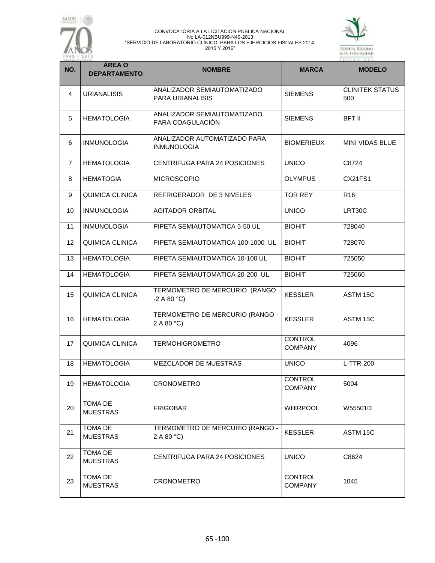



| NO.            | <b>ÁREA O</b><br><b>DEPARTAMENTO</b> | <b>NOMBRE</b>                                            | <b>MARCA</b>                     | <b>MODELO</b>                 |
|----------------|--------------------------------------|----------------------------------------------------------|----------------------------------|-------------------------------|
| $\overline{4}$ | <b>URIANALISIS</b>                   | ANALIZADOR SEMIAUTOMATIZADO<br><b>PARA URIANALISIS</b>   | <b>SIEMENS</b>                   | <b>CLINITEK STATUS</b><br>500 |
| 5              | <b>HEMATOLOGIA</b>                   | ANALIZADOR SEMIAUTOMATIZADO<br>PARA COAGULACIÓN          | <b>SIEMENS</b>                   | <b>BFT II</b>                 |
| 6              | INMUNOLOGIA                          | ANALIZADOR AUTOMATIZADO PARA<br><b>INMUNOLOGIA</b>       | <b>BIOMERIEUX</b>                | <b>MINI VIDAS BLUE</b>        |
| $\overline{7}$ | <b>HEMATOLOGIA</b>                   | CENTRIFUGA PARA 24 POSICIONES                            | <b>UNICO</b>                     | C8724                         |
| 8              | <b>HEMATOGIA</b>                     | <b>MICROSCOPIO</b>                                       | <b>OLYMPUS</b>                   | CX21FS1                       |
| 9              | <b>QUIMICA CLINICA</b>               | REFRIGERADOR DE 3 NIVELES                                | <b>TOR REY</b>                   | R <sub>16</sub>               |
| 10             | <b>INMUNOLOGIA</b>                   | <b>AGITADOR ORBITAL</b>                                  | <b>UNICO</b>                     | LRT30C                        |
| 11             | <b>INMUNOLOGIA</b>                   | PIPETA SEMIAUTOMATICA 5-50 UL                            | <b>BIOHIT</b>                    | 728040                        |
| 12             | QUIMICA CLINICA                      | PIPETA SEMIAUTOMATICA 100-1000 UL                        | <b>BIOHIT</b>                    | 728070                        |
| 13             | <b>HEMATOLOGIA</b>                   | PIPETA SEMIAUTOMATICA 10-100 UL                          | <b>BIOHIT</b>                    | 725050                        |
| 14             | <b>HEMATOLOGIA</b>                   | PIPETA SEMIAUTOMATICA 20-200 UL                          | <b>BIOHIT</b>                    | 725060                        |
| 15             | QUIMICA CLINICA                      | TERMOMETRO DE MERCURIO (RANGO<br>$-2$ A 80 $^{\circ}$ C) | <b>KESSLER</b>                   | ASTM 15C                      |
| 16             | <b>HEMATOLOGIA</b>                   | TERMOMETRO DE MERCURIO (RANGO -<br>2 A 80 °C             | <b>KESSLER</b>                   | ASTM 15C                      |
| 17             | <b>QUIMICA CLINICA</b>               | <b>TERMOHIGROMETRO</b>                                   | <b>CONTROL</b><br><b>COMPANY</b> | 4096                          |
| 18             | <b>HEMATOLOGIA</b>                   | MEZCLADOR DE MUESTRAS                                    | <b>UNICO</b>                     | L-TTR-200                     |
| 19             | <b>HEMATOLOGIA</b>                   | CRONOMETRO                                               | CONTROL<br><b>COMPANY</b>        | 5004                          |
| 20             | TOMA DE<br><b>MUESTRAS</b>           | <b>FRIGOBAR</b>                                          | <b>WHIRPOOL</b>                  | W55501D                       |
| 21             | <b>TOMA DE</b><br><b>MUESTRAS</b>    | TERMOMETRO DE MERCURIO (RANGO -<br>2 A 80 °C)            | <b>KESSLER</b>                   | ASTM 15C                      |
| 22             | TOMA DE<br><b>MUESTRAS</b>           | CENTRIFUGA PARA 24 POSICIONES                            | <b>UNICO</b>                     | C8624                         |
| 23             | <b>TOMA DE</b><br><b>MUESTRAS</b>    | <b>CRONOMETRO</b>                                        | <b>CONTROL</b><br><b>COMPANY</b> | 1045                          |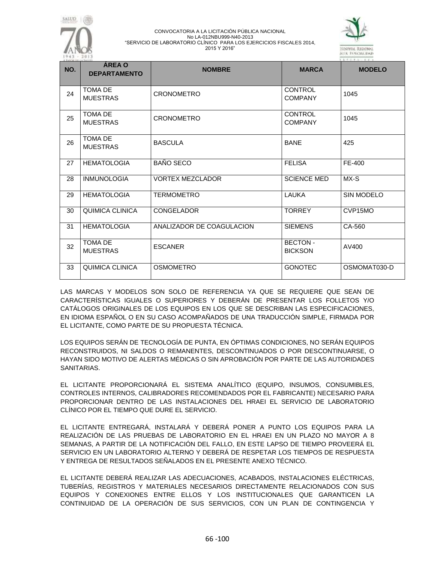



| NO. | <b>AREA O</b><br><b>DEPARTAMENTO</b> | <b>NOMBRE</b>             | <b>MARCA</b>                     | <b>MODELO</b>        |
|-----|--------------------------------------|---------------------------|----------------------------------|----------------------|
| 24  | <b>TOMA DE</b><br><b>MUESTRAS</b>    | <b>CRONOMETRO</b>         | <b>CONTROL</b><br><b>COMPANY</b> | 1045                 |
| 25  | <b>TOMA DE</b><br><b>MUESTRAS</b>    | <b>CRONOMETRO</b>         | <b>CONTROL</b><br><b>COMPANY</b> | 1045                 |
| 26  | <b>TOMA DE</b><br><b>MUESTRAS</b>    | <b>BASCULA</b>            | <b>BANE</b>                      | 425                  |
| 27  | <b>HEMATOLOGIA</b>                   | <b>BAÑO SECO</b>          | <b>FELISA</b>                    | FE-400               |
| 28  | <b>INMUNOLOGIA</b>                   | <b>VORTEX MEZCLADOR</b>   | <b>SCIENCE MED</b>               | MX-S                 |
| 29  | <b>HEMATOLOGIA</b>                   | <b>TERMOMETRO</b>         | LAUKA                            | SIN MODELO           |
| 30  | QUIMICA CLINICA                      | <b>CONGELADOR</b>         | <b>TORREY</b>                    | CVP <sub>15</sub> MO |
| 31  | <b>HEMATOLOGIA</b>                   | ANALIZADOR DE COAGULACION | <b>SIEMENS</b>                   | CA-560               |
| 32  | <b>TOMA DE</b><br><b>MUESTRAS</b>    | <b>ESCANER</b>            | <b>BECTON-</b><br><b>BICKSON</b> | AV400                |
| 33  | <b>QUIMICA CLINICA</b>               | <b>OSMOMETRO</b>          | <b>GONOTEC</b>                   | OSMOMAT030-D         |

LAS MARCAS Y MODELOS SON SOLO DE REFERENCIA YA QUE SE REQUIERE QUE SEAN DE CARACTERÍSTICAS IGUALES O SUPERIORES Y DEBERÁN DE PRESENTAR LOS FOLLETOS Y/O CATÁLOGOS ORIGINALES DE LOS EQUIPOS EN LOS QUE SE DESCRIBAN LAS ESPECIFICACIONES, EN IDIOMA ESPAÑOL O EN SU CASO ACOMPAÑADOS DE UNA TRADUCCIÓN SIMPLE, FIRMADA POR EL LICITANTE, COMO PARTE DE SU PROPUESTA TÉCNICA.

LOS EQUIPOS SERÁN DE TECNOLOGÍA DE PUNTA, EN ÓPTIMAS CONDICIONES, NO SERÁN EQUIPOS RECONSTRUIDOS, NI SALDOS O REMANENTES, DESCONTINUADOS O POR DESCONTINUARSE, O HAYAN SIDO MOTIVO DE ALERTAS MÉDICAS O SIN APROBACIÓN POR PARTE DE LAS AUTORIDADES SANITARIAS.

EL LICITANTE PROPORCIONARÁ EL SISTEMA ANALÍTICO (EQUIPO, INSUMOS, CONSUMIBLES, CONTROLES INTERNOS, CALIBRADORES RECOMENDADOS POR EL FABRICANTE) NECESARIO PARA PROPORCIONAR DENTRO DE LAS INSTALACIONES DEL HRAEI EL SERVICIO DE LABORATORIO CLÍNICO POR EL TIEMPO QUE DURE EL SERVICIO.

EL LICITANTE ENTREGARÁ, INSTALARÁ Y DEBERÁ PONER A PUNTO LOS EQUIPOS PARA LA REALIZACIÓN DE LAS PRUEBAS DE LABORATORIO EN EL HRAEI EN UN PLAZO NO MAYOR A 8 SEMANAS, A PARTIR DE LA NOTIFICACIÓN DEL FALLO, EN ESTE LAPSO DE TIEMPO PROVEERÁ EL SERVICIO EN UN LABORATORIO ALTERNO Y DEBERÁ DE RESPETAR LOS TIEMPOS DE RESPUESTA Y ENTREGA DE RESULTADOS SEÑALADOS EN EL PRESENTE ANEXO TÉCNICO.

EL LICITANTE DEBERÁ REALIZAR LAS ADECUACIONES, ACABADOS, INSTALACIONES ELÉCTRICAS, TUBERÍAS, REGISTROS Y MATERIALES NECESARIOS DIRECTAMENTE RELACIONADOS CON SUS EQUIPOS Y CONEXIONES ENTRE ELLOS Y LOS INSTITUCIONALES QUE GARANTICEN LA CONTINUIDAD DE LA OPERACIÓN DE SUS SERVICIOS, CON UN PLAN DE CONTINGENCIA Y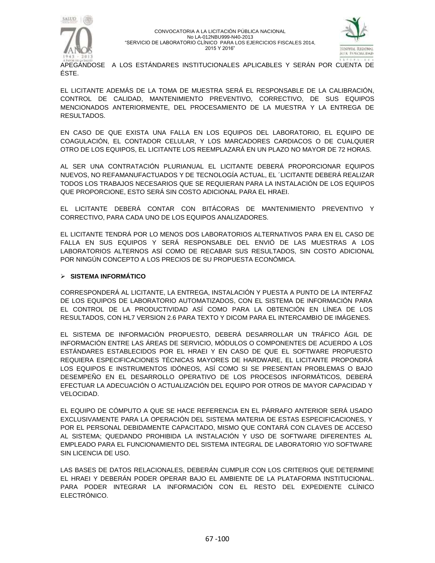



APEGÁNDOSE A LOS ESTÁNDARES INSTITUCIONALES APLICABLES Y SERÁN POR CUENTA DE ÉSTE.

EL LICITANTE ADEMÁS DE LA TOMA DE MUESTRA SERÁ EL RESPONSABLE DE LA CALIBRACIÓN, CONTROL DE CALIDAD, MANTENIMIENTO PREVENTIVO, CORRECTIVO, DE SUS EQUIPOS MENCIONADOS ANTERIORMENTE, DEL PROCESAMIENTO DE LA MUESTRA Y LA ENTREGA DE RESULTADOS.

EN CASO DE QUE EXISTA UNA FALLA EN LOS EQUIPOS DEL LABORATORIO, EL EQUIPO DE COAGULACIÓN, EL CONTADOR CELULAR, Y LOS MARCADORES CARDIACOS O DE CUALQUIER OTRO DE LOS EQUIPOS, EL LICITANTE LOS REEMPLAZARÁ EN UN PLAZO NO MAYOR DE 72 HORAS.

AL SER UNA CONTRATACIÓN PLURIANUAL EL LICITANTE DEBERÁ PROPORCIONAR EQUIPOS NUEVOS, NO REFAMANUFACTUADOS Y DE TECNOLOGÍA ACTUAL, EL ´LICITANTE DEBERÁ REALIZAR TODOS LOS TRABAJOS NECESARIOS QUE SE REQUIERAN PARA LA INSTALACIÓN DE LOS EQUIPOS QUE PROPORCIONE, ESTO SERÁ SIN COSTO ADICIONAL PARA EL HRAEI.

EL LICITANTE DEBERÁ CONTAR CON BITÁCORAS DE MANTENIMIENTO PREVENTIVO Y CORRECTIVO, PARA CADA UNO DE LOS EQUIPOS ANALIZADORES.

EL LICITANTE TENDRÁ POR LO MENOS DOS LABORATORIOS ALTERNATIVOS PARA EN EL CASO DE FALLA EN SUS EQUIPOS Y SERÁ RESPONSABLE DEL ENVIÓ DE LAS MUESTRAS A LOS LABORATORIOS ALTERNOS ASÍ COMO DE RECABAR SUS RESULTADOS, SIN COSTO ADICIONAL POR NINGÚN CONCEPTO A LOS PRECIOS DE SU PROPUESTA ECONÓMICA.

## **SISTEMA INFORMÁTICO**

CORRESPONDERÁ AL LICITANTE, LA ENTREGA, INSTALACIÓN Y PUESTA A PUNTO DE LA INTERFAZ DE LOS EQUIPOS DE LABORATORIO AUTOMATIZADOS, CON EL SISTEMA DE INFORMACIÓN PARA EL CONTROL DE LA PRODUCTIVIDAD ASÍ COMO PARA LA OBTENCIÓN EN LÍNEA DE LOS RESULTADOS, CON HL7 VERSION 2.6 PARA TEXTO Y DICOM PARA EL INTERCAMBIO DE IMÁGENES.

EL SISTEMA DE INFORMACIÓN PROPUESTO, DEBERÁ DESARROLLAR UN TRÁFICO ÁGIL DE INFORMACIÓN ENTRE LAS ÁREAS DE SERVICIO, MÓDULOS O COMPONENTES DE ACUERDO A LOS ESTÁNDARES ESTABLECIDOS POR EL HRAEI Y EN CASO DE QUE EL SOFTWARE PROPUESTO REQUIERA ESPECIFICACIONES TÉCNICAS MAYORES DE HARDWARE, EL LICITANTE PROPONDRÁ LOS EQUIPOS E INSTRUMENTOS IDÓNEOS, ASÍ COMO SI SE PRESENTAN PROBLEMAS O BAJO DESEMPEÑO EN EL DESARROLLO OPERATIVO DE LOS PROCESOS INFORMÁTICOS, DEBERÁ EFECTUAR LA ADECUACIÓN O ACTUALIZACIÓN DEL EQUIPO POR OTROS DE MAYOR CAPACIDAD Y VELOCIDAD.

EL EQUIPO DE CÓMPUTO A QUE SE HACE REFERENCIA EN EL PÁRRAFO ANTERIOR SERÁ USADO EXCLUSIVAMENTE PARA LA OPERACIÓN DEL SISTEMA MATERIA DE ESTAS ESPECIFICACIONES, Y POR EL PERSONAL DEBIDAMENTE CAPACITADO, MISMO QUE CONTARÁ CON CLAVES DE ACCESO AL SISTEMA; QUEDANDO PROHIBIDA LA INSTALACIÓN Y USO DE SOFTWARE DIFERENTES AL EMPLEADO PARA EL FUNCIONAMIENTO DEL SISTEMA INTEGRAL DE LABORATORIO Y/O SOFTWARE SIN LICENCIA DE USO.

LAS BASES DE DATOS RELACIONALES, DEBERÁN CUMPLIR CON LOS CRITERIOS QUE DETERMINE EL HRAEI Y DEBERÁN PODER OPERAR BAJO EL AMBIENTE DE LA PLATAFORMA INSTITUCIONAL. PARA PODER INTEGRAR LA INFORMACIÓN CON EL RESTO DEL EXPEDIENTE CLÍNICO ELECTRÓNICO.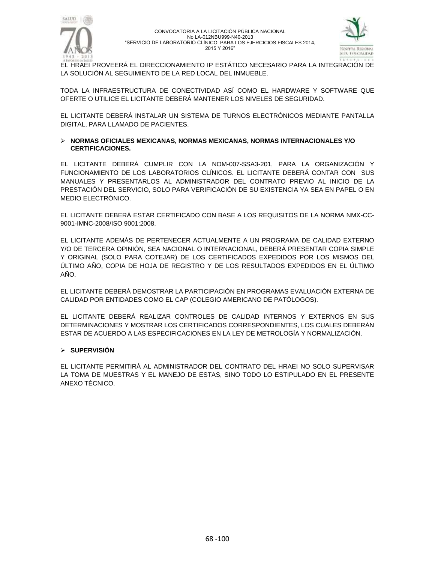



EL HRAEI PROVEERÁ EL DIRECCIONAMIENTO IP ESTÁTICO NECESARIO PARA LA INTEGRACIÓN DE LA SOLUCIÓN AL SEGUIMIENTO DE LA RED LOCAL DEL INMUEBLE.

TODA LA INFRAESTRUCTURA DE CONECTIVIDAD ASÍ COMO EL HARDWARE Y SOFTWARE QUE OFERTE O UTILICE EL LICITANTE DEBERÁ MANTENER LOS NIVELES DE SEGURIDAD.

EL LICITANTE DEBERÁ INSTALAR UN SISTEMA DE TURNOS ELECTRÓNICOS MEDIANTE PANTALLA DIGITAL, PARA LLAMADO DE PACIENTES.

### **NORMAS OFICIALES MEXICANAS, NORMAS MEXICANAS, NORMAS INTERNACIONALES Y/O CERTIFICACIONES.**

EL LICITANTE DEBERÁ CUMPLIR CON LA NOM-007-SSA3-201, PARA LA ORGANIZACIÓN Y FUNCIONAMIENTO DE LOS LABORATORIOS CLÍNICOS. EL LICITANTE DEBERÁ CONTAR CON SUS MANUALES Y PRESENTARLOS AL ADMINISTRADOR DEL CONTRATO PREVIO AL INICIO DE LA PRESTACIÓN DEL SERVICIO, SOLO PARA VERIFICACIÓN DE SU EXISTENCIA YA SEA EN PAPEL O EN MEDIO ELECTRÓNICO.

EL LICITANTE DEBERÁ ESTAR CERTIFICADO CON BASE A LOS REQUISITOS DE LA NORMA NMX-CC-9001-IMNC-2008/ISO 9001:2008.

EL LICITANTE ADEMÁS DE PERTENECER ACTUALMENTE A UN PROGRAMA DE CALIDAD EXTERNO Y/O DE TERCERA OPINIÓN, SEA NACIONAL O INTERNACIONAL, DEBERÁ PRESENTAR COPIA SIMPLE Y ORIGINAL (SOLO PARA COTEJAR) DE LOS CERTIFICADOS EXPEDIDOS POR LOS MISMOS DEL ÚLTIMO AÑO, COPIA DE HOJA DE REGISTRO Y DE LOS RESULTADOS EXPEDIDOS EN EL ÚLTIMO AÑO.

EL LICITANTE DEBERÁ DEMOSTRAR LA PARTICIPACIÓN EN PROGRAMAS EVALUACIÓN EXTERNA DE CALIDAD POR ENTIDADES COMO EL CAP (COLEGIO AMERICANO DE PATÓLOGOS).

EL LICITANTE DEBERÁ REALIZAR CONTROLES DE CALIDAD INTERNOS Y EXTERNOS EN SUS DETERMINACIONES Y MOSTRAR LOS CERTIFICADOS CORRESPONDIENTES, LOS CUALES DEBERÁN ESTAR DE ACUERDO A LAS ESPECIFICACIONES EN LA LEY DE METROLOGÍA Y NORMALIZACIÓN.

## **SUPERVISIÓN**

EL LICITANTE PERMITIRÁ AL ADMINISTRADOR DEL CONTRATO DEL HRAEI NO SOLO SUPERVISAR LA TOMA DE MUESTRAS Y EL MANEJO DE ESTAS, SINO TODO LO ESTIPULADO EN EL PRESENTE ANEXO TÉCNICO.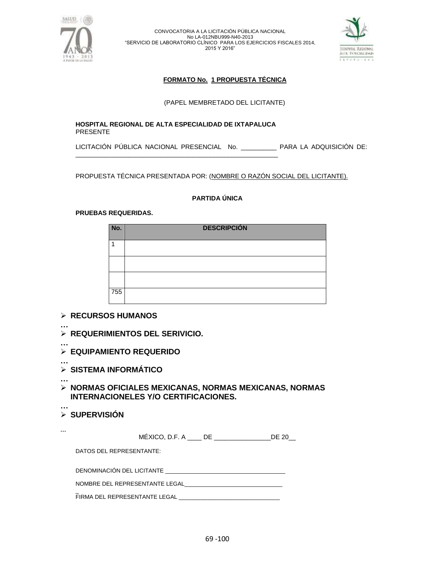



# **FORMATO No. 1 PROPUESTA TÉCNICA**

(PAPEL MEMBRETADO DEL LICITANTE)

## **HOSPITAL REGIONAL DE ALTA ESPECIALIDAD DE IXTAPALUCA** PRESENTE

\_\_\_\_\_\_\_\_\_\_\_\_\_\_\_\_\_\_\_\_\_\_\_\_\_\_\_\_\_\_\_\_\_\_\_\_\_\_\_\_\_\_\_\_\_\_\_\_\_\_\_\_\_\_\_\_\_

LICITACIÓN PÚBLICA NACIONAL PRESENCIAL No. \_\_\_\_\_\_\_\_\_\_ PARA LA ADQUISICIÓN DE:

PROPUESTA TÉCNICA PRESENTADA POR: (NOMBRE O RAZÓN SOCIAL DEL LICITANTE).

## **PARTIDA ÚNICA**

## **PRUEBAS REQUERIDAS.**

| No. | <b>DESCRIPCIÓN</b> |
|-----|--------------------|
|     |                    |
|     |                    |
|     |                    |
| 755 |                    |

# **RECURSOS HUMANOS**

- **… REQUERIMIENTOS DEL SERIVICIO.**
- **…**
- **EQUIPAMIENTO REQUERIDO**
- **… SISTEMA INFORMÁTICO**
- **… NORMAS OFICIALES MEXICANAS, NORMAS MEXICANAS, NORMAS INTERNACIONELES Y/O CERTIFICACIONES.**

### **… SUPERVISIÓN**

| <br>$MEXICO, D.F. A$ DE<br>DE 20 |  |
|----------------------------------|--|
| DATOS DEL REPRESENTANTE:         |  |
| DENOMINACIÓN DEL LICITANTE       |  |
| NOMBRE DEL REPRESENTANTE LEGAL   |  |
| FIRMA DEL REPRESENTANTE LEGAL    |  |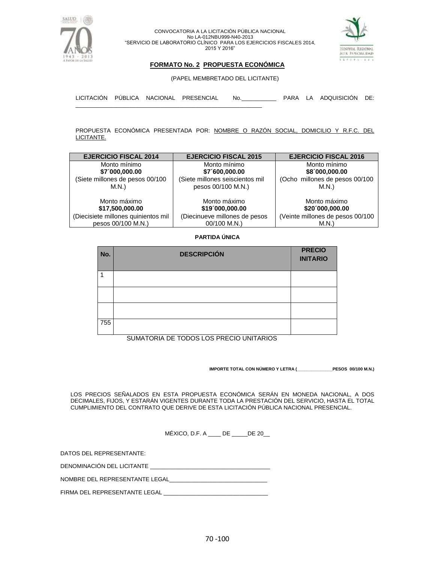



## **FORMATO No. 2 PROPUESTA ECONÓMICA**

(PAPEL MEMBRETADO DEL LICITANTE)

LICITACIÓN PÚBLICA NACIONAL PRESENCIAL No.\_\_\_\_\_\_\_\_\_\_\_ PARA LA ADQUISICIÓN DE: \_\_\_\_\_\_\_\_\_\_\_\_\_\_\_\_\_\_\_\_\_\_\_\_\_\_\_\_\_\_\_\_\_\_\_\_\_\_\_\_\_\_\_\_\_\_\_\_\_\_\_\_\_\_\_\_\_\_\_

PROPUESTA ECONÓMICA PRESENTADA POR: NOMBRE O RAZÓN SOCIAL, DOMICILIO Y R.F.C. DEL LICITANTE.

| <b>EJERCICIO FISCAL 2014</b>        | <b>EJERCICIO FISCAL 2015</b>    | <b>EJERCICIO FISCAL 2016</b>     |
|-------------------------------------|---------------------------------|----------------------------------|
| Monto mínimo                        | Monto mínimo                    | Monto mínimo                     |
| \$7´000,000.00                      | \$7´600,000.00                  | \$8'000,000.00                   |
| (Siete millones de pesos 00/100     | (Siete millones seiscientos mil | (Ocho millones de pesos 00/100   |
| M.N.)                               | pesos 00/100 M.N.)              | M.N.)                            |
|                                     |                                 |                                  |
| Monto máximo                        | Monto máximo                    | Monto máximo                     |
| \$17,500,000.00                     | \$19'000,000.00                 | \$20'000,000.00                  |
| (Diecisiete millones quinientos mil | (Diecinueve millones de pesos   | (Veinte millones de pesos 00/100 |
| pesos 00/100 M.N.)                  | 00/100 M.N.)                    | M.N.)                            |

### **PARTIDA ÚNICA**

| No. | <b>DESCRIPCIÓN</b> | <b>PRECIO</b><br><b>INITARIO</b> |
|-----|--------------------|----------------------------------|
|     |                    |                                  |
|     |                    |                                  |
|     |                    |                                  |
| 755 |                    |                                  |

SUMATORIA DE TODOS LOS PRECIO UNITARIOS

**IMPORTE TOTAL CON NÚMERO Y LETRA (\_\_\_\_\_\_\_\_\_\_\_\_\_\_\_PESOS 00/100 M.N.)**

LOS PRECIOS SEÑALADOS EN ESTA PROPUESTA ECONÓMICA SERÁN EN MONEDA NACIONAL, A DOS DECIMALES, FIJOS, Y ESTARÁN VIGENTES DURANTE TODA LA PRESTACIÓN DEL SERVICIO, HASTA EL TOTAL CUMPLIMIENTO DEL CONTRATO QUE DERIVE DE ESTA LICITACIÓN PÚBLICA NACIONAL PRESENCIAL.

MÉXICO, D.F. A DE DE 20

DATOS DEL REPRESENTANTE:

DENOMINACIÓN DEL LICITANTE \_\_\_\_\_\_\_\_\_\_\_\_\_\_\_\_\_\_\_\_\_\_\_\_\_\_\_\_\_\_\_\_\_\_\_\_\_\_

NOMBRE DEL REPRESENTANTE LEGAL\_\_\_

FIRMA DEL REPRESENTANTE LEGAL \_\_\_\_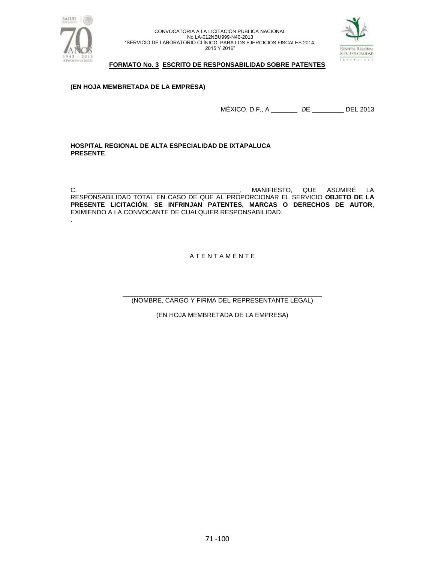

.

CONVOCATORIA A LA LICITACIÓN PÚBLICA NACIONAL No LA-012NBU999-N40-2013 "SERVICIO DE LABORATORIO CLÍNICO PARA LOS EJERCICIOS FISCALES 2014, 2015 Y 2016"



## **FORMATO No. 3 ESCRITO DE RESPONSABILIDAD SOBRE PATENTES**

## **(EN HOJA MEMBRETADA DE LA EMPRESA)**

MÉXICO, D.F., A \_\_\_\_\_\_\_\_ DE \_\_\_\_\_\_\_\_\_ DEL 2013

**HOSPITAL REGIONAL DE ALTA ESPECIALIDAD DE IXTAPALUCA PRESENTE**.

C. \_\_\_\_\_\_\_\_\_\_\_\_\_\_\_\_\_\_\_\_\_\_\_\_\_\_\_\_\_\_\_\_\_\_\_\_\_\_\_\_\_\_\_, MANIFIESTO, QUE ASUMIRÉ LA RESPONSABILIDAD TOTAL EN CASO DE QUE AL PROPORCIONAR EL SERVICIO **OBJETO DE LA PRESENTE LICITACIÓN**, **SE INFRINJAN PATENTES, MARCAS O DERECHOS DE AUTOR**, EXIMIENDO A LA CONVOCANTE DE CUALQUIER RESPONSABILIDAD.

# A T E N T A M E N T E

\_\_\_\_\_\_\_\_\_\_\_\_\_\_\_\_\_\_\_\_\_\_\_\_\_\_\_\_\_\_\_\_\_\_\_\_\_\_\_\_\_\_\_\_\_\_\_\_\_\_\_\_\_\_\_\_ (NOMBRE, CARGO Y FIRMA DEL REPRESENTANTE LEGAL)

(EN HOJA MEMBRETADA DE LA EMPRESA)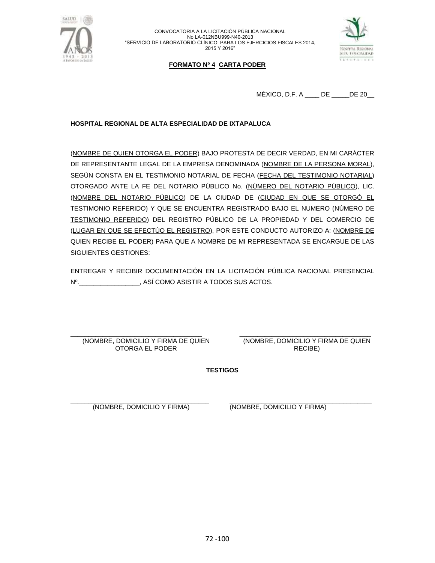



# **FORMATO Nº 4 CARTA PODER**

MÉXICO, D.F. A \_\_\_\_ DE \_\_\_\_\_DE 20\_\_

## **HOSPITAL REGIONAL DE ALTA ESPECIALIDAD DE IXTAPALUCA**

(NOMBRE DE QUIEN OTORGA EL PODER) BAJO PROTESTA DE DECIR VERDAD, EN MI CARÁCTER DE REPRESENTANTE LEGAL DE LA EMPRESA DENOMINADA (NOMBRE DE LA PERSONA MORAL), SEGÚN CONSTA EN EL TESTIMONIO NOTARIAL DE FECHA (FECHA DEL TESTIMONIO NOTARIAL) OTORGADO ANTE LA FE DEL NOTARIO PÚBLICO No. (NÚMERO DEL NOTARIO PÚBLICO), LIC. (NOMBRE DEL NOTARIO PÚBLICO) DE LA CIUDAD DE (CIUDAD EN QUE SE OTORGÓ EL TESTIMONIO REFERIDO) Y QUE SE ENCUENTRA REGISTRADO BAJO EL NUMERO (NÚMERO DE TESTIMONIO REFERIDO) DEL REGISTRO PÚBLICO DE LA PROPIEDAD Y DEL COMERCIO DE (LUGAR EN QUE SE EFECTÚO EL REGISTRO), POR ESTE CONDUCTO AUTORIZO A: (NOMBRE DE QUIEN RECIBE EL PODER) PARA QUE A NOMBRE DE MI REPRESENTADA SE ENCARGUE DE LAS SIGUIENTES GESTIONES:

ENTREGAR Y RECIBIR DOCUMENTACIÓN EN LA LICITACIÓN PÚBLICA NACIONAL PRESENCIAL Nº.  $\blacksquare$ 

\_\_\_\_\_\_\_\_\_\_\_\_\_\_\_\_\_\_\_\_\_\_\_\_\_\_\_\_\_\_\_\_\_\_\_\_\_ (NOMBRE, DOMICILIO Y FIRMA DE QUIEN OTORGA EL PODER

\_\_\_\_\_\_\_\_\_\_\_\_\_\_\_\_\_\_\_\_\_\_\_\_\_\_\_\_\_\_\_\_\_\_\_\_\_ (NOMBRE, DOMICILIO Y FIRMA DE QUIEN RECIBE)

**TESTIGOS**

\_\_\_\_\_\_\_\_\_\_\_\_\_\_\_\_\_\_\_\_\_\_\_\_\_\_\_\_\_\_\_\_\_\_\_\_\_\_\_ (NOMBRE, DOMICILIO Y FIRMA)

\_\_\_\_\_\_\_\_\_\_\_\_\_\_\_\_\_\_\_\_\_\_\_\_\_\_\_\_\_\_\_\_\_\_\_\_\_\_\_\_ (NOMBRE, DOMICILIO Y FIRMA)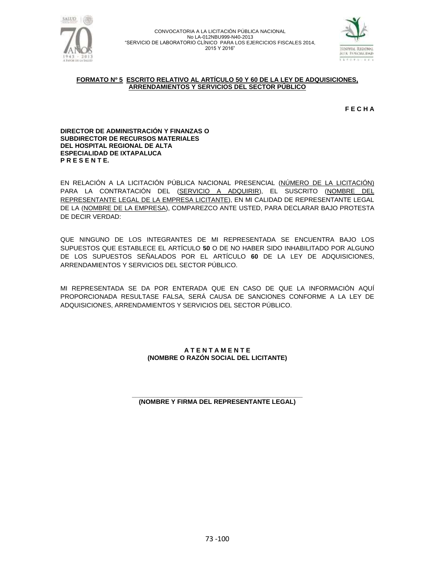



#### **FORMATO Nº 5 ESCRITO RELATIVO AL ARTÍCULO 50 Y 60 DE LA LEY DE ADQUISICIONES, ARRENDAMIENTOS Y SERVICIOS DEL SECTOR PÚBLICO**

**F E C H A**

#### **DIRECTOR DE ADMINISTRACIÓN Y FINANZAS O SUBDIRECTOR DE RECURSOS MATERIALES DEL HOSPITAL REGIONAL DE ALTA ESPECIALIDAD DE IXTAPALUCA P R E S E N T E.**

EN RELACIÓN A LA LICITACIÓN PÚBLICA NACIONAL PRESENCIAL (NÚMERO DE LA LICITACIÓN) PARA LA CONTRATACIÓN DEL (SERVICIO A ADQUIRIR), EL SUSCRITO (NOMBRE DEL REPRESENTANTE LEGAL DE LA EMPRESA LICITANTE), EN MI CALIDAD DE REPRESENTANTE LEGAL DE LA (NOMBRE DE LA EMPRESA), COMPAREZCO ANTE USTED, PARA DECLARAR BAJO PROTESTA DE DECIR VERDAD:

QUE NINGUNO DE LOS INTEGRANTES DE MI REPRESENTADA SE ENCUENTRA BAJO LOS SUPUESTOS QUE ESTABLECE EL ARTÍCULO **50** O DE NO HABER SIDO INHABILITADO POR ALGUNO DE LOS SUPUESTOS SEÑALADOS POR EL ARTÍCULO **60** DE LA LEY DE ADQUISICIONES, ARRENDAMIENTOS Y SERVICIOS DEL SECTOR PÚBLICO.

MI REPRESENTADA SE DA POR ENTERADA QUE EN CASO DE QUE LA INFORMACIÓN AQUÍ PROPORCIONADA RESULTASE FALSA, SERÁ CAUSA DE SANCIONES CONFORME A LA LEY DE ADQUISICIONES, ARRENDAMIENTOS Y SERVICIOS DEL SECTOR PÚBLICO.

### **A T E N T A M E N T E (NOMBRE O RAZÓN SOCIAL DEL LICITANTE)**

#### **\_\_\_\_\_\_\_\_\_\_\_\_\_\_\_\_\_\_\_\_\_\_\_\_\_\_\_\_\_\_\_\_\_\_\_\_\_\_\_\_\_\_\_\_\_\_\_\_ (NOMBRE Y FIRMA DEL REPRESENTANTE LEGAL)**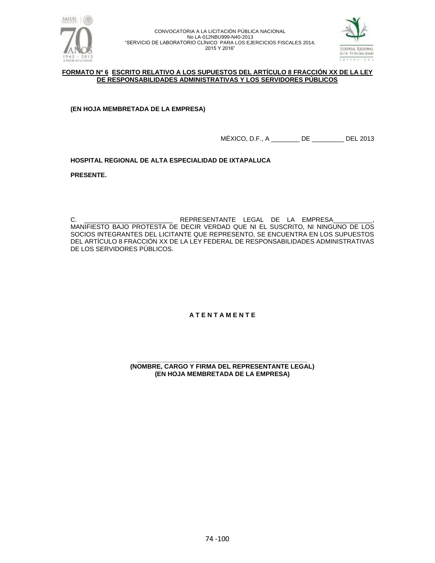



### **FORMATO Nº 6 ESCRITO RELATIVO A LOS SUPUESTOS DEL ARTÍCULO 8 FRACCIÓN XX DE LA LEY DE RESPONSABILIDADES ADMINISTRATIVAS Y LOS SERVIDORES PÚBLICOS**

**(EN HOJA MEMBRETADA DE LA EMPRESA)**

MÉXICO, D.F., A \_\_\_\_\_\_\_\_ DE \_\_\_\_\_\_\_\_\_ DEL 2013

**HOSPITAL REGIONAL DE ALTA ESPECIALIDAD DE IXTAPALUCA**

**PRESENTE.**

C. \_\_\_\_\_\_\_\_\_\_\_\_\_\_\_\_\_\_\_\_\_\_\_\_\_ REPRESENTANTE LEGAL DE LA EMPRESA\_\_\_\_\_\_\_\_\_\_\_, MANIFIESTO BAJO PROTESTA DE DECIR VERDAD QUE NI EL SUSCRITO, NI NINGUNO DE LOS SOCIOS INTEGRANTES DEL LICITANTE QUE REPRESENTO, SE ENCUENTRA EN LOS SUPUESTOS DEL ARTÍCULO 8 FRACCIÓN XX DE LA LEY FEDERAL DE RESPONSABILIDADES ADMINISTRATIVAS DE LOS SERVIDORES PÚBLICOS.

**A T E N T A M E N T E**

**\_\_\_\_\_\_\_\_\_\_\_\_\_\_\_\_\_\_\_\_\_\_\_\_\_\_\_\_\_\_\_\_\_\_\_\_\_\_\_\_\_\_\_\_\_\_\_\_ (NOMBRE, CARGO Y FIRMA DEL REPRESENTANTE LEGAL) (EN HOJA MEMBRETADA DE LA EMPRESA)**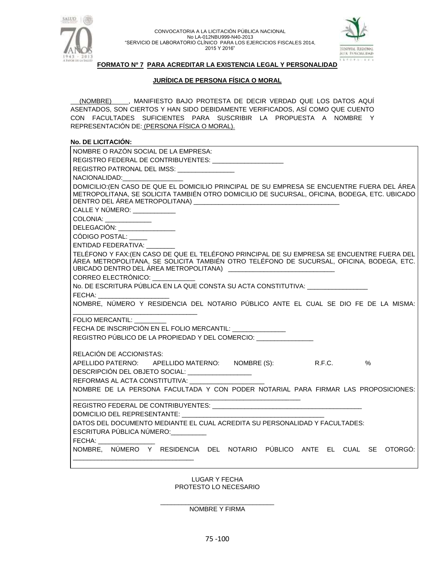



### **FORMATO Nº 7 PARA ACREDITAR LA EXISTENCIA LEGAL Y PERSONALIDAD**

### **JURÍDICA DE PERSONA FÍSICA O MORAL**

(NOMBRE) , MANIFIESTO BAJO PROTESTA DE DECIR VERDAD QUE LOS DATOS AQUÍ ASENTADOS, SON CIERTOS Y HAN SIDO DEBIDAMENTE VERIFICADOS, ASÍ COMO QUE CUENTO CON FACULTADES SUFICIENTES PARA SUSCRIBIR LA PROPUESTA A NOMBRE Y REPRESENTACIÓN DE: (PERSONA FÍSICA O MORAL).

### **No. DE LICITACIÓN:**

| NOMBRE O RAZÓN SOCIAL DE LA EMPRESA:                                                                                                                                                                                           |  |  |  |
|--------------------------------------------------------------------------------------------------------------------------------------------------------------------------------------------------------------------------------|--|--|--|
| REGISTRO FEDERAL DE CONTRIBUYENTES: ______________________                                                                                                                                                                     |  |  |  |
| REGISTRO PATRONAL DEL IMSS: UNITED AND THE REGISTRO                                                                                                                                                                            |  |  |  |
| NACIONALIDAD: NACIONALIDAD:                                                                                                                                                                                                    |  |  |  |
| DOMICILIO: (EN CASO DE QUE EL DOMICILIO PRINCIPAL DE SU EMPRESA SE ENCUENTRE FUERA DEL ÁREA                                                                                                                                    |  |  |  |
| METROPOLITANA, SE SOLICITA TAMBIÉN OTRO DOMICILIO DE SUCURSAL, OFICINA, BODEGA, ETC. UBICADO                                                                                                                                   |  |  |  |
|                                                                                                                                                                                                                                |  |  |  |
| CALLE Y NÚMERO: ____________                                                                                                                                                                                                   |  |  |  |
| COLONIA: _____________                                                                                                                                                                                                         |  |  |  |
| DELEGACIÓN: _________________                                                                                                                                                                                                  |  |  |  |
| CÓDIGO POSTAL:                                                                                                                                                                                                                 |  |  |  |
| ENTIDAD FEDERATIVA:                                                                                                                                                                                                            |  |  |  |
| TELÉFONO Y FAX: (EN CASO DE QUE EL TELÉFONO PRINCIPAL DE SU EMPRESA SE ENCUENTRE FUERA DEL<br>ÁREA METROPOLITANA, SE SOLICITA TAMBIÉN OTRO TELÉFONO DE SUCURSAL, OFICINA, BODEGA, ETC.                                         |  |  |  |
|                                                                                                                                                                                                                                |  |  |  |
| CORREO ELECTRÓNICO: ___________                                                                                                                                                                                                |  |  |  |
| No. DE ESCRITURA PÚBLICA EN LA QUE CONSTA SU ACTA CONSTITUTIVA: ________________                                                                                                                                               |  |  |  |
| <b>FECHA:</b>                                                                                                                                                                                                                  |  |  |  |
| NOMBRE, NÚMERO Y RESIDENCIA DEL NOTARIO PÚBLICO ANTE EL CUAL SE DIO FE DE LA MISMA:                                                                                                                                            |  |  |  |
|                                                                                                                                                                                                                                |  |  |  |
| FOLIO MERCANTIL: ________                                                                                                                                                                                                      |  |  |  |
| FECHA DE INSCRIPCIÓN EN EL FOLIO MERCANTIL: _______________                                                                                                                                                                    |  |  |  |
| REGISTRO PÚBLICO DE LA PROPIEDAD Y DEL COMERCIO:                                                                                                                                                                               |  |  |  |
|                                                                                                                                                                                                                                |  |  |  |
| RELACIÓN DE ACCIONISTAS:                                                                                                                                                                                                       |  |  |  |
| APELLIDO PATERNO: APELLIDO MATERNO: NOMBRE (S): R.F.C.<br>%                                                                                                                                                                    |  |  |  |
| DESCRIPCIÓN DEL OBJETO SOCIAL: __________________                                                                                                                                                                              |  |  |  |
| REFORMAS AL ACTA CONSTITUTIVA: _________                                                                                                                                                                                       |  |  |  |
| NOMBRE DE LA PERSONA FACULTADA Y CON PODER NOTARIAL PARA FIRMAR LAS PROPOSICIONES:                                                                                                                                             |  |  |  |
|                                                                                                                                                                                                                                |  |  |  |
| DOMICILIO DEL REPRESENTANTE:                                                                                                                                                                                                   |  |  |  |
| DATOS DEL DOCUMENTO MEDIANTE EL CUAL ACREDITA SU PERSONALIDAD Y FACULTADES:                                                                                                                                                    |  |  |  |
| ESCRITURA PÚBLICA NÚMERO:                                                                                                                                                                                                      |  |  |  |
| FECHA: The contract of the contract of the contract of the contract of the contract of the contract of the contract of the contract of the contract of the contract of the contract of the contract of the contract of the con |  |  |  |
| NOMBRE, NÚMERO Y RESIDENCIA DEL NOTARIO PÚBLICO ANTE EL CUAL SE OTORGÓ:                                                                                                                                                        |  |  |  |
|                                                                                                                                                                                                                                |  |  |  |
|                                                                                                                                                                                                                                |  |  |  |

LUGAR Y FECHA PROTESTO LO NECESARIO

\_\_\_\_\_\_\_\_\_\_\_\_\_\_\_\_\_\_\_\_\_\_\_\_\_\_\_\_\_\_\_\_ NOMBRE Y FIRMA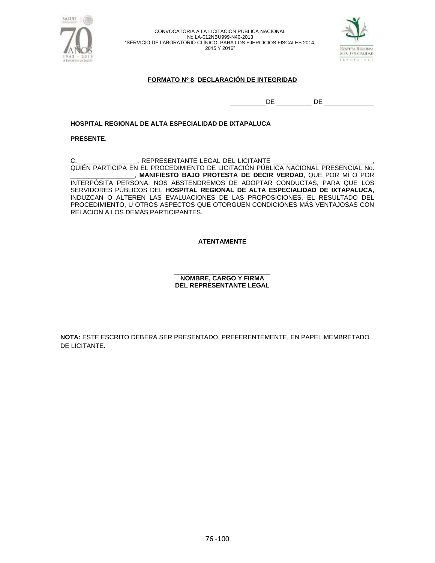



### **FORMATO Nº 8 DECLARACIÓN DE INTEGRIDAD**

\_\_\_\_\_\_\_\_\_\_DE \_\_\_\_\_\_\_\_\_\_ DE \_\_\_\_\_\_\_\_\_\_\_\_\_\_

### **HOSPITAL REGIONAL DE ALTA ESPECIALIDAD DE IXTAPALUCA**

### **PRESENTE**.

C.\_\_\_\_\_\_\_\_\_\_\_\_\_\_\_\_\_\_\_, REPRESENTANTE LEGAL DEL LICITANTE QUIÉN PARTICIPA EN EL PROCEDIMIENTO DE LICITACIÓN PÚBLICA NACIONAL PRESENCIAL No. \_\_\_\_\_\_\_\_\_\_\_\_\_\_\_\_\_\_, **MANIFIESTO BAJO PROTESTA DE DECIR VERDAD**, QUE POR MÍ O POR INTERPÓSITA PERSONA, NOS ABSTENDREMOS DE ADOPTAR CONDUCTAS, PARA QUE LOS SERVIDORES PÚBLICOS DEL **HOSPITAL REGIONAL DE ALTA ESPECIALIDAD DE IXTAPALUCA,** INDUZCAN O ALTEREN LAS EVALUACIONES DE LAS PROPOSICIONES, EL RESULTADO DEL PROCEDIMIENTO, U OTROS ASPECTOS QUE OTORGUEN CONDICIONES MÁS VENTAJOSAS CON RELACIÓN A LOS DEMÁS PARTICIPANTES.

### **ATENTAMENTE**

#### \_\_\_\_\_\_\_\_\_\_\_\_\_\_\_\_\_\_\_\_\_\_\_\_\_\_\_ **NOMBRE, CARGO Y FIRMA DEL REPRESENTANTE LEGAL**

**NOTA:** ESTE ESCRITO DEBERÁ SER PRESENTADO, PREFERENTEMENTE, EN PAPEL MEMBRETADO DE LICITANTE.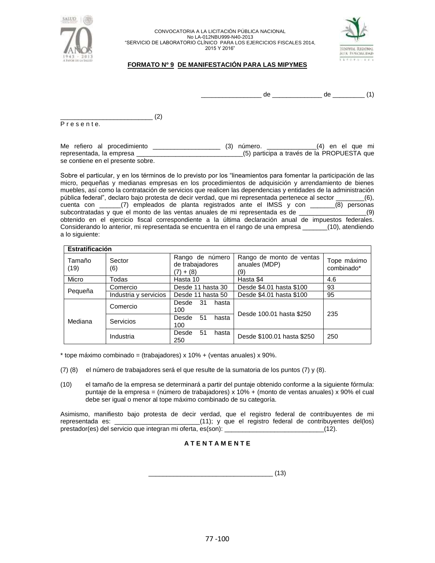



### **FORMATO Nº 9 DE MANIFESTACIÓN PARA LAS MIPYMES**

\_\_\_\_\_\_\_\_\_\_\_\_\_\_\_\_\_ de \_\_\_\_\_\_\_\_\_\_\_\_\_\_ de \_\_\_\_\_\_\_\_\_ (1)

\_\_\_\_\_\_\_\_\_\_\_\_\_\_\_\_\_\_\_\_\_\_\_\_\_\_ (2) P r e s e n t e.

Me refiero al procedimiento \_\_\_\_\_\_\_\_\_\_\_\_\_\_\_\_\_\_\_\_\_\_\_\_ (3) número. \_\_\_\_\_\_\_\_\_\_\_\_\_\_\_(4) en el que mi representada, la empresa \_\_\_\_\_\_\_\_\_\_\_\_\_\_\_\_\_\_\_\_\_\_\_\_\_\_\_\_\_\_(5) participa a través de la PROPUESTA que se contiene en el presente sobre.

Sobre el particular, y en los términos de lo previsto por los "lineamientos para fomentar la participación de las micro, pequeñas y medianas empresas en los procedimientos de adquisición y arrendamiento de bienes muebles, así como la contratación de servicios que realicen las dependencias y entidades de la administración pública federal", declaro bajo protesta de decir verdad, que mi representada pertenece al sector \_\_\_\_\_\_\_\_(6), cuenta con \_\_\_\_\_\_(7) empleados de planta registrados ante el IMSS y con \_\_\_\_\_\_\_(8) personas subcontratadas y que el monto de las ventas anuales de mi representada es de \_\_\_\_\_\_\_\_\_\_\_\_\_\_\_\_\_\_\_(9) obtenido en el ejercicio fiscal correspondiente a la última declaración anual de impuestos federales. Considerando lo anterior, mi representada se encuentra en el rango de una empresa \_\_\_\_\_\_\_(10), atendiendo a lo siguiente:

| Estratificación |                       |                                                   |                                                  |                           |
|-----------------|-----------------------|---------------------------------------------------|--------------------------------------------------|---------------------------|
| Tamaño<br>(19)  | Sector<br>(6)         | Rango de número<br>de trabajadores<br>$(7) + (8)$ | Rango de monto de ventas<br>anuales (MDP)<br>(9) | Tope máximo<br>combinado* |
| Micro           | Todas                 | Hasta 10                                          | Hasta \$4                                        | 4.6                       |
| Pequeña         | Comercio              | Desde 11 hasta 30                                 | Desde \$4.01 hasta \$100                         | 93                        |
|                 | Industria y servicios | Desde 11 hasta 50                                 | Desde \$4.01 hasta \$100                         | 95                        |
| Mediana         | Comercio              | -31<br>Desde<br>hasta<br>100                      | Desde 100.01 hasta \$250                         | 235                       |
|                 | Servicios             | 51<br>Desde<br>hasta<br>100                       |                                                  |                           |
|                 | Industria             | 51<br>Desde<br>hasta<br>250                       | Desde \$100.01 hasta \$250                       | 250                       |

 $*$  tope máximo combinado = (trabajadores) x 10% + (ventas anuales) x 90%.

- (7) (8) el número de trabajadores será el que resulte de la sumatoria de los puntos (7) y (8).
- (10) el tamaño de la empresa se determinará a partir del puntaje obtenido conforme a la siguiente fórmula: puntaje de la empresa = (número de trabajadores) x 10% + (monto de ventas anuales) x 90% el cual debe ser igual o menor al tope máximo combinado de su categoría.

Asimismo, manifiesto bajo protesta de decir verdad, que el registro federal de contribuyentes de mi representada es: \_\_\_\_\_\_\_\_\_\_\_\_\_\_\_\_\_\_\_\_\_\_\_\_(11); y que el registro federal de contribuyentes del(los) prestador(es) del servicio que integran mi oferta, es(son): \_\_\_\_\_\_\_\_\_\_\_\_\_\_\_\_\_\_\_\_\_\_\_\_\_\_\_\_(12).

### **A T E N T A M E N T E**

 $\overline{\phantom{a}2}$  (13)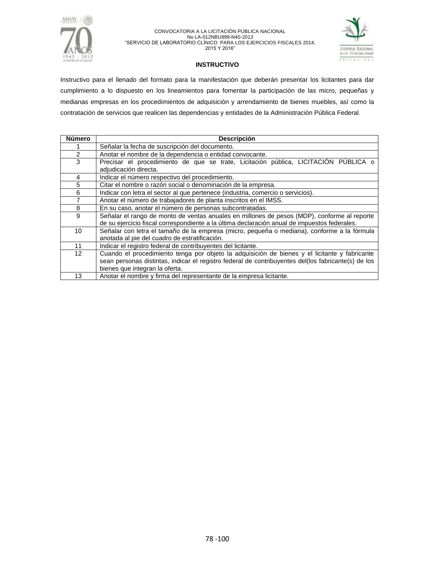



#### **INSTRUCTIVO**

Instructivo para el llenado del formato para la manifestación que deberán presentar los licitantes para dar cumplimiento a lo dispuesto en los lineamientos para fomentar la participación de las micro, pequeñas y medianas empresas en los procedimientos de adquisición y arrendamiento de bienes muebles, así como la contratación de servicios que realicen las dependencias y entidades de la Administración Pública Federal.

| <b>Número</b>     | <b>Descripción</b>                                                                                           |  |  |  |
|-------------------|--------------------------------------------------------------------------------------------------------------|--|--|--|
|                   | Señalar la fecha de suscripción del documento.                                                               |  |  |  |
| 2                 | Anotar el nombre de la dependencia o entidad convocante.                                                     |  |  |  |
| 3                 | Precisar el procedimiento de que se trate, Licitación pública, LICITACIÓN PÚBLICA o<br>adjudicación directa. |  |  |  |
| 4                 | Indicar el número respectivo del procedimiento.                                                              |  |  |  |
| 5                 | Citar el nombre o razón social o denominación de la empresa.                                                 |  |  |  |
| 6                 | Indicar con letra el sector al que pertenece (industria, comercio o servicios).                              |  |  |  |
| $\overline{7}$    | Anotar el número de trabajadores de planta inscritos en el IMSS.                                             |  |  |  |
| 8                 | En su caso, anotar el número de personas subcontratadas.                                                     |  |  |  |
| 9                 | Señalar el rango de monto de ventas anuales en millones de pesos (MDP), conforme al reporte                  |  |  |  |
|                   | de su ejercicio fiscal correspondiente a la última declaración anual de impuestos federales.                 |  |  |  |
| 10 <sup>1</sup>   | Señalar con letra el tamaño de la empresa (micro, pequeña o mediana), conforme a la fórmula                  |  |  |  |
|                   | anotada al pie del cuadro de estratificación.                                                                |  |  |  |
| 11                | Indicar el registro federal de contribuyentes del licitante.                                                 |  |  |  |
| $12 \overline{ }$ | Cuando el procedimiento tenga por objeto la adquisición de bienes y el licitante y fabricante                |  |  |  |
|                   | sean personas distintas, indicar el registro federal de contribuyentes del(los fabricante(s) de los          |  |  |  |
|                   | bienes que integran la oferta.                                                                               |  |  |  |
| 13                | Anotar el nombre y firma del representante de la empresa licitante.                                          |  |  |  |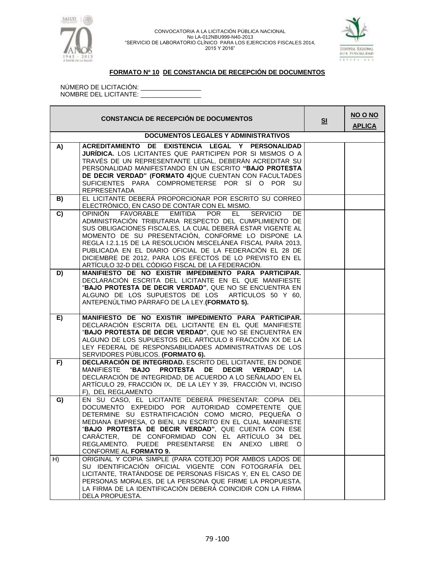



### **FORMATO Nº 10 DE CONSTANCIA DE RECEPCIÓN DE DOCUMENTOS**

NÚMERO DE LICITACIÓN: \_\_\_\_\_\_\_\_\_\_\_\_\_\_\_\_\_ NOMBRE DEL LICITANTE: \_\_\_\_\_\_\_\_\_\_\_\_\_\_\_\_\_

| <b>CONSTANCIA DE RECEPCIÓN DE DOCUMENTOS</b> |                                                                                                                                                                                                                                                                                                                                                                                                                                                                                                                                |  | NO O NO<br><b>APLICA</b> |
|----------------------------------------------|--------------------------------------------------------------------------------------------------------------------------------------------------------------------------------------------------------------------------------------------------------------------------------------------------------------------------------------------------------------------------------------------------------------------------------------------------------------------------------------------------------------------------------|--|--------------------------|
|                                              | <b>DOCUMENTOS LEGALES Y ADMINISTRATIVOS</b>                                                                                                                                                                                                                                                                                                                                                                                                                                                                                    |  |                          |
| A)                                           | ACREDITAMIENTO DE EXISTENCIA LEGAL Y PERSONALIDAD<br><b>JURÍDICA.</b> LOS LICITANTES QUE PARTICIPEN POR SI MISMOS O A<br>TRAVÉS DE UN REPRESENTANTE LEGAL, DEBERÁN ACREDITAR SU<br>PERSONALIDAD MANIFESTANDO EN UN ESCRITO "BAJO PROTESTA<br>DE DECIR VERDAD" (FORMATO 4) QUE CUENTAN CON FACULTADES<br>SUFICIENTES PARA COMPROMETERSE POR SÍ O POR SU<br><b>REPRESENTADA</b>                                                                                                                                                  |  |                          |
| B)                                           | EL LICITANTE DEBERÁ PROPORCIONAR POR ESCRITO SU CORREO<br>ELECTRÓNICO, EN CASO DE CONTAR CON EL MISMO.                                                                                                                                                                                                                                                                                                                                                                                                                         |  |                          |
| $\overline{c}$                               | FAVORABLE<br><b>EMITIDA</b><br>EL -<br><b>SERVICIO</b><br><b>DE</b><br><b>OPINION</b><br><b>POR</b><br>ADMINISTRACIÓN TRIBUTARIA RESPECTO DEL CUMPLIMIENTO DE<br>SUS OBLIGACIONES FISCALES, LA CUAL DEBERÁ ESTAR VIGENTE AL<br>MOMENTO DE SU PRESENTACIÓN, CONFORME LO DISPONE LA<br>REGLA I.2.1.15 DE LA RESOLUCIÓN MISCELÁNEA FISCAL PARA 2013,<br>PUBLICADA EN EL DIARIO OFICIAL DE LA FEDERACIÓN EL 28 DE<br>DICIEMBRE DE 2012, PARA LOS EFECTOS DE LO PREVISTO EN EL<br>ARTÍCULO 32-D DEL CÓDIGO FISCAL DE LA FEDERACIÓN. |  |                          |
| D)                                           | MANIFIESTO DE NO EXISTIR IMPEDIMENTO PARA PARTICIPAR.<br>DECLARACIÓN ESCRITA DEL LICITANTE EN EL QUE MANIFIESTE<br>"BAJO PROTESTA DE DECIR VERDAD", QUE NO SE ENCUENTRA EN<br>ALGUNO DE LOS SUPUESTOS DE LOS ARTÍCULOS 50 Y 60,<br>ANTEPENÚLTIMO PÁRRAFO DE LA LEY. (FORMATO 5).                                                                                                                                                                                                                                               |  |                          |
| E)                                           | MANIFIESTO DE NO EXISTIR IMPEDIMENTO PARA PARTICIPAR.<br>DECLARACIÓN ESCRITA DEL LICITANTE EN EL QUE MANIFIESTE<br>"BAJO PROTESTA DE DECIR VERDAD", QUE NO SE ENCUENTRA EN<br>ALGUNO DE LOS SUPUESTOS DEL ARTICULO 8 FRACCIÓN XX DE LA<br>LEY FEDERAL DE RESPONSABILIDADES ADMINISTRATIVAS DE LOS<br>SERVIDORES PÚBLICOS. (FORMATO 6).                                                                                                                                                                                         |  |                          |
| F)                                           | DECLARACIÓN DE INTEGRIDAD. ESCRITO DEL LICITANTE, EN DONDE<br>PROTESTA DE<br>MANIFIESTE " <b>BAJO</b><br><b>DECIR</b><br>VERDAD", LA<br>DECLARACIÓN DE INTEGRIDAD, DE ACUERDO A LO SEÑALADO EN EL<br>ARTÍCULO 29, FRACCIÓN IX, DE LA LEY Y 39, FRACCIÓN VI, INCISO<br>F), DEL REGLAMENTO                                                                                                                                                                                                                                       |  |                          |
| G)                                           | EN SU CASO, EL LICITANTE DEBERÁ PRESENTAR: COPIA DEL<br>DOCUMENTO EXPEDIDO POR AUTORIDAD COMPETENTE QUE<br>DETERMINE SU ESTRATIFICACIÓN COMO MICRO, PEQUEÑA O<br>MEDIANA EMPRESA, O BIEN, UN ESCRITO EN EL CUAL MANIFIESTE<br>"BAJO PROTESTA DE DECIR VERDAD", QUE CUENTA CON ESE<br>DE CONFORMIDAD CON EL ARTÍCULO 34 DEL<br>CARACTER,<br>REGLAMENTO. PUEDE PRESENTARSE EN ANEXO LIBRE O<br>CONFORME AL FORMATO 9.                                                                                                            |  |                          |
| H)                                           | ORIGINAL Y COPIA SIMPLE (PARA COTEJO) POR AMBOS LADOS DE<br>SU IDENTIFICACIÓN OFICIAL VIGENTE CON FOTOGRAFÍA DEL<br>LICITANTE, TRATÁNDOSE DE PERSONAS FÍSICAS Y, EN EL CASO DE<br>PERSONAS MORALES, DE LA PERSONA QUE FIRME LA PROPUESTA.<br>LA FIRMA DE LA IDENTIFICACIÓN DEBERÁ COINCIDIR CON LA FIRMA<br>DELA PROPUESTA.                                                                                                                                                                                                    |  |                          |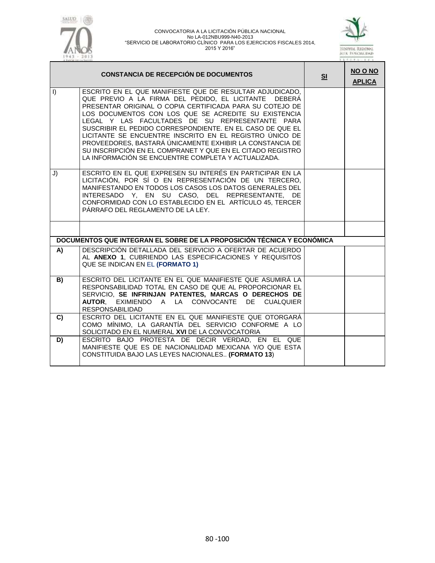



|         | <b>CONSTANCIA DE RECEPCIÓN DE DOCUMENTOS</b>                                                                                                                                                                                                                                                                                                                                                                                                                                                                                                                                                      | SI | <b>NO O NO</b><br><b>APLICA</b> |
|---------|---------------------------------------------------------------------------------------------------------------------------------------------------------------------------------------------------------------------------------------------------------------------------------------------------------------------------------------------------------------------------------------------------------------------------------------------------------------------------------------------------------------------------------------------------------------------------------------------------|----|---------------------------------|
| $\vert$ | ESCRITO EN EL QUE MANIFIESTE QUE DE RESULTAR ADJUDICADO,<br>QUE PREVIO A LA FIRMA DEL PEDIDO, EL LICITANTE DEBERÁ<br>PRESENTAR ORIGINAL O COPIA CERTIFICADA PARA SU COTEJO DE<br>LOS DOCUMENTOS CON LOS QUE SE ACREDITE SU EXISTENCIA<br>LEGAL Y LAS FACULTADES DE SU REPRESENTANTE PARA<br>SUSCRIBIR EL PEDIDO CORRESPONDIENTE. EN EL CASO DE QUE EL<br>LICITANTE SE ENCUENTRE INSCRITO EN EL REGISTRO ÚNICO DE<br>PROVEEDORES, BASTARÁ ÚNICAMENTE EXHIBIR LA CONSTANCIA DE<br>SU INSCRIPCIÓN EN EL COMPRANET Y QUE EN EL CITADO REGISTRO<br>LA INFORMACIÓN SE ENCUENTRE COMPLETA Y ACTUALIZADA. |    |                                 |
| J)      | ESCRITO EN EL QUE EXPRESEN SU INTERÉS EN PARTICIPAR EN LA<br>LICITACIÓN, POR SÍ O EN REPRESENTACIÓN DE UN TERCERO,<br>MANIFESTANDO EN TODOS LOS CASOS LOS DATOS GENERALES DEL<br>INTERESADO Y, EN SU CASO, DEL REPRESENTANTE, DE<br>CONFORMIDAD CON LO ESTABLECIDO EN EL ARTÍCULO 45, TERCER<br>PÁRRAFO DEL REGLAMENTO DE LA LEY.                                                                                                                                                                                                                                                                 |    |                                 |
|         |                                                                                                                                                                                                                                                                                                                                                                                                                                                                                                                                                                                                   |    |                                 |
|         | DOCUMENTOS QUE INTEGRAN EL SOBRE DE LA PROPOSICIÓN TÉCNICA Y ECONÓMICA                                                                                                                                                                                                                                                                                                                                                                                                                                                                                                                            |    |                                 |
| A)      | DESCRIPCIÓN DETALLADA DEL SERVICIO A OFERTAR DE ACUERDO<br>AL ANEXO 1, CUBRIENDO LAS ESPECIFICACIONES Y REQUISITOS<br>QUE SE INDICAN EN EL (FORMATO 1)                                                                                                                                                                                                                                                                                                                                                                                                                                            |    |                                 |
| B)      | ESCRITO DEL LICITANTE EN EL QUE MANIFIESTE QUE ASUMIRÁ LA<br>RESPONSABILIDAD TOTAL EN CASO DE QUE AL PROPORCIONAR EL<br>SERVICIO, SE INFRINJAN PATENTES, MARCAS O DERECHOS DE<br>AUTOR, EXIMIENDO A LA CONVOCANTE DE CUALQUIER<br><b>RESPONSABILIDAD</b>                                                                                                                                                                                                                                                                                                                                          |    |                                 |
| C)      | ESCRITO DEL LICITANTE EN EL QUE MANIFIESTE QUE OTORGARÁ<br>COMO MÍNIMO, LA GARANTÍA DEL SERVICIO CONFORME A LO<br>SOLICITADO EN EL NUMERAL XVI DE LA CONVOCATORIA                                                                                                                                                                                                                                                                                                                                                                                                                                 |    |                                 |
| D)      | ESCRITO BAJO PROTESTA DE DECIR VERDAD, EN EL QUE<br>MANIFIESTE QUE ES DE NACIONALIDAD MEXICANA Y/O QUE ESTA<br>CONSTITUIDA BAJO LAS LEYES NACIONALES (FORMATO 13)                                                                                                                                                                                                                                                                                                                                                                                                                                 |    |                                 |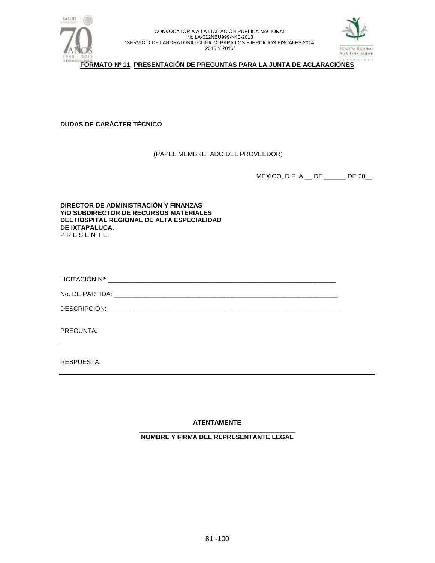



**FORMATO Nº 11 PRESENTACIÓN DE PREGUNTAS PARA LA JUNTA DE ACLARACIÓNES**

**DUDAS DE CARÁCTER TÉCNICO**

(PAPEL MEMBRETADO DEL PROVEEDOR)

MÉXICO, D.F. A \_\_ DE \_\_\_\_\_\_ DE 20\_\_.

**DIRECTOR DE ADMINISTRACIÓN Y FINANZAS Y/O SUBDIRECTOR DE RECURSOS MATERIALES DEL HOSPITAL REGIONAL DE ALTA ESPECIALIDAD DE IXTAPALUCA.** P R E S E N T E.

LICITACIÓN Nº: \_\_\_\_\_\_\_\_\_\_\_\_\_\_\_\_\_\_\_\_\_\_\_\_\_\_\_\_\_\_\_\_\_\_\_\_\_\_\_\_\_\_\_\_\_\_\_\_\_\_\_\_\_\_\_\_\_\_\_\_\_\_\_\_

No. DE PARTIDA: \_\_\_\_\_\_\_\_\_\_\_\_\_\_\_\_\_\_\_\_\_\_\_\_\_\_\_\_\_\_\_\_\_\_\_\_\_\_\_\_\_\_\_\_\_\_\_\_\_\_\_\_\_\_\_\_\_\_\_\_\_\_\_

DESCRIPCIÓN: \_\_\_\_\_

PREGUNTA:

RESPUESTA:

**ATENTAMENTE**

**\_\_\_\_\_\_\_\_\_\_\_\_\_\_\_\_\_\_\_\_\_\_\_\_\_\_\_\_\_\_\_\_\_\_\_\_\_\_\_\_\_\_\_\_ NOMBRE Y FIRMA DEL REPRESENTANTE LEGAL**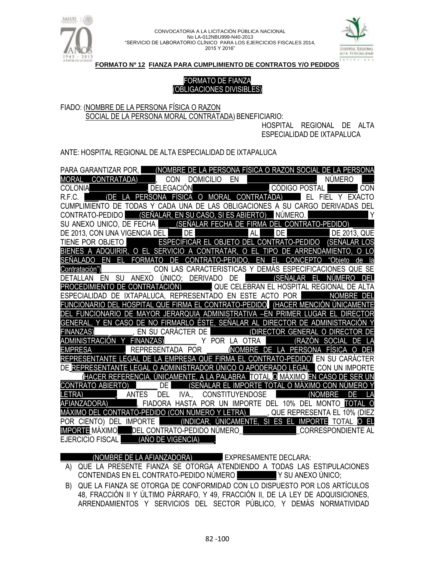



**FORMATO Nº 12 FIANZA PARA CUMPLIMIENTO DE CONTRATOS Y/O PEDIDOS**

# FORMATO DE FIANZA (OBLIGACIONES DIVISIBLES)

FIADO: (NOMBRE DE LA PERSONA FÍSICA O RAZON SOCIAL DE LA PERSONA MORAL CONTRATADA) BENEFICIARIO:

HOSPITAL REGIONAL DE ALTA ESPECIALIDAD DE IXTAPALUCA

ANTE: HOSPITAL REGIONAL DE ALTA ESPECIALIDAD DE IXTAPALUCA

| (NOMBRE DE LA PERSONA FÍSICA O RAZON SOCIAL DE LA PERSONA<br><b>PARA GARANTIZAR POR.</b>                                     |
|------------------------------------------------------------------------------------------------------------------------------|
| DOMICILIO EN <b>1999 - DOMICILIO EN 1999.</b><br>In CÓDIGO POSTAL<br>CONTRATADA),<br><b>NÚMERO</b><br><b>CON</b><br>MORAL    |
| <b>DELEGACIÓN</b><br><b>COLONIA</b><br>CON                                                                                   |
| O MORAL CONTRATADA)<br>R.F.C.<br><b>PERSONA</b><br><b>FISICA</b><br>EL<br>(DE)<br><b>FXACTO</b><br>FIEL Y                    |
| CUMPLIMIENTO DE TODAS Y CADA UNA DE LAS OBLIGACIONES A SU CARGO DERIVADAS DEL                                                |
| (SEÑALAR, EN SU CASO, SI ES ABIERTO)<br>NÚMERO.<br>CONTRATO-PEDIDO                                                           |
| SU ANEXO UNICO, DE FECHA (SEÑALAR FECHA DE FIRMA DEL CONTRATO-PEDIDO)                                                        |
| DE 2013, CON UNA VIGENCIA DEL<br>DE I<br>AL<br>DE<br><b>DE 2013, QUE</b>                                                     |
| ESPECIFICAR EL OBJETO DEL CONTRATO-PEDIDO<br><b>(SEÑALAR LOS</b><br>TIENE POR OBJETO                                         |
| BIENES A ADQUIRIR, O EL SERVICIO A CONTRATAR, O EL TIPO<br>DE ARRENDAMIENTO. O                                               |
| EN EL FORMATO<br>SEÑALADO<br>"Obieto<br>DE CONTRATO-PEDIDO.<br>FI.<br>CONCEPTO<br>FN                                         |
| CON LAS CARACTERISTICAS Y DEMÁS ESPECIFICACIONES QUE SE<br>Contratación")                                                    |
| ANEXO<br>ÚNICO: DERIVADO DE<br>(SEÑALAR<br>EN SU<br>EL.<br>DETALLAN                                                          |
| PROCEDIMIENTO DE CONTRATACIÓN)<br>, QUE CELEBRAN EL HOSPITAL REGIONAL DE AL                                                  |
| DE IXTAPALUCA, REPRESENTADO EN ESTE ACTO POR<br><b>NOMBRE</b>                                                                |
| FUNCIONARIO DEL HOSPITAL QUE FIRMA EL CONTRATO-PEDIDO I (HACER MENCIÓN ÚNICAMENTE                                            |
| DEL FUNCIONARIO DE MAYOR JERARQUIA ADMINISTRATIVA -EN PRIMER LUGAR EL DIRECT                                                 |
| , Y EN CASO DE NO FIRMARLO ÉSTE, SEÑALAR AL DIRECTOR                                                                         |
| (DIRECTOR GENERAL<br>, EN SU CARÁCTER DE<br><b>FINANZAS)</b>                                                                 |
| Y POR LA OTRA<br>ADMINISTRACIÓN Y<br><b>FINANZAS)</b><br>(RAZÓN SOCIAL                                                       |
| <b>INOMBRE DE LA PERSONA</b><br>REPRESENTADA POR<br><b>FISICA</b><br><b>FMPRFSA</b>                                          |
| REPRESENTANTE LEGAL DE LA EMPRESA QUE FIRMA EL CONTRATO-PEDIDO) EN SU CARÁCTER                                               |
| E LEGAL O ADMINISTRADOR ÚNICO O APODERADO.<br><b>DE REPRESENT</b><br>I FGAI<br><b>CON UN IMPORTE</b>                         |
| ÍHACER REFERENCIA. ÚNICAMENTE. A LA PALABRA  TOTAL O MÁXIMO EN CASO DE SER                                                   |
| (SEÑALAR EL IMPORTE TOTAL O MÁXIMO CON NÚMERO Y<br><b>CONTRATO ABIERTO)</b><br>DF                                            |
| <b>CONSTITUYENDOSE</b><br><b>LETRA)</b><br><b>ANTES</b><br>DEL<br>IVA.,<br>(NOMBRE<br>DF.                                    |
| AFIANZADORA)<br>EXAMPLE POR UN IMPORTE DEL 10% DEL MONTO TOTAL                                                               |
| MÁXIMO DEL CONTRATO-PEDIDO (CON NÚMERO Y LETRA) _____, QUE REPRESENTA EL 10% (DIEZ                                           |
| _____(INDICAR, ÚNICAMENTE, SI ES EL IMPORTE TOTAL<br>POR CIENTO) DEL IMPORTE<br>EL,<br>$\Omega$<br><b>CORRESPONDIENTE AL</b> |
| IMPORTE MÁXIMO DEL CONTRATO-PEDIDO NÚMERO                                                                                    |
| (AÑO DE VIGENCIA)<br>EJERCICIO FISCAL                                                                                        |

\_\_\_\_\_\_\_\_\_(NOMBRE DE LA AFIANZADORA)\_\_\_\_\_\_\_\_, EXPRESAMENTE DECLARA:

- A) QUE LA PRESENTE FIANZA SE OTORGA ATENDIENDO A TODAS LAS ESTIPULACIONES CONTENIDAS EN EL CONTRATO-PEDIDO NÚMERO \_\_\_\_\_\_\_\_\_\_\_ Y SU ANEXO ÚNICO;
- B) QUE LA FIANZA SE OTORGA DE CONFORMIDAD CON LO DISPUESTO POR LOS ARTÍCULOS 48, FRACCIÓN II Y ÚLTIMO PÁRRAFO, Y 49, FRACCIÓN II, DE LA LEY DE ADQUISICIONES, ARRENDAMIENTOS Y SERVICIOS DEL SECTOR PÚBLICO, Y DEMÁS NORMATIVIDAD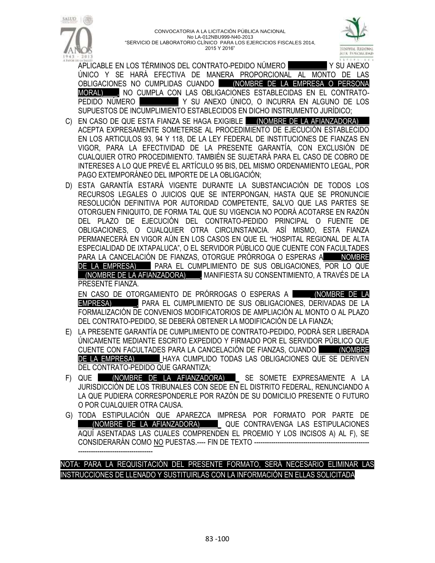



APLICABLE EN LOS TÉRMINOS DEL CONTRATO-PEDIDO NÚMERO \_\_\_\_\_\_\_\_\_\_\_ Y SU ANEXO ÚNICO Y SE HARÁ EFECTIVA DE MANERA PROPORCIONAL AL MONTO DE LAS OBLIGACIONES NO CUMPLIDAS CUANDO \_\_\_\_(NOMBRE DE LA EMPRESA O PERSONA MORAL)\_\_\_\_, NO CUMPLA CON LAS OBLIGACIONES ESTABLECIDAS EN EL CONTRATO-PEDIDO NÚMERO \_\_\_\_\_\_\_\_\_\_\_ Y SU ANEXO ÚNICO, O INCURRA EN ALGUNO DE LOS SUPUESTOS DE INCUMPLIMIENTO ESTABLECIDOS EN DICHO INSTRUMENTO JURÍDICO;

- C) EN CASO DE QUE ESTA FIANZA SE HAGA EXIGIBLE \_\_\_(NOMBRE DE LA AFIANZADORA) ACEPTA EXPRESAMENTE SOMETERSE AL PROCEDIMIENTO DE EJECUCIÓN ESTABLECIDO EN LOS ARTICULOS 93, 94 Y 118, DE LA LEY FEDERAL DE INSTITUCIONES DE FIANZAS EN VIGOR, PARA LA EFECTIVIDAD DE LA PRESENTE GARANTÍA, CON EXCLUSIÓN DE CUALQUIER OTRO PROCEDIMIENTO. TAMBIÉN SE SUJETARÁ PARA EL CASO DE COBRO DE INTERESES A LO QUE PREVÉ EL ARTÍCULO 95 BIS, DEL MISMO ORDENAMIENTO LEGAL, POR PAGO EXTEMPORÁNEO DEL IMPORTE DE LA OBLIGACIÓN;
- D) ESTA GARANTÍA ESTARÁ VIGENTE DURANTE LA SUBSTANCIACIÓN DE TODOS LOS RECURSOS LEGALES O JUICIOS QUE SE INTERPONGAN, HASTA QUE SE PRONUNCIE RESOLUCIÓN DEFINITIVA POR AUTORIDAD COMPETENTE, SALVO QUE LAS PARTES SE OTORGUEN FINIQUITO, DE FORMA TAL QUE SU VIGENCIA NO PODRÁ ACOTARSE EN RAZÓN DEL PLAZO DE EJECUCIÓN DEL CONTRATO-PEDIDO PRINCIPAL O FUENTE DE OBLIGACIONES, O CUALQUIER OTRA CIRCUNSTANCIA. ASÍ MISMO, ESTA FIANZA PERMANECERÁ EN VIGOR AÚN EN LOS CASOS EN QUE EL "HOSPITAL REGIONAL DE ALTA ESPECIALIDAD DE IXTAPALUCA", O EL SERVIDOR PÚBLICO QUE CUENTE CON FACULTADES PARA LA CANCELACIÓN DE FIANZAS, OTORGUE PRÓRROGA O ESPERAS A\_\_\_\_\_NOMBRE DE LA EMPRESA) PARA EL CUMPLIMIENTO DE SUS OBLIGACIONES, POR LO QUE \_\_(NOMBRE DE LA AFIANZADORA)\_\_\_\_, MANIFIESTA SU CONSENTIMIENTO, A TRAVÉS DE LA PRESENTE FIANZA.

EN CASO DE OTORGAMIENTO DE PRÓRROGAS O ESPERAS A \_\_\_\_\_ (NOMBRE DE LA EMPRESA)\_\_\_\_\_\_\_, PARA EL CUMPLIMIENTO DE SUS OBLIGACIONES, DERIVADAS DE LA FORMALIZACIÓN DE CONVENIOS MODIFICATORIOS DE AMPLIACIÓN AL MONTO O AL PLAZO DEL CONTRATO-PEDIDO, SE DEBERÁ OBTENER LA MODIFICACIÓN DE LA FIANZA;

- E) LA PRESENTE GARANTÍA DE CUMPLIMIENTO DE CONTRATO-PEDIDO, PODRÁ SER LIBERADA ÚNICAMENTE MEDIANTE ESCRITO EXPEDIDO Y FIRMADO POR EL SERVIDOR PÚBLICO QUE CUENTE CON FACULTADES PARA LA CANCELACIÓN DE FIANZAS, CUANDO \_\_\_\_\_ (NOMBRE DE LA EMPRESA)\_\_\_\_\_\_\_ HAYA CUMPLIDO TODAS LAS OBLIGACIONES QUE SE DERIVEN DEL CONTRATO-PEDIDO QUE GARANTIZA;
- F) QUE (NOMBRE DE LA AFIANZADORA) LOSE SOMETE EXPRESAMENTE A LA JURISDICCIÓN DE LOS TRIBUNALES CON SEDE EN EL DISTRITO FEDERAL, RENUNCIANDO A LA QUE PUDIERA CORRESPONDERLE POR RAZÓN DE SU DOMICILIO PRESENTE O FUTURO O POR CUALQUIER OTRA CAUSA.
- G) TODA ESTIPULACIÓN QUE APAREZCA IMPRESA POR FORMATO POR PARTE DE \_\_\_\_(NOMBRE DE LA AFIANZADORA)\_\_\_\_\_\_ QUE CONTRAVENGA LAS ESTIPULACIONES AQUÍ ASENTADAS LAS CUALES COMPRENDEN EL PROEMIO Y LOS INCISOS A) AL F), SE CONSIDERARÁN COMO NO PUESTAS.---- FIN DE TEXTO -----------------------------------------------

# NOTA: PARA LA REQUISITACIÓN DEL PRESENTE FORMATO, SERÁ NECESARIO ELIMINAR LAS INSTRUCCIONES DE LLENADO Y SUSTITUIRLAS CON LA INFORMACIÓN EN ELLAS SOLICITADA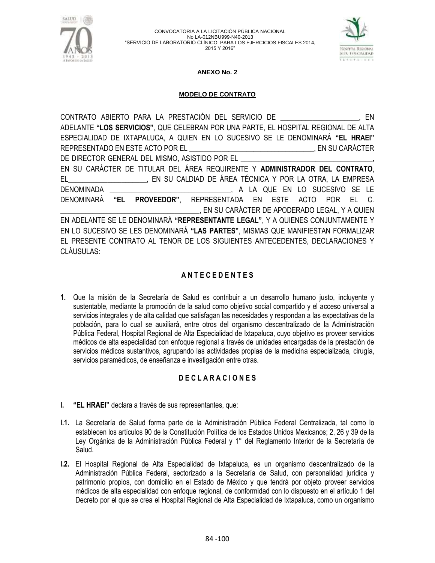



### **ANEXO No. 2**

### **MODELO DE CONTRATO**

CONTRATO ABIERTO PARA LA PRESTACIÓN DEL SERVICIO DE \_\_\_\_\_\_\_\_\_\_\_\_\_\_\_\_\_\_\_\_\_\_, EN ADELANTE **"LOS SERVICIOS"**, QUE CELEBRAN POR UNA PARTE, EL HOSPITAL REGIONAL DE ALTA ESPECIALIDAD DE IXTAPALUCA, A QUIEN EN LO SUCESIVO SE LE DENOMINARÁ **"EL HRAEI"**  REPRESENTADO EN ESTE ACTO POR EL \_\_\_\_\_\_\_\_\_\_\_\_\_\_\_\_\_\_\_\_\_\_\_\_\_\_\_\_\_\_\_\_\_\_\_, EN SU CARÁCTER DE DIRECTOR GENERAL DEL MISMO, ASISTIDO POR EL EN SU CARÁCTER DE TITULAR DEL ÁREA REQUIRENTE Y **ADMINISTRADOR DEL CONTRATO**, EL\_\_\_\_\_\_\_\_\_\_\_\_\_\_\_\_\_\_\_\_\_\_, EN SU CALDIAD DE ÁREA TÉCNICA Y POR LA OTRA, LA EMPRESA DENOMINADA \_\_\_\_\_\_\_\_\_\_\_\_\_\_\_\_\_\_\_\_\_\_\_\_\_\_\_\_\_\_\_\_\_\_, A LA QUE EN LO SUCESIVO SE LE DENOMINARÁ **"EL PROVEEDOR"**, REPRESENTADA EN ESTE ACTO POR EL C. \_\_\_\_\_\_\_\_\_\_\_\_\_\_\_\_\_\_\_\_\_\_\_\_\_\_\_\_\_\_\_\_\_\_\_\_\_\_\_, EN SU CARÁCTER DE APODERADO LEGAL, Y A QUIEN EN ADELANTE SE LE DENOMINARÁ **"REPRESENTANTE LEGAL"**, Y A QUIENES CONJUNTAMENTE Y EN LO SUCESIVO SE LES DENOMINARÁ **"LAS PARTES"**, MISMAS QUE MANIFIESTAN FORMALIZAR EL PRESENTE CONTRATO AL TENOR DE LOS SIGUIENTES ANTECEDENTES, DECLARACIONES Y CLÁUSULAS:

## **A N T E C E D E N T E S**

**1.** Que la misión de la Secretaría de Salud es contribuir a un desarrollo humano justo, incluyente y sustentable, mediante la promoción de la salud como objetivo social compartido y el acceso universal a servicios integrales y de alta calidad que satisfagan las necesidades y respondan a las expectativas de la población, para lo cual se auxiliará, entre otros del organismo descentralizado de la Administración Pública Federal, Hospital Regional de Alta Especialidad de Ixtapaluca, cuyo objetivo es proveer servicios médicos de alta especialidad con enfoque regional a través de unidades encargadas de la prestación de servicios médicos sustantivos, agrupando las actividades propias de la medicina especializada, cirugía, servicios paramédicos, de enseñanza e investigación entre otras.

## **D E C L A R A C I O N E S**

- **I. "EL HRAEI"** declara a través de sus representantes, que:
- **I.1.** La Secretaría de Salud forma parte de la Administración Pública Federal Centralizada, tal como lo establecen los artículos 90 de la Constitución Política de los Estados Unidos Mexicanos; 2, 26 y 39 de la Ley Orgánica de la Administración Pública Federal y 1° del Reglamento Interior de la Secretaría de Salud.
- **I.2.** El Hospital Regional de Alta Especialidad de Ixtapaluca, es un organismo descentralizado de la Administración Pública Federal, sectorizado a la Secretaría de Salud, con personalidad jurídica y patrimonio propios, con domicilio en el Estado de México y que tendrá por objeto proveer servicios médicos de alta especialidad con enfoque regional, de conformidad con lo dispuesto en el artículo 1 del Decreto por el que se crea el Hospital Regional de Alta Especialidad de Ixtapaluca, como un organismo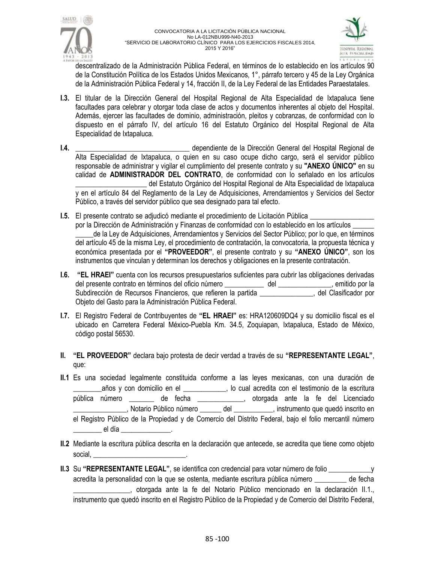



descentralizado de la Administración Pública Federal, en términos de lo establecido en los artículos 90 de la Constitución Política de los Estados Unidos Mexicanos, 1°, párrafo tercero y 45 de la Ley Orgánica de la Administración Pública Federal y 14, fracción II, de la Ley Federal de las Entidades Paraestatales.

- **I.3.** El titular de la Dirección General del Hospital Regional de Alta Especialidad de Ixtapaluca tiene facultades para celebrar y otorgar toda clase de actos y documentos inherentes al objeto del Hospital. Además, ejercer las facultades de dominio, administración, pleitos y cobranzas, de conformidad con lo dispuesto en el párrafo IV, del artículo 16 del Estatuto Orgánico del Hospital Regional de Alta Especialidad de Ixtapaluca.
- **I.4.** \_\_\_\_\_\_\_\_\_\_\_\_\_\_\_\_\_\_\_\_\_\_\_\_\_\_\_\_\_\_\_\_ dependiente de la Dirección General del Hospital Regional de Alta Especialidad de Ixtapaluca, o quien en su caso ocupe dicho cargo, será el servidor público responsable de administrar y vigilar el cumplimiento del presente contrato y su **"ANEXO ÚNICO"** en su calidad de **ADMINISTRADOR DEL CONTRATO**, de conformidad con lo señalado en los artículos del Estatuto Orgánico del Hospital Regional de Alta Especialidad de Ixtapaluca y en el artículo 84 del Reglamento de la Ley de Adquisiciones, Arrendamientos y Servicios del Sector Público, a través del servidor público que sea designado para tal efecto.
- **I.5.** El presente contrato se adjudicó mediante el procedimiento de Licitación Pública por la Dirección de Administración y Finanzas de conformidad con lo establecido en los artículos \_\_\_\_\_\_ \_\_\_\_\_de la Ley de Adquisiciones, Arrendamientos y Servicios del Sector Público; por lo que, en términos del artículo 45 de la misma Ley, el procedimiento de contratación, la convocatoria, la propuesta técnica y económica presentada por el **"PROVEEDOR"**, el presente contrato y su **"ANEXO ÚNICO"**, son los instrumentos que vinculan y determinan los derechos y obligaciones en la presente contratación.
- **I.6. "EL HRAEI"** cuenta con los recursos presupuestarios suficientes para cubrir las obligaciones derivadas del presente contrato en términos del oficio número \_\_\_\_\_\_\_\_\_\_\_\_ del \_\_\_\_\_\_\_\_\_\_\_\_, emitido por la Subdirección de Recursos Financieros, que refieren la partida \_\_\_\_\_\_\_\_\_\_\_\_\_\_\_, del Clasificador por Objeto del Gasto para la Administración Pública Federal.
- **I.7.** El Registro Federal de Contribuyentes de **"EL HRAEI"** es: HRA120609DQ4 y su domicilio fiscal es el ubicado en Carretera Federal México-Puebla Km. 34.5, Zoquiapan, Ixtapaluca, Estado de México, código postal 56530.
- **II. "EL PROVEEDOR"** declara bajo protesta de decir verdad a través de su **"REPRESENTANTE LEGAL"**, que:
- **II.1** Es una sociedad legalmente constituida conforme a las leyes mexicanas, con una duración de \_\_\_\_\_\_\_\_años y con domicilio en el \_\_\_\_\_\_\_\_\_\_\_\_, lo cual acredita con el testimonio de la escritura pública número \_\_\_\_\_\_\_ de fecha \_\_\_\_\_\_\_\_\_\_\_\_\_, otorgada ante la fe del Licenciado \_\_\_\_\_\_\_\_\_\_\_\_\_\_\_, Notario Público número \_\_\_\_\_\_ del \_\_\_\_\_\_\_\_\_\_\_, instrumento que quedó inscrito en el Registro Público de la Propiedad y de Comercio del Distrito Federal, bajo el folio mercantil número el día
- **II.2** Mediante la escritura pública descrita en la declaración que antecede, se acredita que tiene como objeto social,
- **II.3** Su **"REPRESENTANTE LEGAL"**, se identifica con credencial para votar número de folio \_\_\_\_\_\_\_\_\_\_\_\_y acredita la personalidad con la que se ostenta, mediante escritura pública número \_\_\_\_\_\_\_\_\_ de fecha \_\_\_\_\_\_\_\_\_\_\_\_\_\_\_\_, otorgada ante la fe del Notario Público mencionado en la declaración II.1., instrumento que quedó inscrito en el Registro Público de la Propiedad y de Comercio del Distrito Federal,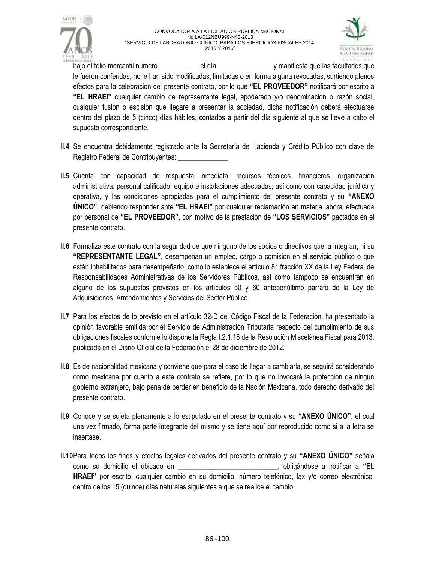



bajo el folio mercantil número \_\_\_\_\_\_\_\_\_\_\_\_\_\_\_\_\_ el día \_\_\_\_\_\_\_\_\_\_\_\_\_\_\_\_\_ y manifiesta que las facultades que le fueron conferidas, no le han sido modificadas, limitadas o en forma alguna revocadas, surtiendo plenos efectos para la celebración del presente contrato, por lo que **"EL PROVEEDOR"** notificará por escrito a **"EL HRAEI"** cualquier cambio de representante legal, apoderado y/o denominación o razón social, cualquier fusión o escisión que llegare a presentar la sociedad, dicha notificación deberá efectuarse dentro del plazo de 5 (cinco) días hábiles, contados a partir del día siguiente al que se lleve a cabo el supuesto correspondiente.

- **II.4** Se encuentra debidamente registrado ante la Secretaría de Hacienda y Crédito Público con clave de Registro Federal de Contribuyentes:
- **II.5** Cuenta con capacidad de respuesta inmediata, recursos técnicos, financieros, organización administrativa, personal calificado, equipo e instalaciones adecuadas; así como con capacidad jurídica y operativa, y las condiciones apropiadas para el cumplimiento del presente contrato y su **"ANEXO ÚNICO"**, debiendo responder ante **"EL HRAEI"** por cualquier reclamación en materia laboral efectuada por personal de **"EL PROVEEDOR"**, con motivo de la prestación de **"LOS SERVICIOS"** pactados en el presente contrato.
- **II.6** Formaliza este contrato con la seguridad de que ninguno de los socios o directivos que la integran, ni su **"REPRESENTANTE LEGAL"**, desempeñan un empleo, cargo o comisión en el servicio público o que están inhabilitados para desempeñarlo, como lo establece el artículo 8° fracción XX de la Ley Federal de Responsabilidades Administrativas de los Servidores Públicos, así como tampoco se encuentran en alguno de los supuestos previstos en los artículos 50 y 60 antepenúltimo párrafo de la Ley de Adquisiciones, Arrendamientos y Servicios del Sector Público.
- **II.7** Para los efectos de lo previsto en el artículo 32-D del Código Fiscal de la Federación, ha presentado la opinión favorable emitida por el Servicio de Administración Tributaria respecto del cumplimiento de sus obligaciones fiscales conforme lo dispone la Regla I.2.1.15 de la Resolución Miscelánea Fiscal para 2013, publicada en el Diario Oficial de la Federación el 28 de diciembre de 2012.
- **II.8** Es de nacionalidad mexicana y conviene que para el caso de llegar a cambiarla, se seguirá considerando como mexicana por cuanto a este contrato se refiere, por lo que no invocará la protección de ningún gobierno extranjero, bajo pena de perder en beneficio de la Nación Mexicana, todo derecho derivado del presente contrato.
- **II.9** Conoce y se sujeta plenamente a lo estipulado en el presente contrato y su **"ANEXO ÚNICO"**, el cual una vez firmado, forma parte integrante del mismo y se tiene aquí por reproducido como si a la letra se insertase.
- **II.10**Para todos los fines y efectos legales derivados del presente contrato y su **"ANEXO ÚNICO"** señala como su domicilio el ubicado en \_\_\_\_\_\_\_\_\_\_\_\_\_\_\_\_\_\_\_\_\_\_\_\_\_\_\_\_, obligándose a notificar a **"EL HRAEI"** por escrito, cualquier cambio en su domicilio, número telefónico, fax y/o correo electrónico, dentro de los 15 (quince) días naturales siguientes a que se realice el cambio.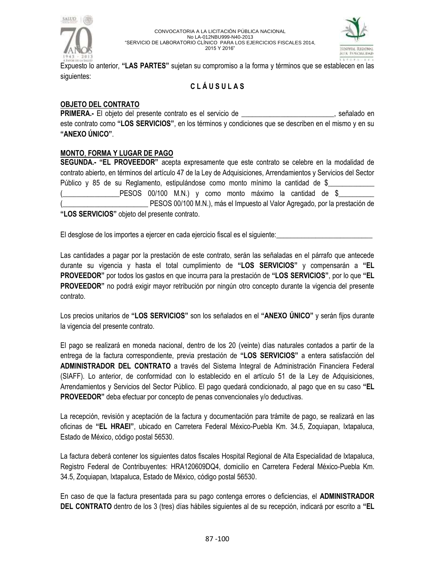



Expuesto lo anterior, **"LAS PARTES"** sujetan su compromiso a la forma y términos que se establecen en las siguientes:

# **C L Á U S U L A S**

## **OBJETO DEL CONTRATO**

**PRIMERA.-** El objeto del presente contrato es el servicio de \_\_\_\_\_\_\_\_\_\_\_\_\_\_\_\_\_\_\_\_\_\_\_\_\_\_, señalado en este contrato como **"LOS SERVICIOS"**, en los términos y condiciones que se describen en el mismo y en su **"ANEXO ÚNICO"**.

# **MONTO**, **FORMA Y LUGAR DE PAGO**

**SEGUNDA.- "EL PROVEEDOR"** acepta expresamente que este contrato se celebre en la modalidad de contrato abierto, en términos del artículo 47 de la Ley de Adquisiciones, Arrendamientos y Servicios del Sector Público y 85 de su Reglamento, estipulándose como monto mínimo la cantidad de \$ (\_\_\_\_\_\_\_\_\_\_\_\_\_\_\_\_PESOS 00/100 M.N.) y como monto máximo la cantidad de \$\_\_\_\_\_\_\_\_\_\_ PESOS 00/100 M.N.), más el Impuesto al Valor Agregado, por la prestación de **"LOS SERVICIOS"** objeto del presente contrato.

El desglose de los importes a ejercer en cada ejercicio fiscal es el siguiente:

Las cantidades a pagar por la prestación de este contrato, serán las señaladas en el párrafo que antecede durante su vigencia y hasta el total cumplimiento de **"LOS SERVICIOS"** y compensarán a **"EL PROVEEDOR"** por todos los gastos en que incurra para la prestación de **"LOS SERVICIOS"**, por lo que **"EL PROVEEDOR"** no podrá exigir mayor retribución por ningún otro concepto durante la vigencia del presente contrato.

Los precios unitarios de **"LOS SERVICIOS"** son los señalados en el **"ANEXO ÚNICO"** y serán fijos durante la vigencia del presente contrato.

El pago se realizará en moneda nacional, dentro de los 20 (veinte) días naturales contados a partir de la entrega de la factura correspondiente, previa prestación de **"LOS SERVICIOS"** a entera satisfacción del **ADMINISTRADOR DEL CONTRATO** a través del Sistema Integral de Administración Financiera Federal (SIAFF). Lo anterior, de conformidad con lo establecido en el artículo 51 de la Ley de Adquisiciones, Arrendamientos y Servicios del Sector Público. El pago quedará condicionado, al pago que en su caso **"EL PROVEEDOR"** deba efectuar por concepto de penas convencionales y/o deductivas.

La recepción, revisión y aceptación de la factura y documentación para trámite de pago, se realizará en las oficinas de **"EL HRAEI"**, ubicado en Carretera Federal México-Puebla Km. 34.5, Zoquiapan, Ixtapaluca, Estado de México, código postal 56530.

La factura deberá contener los siguientes datos fiscales Hospital Regional de Alta Especialidad de Ixtapaluca, Registro Federal de Contribuyentes: HRA120609DQ4, domicilio en Carretera Federal México-Puebla Km. 34.5, Zoquiapan, Ixtapaluca, Estado de México, código postal 56530.

En caso de que la factura presentada para su pago contenga errores o deficiencias, el **ADMINISTRADOR DEL CONTRATO** dentro de los 3 (tres) días hábiles siguientes al de su recepción, indicará por escrito a **"EL**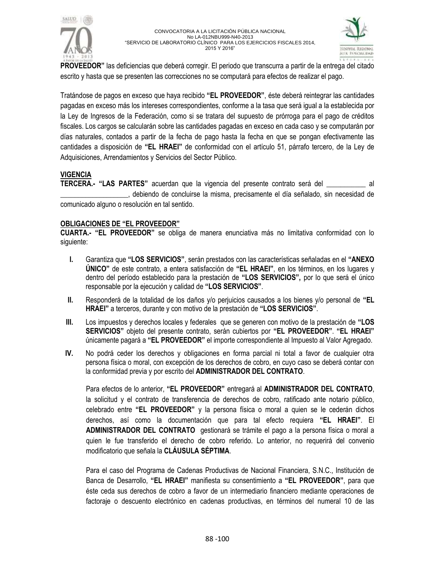



**PROVEEDOR"** las deficiencias que deberá corregir. El periodo que transcurra a partir de la entrega del citado escrito y hasta que se presenten las correcciones no se computará para efectos de realizar el pago.

Tratándose de pagos en exceso que haya recibido **"EL PROVEEDOR"**, éste deberá reintegrar las cantidades pagadas en exceso más los intereses correspondientes, conforme a la tasa que será igual a la establecida por la Ley de Ingresos de la Federación, como si se tratara del supuesto de prórroga para el pago de créditos fiscales. Los cargos se calcularán sobre las cantidades pagadas en exceso en cada caso y se computarán por días naturales, contados a partir de la fecha de pago hasta la fecha en que se pongan efectivamente las cantidades a disposición de **"EL HRAEI"** de conformidad con el artículo 51, párrafo tercero, de la Ley de Adquisiciones, Arrendamientos y Servicios del Sector Público.

## **VIGENCIA**

**TERCERA.- "LAS PARTES"** acuerdan que la vigencia del presente contrato será del \_\_\_\_\_\_\_\_\_\_\_ al \_\_\_\_\_\_\_\_\_\_\_\_\_\_\_\_\_\_\_, debiendo de concluirse la misma, precisamente el día señalado, sin necesidad de comunicado alguno o resolución en tal sentido.

## **OBLIGACIONES DE "EL PROVEEDOR"**

**CUARTA.- "EL PROVEEDOR"** se obliga de manera enunciativa más no limitativa conformidad con lo siguiente:

- **I.** Garantiza que **"LOS SERVICIOS"**, serán prestados con las características señaladas en el **"ANEXO ÚNICO"** de este contrato, a entera satisfacción de **"EL HRAEI"**, en los términos, en los lugares y dentro del período establecido para la prestación de **"LOS SERVICIOS",** por lo que será el único responsable por la ejecución y calidad de **"LOS SERVICIOS"**.
- **II.** Responderá de la totalidad de los daños y/o perjuicios causados a los bienes y/o personal de **"EL HRAEI"** a terceros, durante y con motivo de la prestación de **"LOS SERVICIOS"**.
- **III.** Los impuestos y derechos locales y federales que se generen con motivo de la prestación de **"LOS SERVICIOS"** objeto del presente contrato, serán cubiertos por **"EL PROVEEDOR"**. **"EL HRAEI"** únicamente pagará a **"EL PROVEEDOR"** el importe correspondiente al Impuesto al Valor Agregado.
- **IV.** No podrá ceder los derechos y obligaciones en forma parcial ni total a favor de cualquier otra persona física o moral, con excepción de los derechos de cobro, en cuyo caso se deberá contar con la conformidad previa y por escrito del **ADMINISTRADOR DEL CONTRATO**.

Para efectos de lo anterior, **"EL PROVEEDOR"** entregará al **ADMINISTRADOR DEL CONTRATO**, la solicitud y el contrato de transferencia de derechos de cobro, ratificado ante notario público, celebrado entre **"EL PROVEEDOR"** y la persona física o moral a quien se le cederán dichos derechos, así como la documentación que para tal efecto requiera **"EL HRAEI"**. El **ADMINISTRADOR DEL CONTRATO** gestionará se trámite el pago a la persona física o moral a quien le fue transferido el derecho de cobro referido. Lo anterior, no requerirá del convenio modificatorio que señala la **CLÁUSULA SÉPTIMA**.

Para el caso del Programa de Cadenas Productivas de Nacional Financiera, S.N.C., Institución de Banca de Desarrollo, **"EL HRAEI"** manifiesta su consentimiento a **"EL PROVEEDOR"**, para que éste ceda sus derechos de cobro a favor de un intermediario financiero mediante operaciones de factoraje o descuento electrónico en cadenas productivas, en términos del numeral 10 de las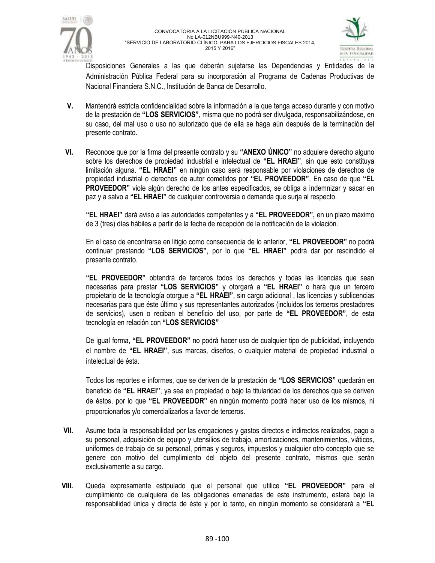



Disposiciones Generales a las que deberán sujetarse las Dependencias y Entidades de la Administración Pública Federal para su incorporación al Programa de Cadenas Productivas de Nacional Financiera S.N.C., Institución de Banca de Desarrollo.

- **V.** Mantendrá estricta confidencialidad sobre la información a la que tenga acceso durante y con motivo de la prestación de **"LOS SERVICIOS"**, misma que no podrá ser divulgada, responsabilizándose, en su caso, del mal uso o uso no autorizado que de ella se haga aún después de la terminación del presente contrato.
- **VI.** Reconoce que por la firma del presente contrato y su **"ANEXO ÚNICO"** no adquiere derecho alguno sobre los derechos de propiedad industrial e intelectual de **"EL HRAEI"**, sin que esto constituya limitación alguna. **"EL HRAEI"** en ningún caso será responsable por violaciones de derechos de propiedad industrial o derechos de autor cometidos por **"EL PROVEEDOR"**. En caso de que **"EL PROVEEDOR"** viole algún derecho de los antes especificados, se obliga a indemnizar y sacar en paz y a salvo a **"EL HRAEI"** de cualquier controversia o demanda que surja al respecto.

**"EL HRAEI"** dará aviso a las autoridades competentes y a **"EL PROVEEDOR",** en un plazo máximo de 3 (tres) días hábiles a partir de la fecha de recepción de la notificación de la violación.

En el caso de encontrarse en litigio como consecuencia de lo anterior, **"EL PROVEEDOR"** no podrá continuar prestando **"LOS SERVICIOS"**, por lo que **"EL HRAEI"** podrá dar por rescindido el presente contrato.

**"EL PROVEEDOR"** obtendrá de terceros todos los derechos y todas las licencias que sean necesarias para prestar **"LOS SERVICIOS"** y otorgará a **"EL HRAEI"** o hará que un tercero propietario de la tecnología otorgue a **"EL HRAEI"**, sin cargo adicional , las licencias y sublicencias necesarias para que éste último y sus representantes autorizados (incluidos los terceros prestadores de servicios), usen o reciban el beneficio del uso, por parte de **"EL PROVEEDOR"**, de esta tecnología en relación con **"LOS SERVICIOS"**

De igual forma, **"EL PROVEEDOR"** no podrá hacer uso de cualquier tipo de publicidad, incluyendo el nombre de **"EL HRAEI"**, sus marcas, diseños, o cualquier material de propiedad industrial o intelectual de ésta.

Todos los reportes e informes, que se deriven de la prestación de **"LOS SERVICIOS"** quedarán en beneficio de **"EL HRAEI"**, ya sea en propiedad o bajo la titularidad de los derechos que se deriven de éstos, por lo que **"EL PROVEEDOR"** en ningún momento podrá hacer uso de los mismos, ni proporcionarlos y/o comercializarlos a favor de terceros.

- **VII.** Asume toda la responsabilidad por las erogaciones y gastos directos e indirectos realizados, pago a su personal, adquisición de equipo y utensilios de trabajo, amortizaciones, mantenimientos, viáticos, uniformes de trabajo de su personal, primas y seguros, impuestos y cualquier otro concepto que se genere con motivo del cumplimiento del objeto del presente contrato, mismos que serán exclusivamente a su cargo.
- **VIII.** Queda expresamente estipulado que el personal que utilice **"EL PROVEEDOR"** para el cumplimiento de cualquiera de las obligaciones emanadas de este instrumento, estará bajo la responsabilidad única y directa de éste y por lo tanto, en ningún momento se considerará a **"EL**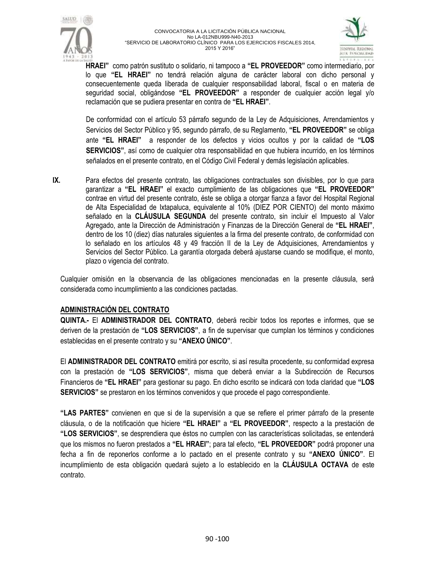



**HRAEI"** como patrón sustituto o solidario, ni tampoco a **"EL PROVEEDOR"** como intermediario, por lo que **"EL HRAEI"** no tendrá relación alguna de carácter laboral con dicho personal y consecuentemente queda liberada de cualquier responsabilidad laboral, fiscal o en materia de seguridad social, obligándose **"EL PROVEEDOR"** a responder de cualquier acción legal y/o reclamación que se pudiera presentar en contra de **"EL HRAEI"**.

De conformidad con el artículo 53 párrafo segundo de la Ley de Adquisiciones, Arrendamientos y Servicios del Sector Público y 95, segundo párrafo, de su Reglamento, **"EL PROVEEDOR"** se obliga ante **"EL HRAEI"** a responder de los defectos y vicios ocultos y por la calidad de **"LOS SERVICIOS"**, así como de cualquier otra responsabilidad en que hubiera incurrido, en los términos señalados en el presente contrato, en el Código Civil Federal y demás legislación aplicables.

**IX.** Para efectos del presente contrato, las obligaciones contractuales son divisibles, por lo que para garantizar a **"EL HRAEI"** el exacto cumplimiento de las obligaciones que **"EL PROVEEDOR"** contrae en virtud del presente contrato, éste se obliga a otorgar fianza a favor del Hospital Regional de Alta Especialidad de Ixtapaluca, equivalente al 10% (DIEZ POR CIENTO) del monto máximo señalado en la **CLÁUSULA SEGUNDA** del presente contrato, sin incluir el Impuesto al Valor Agregado, ante la Dirección de Administración y Finanzas de la Dirección General de **"EL HRAEI"**, dentro de los 10 (diez) días naturales siguientes a la firma del presente contrato, de conformidad con lo señalado en los artículos 48 y 49 fracción II de la Ley de Adquisiciones, Arrendamientos y Servicios del Sector Público. La garantía otorgada deberá ajustarse cuando se modifique, el monto, plazo o vigencia del contrato.

Cualquier omisión en la observancia de las obligaciones mencionadas en la presente cláusula, será considerada como incumplimiento a las condiciones pactadas.

## **ADMINISTRACIÓN DEL CONTRATO**

**QUINTA.-** El **ADMINISTRADOR DEL CONTRATO**, deberá recibir todos los reportes e informes, que se deriven de la prestación de **"LOS SERVICIOS"**, a fin de supervisar que cumplan los términos y condiciones establecidas en el presente contrato y su **"ANEXO ÚNICO"**.

El **ADMINISTRADOR DEL CONTRATO** emitirá por escrito, si así resulta procedente, su conformidad expresa con la prestación de **"LOS SERVICIOS"**, misma que deberá enviar a la Subdirección de Recursos Financieros de **"EL HRAEI"** para gestionar su pago. En dicho escrito se indicará con toda claridad que **"LOS SERVICIOS"** se prestaron en los términos convenidos y que procede el pago correspondiente.

**"LAS PARTES"** convienen en que si de la supervisión a que se refiere el primer párrafo de la presente cláusula, o de la notificación que hiciere **"EL HRAEI"** a **"EL PROVEEDOR"**, respecto a la prestación de **"LOS SERVICIOS"**, se desprendiera que éstos no cumplen con las características solicitadas, se entenderá que los mismos no fueron prestados a **"EL HRAEI"**; para tal efecto, **"EL PROVEEDOR"** podrá proponer una fecha a fin de reponerlos conforme a lo pactado en el presente contrato y su **"ANEXO ÚNICO"**. El incumplimiento de esta obligación quedará sujeto a lo establecido en la **CLÁUSULA OCTAVA** de este contrato.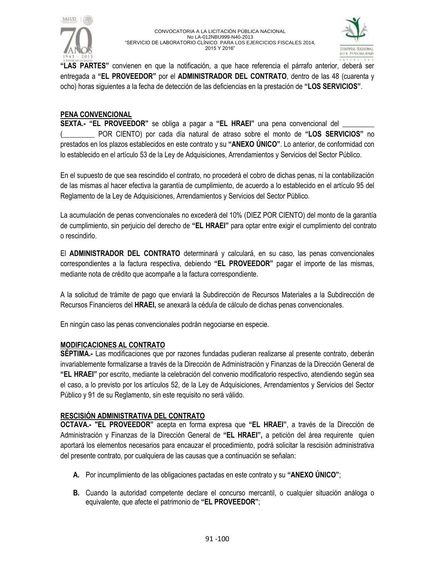



**"LAS PARTES"** convienen en que la notificación, a que hace referencia el párrafo anterior, deberá ser entregada a **"EL PROVEEDOR"** por el **ADMINISTRADOR DEL CONTRATO**, dentro de las 48 (cuarenta y ocho) horas siguientes a la fecha de detección de las deficiencias en la prestación de **"LOS SERVICIOS"**.

## **PENA CONVENCIONAL**

**SEXTA.- "EL PROVEEDOR"** se obliga a pagar a **"EL HRAEI"** una pena convencional del \_\_\_\_\_\_\_\_\_ (\_\_\_\_\_\_\_\_\_ POR CIENTO) por cada día natural de atraso sobre el monto de **"LOS SERVICIOS"** no prestados en los plazos establecidos en este contrato y su **"ANEXO ÚNICO"**. Lo anterior, de conformidad con lo establecido en el artículo 53 de la Ley de Adquisiciones, Arrendamientos y Servicios del Sector Público.

En el supuesto de que sea rescindido el contrato, no procederá el cobro de dichas penas, ni la contabilización de las mismas al hacer efectiva la garantía de cumplimiento, de acuerdo a lo establecido en el artículo 95 del Reglamento de la Ley de Adquisiciones, Arrendamientos y Servicios del Sector Público.

La acumulación de penas convencionales no excederá del 10% (DIEZ POR CIENTO) del monto de la garantía de cumplimiento, sin perjuicio del derecho de **"EL HRAEI"** para optar entre exigir el cumplimiento del contrato o rescindirlo.

El **ADMINISTRADOR DEL CONTRATO** determinará y calculará, en su caso, las penas convencionales correspondientes a la factura respectiva, debiendo **"EL PROVEEDOR"** pagar el importe de las mismas, mediante nota de crédito que acompañe a la factura correspondiente.

A la solicitud de trámite de pago que enviará la Subdirección de Recursos Materiales a la Subdirección de Recursos Financieros del **HRAEI,** se anexará la cédula de cálculo de dichas penas convencionales.

En ningún caso las penas convencionales podrán negociarse en especie.

### **MODIFICACIONES AL CONTRATO**

**SÉPTIMA.-** Las modificaciones que por razones fundadas pudieran realizarse al presente contrato, deberán invariablemente formalizarse a través de la Dirección de Administración y Finanzas de la Dirección General de **"EL HRAEI"** por escrito, mediante la celebración del convenio modificatorio respectivo, atendiendo según sea el caso, a lo previsto por los artículos 52, de la Ley de Adquisiciones, Arrendamientos y Servicios del Sector Público y 91 de su Reglamento, sin este requisito no será válido.

## **RESCISIÓN ADMINISTRATIVA DEL CONTRATO**

**OCTAVA.- "EL PROVEEDOR"** acepta en forma expresa que **"EL HRAEI"**, a través de la Dirección de Administración y Finanzas de la Dirección General de **"EL HRAEI",** a petición del área requirente quien aportará los elementos necesarios para encauzar el procedimiento, podrá solicitar la rescisión administrativa del presente contrato, por cualquiera de las causas que a continuación se señalan:

- **A.** Por incumplimiento de las obligaciones pactadas en este contrato y su **"ANEXO ÚNICO"**;
- **B.** Cuando la autoridad competente declare el concurso mercantil, o cualquier situación análoga o equivalente, que afecte el patrimonio de **"EL PROVEEDOR"**;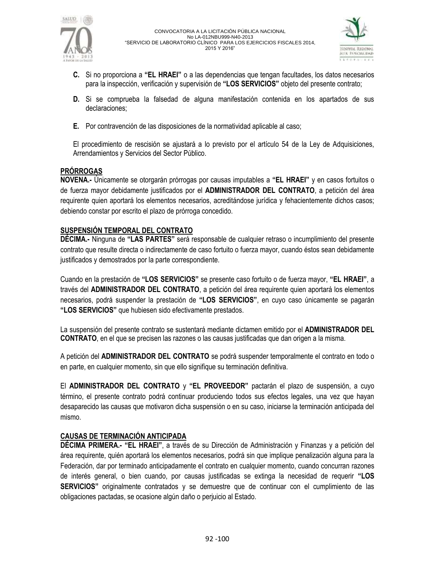



- **C.** Si no proporciona a **"EL HRAEI"** o a las dependencias que tengan facultades, los datos necesarios para la inspección, verificación y supervisión de **"LOS SERVICIOS"** objeto del presente contrato;
- **D.** Si se comprueba la falsedad de alguna manifestación contenida en los apartados de sus declaraciones;
- **E.** Por contravención de las disposiciones de la normatividad aplicable al caso;

El procedimiento de rescisión se ajustará a lo previsto por el artículo 54 de la Ley de Adquisiciones, Arrendamientos y Servicios del Sector Público.

## **PRÓRROGAS**

**NOVENA.-** Únicamente se otorgarán prórrogas por causas imputables a **"EL HRAEI"** y en casos fortuitos o de fuerza mayor debidamente justificados por el **ADMINISTRADOR DEL CONTRATO**, a petición del área requirente quien aportará los elementos necesarios, acreditándose jurídica y fehacientemente dichos casos; debiendo constar por escrito el plazo de prórroga concedido.

## **SUSPENSIÓN TEMPORAL DEL CONTRATO**

**DÉCIMA.-** Ninguna de **"LAS PARTES"** será responsable de cualquier retraso o incumplimiento del presente contrato que resulte directa o indirectamente de caso fortuito o fuerza mayor, cuando éstos sean debidamente justificados y demostrados por la parte correspondiente.

Cuando en la prestación de **"LOS SERVICIOS"** se presente caso fortuito o de fuerza mayor, **"EL HRAEI"**, a través del **ADMINISTRADOR DEL CONTRATO**, a petición del área requirente quien aportará los elementos necesarios, podrá suspender la prestación de **"LOS SERVICIOS"**, en cuyo caso únicamente se pagarán **"LOS SERVICIOS"** que hubiesen sido efectivamente prestados.

La suspensión del presente contrato se sustentará mediante dictamen emitido por el **ADMINISTRADOR DEL CONTRATO**, en el que se precisen las razones o las causas justificadas que dan origen a la misma.

A petición del **ADMINISTRADOR DEL CONTRATO** se podrá suspender temporalmente el contrato en todo o en parte, en cualquier momento, sin que ello signifique su terminación definitiva.

El **ADMINISTRADOR DEL CONTRATO** y **"EL PROVEEDOR"** pactarán el plazo de suspensión, a cuyo término, el presente contrato podrá continuar produciendo todos sus efectos legales, una vez que hayan desaparecido las causas que motivaron dicha suspensión o en su caso, iniciarse la terminación anticipada del mismo.

## **CAUSAS DE TERMINACIÓN ANTICIPADA**

**DÉCIMA PRIMERA.- "EL HRAEI"**, a través de su Dirección de Administración y Finanzas y a petición del área requirente, quién aportará los elementos necesarios, podrá sin que implique penalización alguna para la Federación, dar por terminado anticipadamente el contrato en cualquier momento, cuando concurran razones de interés general, o bien cuando, por causas justificadas se extinga la necesidad de requerir **"LOS SERVICIOS"** originalmente contratados y se demuestre que de continuar con el cumplimiento de las obligaciones pactadas, se ocasione algún daño o perjuicio al Estado.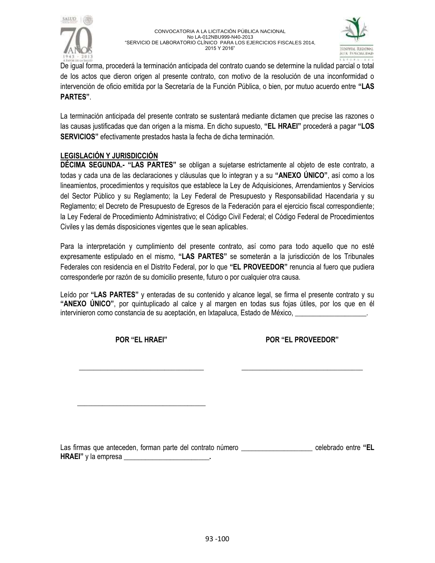



De igual forma, procederá la terminación anticipada del contrato cuando se determine la nulidad parcial o total de los actos que dieron origen al presente contrato, con motivo de la resolución de una inconformidad o intervención de oficio emitida por la Secretaría de la Función Pública, o bien, por mutuo acuerdo entre **"LAS PARTES"**.

La terminación anticipada del presente contrato se sustentará mediante dictamen que precise las razones o las causas justificadas que dan origen a la misma. En dicho supuesto, **"EL HRAEI"** procederá a pagar **"LOS SERVICIOS"** efectivamente prestados hasta la fecha de dicha terminación.

# **LEGISLACIÓN Y JURISDICCIÓN**

**DÉCIMA SEGUNDA.- "LAS PARTES"** se obligan a sujetarse estrictamente al objeto de este contrato, a todas y cada una de las declaraciones y cláusulas que lo integran y a su **"ANEXO ÚNICO"**, así como a los lineamientos, procedimientos y requisitos que establece la Ley de Adquisiciones, Arrendamientos y Servicios del Sector Público y su Reglamento; la Ley Federal de Presupuesto y Responsabilidad Hacendaria y su Reglamento; el Decreto de Presupuesto de Egresos de la Federación para el ejercicio fiscal correspondiente; la Ley Federal de Procedimiento Administrativo; el Código Civil Federal; el Código Federal de Procedimientos Civiles y las demás disposiciones vigentes que le sean aplicables.

Para la interpretación y cumplimiento del presente contrato, así como para todo aquello que no esté expresamente estipulado en el mismo, **"LAS PARTES"** se someterán a la jurisdicción de los Tribunales Federales con residencia en el Distrito Federal, por lo que **"EL PROVEEDOR"** renuncia al fuero que pudiera corresponderle por razón de su domicilio presente, futuro o por cualquier otra causa.

Leído por **"LAS PARTES"** y enteradas de su contenido y alcance legal, se firma el presente contrato y su **"ANEXO ÚNICO"**, por quintuplicado al calce y al margen en todas sus fojas útiles, por los que en él intervinieron como constancia de su aceptación, en Ixtapaluca, Estado de México, \_

**POR "EL HRAEI"**

\_\_\_\_\_\_\_\_\_\_\_\_\_\_\_\_\_\_\_\_\_\_\_\_\_\_\_\_\_\_\_\_\_\_\_

\_\_\_\_\_\_\_\_\_\_\_\_\_\_\_\_\_\_\_\_\_\_\_\_\_\_\_\_\_\_\_\_\_\_\_\_

**POR "EL PROVEEDOR"**

\_\_\_\_\_\_\_\_\_\_\_\_\_\_\_\_\_\_\_\_\_\_\_\_\_\_\_\_\_\_\_\_\_\_

Las firmas que anteceden, forman parte del contrato número **\_\_\_\_\_\_\_\_\_\_\_\_\_\_\_\_\_\_\_\_** celebrado entre **"EL HRAEI"** y la empresa **\_\_\_\_\_\_\_\_\_\_\_\_\_\_\_\_\_\_\_\_\_\_\_\_.**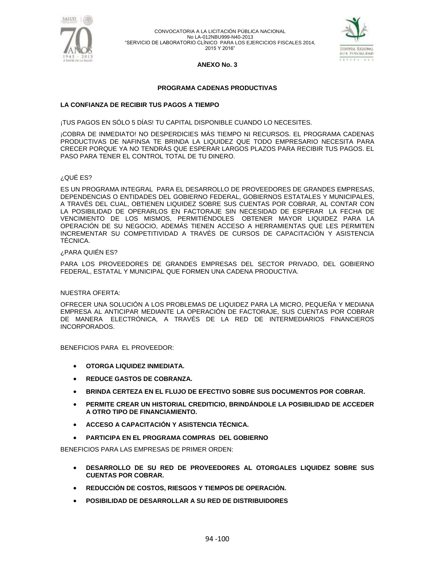



### **ANEXO No. 3**

### **PROGRAMA CADENAS PRODUCTIVAS**

### **LA CONFIANZA DE RECIBIR TUS PAGOS A TIEMPO**

¡TUS PAGOS EN SÓLO 5 DÍAS! TU CAPITAL DISPONIBLE CUANDO LO NECESITES.

¡COBRA DE INMEDIATO! NO DESPERDICIES MÁS TIEMPO NI RECURSOS. EL PROGRAMA CADENAS PRODUCTIVAS DE NAFINSA TE BRINDA LA LIQUIDEZ QUE TODO EMPRESARIO NECESITA PARA CRECER PORQUE YA NO TENDRÁS QUE ESPERAR LARGOS PLAZOS PARA RECIBIR TUS PAGOS. EL PASO PARA TENER EL CONTROL TOTAL DE TU DINERO.

#### ¿QUÉ ES?

ES UN PROGRAMA INTEGRAL PARA EL DESARROLLO DE PROVEEDORES DE GRANDES EMPRESAS, DEPENDENCIAS O ENTIDADES DEL GOBIERNO FEDERAL, GOBIERNOS ESTATALES Y MUNICIPALES, A TRAVÉS DEL CUAL, OBTIENEN LIQUIDEZ SOBRE SUS CUENTAS POR COBRAR, AL CONTAR CON LA POSIBILIDAD DE OPERARLOS EN FACTORAJE SIN NECESIDAD DE ESPERAR LA FECHA DE VENCIMIENTO DE LOS MISMOS, PERMITIÉNDOLES OBTENER MAYOR LIQUIDEZ PARA LA OPERACIÓN DE SU NEGOCIO, ADEMÁS TIENEN ACCESO A HERRAMIENTAS QUE LES PERMITEN INCREMENTAR SU COMPETITIVIDAD A TRAVÉS DE CURSOS DE CAPACITACIÓN Y ASISTENCIA TÉCNICA.

#### ¿PARA QUIÉN ES?

PARA LOS PROVEEDORES DE GRANDES EMPRESAS DEL SECTOR PRIVADO, DEL GOBIERNO FEDERAL, ESTATAL Y MUNICIPAL QUE FORMEN UNA CADENA PRODUCTIVA.

#### NUESTRA OFERTA:

OFRECER UNA SOLUCIÓN A LOS PROBLEMAS DE LIQUIDEZ PARA LA MICRO, PEQUEÑA Y MEDIANA EMPRESA AL ANTICIPAR MEDIANTE LA OPERACIÓN DE FACTORAJE, SUS CUENTAS POR COBRAR DE MANERA ELECTRÓNICA, A TRAVÉS DE LA RED DE INTERMEDIARIOS FINANCIEROS INCORPORADOS.

BENEFICIOS PARA EL PROVEEDOR:

- **OTORGA LIQUIDEZ INMEDIATA.**
- **REDUCE GASTOS DE COBRANZA.**
- **BRINDA CERTEZA EN EL FLUJO DE EFECTIVO SOBRE SUS DOCUMENTOS POR COBRAR.**
- **PERMITE CREAR UN HISTORIAL CREDITICIO, BRINDÁNDOLE LA POSIBILIDAD DE ACCEDER A OTRO TIPO DE FINANCIAMIENTO.**
- **ACCESO A CAPACITACIÓN Y ASISTENCIA TÉCNICA.**
- **PARTICIPA EN EL PROGRAMA COMPRAS DEL GOBIERNO**

BENEFICIOS PARA LAS EMPRESAS DE PRIMER ORDEN:

- **DESARROLLO DE SU RED DE PROVEEDORES AL OTORGALES LIQUIDEZ SOBRE SUS CUENTAS POR COBRAR.**
- **REDUCCIÓN DE COSTOS, RIESGOS Y TIEMPOS DE OPERACIÓN.**
- **POSIBILIDAD DE DESARROLLAR A SU RED DE DISTRIBUIDORES**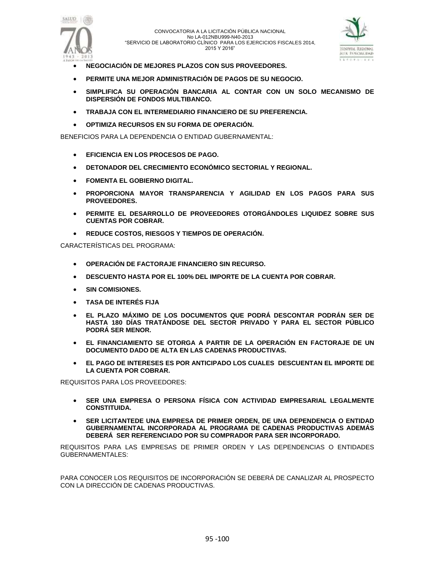



- **NEGOCIACIÓN DE MEJORES PLAZOS CON SUS PROVEEDORES.**
- **PERMITE UNA MEJOR ADMINISTRACIÓN DE PAGOS DE SU NEGOCIO.**
- **SIMPLIFICA SU OPERACIÓN BANCARIA AL CONTAR CON UN SOLO MECANISMO DE DISPERSIÓN DE FONDOS MULTIBANCO.**
- **TRABAJA CON EL INTERMEDIARIO FINANCIERO DE SU PREFERENCIA.**
- **OPTIMIZA RECURSOS EN SU FORMA DE OPERACIÓN.**

BENEFICIOS PARA LA DEPENDENCIA O ENTIDAD GUBERNAMENTAL:

- **EFICIENCIA EN LOS PROCESOS DE PAGO.**
- **DETONADOR DEL CRECIMIENTO ECONÓMICO SECTORIAL Y REGIONAL.**
- **FOMENTA EL GOBIERNO DIGITAL.**
- **PROPORCIONA MAYOR TRANSPARENCIA Y AGILIDAD EN LOS PAGOS PARA SUS PROVEEDORES.**
- **PERMITE EL DESARROLLO DE PROVEEDORES OTORGÁNDOLES LIQUIDEZ SOBRE SUS CUENTAS POR COBRAR.**
- **REDUCE COSTOS, RIESGOS Y TIEMPOS DE OPERACIÓN.**

CARACTERÍSTICAS DEL PROGRAMA:

- **OPERACIÓN DE FACTORAJE FINANCIERO SIN RECURSO.**
- **DESCUENTO HASTA POR EL 100% DEL IMPORTE DE LA CUENTA POR COBRAR.**
- **SIN COMISIONES.**
- **TASA DE INTERÉS FIJA**
- **EL PLAZO MÁXIMO DE LOS DOCUMENTOS QUE PODRÁ DESCONTAR PODRÁN SER DE HASTA 180 DÍAS TRATÁNDOSE DEL SECTOR PRIVADO Y PARA EL SECTOR PÚBLICO PODRÁ SER MENOR.**
- **EL FINANCIAMIENTO SE OTORGA A PARTIR DE LA OPERACIÓN EN FACTORAJE DE UN DOCUMENTO DADO DE ALTA EN LAS CADENAS PRODUCTIVAS.**
- **EL PAGO DE INTERESES ES POR ANTICIPADO LOS CUALES DESCUENTAN EL IMPORTE DE LA CUENTA POR COBRAR.**

REQUISITOS PARA LOS PROVEEDORES:

- **SER UNA EMPRESA O PERSONA FÍSICA CON ACTIVIDAD EMPRESARIAL LEGALMENTE CONSTITUIDA.**
- **SER LICITANTEDE UNA EMPRESA DE PRIMER ORDEN, DE UNA DEPENDENCIA O ENTIDAD GUBERNAMENTAL INCORPORADA AL PROGRAMA DE CADENAS PRODUCTIVAS ADEMÁS DEBERÁ SER REFERENCIADO POR SU COMPRADOR PARA SER INCORPORADO.**

REQUISITOS PARA LAS EMPRESAS DE PRIMER ORDEN Y LAS DEPENDENCIAS O ENTIDADES GUBERNAMENTALES:

PARA CONOCER LOS REQUISITOS DE INCORPORACIÓN SE DEBERÁ DE CANALIZAR AL PROSPECTO CON LA DIRECCIÓN DE CADENAS PRODUCTIVAS.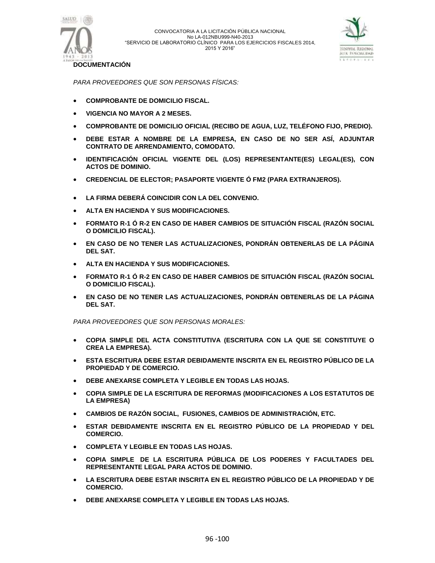



**DOCUMENTACIÓN**

*PARA PROVEEDORES QUE SON PERSONAS FÍSICAS:*

- **COMPROBANTE DE DOMICILIO FISCAL.**
- **VIGENCIA NO MAYOR A 2 MESES.**
- **COMPROBANTE DE DOMICILIO OFICIAL (RECIBO DE AGUA, LUZ, TELÉFONO FIJO, PREDIO).**
- **DEBE ESTAR A NOMBRE DE LA EMPRESA, EN CASO DE NO SER ASÍ, ADJUNTAR CONTRATO DE ARRENDAMIENTO, COMODATO.**
- **IDENTIFICACIÓN OFICIAL VIGENTE DEL (LOS) REPRESENTANTE(ES) LEGAL(ES), CON ACTOS DE DOMINIO.**
- **CREDENCIAL DE ELECTOR; PASAPORTE VIGENTE Ó FM2 (PARA EXTRANJEROS).**
- **LA FIRMA DEBERÁ COINCIDIR CON LA DEL CONVENIO.**
- **ALTA EN HACIENDA Y SUS MODIFICACIONES.**
- **FORMATO R-1 Ó R-2 EN CASO DE HABER CAMBIOS DE SITUACIÓN FISCAL (RAZÓN SOCIAL O DOMICILIO FISCAL).**
- **EN CASO DE NO TENER LAS ACTUALIZACIONES, PONDRÁN OBTENERLAS DE LA PÁGINA DEL SAT.**
- **ALTA EN HACIENDA Y SUS MODIFICACIONES.**
- **FORMATO R-1 Ó R-2 EN CASO DE HABER CAMBIOS DE SITUACIÓN FISCAL (RAZÓN SOCIAL O DOMICILIO FISCAL).**
- **EN CASO DE NO TENER LAS ACTUALIZACIONES, PONDRÁN OBTENERLAS DE LA PÁGINA DEL SAT.**

*PARA PROVEEDORES QUE SON PERSONAS MORALES:*

- **COPIA SIMPLE DEL ACTA CONSTITUTIVA (ESCRITURA CON LA QUE SE CONSTITUYE O CREA LA EMPRESA).**
- **ESTA ESCRITURA DEBE ESTAR DEBIDAMENTE INSCRITA EN EL REGISTRO PÚBLICO DE LA PROPIEDAD Y DE COMERCIO.**
- **DEBE ANEXARSE COMPLETA Y LEGIBLE EN TODAS LAS HOJAS.**
- **COPIA SIMPLE DE LA ESCRITURA DE REFORMAS (MODIFICACIONES A LOS ESTATUTOS DE LA EMPRESA)**
- **CAMBIOS DE RAZÓN SOCIAL, FUSIONES, CAMBIOS DE ADMINISTRACIÓN, ETC.**
- **ESTAR DEBIDAMENTE INSCRITA EN EL REGISTRO PÚBLICO DE LA PROPIEDAD Y DEL COMERCIO.**
- **COMPLETA Y LEGIBLE EN TODAS LAS HOJAS.**
- **COPIA SIMPLE DE LA ESCRITURA PÚBLICA DE LOS PODERES Y FACULTADES DEL REPRESENTANTE LEGAL PARA ACTOS DE DOMINIO.**
- **LA ESCRITURA DEBE ESTAR INSCRITA EN EL REGISTRO PÚBLICO DE LA PROPIEDAD Y DE COMERCIO.**
- **DEBE ANEXARSE COMPLETA Y LEGIBLE EN TODAS LAS HOJAS.**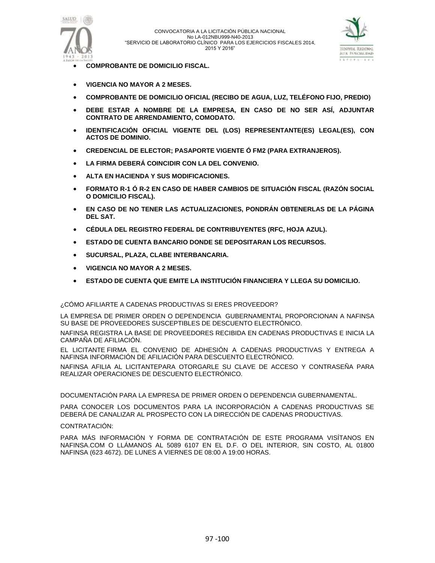



- **COMPROBANTE DE DOMICILIO FISCAL.**
- **VIGENCIA NO MAYOR A 2 MESES.**
- **COMPROBANTE DE DOMICILIO OFICIAL (RECIBO DE AGUA, LUZ, TELÉFONO FIJO, PREDIO)**
- **DEBE ESTAR A NOMBRE DE LA EMPRESA, EN CASO DE NO SER ASÍ, ADJUNTAR CONTRATO DE ARRENDAMIENTO, COMODATO.**
- **IDENTIFICACIÓN OFICIAL VIGENTE DEL (LOS) REPRESENTANTE(ES) LEGAL(ES), CON ACTOS DE DOMINIO.**
- **CREDENCIAL DE ELECTOR; PASAPORTE VIGENTE Ó FM2 (PARA EXTRANJEROS).**
- **LA FIRMA DEBERÁ COINCIDIR CON LA DEL CONVENIO.**
- **ALTA EN HACIENDA Y SUS MODIFICACIONES.**
- **FORMATO R-1 Ó R-2 EN CASO DE HABER CAMBIOS DE SITUACIÓN FISCAL (RAZÓN SOCIAL O DOMICILIO FISCAL).**
- **EN CASO DE NO TENER LAS ACTUALIZACIONES, PONDRÁN OBTENERLAS DE LA PÁGINA DEL SAT.**
- **CÉDULA DEL REGISTRO FEDERAL DE CONTRIBUYENTES (RFC, HOJA AZUL).**
- **ESTADO DE CUENTA BANCARIO DONDE SE DEPOSITARAN LOS RECURSOS.**
- **SUCURSAL, PLAZA, CLABE INTERBANCARIA.**
- **VIGENCIA NO MAYOR A 2 MESES.**
- **ESTADO DE CUENTA QUE EMITE LA INSTITUCIÓN FINANCIERA Y LLEGA SU DOMICILIO.**

¿CÓMO AFILIARTE A CADENAS PRODUCTIVAS SI ERES PROVEEDOR?

LA EMPRESA DE PRIMER ORDEN O DEPENDENCIA GUBERNAMENTAL PROPORCIONAN A NAFINSA SU BASE DE PROVEEDORES SUSCEPTIBLES DE DESCUENTO ELECTRÓNICO.

NAFINSA REGISTRA LA BASE DE PROVEEDORES RECIBIDA EN CADENAS PRODUCTIVAS E INICIA LA CAMPAÑA DE AFILIACIÓN.

EL LICITANTE FIRMA EL CONVENIO DE ADHESIÓN A CADENAS PRODUCTIVAS Y ENTREGA A NAFINSA INFORMACIÓN DE AFILIACIÓN PARA DESCUENTO ELECTRÓNICO.

NAFINSA AFILIA AL LICITANTEPARA OTORGARLE SU CLAVE DE ACCESO Y CONTRASEÑA PARA REALIZAR OPERACIONES DE DESCUENTO ELECTRÓNICO.

DOCUMENTACIÓN PARA LA EMPRESA DE PRIMER ORDEN O DEPENDENCIA GUBERNAMENTAL.

PARA CONOCER LOS DOCUMENTOS PARA LA INCORPORACIÓN A CADENAS PRODUCTIVAS SE DEBERÁ DE CANALIZAR AL PROSPECTO CON LA DIRECCIÓN DE CADENAS PRODUCTIVAS.

### CONTRATACIÓN:

PARA MÁS INFORMACIÓN Y FORMA DE CONTRATACIÓN DE ESTE PROGRAMA VISÍTANOS EN NAFINSA.COM O LLÁMANOS AL 5089 6107 EN EL D.F. O DEL INTERIOR, SIN COSTO, AL 01800 NAFINSA (623 4672). DE LUNES A VIERNES DE 08:00 A 19:00 HORAS.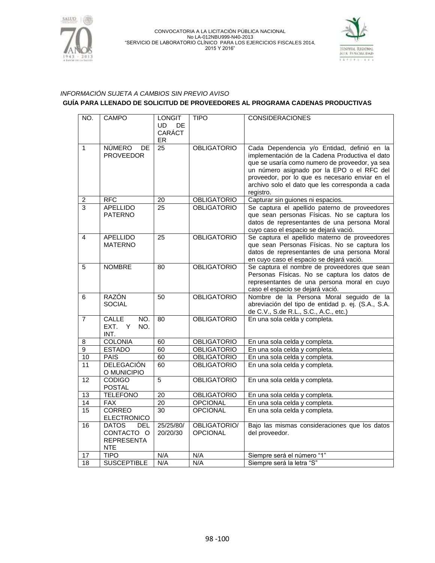



## *INFORMACIÓN SUJETA A CAMBIOS SIN PREVIO AVISO* **GUÍA PARA LLENADO DE SOLICITUD DE PROVEEDORES AL PROGRAMA CADENAS PRODUCTIVAS**

| NO.                     | <b>CAMPO</b>        | <b>LONGIT</b>   | <b>TIPO</b>        | <b>CONSIDERACIONES</b>                                                                        |
|-------------------------|---------------------|-----------------|--------------------|-----------------------------------------------------------------------------------------------|
|                         |                     | UD.<br>DE.      |                    |                                                                                               |
|                         |                     | CARÁCT          |                    |                                                                                               |
|                         |                     | ER              |                    |                                                                                               |
| $\mathbf{1}$            | <b>NÚMERO</b><br>DE | 25              | <b>OBLIGATORIO</b> | Cada Dependencia y/o Entidad, definió en la                                                   |
|                         | <b>PROVEEDOR</b>    |                 |                    | implementación de la Cadena Productiva el dato                                                |
|                         |                     |                 |                    | que se usaría como numero de proveedor, ya sea                                                |
|                         |                     |                 |                    | un número asignado por la EPO o el RFC del<br>proveedor, por lo que es necesario enviar en el |
|                         |                     |                 |                    | archivo solo el dato que les corresponda a cada                                               |
|                         |                     |                 |                    | registro.                                                                                     |
| $\overline{\mathbf{c}}$ | <b>RFC</b>          | 20              | <b>OBLIGATORIO</b> | Capturar sin guiones ni espacios.                                                             |
| $\overline{3}$          | <b>APELLIDO</b>     | 25              | <b>OBLIGATORIO</b> | Se captura el apellido paterno de proveedores                                                 |
|                         | <b>PATERNO</b>      |                 |                    | que sean personas Físicas. No se captura los                                                  |
|                         |                     |                 |                    | datos de representantes de una persona Moral                                                  |
|                         |                     |                 |                    | cuyo caso el espacio se dejará vació.                                                         |
| 4                       | <b>APELLIDO</b>     | 25              | <b>OBLIGATORIO</b> | Se captura el apellido materno de proveedores                                                 |
|                         | <b>MATERNO</b>      |                 |                    | que sean Personas Físicas. No se captura los                                                  |
|                         |                     |                 |                    | datos de representantes de una persona Moral                                                  |
|                         |                     |                 |                    | en cuyo caso el espacio se dejará vació.                                                      |
| 5                       | <b>NOMBRE</b>       | 80              | <b>OBLIGATORIO</b> | Se captura el nombre de proveedores que sean                                                  |
|                         |                     |                 |                    | Personas Físicas. No se captura los datos de                                                  |
|                         |                     |                 |                    | representantes de una persona moral en cuyo                                                   |
|                         |                     |                 |                    | caso el espacio se dejará vació.                                                              |
| 6                       | <b>RAZÓN</b>        | 50              | <b>OBLIGATORIO</b> | Nombre de la Persona Moral seguido de la                                                      |
|                         | <b>SOCIAL</b>       |                 |                    | abreviación del tipo de entidad p. ej. (S.A., S.A.                                            |
|                         | <b>CALLE</b><br>NO. |                 | <b>OBLIGATORIO</b> | de C.V., S.de R.L., S.C., A.C., etc.)                                                         |
| $\overline{7}$          | EXT.<br>Y<br>NO.    | 80              |                    | En una sola celda y completa.                                                                 |
|                         | INT.                |                 |                    |                                                                                               |
| 8                       | <b>COLONIA</b>      | 60              | <b>OBLIGATORIO</b> | En una sola celda y completa.                                                                 |
| 9                       | <b>ESTADO</b>       | 60              | <b>OBLIGATORIO</b> | En una sola celda y completa.                                                                 |
| 10                      | <b>PAIS</b>         | 60              | <b>OBLIGATORIO</b> | En una sola celda y completa.                                                                 |
| 11                      | <b>DELEGACIÓN</b>   | 60              | <b>OBLIGATORIO</b> | En una sola celda y completa.                                                                 |
|                         | O MUNICIPIO         |                 |                    |                                                                                               |
| 12                      | <b>CODIGO</b>       | 5               | <b>OBLIGATORIO</b> | En una sola celda y completa.                                                                 |
|                         | <b>POSTAL</b>       |                 |                    |                                                                                               |
| 13                      | <b>TELEFONO</b>     | 20              | <b>OBLIGATORIO</b> | En una sola celda y completa.                                                                 |
| $\overline{14}$         | <b>FAX</b>          | $\overline{20}$ | <b>OPCIONAL</b>    | En una sola celda y completa.                                                                 |
| 15                      | <b>CORREO</b>       | $\overline{30}$ | <b>OPCIONAL</b>    | En una sola celda y completa.                                                                 |
|                         | <b>ELECTRONICO</b>  |                 |                    |                                                                                               |
| 16                      | <b>DATOS</b><br>DEL | 25/25/80/       | OBLIGATORIO/       | Bajo las mismas consideraciones que los datos                                                 |
|                         | CONTACTO O          | 20/20/30        | <b>OPCIONAL</b>    | del proveedor.                                                                                |
|                         | <b>REPRESENTA</b>   |                 |                    |                                                                                               |
|                         | <b>NTE</b>          |                 |                    |                                                                                               |
| 17                      | <b>TIPO</b>         | N/A             | N/A                | Siempre será el número "1"                                                                    |
| $\overline{18}$         | <b>SUSCEPTIBLE</b>  | N/A             | N/A                | Siempre será la letra "S"                                                                     |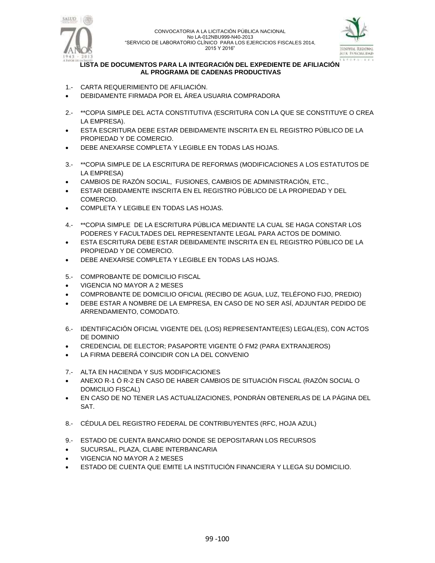



### **LISTA DE DOCUMENTOS PARA LA INTEGRACIÓN DEL EXPEDIENTE DE AFILIACIÓN AL PROGRAMA DE CADENAS PRODUCTIVAS**

- 1.- CARTA REQUERIMIENTO DE AFILIACIÓN.
- DEBIDAMENTE FIRMADA POR EL ÁREA USUARIA COMPRADORA
- 2.- \*\*COPIA SIMPLE DEL ACTA CONSTITUTIVA (ESCRITURA CON LA QUE SE CONSTITUYE O CREA LA EMPRESA).
- ESTA ESCRITURA DEBE ESTAR DEBIDAMENTE INSCRITA EN EL REGISTRO PÚBLICO DE LA PROPIEDAD Y DE COMERCIO.
- DEBE ANEXARSE COMPLETA Y LEGIBLE EN TODAS LAS HOJAS.
- 3.- \*\*COPIA SIMPLE DE LA ESCRITURA DE REFORMAS (MODIFICACIONES A LOS ESTATUTOS DE LA EMPRESA)
- CAMBIOS DE RAZÓN SOCIAL, FUSIONES, CAMBIOS DE ADMINISTRACIÓN, ETC.,
- ESTAR DEBIDAMENTE INSCRITA EN EL REGISTRO PÚBLICO DE LA PROPIEDAD Y DEL COMERCIO.
- COMPLETA Y LEGIBLE EN TODAS LAS HOJAS.
- 4.- \*\*COPIA SIMPLE DE LA ESCRITURA PÚBLICA MEDIANTE LA CUAL SE HAGA CONSTAR LOS PODERES Y FACULTADES DEL REPRESENTANTE LEGAL PARA ACTOS DE DOMINIO.
- ESTA ESCRITURA DEBE ESTAR DEBIDAMENTE INSCRITA EN EL REGISTRO PÚBLICO DE LA PROPIEDAD Y DE COMERCIO.
- DEBE ANEXARSE COMPLETA Y LEGIBLE EN TODAS LAS HOJAS.
- 5.- COMPROBANTE DE DOMICILIO FISCAL
- VIGENCIA NO MAYOR A 2 MESES
- COMPROBANTE DE DOMICILIO OFICIAL (RECIBO DE AGUA, LUZ, TELÉFONO FIJO, PREDIO)
- DEBE ESTAR A NOMBRE DE LA EMPRESA, EN CASO DE NO SER ASÍ, ADJUNTAR PEDIDO DE ARRENDAMIENTO, COMODATO.
- 6.- IDENTIFICACIÓN OFICIAL VIGENTE DEL (LOS) REPRESENTANTE(ES) LEGAL(ES), CON ACTOS DE DOMINIO
- CREDENCIAL DE ELECTOR; PASAPORTE VIGENTE Ó FM2 (PARA EXTRANJEROS)
- LA FIRMA DEBERÁ COINCIDIR CON LA DEL CONVENIO
- 7.- ALTA EN HACIENDA Y SUS MODIFICACIONES
- ANEXO R-1 Ó R-2 EN CASO DE HABER CAMBIOS DE SITUACIÓN FISCAL (RAZÓN SOCIAL O DOMICILIO FISCAL)
- EN CASO DE NO TENER LAS ACTUALIZACIONES, PONDRÁN OBTENERLAS DE LA PÁGINA DEL SAT.
- 8.- CÉDULA DEL REGISTRO FEDERAL DE CONTRIBUYENTES (RFC, HOJA AZUL)
- 9.- ESTADO DE CUENTA BANCARIO DONDE SE DEPOSITARAN LOS RECURSOS
- SUCURSAL, PLAZA, CLABE INTERBANCARIA
- VIGENCIA NO MAYOR A 2 MESES
- ESTADO DE CUENTA QUE EMITE LA INSTITUCIÓN FINANCIERA Y LLEGA SU DOMICILIO.